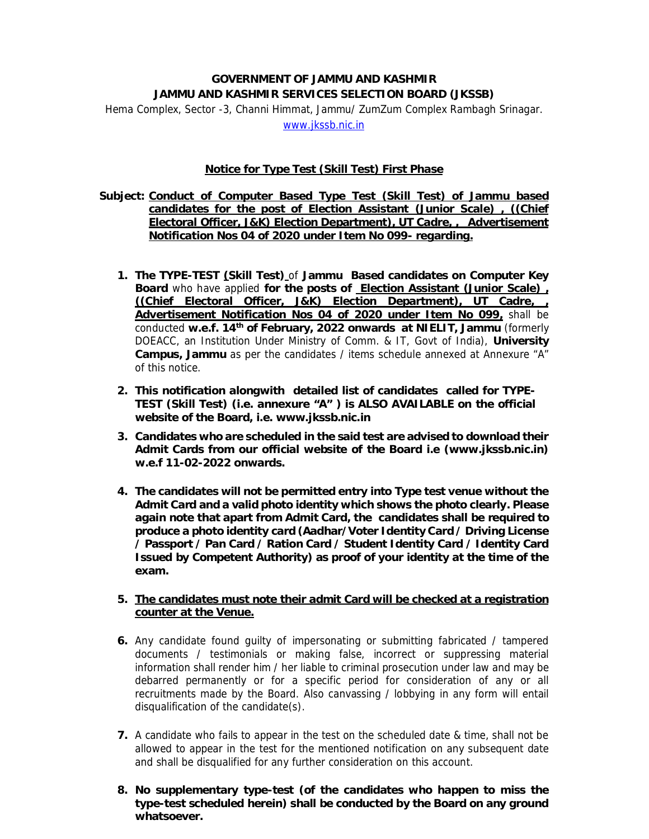## **GOVERNMENT OF JAMMU AND KASHMIR JAMMU AND KASHMIR SERVICES SELECTION BOARD (JKSSB)**  Hema Complex, Sector -3, Channi Himmat, Jammu/ ZumZum Complex Rambagh Srinagar. www.jkssb.nic.in

## **Notice for Type Test (Skill Test) First Phase**

## **Subject: Conduct of Computer Based Type Test (Skill Test) of Jammu based candidates for the post of Election Assistant (Junior Scale) , ((Chief Electoral Officer, J&K) Election Department), UT Cadre, , Advertisement Notification Nos 04 of 2020 under Item No 099- regarding.**

- **1. The TYPE-TEST (Skill Test)** of **Jammu Based candidates on Computer Key Board** who have applied **for the posts of Election Assistant (Junior Scale) , ((Chief Electoral Officer, J&K) Election Department), UT Cadre, , Advertisement Notification Nos 04 of 2020 under Item No 099,** shall be conducted **w.e.f. 14th of February, 2022 onwards at NIELIT, Jammu** (formerly DOEACC, an Institution Under Ministry of Comm. & IT, Govt of India), **University Campus, Jammu** as per the candidates / items schedule annexed at Annexure "A" of this notice.
- **2. This notification alongwith detailed list of candidates called for TYPE-TEST (Skill Test) (i.e. annexure "A" ) is ALSO AVAILABLE on the official website of the Board, i.e. www.jkssb.nic.in**
- **3. Candidates who are scheduled in the said test are advised to download their Admit Cards from our official website of the Board i.e (www.jkssb.nic.in) w.e.f 11-02-2022 onwards.**
- **4. The candidates will not be permitted entry into Type test venue without the Admit Card and a valid photo identity which shows the photo clearly. Please again note that apart from Admit Card, the candidates shall be required to produce a photo identity card (Aadhar/Voter Identity Card / Driving License / Passport / Pan Card / Ration Card / Student Identity Card / Identity Card Issued by Competent Authority) as proof of your identity at the time of the exam.**
- **5. The candidates must note their admit Card will be checked at a registration counter at the Venue.**
- **6.** Any candidate found guilty of impersonating or submitting fabricated / tampered documents / testimonials or making false, incorrect or suppressing material information shall render him / her liable to criminal prosecution under law and may be debarred permanently or for a specific period for consideration of any or all recruitments made by the Board. Also canvassing / lobbying in any form will entail disqualification of the candidate(s).
- **7.** A candidate who fails to appear in the test on the scheduled date & time, shall not be allowed to appear in the test for the mentioned notification on any subsequent date and shall be disqualified for any further consideration on this account.
- **8. No supplementary type-test (of the candidates who happen to miss the type-test scheduled herein) shall be conducted by the Board on any ground whatsoever.**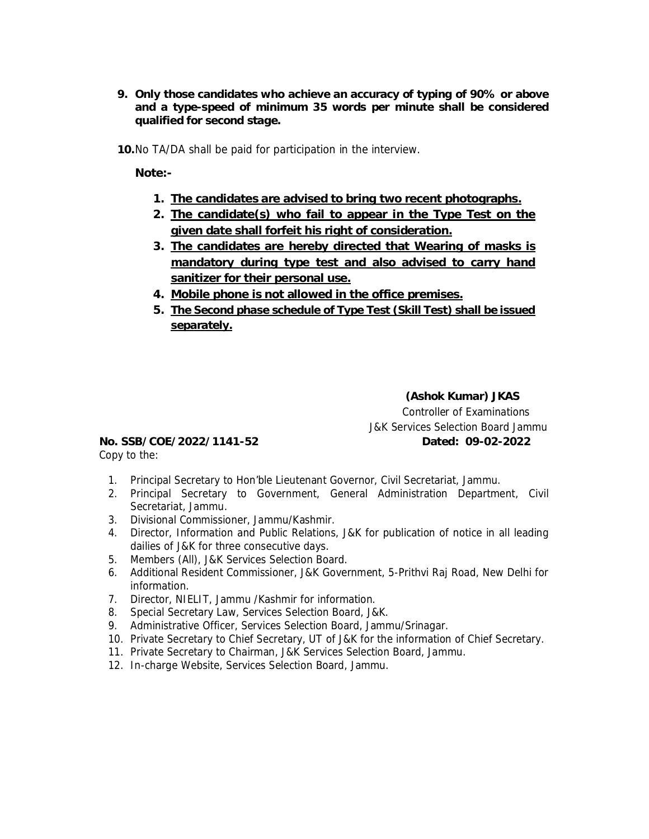- **9. Only those candidates who achieve an accuracy of typing of 90% or above and a type-speed of minimum 35 words per minute shall be considered qualified for second stage.**
- **10.**No TA/DA shall be paid for participation in the interview.

**Note:-** 

- **1. The candidates are advised to bring two recent photographs.**
- **2. The candidate(s) who fail to appear in the Type Test on the given date shall forfeit his right of consideration.**
- **3. The candidates are hereby directed that Wearing of masks is mandatory during type test and also advised to carry hand sanitizer for their personal use.**
- **4. Mobile phone is not allowed in the office premises.**
- **5. The Second phase schedule of Type Test (Skill Test) shall be issued separately.**

 **(Ashok Kumar) JKAS**  Controller of Examinations J&K Services Selection Board Jammu **No. SSB/COE/2022/1141-52 Dated: 09-02-2022** 

Copy to the:

- 1. Principal Secretary to Hon'ble Lieutenant Governor, Civil Secretariat, Jammu.
- 2. Principal Secretary to Government, General Administration Department, Civil Secretariat, Jammu.
- 3. Divisional Commissioner, Jammu/Kashmir.
- 4. Director, Information and Public Relations, J&K for publication of notice in all leading dailies of J&K for three consecutive days.
- 5. Members (All), J&K Services Selection Board.
- 6. Additional Resident Commissioner, J&K Government, 5-Prithvi Raj Road, New Delhi for information.
- 7. Director, NIELIT, Jammu /Kashmir for information.
- 8. Special Secretary Law, Services Selection Board, J&K.
- 9. Administrative Officer, Services Selection Board, Jammu/Srinagar.
- 10. Private Secretary to Chief Secretary, UT of J&K for the information of Chief Secretary.
- 11. Private Secretary to Chairman, J&K Services Selection Board, Jammu.
- 12. In-charge Website, Services Selection Board, Jammu.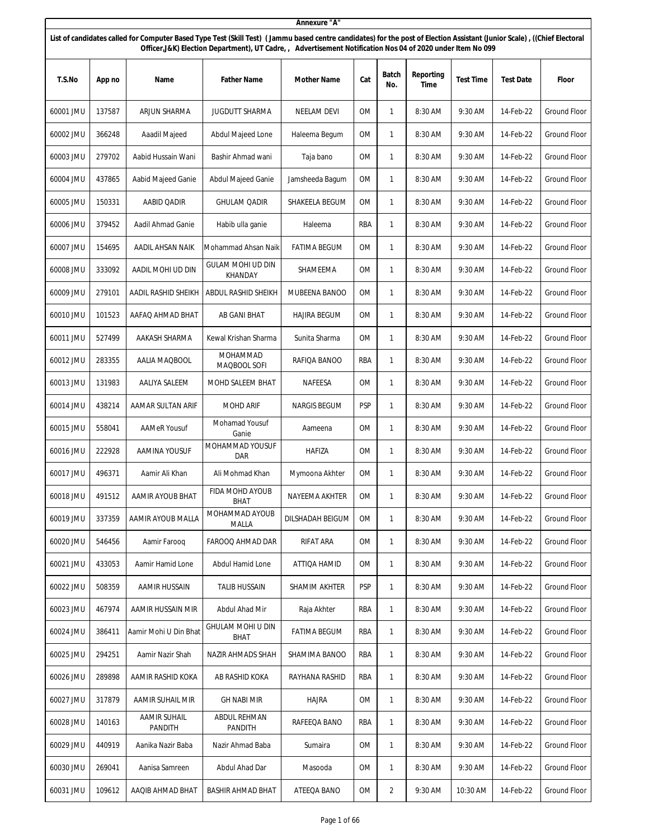|           |        |                                |                                                                                                                                                                                                                                                                                       | Annexure "A"        |            |              |                   |                  |                  |                     |
|-----------|--------|--------------------------------|---------------------------------------------------------------------------------------------------------------------------------------------------------------------------------------------------------------------------------------------------------------------------------------|---------------------|------------|--------------|-------------------|------------------|------------------|---------------------|
|           |        |                                | List of candidates called for Computer Based Type Test (Skill Test) (Jammu based centre candidates) for the post of Election Assistant (Junior Scale), ((Chief Electoral<br>Officer, J&K) Election Department), UT Cadre, Advertisement Notification Nos 04 of 2020 under Item No 099 |                     |            |              |                   |                  |                  |                     |
| T.S.No    | App no | Name                           | <b>Father Name</b>                                                                                                                                                                                                                                                                    | Mother Name         | Cat        | Batch<br>No. | Reporting<br>Time | <b>Test Time</b> | <b>Test Date</b> | Floor               |
| 60001 JMU | 137587 | ARJUN SHARMA                   | <b>JUGDUTT SHARMA</b>                                                                                                                                                                                                                                                                 | NEELAM DEVI         | 0M         | 1            | 8:30 AM           | 9:30 AM          | 14-Feb-22        | <b>Ground Floor</b> |
| 60002 JMU | 366248 | Aaadil Majeed                  | Abdul Majeed Lone                                                                                                                                                                                                                                                                     | Haleema Begum       | 0M         | 1            | 8:30 AM           | 9:30 AM          | 14-Feb-22        | <b>Ground Floor</b> |
| 60003 JMU | 279702 | Aabid Hussain Wani             | Bashir Ahmad wani                                                                                                                                                                                                                                                                     | Taja bano           | <b>OM</b>  | 1            | 8:30 AM           | 9:30 AM          | 14-Feb-22        | <b>Ground Floor</b> |
| 60004 JMU | 437865 | Aabid Majeed Ganie             | Abdul Majeed Ganie                                                                                                                                                                                                                                                                    | Jamsheeda Bagum     | 0M         | 1            | 8:30 AM           | 9:30 AM          | 14-Feb-22        | Ground Floor        |
| 60005 JMU | 150331 | AABID QADIR                    | <b>GHULAM QADIR</b>                                                                                                                                                                                                                                                                   | SHAKEELA BEGUM      | 0M         | 1            | 8:30 AM           | 9:30 AM          | 14-Feb-22        | <b>Ground Floor</b> |
| 60006 JMU | 379452 | Aadil Ahmad Ganie              | Habib ulla ganie                                                                                                                                                                                                                                                                      | Haleema             | RBA        | 1            | 8:30 AM           | 9:30 AM          | 14-Feb-22        | <b>Ground Floor</b> |
| 60007 JMU | 154695 | AADIL AHSAN NAIK               | Mohammad Ahsan Naik                                                                                                                                                                                                                                                                   | <b>FATIMA BEGUM</b> | 0M         | $\mathbf{1}$ | 8:30 AM           | 9:30 AM          | 14-Feb-22        | <b>Ground Floor</b> |
| 60008 JMU | 333092 | AADIL MOHI UD DIN              | <b>GULAM MOHI UD DIN</b><br><b>KHANDAY</b>                                                                                                                                                                                                                                            | SHAMEEMA            | 0M         | 1            | 8:30 AM           | 9:30 AM          | 14-Feb-22        | Ground Floor        |
| 60009 JMU | 279101 | AADIL RASHID SHEIKH            | ABDUL RASHID SHEIKH                                                                                                                                                                                                                                                                   | MUBEENA BANOO       | 0M         | 1            | 8:30 AM           | 9:30 AM          | 14-Feb-22        | Ground Floor        |
| 60010 JMU | 101523 | AAFAQ AHMAD BHAT               | AB GANI BHAT                                                                                                                                                                                                                                                                          | <b>HAJIRA BEGUM</b> | 0M         | 1            | 8:30 AM           | 9:30 AM          | 14-Feb-22        | <b>Ground Floor</b> |
| 60011 JMU | 527499 | AAKASH SHARMA                  | Kewal Krishan Sharma                                                                                                                                                                                                                                                                  | Sunita Sharma       | 0M         | 1            | 8:30 AM           | 9:30 AM          | 14-Feb-22        | <b>Ground Floor</b> |
| 60012 JMU | 283355 | AALIA MAQBOOL                  | MOHAMMAD<br>MAQBOOL SOFI                                                                                                                                                                                                                                                              | RAFIQA BANOO        | <b>RBA</b> | 1            | 8:30 AM           | 9:30 AM          | 14-Feb-22        | Ground Floor        |
| 60013 JMU | 131983 | AALIYA SALEEM                  | MOHD SALEEM BHAT                                                                                                                                                                                                                                                                      | NAFEESA             | 0M         | 1            | 8:30 AM           | 9:30 AM          | 14-Feb-22        | Ground Floor        |
| 60014 JMU | 438214 | AAMAR SULTAN ARIF              | <b>MOHD ARIF</b>                                                                                                                                                                                                                                                                      | <b>NARGIS BEGUM</b> | <b>PSP</b> | $\mathbf{1}$ | 8:30 AM           | 9:30 AM          | 14-Feb-22        | Ground Floor        |
| 60015 JMU | 558041 | <b>AAMeR Yousuf</b>            | Mohamad Yousuf<br>Ganie                                                                                                                                                                                                                                                               | Aameena             | <b>OM</b>  | 1            | 8:30 AM           | 9:30 AM          | 14-Feb-22        | Ground Floor        |
| 60016 JMU | 222928 | AAMINA YOUSUF                  | MOHAMMAD YOUSUF<br>DAR                                                                                                                                                                                                                                                                | <b>HAFIZA</b>       | 0M         | $\mathbf{1}$ | 8:30 AM           | 9:30 AM          | 14-Feb-22        | Ground Floor        |
| 60017 JMU | 496371 | Aamir Ali Khan                 | Ali Mohmad Khan                                                                                                                                                                                                                                                                       | Mymoona Akhter      | <b>OM</b>  | $\mathbf{1}$ | 8:30 AM           | 9:30 AM          | 14-Feb-22        | <b>Ground Floor</b> |
| 60018 JMU | 491512 | AAMIR AYOUB BHAT               | FIDA MOHD AYOUB<br>BHAT                                                                                                                                                                                                                                                               | NAYEEMA AKHTER      | OM         | 1            | 8:30 AM           | 9:30 AM          | 14-Feb-22        | Ground Floor        |
| 60019 JMU | 337359 | AAMIR AYOUB MALLA              | MOHAMMAD AYOUB<br>MALLA                                                                                                                                                                                                                                                               | DILSHADAH BEIGUM    | <b>OM</b>  | $\mathbf{1}$ | 8:30 AM           | 9:30 AM          | 14-Feb-22        | Ground Floor        |
| 60020 JMU | 546456 | Aamir Farooq                   | FAROOQ AHMAD DAR                                                                                                                                                                                                                                                                      | RIFAT ARA           | OM         | 1            | 8:30 AM           | 9:30 AM          | 14-Feb-22        | Ground Floor        |
| 60021 JMU | 433053 | Aamir Hamid Lone               | Abdul Hamid Lone                                                                                                                                                                                                                                                                      | ATTIQA HAMID        | 0M         | $\mathbf{1}$ | 8:30 AM           | 9:30 AM          | 14-Feb-22        | Ground Floor        |
| 60022 JMU | 508359 | AAMIR HUSSAIN                  | <b>TALIB HUSSAIN</b>                                                                                                                                                                                                                                                                  | SHAMIM AKHTER       | <b>PSP</b> | 1            | 8:30 AM           | 9:30 AM          | 14-Feb-22        | Ground Floor        |
| 60023 JMU | 467974 | AAMIR HUSSAIN MIR              | Abdul Ahad Mir                                                                                                                                                                                                                                                                        | Raja Akhter         | RBA        | $\mathbf{1}$ | 8:30 AM           | 9:30 AM          | 14-Feb-22        | Ground Floor        |
| 60024 JMU | 386411 | Aamir Mohi U Din Bhat          | GHULAM MOHI U DIN<br><b>BHAT</b>                                                                                                                                                                                                                                                      | <b>FATIMA BEGUM</b> | RBA        | $\mathbf{1}$ | 8:30 AM           | 9:30 AM          | 14-Feb-22        | Ground Floor        |
| 60025 JMU | 294251 | Aamir Nazir Shah               | NAZIR AHMADS SHAH                                                                                                                                                                                                                                                                     | SHAMIMA BANOO       | RBA        | $\mathbf{1}$ | 8:30 AM           | 9:30 AM          | 14-Feb-22        | Ground Floor        |
| 60026 JMU | 289898 | AAMIR RASHID KOKA              | AB RASHID KOKA                                                                                                                                                                                                                                                                        | RAYHANA RASHID      | RBA        | $\mathbf{1}$ | 8:30 AM           | 9:30 AM          | 14-Feb-22        | Ground Floor        |
| 60027 JMU | 317879 | AAMIR SUHAIL MIR               | <b>GH NABI MIR</b>                                                                                                                                                                                                                                                                    | HAJRA               | 0M         | 1            | 8:30 AM           | 9:30 AM          | 14-Feb-22        | <b>Ground Floor</b> |
| 60028 JMU | 140163 | <b>AAMIR SUHAIL</b><br>PANDITH | ABDUL REHMAN<br>PANDITH                                                                                                                                                                                                                                                               | RAFEEQA BANO        | RBA        | $\mathbf{1}$ | 8:30 AM           | 9:30 AM          | 14-Feb-22        | Ground Floor        |
| 60029 JMU | 440919 | Aanika Nazir Baba              | Nazir Ahmad Baba                                                                                                                                                                                                                                                                      | Sumaira             | 0M         | 1            | 8:30 AM           | 9:30 AM          | 14-Feb-22        | Ground Floor        |
| 60030 JMU | 269041 | Aanisa Samreen                 | Abdul Ahad Dar                                                                                                                                                                                                                                                                        | Masooda             | 0M         | 1            | 8:30 AM           | 9:30 AM          | 14-Feb-22        | Ground Floor        |
| 60031 JMU | 109612 | AAQIB AHMAD BHAT               | <b>BASHIR AHMAD BHAT</b>                                                                                                                                                                                                                                                              | ATEEQA BANO         | OM         | 2            | 9:30 AM           | 10:30 AM         | 14-Feb-22        | Ground Floor        |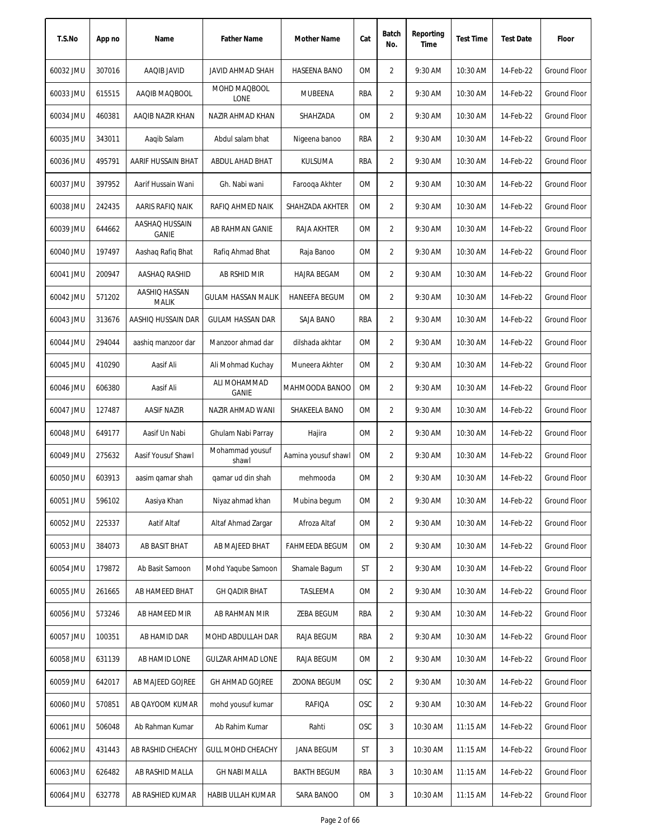| T.S.No    | App no | Name                           | <b>Father Name</b>           | Mother Name           | Cat        | Batch<br>No.   | Reporting<br>Time | <b>Test Time</b> | <b>Test Date</b> | Floor        |
|-----------|--------|--------------------------------|------------------------------|-----------------------|------------|----------------|-------------------|------------------|------------------|--------------|
| 60032 JMU | 307016 | AAQIB JAVID                    | <b>JAVID AHMAD SHAH</b>      | HASEENA BANO          | 0M         | $\overline{2}$ | 9:30 AM           | 10:30 AM         | 14-Feb-22        | Ground Floor |
| 60033 JMU | 615515 | AAQIB MAQBOOL                  | MOHD MAQBOOL<br>LONE         | MUBEENA               | RBA        | 2              | 9:30 AM           | 10:30 AM         | 14-Feb-22        | Ground Floor |
| 60034 JMU | 460381 | AAQIB NAZIR KHAN               | NAZIR AHMAD KHAN             | SHAHZADA              | 0M         | 2              | 9:30 AM           | 10:30 AM         | 14-Feb-22        | Ground Floor |
| 60035 JMU | 343011 | Aaqib Salam                    | Abdul salam bhat             | Nigeena banoo         | RBA        | 2              | 9:30 AM           | 10:30 AM         | 14-Feb-22        | Ground Floor |
| 60036 JMU | 495791 | AARIF HUSSAIN BHAT             | ABDUL AHAD BHAT              | <b>KULSUMA</b>        | RBA        | 2              | 9:30 AM           | 10:30 AM         | 14-Feb-22        | Ground Floor |
| 60037 JMU | 397952 | Aarif Hussain Wani             | Gh. Nabi wani                | Farooqa Akhter        | OM         | 2              | 9:30 AM           | 10:30 AM         | 14-Feb-22        | Ground Floor |
| 60038 JMU | 242435 | AARIS RAFIQ NAIK               | RAFIQ AHMED NAIK             | SHAHZADA AKHTER       | 0M         | 2              | 9:30 AM           | 10:30 AM         | 14-Feb-22        | Ground Floor |
| 60039 JMU | 644662 | AASHAQ HUSSAIN<br><b>GANIE</b> | AB RAHMAN GANIE              | RAJA AKHTER           | 0M         | $\overline{2}$ | 9:30 AM           | 10:30 AM         | 14-Feb-22        | Ground Floor |
| 60040 JMU | 197497 | Aashag Rafig Bhat              | Rafiq Ahmad Bhat             | Raja Banoo            | 0M         | 2              | 9:30 AM           | 10:30 AM         | 14-Feb-22        | Ground Floor |
| 60041 JMU | 200947 | AASHAQ RASHID                  | AB RSHID MIR                 | <b>HAJRA BEGAM</b>    | 0M         | $\overline{2}$ | 9:30 AM           | 10:30 AM         | 14-Feb-22        | Ground Floor |
| 60042 JMU | 571202 | AASHIQ HASSAN<br>MALIK         | GULAM HASSAN MALIK           | <b>HANEEFA BEGUM</b>  | <b>OM</b>  | 2              | 9:30 AM           | 10:30 AM         | 14-Feb-22        | Ground Floor |
| 60043 JMU | 313676 | AASHIQ HUSSAIN DAR             | <b>GULAM HASSAN DAR</b>      | SAJA BANO             | RBA        | 2              | 9:30 AM           | 10:30 AM         | 14-Feb-22        | Ground Floor |
| 60044 JMU | 294044 | aashig manzoor dar             | Manzoor ahmad dar            | dilshada akhtar       | <b>OM</b>  | 2              | 9:30 AM           | 10:30 AM         | 14-Feb-22        | Ground Floor |
| 60045 JMU | 410290 | Aasif Ali                      | Ali Mohmad Kuchay            | Muneera Akhter        | <b>OM</b>  | $\overline{2}$ | 9:30 AM           | 10:30 AM         | 14-Feb-22        | Ground Floor |
| 60046 JMU | 606380 | Aasif Ali                      | ALI MOHAMMAD<br><b>GANIE</b> | MAHMOODA BANOO        | 0M         | $\overline{2}$ | 9:30 AM           | 10:30 AM         | 14-Feb-22        | Ground Floor |
| 60047 JMU | 127487 | <b>AASIF NAZIR</b>             | NAZIR AHMAD WANI             | SHAKEELA BANO         | ОM         | 2              | 9:30 AM           | 10:30 AM         | 14-Feb-22        | Ground Floor |
| 60048 JMU | 649177 | Aasif Un Nabi                  | Ghulam Nabi Parray           | Hajira                | <b>OM</b>  | $\overline{2}$ | 9:30 AM           | 10:30 AM         | 14-Feb-22        | Ground Floor |
| 60049 JMU | 275632 | Aasif Yousuf Shawl             | Mohammad yousuf<br>shawl     | Aamina yousuf shawl   | <b>OM</b>  | $\overline{2}$ | 9:30 AM           | 10:30 AM         | 14-Feb-22        | Ground Floor |
| 60050 JMU | 603913 | aasim qamar shah               | qamar ud din shah            | mehmooda              | 0M         | $\overline{2}$ | 9:30 AM           | 10:30 AM         | 14-Feb-22        | Ground Floor |
| 60051 JMU | 596102 | Aasiya Khan                    | Niyaz ahmad khan             | Mubina begum          | OM         | 2              | 9:30 AM           | 10:30 AM         | 14-Feb-22        | Ground Floor |
| 60052 JMU | 225337 | Aatif Altaf                    | Altaf Ahmad Zargar           | Afroza Altaf          | 0M         | 2              | 9:30 AM           | 10:30 AM         | 14-Feb-22        | Ground Floor |
| 60053 JMU | 384073 | AB BASIT BHAT                  | AB MAJEED BHAT               | <b>FAHMEEDA BEGUM</b> | 0M         | $\overline{2}$ | 9:30 AM           | 10:30 AM         | 14-Feb-22        | Ground Floor |
| 60054 JMU | 179872 | Ab Basit Samoon                | Mohd Yaqube Samoon           | Shamale Bagum         | ST         | 2              | 9:30 AM           | 10:30 AM         | 14-Feb-22        | Ground Floor |
| 60055 JMU | 261665 | AB HAMEED BHAT                 | <b>GH QADIR BHAT</b>         | TASLEEMA              | OM         | $\overline{2}$ | 9:30 AM           | 10:30 AM         | 14-Feb-22        | Ground Floor |
| 60056 JMU | 573246 | AB HAMEED MIR                  | AB RAHMAN MIR                | ZEBA BEGUM            | RBA        | 2              | 9:30 AM           | 10:30 AM         | 14-Feb-22        | Ground Floor |
| 60057 JMU | 100351 | AB HAMID DAR                   | MOHD ABDULLAH DAR            | RAJA BEGUM            | RBA        | $\overline{2}$ | 9:30 AM           | 10:30 AM         | 14-Feb-22        | Ground Floor |
| 60058 JMU | 631139 | AB HAMID LONE                  | <b>GULZAR AHMAD LONE</b>     | RAJA BEGUM            | 0M         | 2              | 9:30 AM           | 10:30 AM         | 14-Feb-22        | Ground Floor |
| 60059 JMU | 642017 | AB MAJEED GOJREE               | <b>GH AHMAD GOJREE</b>       | ZOONA BEGUM           | <b>OSC</b> | $\overline{2}$ | 9:30 AM           | 10:30 AM         | 14-Feb-22        | Ground Floor |
| 60060 JMU | 570851 | AB QAYOOM KUMAR                | mohd yousuf kumar            | RAFIQA                | <b>OSC</b> | $\overline{2}$ | 9:30 AM           | 10:30 AM         | 14-Feb-22        | Ground Floor |
| 60061 JMU | 506048 | Ab Rahman Kumar                | Ab Rahim Kumar               | Rahti                 | <b>OSC</b> | 3              | 10:30 AM          | 11:15 AM         | 14-Feb-22        | Ground Floor |
| 60062 JMU | 431443 | AB RASHID CHEACHY              | <b>GULL MOHD CHEACHY</b>     | <b>JANA BEGUM</b>     | ST         | 3              | 10:30 AM          | 11:15 AM         | 14-Feb-22        | Ground Floor |
| 60063 JMU | 626482 | AB RASHID MALLA                | <b>GH NABI MALLA</b>         | <b>BAKTH BEGUM</b>    | RBA        | 3              | 10:30 AM          | 11:15 AM         | 14-Feb-22        | Ground Floor |
| 60064 JMU | 632778 | AB RASHIED KUMAR               | HABIB ULLAH KUMAR            | SARA BANOO            | OM         | 3              | 10:30 AM          | 11:15 AM         | 14-Feb-22        | Ground Floor |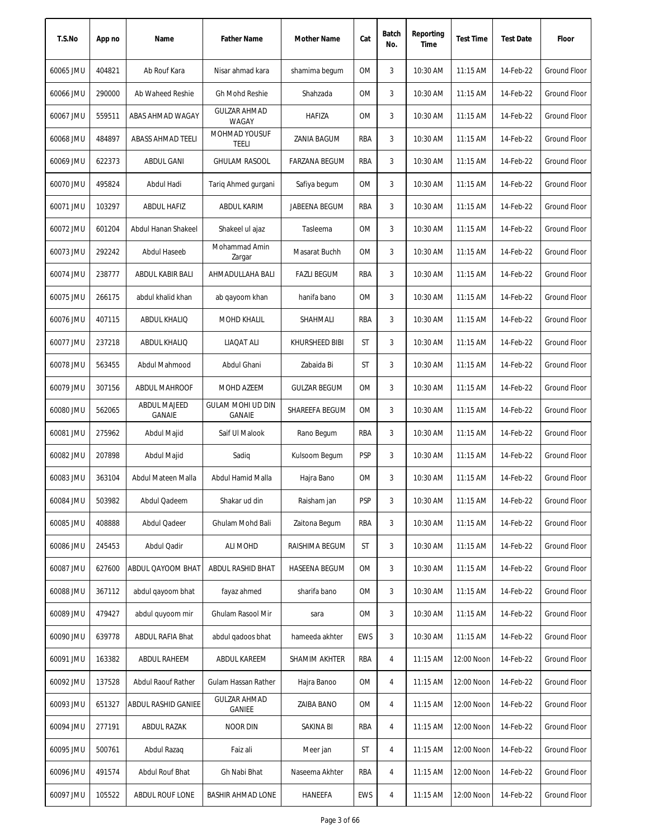| T.S.No    | App no | Name                                 | <b>Father Name</b>                 | Mother Name          | Cat        | Batch<br>No.   | Reporting<br>Time | <b>Test Time</b> | <b>Test Date</b> | Floor               |
|-----------|--------|--------------------------------------|------------------------------------|----------------------|------------|----------------|-------------------|------------------|------------------|---------------------|
| 60065 JMU | 404821 | Ab Rouf Kara                         | Nisar ahmad kara                   | shamima begum        | ОM         | 3              | 10:30 AM          | $11:15$ AM       | 14-Feb-22        | <b>Ground Floor</b> |
| 60066 JMU | 290000 | Ab Waheed Reshie                     | <b>Gh Mohd Reshie</b>              | Shahzada             | 0M         | 3              | 10:30 AM          | 11:15 AM         | 14-Feb-22        | <b>Ground Floor</b> |
| 60067 JMU | 559511 | ABAS AHMAD WAGAY                     | <b>GULZAR AHMAD</b><br>WAGAY       | <b>HAFIZA</b>        | 0M         | 3              | 10:30 AM          | 11:15 AM         | 14-Feb-22        | Ground Floor        |
| 60068 JMU | 484897 | <b>ABASS AHMAD TEELI</b>             | MOHMAD YOUSUF<br>TEELI             | <b>ZANIA BAGUM</b>   | RBA        | 3              | 10:30 AM          | 11:15 AM         | 14-Feb-22        | <b>Ground Floor</b> |
| 60069 JMU | 622373 | <b>ABDUL GANI</b>                    | <b>GHULAM RASOOL</b>               | <b>FARZANA BEGUM</b> | RBA        | 3              | 10:30 AM          | 11:15 AM         | 14-Feb-22        | <b>Ground Floor</b> |
| 60070 JMU | 495824 | Abdul Hadi                           | Tariq Ahmed gurgani                | Safiya begum         | ОM         | 3              | 10:30 AM          | 11:15 AM         | 14-Feb-22        | Ground Floor        |
| 60071 JMU | 103297 | ABDUL HAFIZ                          | ABDUL KARIM                        | JABEENA BEGUM        | RBA        | 3              | 10:30 AM          | $11:15$ AM       | 14-Feb-22        | <b>Ground Floor</b> |
| 60072 JMU | 601204 | Abdul Hanan Shakeel                  | Shakeel ul ajaz                    | Tasleema             | OM         | 3              | 10:30 AM          | 11:15 AM         | 14-Feb-22        | <b>Ground Floor</b> |
| 60073 JMU | 292242 | Abdul Haseeb                         | Mohammad Amin<br>Zargar            | Masarat Buchh        | OM         | 3              | 10:30 AM          | 11:15 AM         | 14-Feb-22        | <b>Ground Floor</b> |
| 60074 JMU | 238777 | ABDUL KABIR BALI                     | AHMADULLAHA BALI                   | <b>FAZLI BEGUM</b>   | RBA        | 3              | 10:30 AM          | $11:15$ AM       | 14-Feb-22        | <b>Ground Floor</b> |
| 60075 JMU | 266175 | abdul khalid khan                    | ab qayoom khan                     | hanifa bano          | 0M         | 3              | 10:30 AM          | 11:15 AM         | 14-Feb-22        | <b>Ground Floor</b> |
| 60076 JMU | 407115 | ABDUL KHALIQ                         | <b>MOHD KHALIL</b>                 | <b>SHAHMALI</b>      | RBA        | 3              | 10:30 AM          | 11:15 AM         | 14-Feb-22        | <b>Ground Floor</b> |
| 60077 JMU | 237218 | ABDUL KHALIQ                         | LIAQAT ALI                         | KHURSHEED BIBI       | ST         | 3              | 10:30 AM          | 11:15 AM         | 14-Feb-22        | <b>Ground Floor</b> |
| 60078 JMU | 563455 | Abdul Mahmood                        | Abdul Ghani                        | Zabaida Bi           | ST         | 3              | 10:30 AM          | $11:15$ AM       | 14-Feb-22        | <b>Ground Floor</b> |
| 60079 JMU | 307156 | <b>ABDUL MAHROOF</b>                 | MOHD AZEEM                         | <b>GULZAR BEGUM</b>  | OM         | 3              | 10:30 AM          | 11:15 AM         | 14-Feb-22        | <b>Ground Floor</b> |
| 60080 JMU | 562065 | <b>ABDUL MAJEED</b><br><b>GANAIE</b> | GULAM MOHI UD DIN<br><b>GANAIE</b> | SHAREEFA BEGUM       | <b>OM</b>  | 3              | 10:30 AM          | 11:15 AM         | 14-Feb-22        | <b>Ground Floor</b> |
| 60081 JMU | 275962 | Abdul Majid                          | Saif UI Malook                     | Rano Begum           | RBA        | 3              | 10:30 AM          | 11:15 AM         | 14-Feb-22        | Ground Floor        |
| 60082 JMU | 207898 | Abdul Majid                          | Sadiq                              | Kulsoom Begum        | <b>PSP</b> | 3              | 10:30 AM          | $11:15$ AM       | 14-Feb-22        | <b>Ground Floor</b> |
| 60083 JMU | 363104 | Abdul Mateen Malla                   | Abdul Hamid Malla                  | Hajra Bano           | 0M         | 3              | 10:30 AM          | 11:15 AM         | 14-Feb-22        | <b>Ground Floor</b> |
| 60084 JMU | 503982 | Abdul Qadeem                         | Shakar ud din                      | Raisham jan          | <b>PSP</b> | 3              | 10:30 AM          | 11:15 AM         | 14-Feb-22        | Ground Floor        |
| 60085 JMU | 408888 | Abdul Qadeer                         | Ghulam Mohd Bali                   | Zaitona Begum        | RBA        | 3              | 10:30 AM          | 11:15 AM         | 14-Feb-22        | Ground Floor        |
| 60086 JMU | 245453 | Abdul Qadir                          | <b>ALI MOHD</b>                    | RAISHIMA BEGUM       | ST         | 3              | 10:30 AM          | 11:15 AM         | 14-Feb-22        | Ground Floor        |
| 60087 JMU | 627600 | ABDUL QAYOOM BHAT                    | ABDUL RASHID BHAT                  | <b>HASEENA BEGUM</b> | OM         | 3              | 10:30 AM          | 11:15 AM         | 14-Feb-22        | Ground Floor        |
| 60088 JMU | 367112 | abdul qayoom bhat                    | fayaz ahmed                        | sharifa bano         | 0M         | 3              | 10:30 AM          | 11:15 AM         | 14-Feb-22        | Ground Floor        |
| 60089 JMU | 479427 | abdul quyoom mir                     | Ghulam Rasool Mir                  | sara                 | OM         | 3              | 10:30 AM          | 11:15 AM         | 14-Feb-22        | Ground Floor        |
| 60090 JMU | 639778 | ABDUL RAFIA Bhat                     | abdul gadoos bhat                  | hameeda akhter       | <b>EWS</b> | 3              | 10:30 AM          | $11:15$ AM       | 14-Feb-22        | Ground Floor        |
| 60091 JMU | 163382 | ABDUL RAHEEM                         | ABDUL KAREEM                       | SHAMIM AKHTER        | RBA        | $\overline{4}$ | 11:15 AM          | 12:00 Noon       | 14-Feb-22        | Ground Floor        |
| 60092 JMU | 137528 | Abdul Raouf Rather                   | Gulam Hassan Rather                | Hajra Banoo          | OM         | $\overline{4}$ | $11:15$ AM        | 12:00 Noon       | 14-Feb-22        | Ground Floor        |
| 60093 JMU | 651327 | ABDUL RASHID GANIEE                  | <b>GULZAR AHMAD</b><br>GANIEE      | <b>ZAIBA BANO</b>    | OM         | $\overline{4}$ | 11:15 AM          | 12:00 Noon       | 14-Feb-22        | <b>Ground Floor</b> |
| 60094 JMU | 277191 | <b>ABDUL RAZAK</b>                   | <b>NOOR DIN</b>                    | SAKINA BI            | RBA        | 4              | $11:15$ AM        | 12:00 Noon       | 14-Feb-22        | Ground Floor        |
| 60095 JMU | 500761 | Abdul Razaq                          | Faiz ali                           | Meer jan             | ST         | 4              | 11:15 AM          | 12:00 Noon       | 14-Feb-22        | Ground Floor        |
| 60096 JMU | 491574 | Abdul Rouf Bhat                      | Gh Nabi Bhat                       | Naseema Akhter       | RBA        | 4              | $11:15$ AM        | 12:00 Noon       | 14-Feb-22        | Ground Floor        |
| 60097 JMU | 105522 | ABDUL ROUF LONE                      | <b>BASHIR AHMAD LONE</b>           | <b>HANEEFA</b>       | EWS        | 4              | 11:15 AM          | 12:00 Noon       | 14-Feb-22        | Ground Floor        |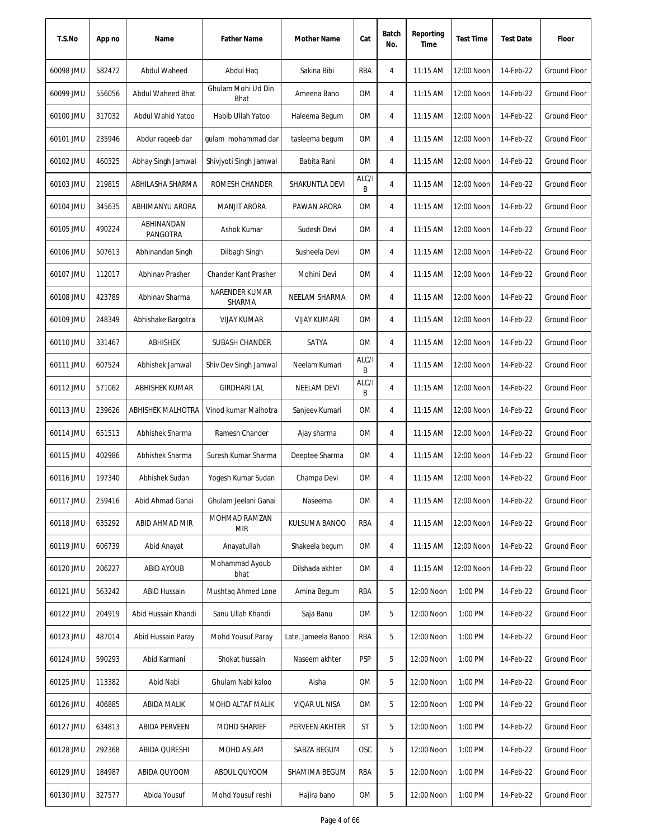| T.S.No    | App no | Name                   | <b>Father Name</b>          | Mother Name         | Cat        | Batch<br>No. | Reporting<br>Time | <b>Test Time</b> | <b>Test Date</b> | Floor               |
|-----------|--------|------------------------|-----------------------------|---------------------|------------|--------------|-------------------|------------------|------------------|---------------------|
| 60098 JMU | 582472 | Abdul Waheed           | Abdul Haq                   | Sakina Bibi         | RBA        | 4            | 11:15 AM          | 12:00 Noon       | 14-Feb-22        | <b>Ground Floor</b> |
| 60099 JMU | 556056 | Abdul Waheed Bhat      | Ghulam Mohi Ud Din<br>Bhat  | Ameena Bano         | OM         | 4            | 11:15 AM          | 12:00 Noon       | 14-Feb-22        | Ground Floor        |
| 60100 JMU | 317032 | Abdul Wahid Yatoo      | Habib Ullah Yatoo           | Haleema Begum       | ОM         | 4            | $11:15$ AM        | 12:00 Noon       | 14-Feb-22        | <b>Ground Floor</b> |
| 60101 JMU | 235946 | Abdur raqeeb dar       | qulam mohammad dar          | tasleema begum      | OM         | 4            | 11:15 AM          | 12:00 Noon       | 14-Feb-22        | <b>Ground Floor</b> |
| 60102 JMU | 460325 | Abhay Singh Jamwal     | Shivjyoti Singh Jamwal      | Babita Rani         | OM         | 4            | 11:15 AM          | 12:00 Noon       | 14-Feb-22        | <b>Ground Floor</b> |
| 60103 JMU | 219815 | ABHILASHA SHARMA       | ROMESH CHANDER              | SHAKUNTLA DEVI      | ALC/I<br>B | 4            | 11:15 AM          | 12:00 Noon       | 14-Feb-22        | <b>Ground Floor</b> |
| 60104 JMU | 345635 | ABHIMANYU ARORA        | MANJIT ARORA                | PAWAN ARORA         | OM         | 4            | 11:15 AM          | 12:00 Noon       | 14-Feb-22        | Ground Floor        |
| 60105 JMU | 490224 | ABHINANDAN<br>PANGOTRA | Ashok Kumar                 | Sudesh Devi         | OM         | 4            | 11:15 AM          | 12:00 Noon       | 14-Feb-22        | <b>Ground Floor</b> |
| 60106 JMU | 507613 | Abhinandan Singh       | Dilbagh Singh               | Susheela Devi       | <b>OM</b>  | 4            | 11:15 AM          | 12:00 Noon       | 14-Feb-22        | <b>Ground Floor</b> |
| 60107 JMU | 112017 | Abhinav Prasher        | Chander Kant Prasher        | Mohini Devi         | <b>OM</b>  | 4            | 11:15 AM          | 12:00 Noon       | 14-Feb-22        | <b>Ground Floor</b> |
| 60108 JMU | 423789 | Abhinav Sharma         | NARENDER KUMAR<br>SHARMA    | NEELAM SHARMA       | OM         | 4            | $11:15$ AM        | 12:00 Noon       | 14-Feb-22        | <b>Ground Floor</b> |
| 60109 JMU | 248349 | Abhishake Bargotra     | <b>VIJAY KUMAR</b>          | <b>VIJAY KUMARI</b> | ОM         | 4            | $11:15$ AM        | 12:00 Noon       | 14-Feb-22        | <b>Ground Floor</b> |
| 60110 JMU | 331467 | ABHISHEK               | SUBASH CHANDER              | SATYA               | <b>OM</b>  | 4            | 11:15 AM          | 12:00 Noon       | 14-Feb-22        | <b>Ground Floor</b> |
| 60111 JMU | 607524 | Abhishek Jamwal        | Shiv Dev Singh Jamwal       | Neelam Kumari       | ALC/I<br>B | 4            | 11:15 AM          | 12:00 Noon       | 14-Feb-22        | <b>Ground Floor</b> |
| 60112 JMU | 571062 | ABHISHEK KUMAR         | <b>GIRDHARI LAL</b>         | <b>NEELAM DEVI</b>  | ALC/I<br>B | 4            | 11:15 AM          | 12:00 Noon       | 14-Feb-22        | Ground Floor        |
| 60113 JMU | 239626 | ABHISHEK MALHOTRA      | Vinod kumar Malhotra        | Sanjeev Kumari      | 0M         | 4            | 11:15 AM          | 12:00 Noon       | 14-Feb-22        | <b>Ground Floor</b> |
| 60114 JMU | 651513 | Abhishek Sharma        | Ramesh Chander              | Ajay sharma         | <b>OM</b>  | 4            | 11:15 AM          | 12:00 Noon       | 14-Feb-22        | <b>Ground Floor</b> |
| 60115 JMU | 402986 | Abhishek Sharma        | Suresh Kumar Sharma         | Deeptee Sharma      | 0M         | 4            | 11:15 AM          | 12:00 Noon       | 14-Feb-22        | <b>Ground Floor</b> |
| 60116 JMU | 197340 | Abhishek Sudan         | Yogesh Kumar Sudan          | Champa Devi         | <b>OM</b>  | 4            | 11:15 AM          | 12:00 Noon       | 14-Feb-22        | Ground Floor        |
| 60117 JMU | 259416 | Abid Ahmad Ganai       | Ghulam Jeelani Ganai        | Naseema             | 0M         | 4            | 11:15 AM          | 12:00 Noon       | 14-Feb-22        | Ground Floor        |
| 60118 JMU | 635292 | ABID AHMAD MIR         | MOHMAD RAMZAN<br><b>MIR</b> | KULSUMA BANOO       | RBA        | 4            | 11:15 AM          | 12:00 Noon       | 14-Feb-22        | <b>Ground Floor</b> |
| 60119 JMU | 606739 | Abid Anayat            | Anayatullah                 | Shakeela begum      | ОM         | 4            | 11:15 AM          | 12:00 Noon       | 14-Feb-22        | <b>Ground Floor</b> |
| 60120 JMU | 206227 | <b>ABID AYOUB</b>      | Mohammad Ayoub<br>bhat      | Dilshada akhter     | OM         | 4            | 11:15 AM          | 12:00 Noon       | 14-Feb-22        | <b>Ground Floor</b> |
| 60121 JMU | 563242 | <b>ABID Hussain</b>    | Mushtag Ahmed Lone          | Amina Begum         | RBA        | 5            | 12:00 Noon        | 1:00 PM          | 14-Feb-22        | Ground Floor        |
| 60122 JMU | 204919 | Abid Hussain Khandi    | Sanu Ullah Khandi           | Saja Banu           | 0M         | 5            | 12:00 Noon        | 1:00 PM          | 14-Feb-22        | Ground Floor        |
| 60123 JMU | 487014 | Abid Hussain Paray     | Mohd Yousuf Paray           | Late. Jameela Banoo | RBA        | 5            | 12:00 Noon        | 1:00 PM          | 14-Feb-22        | Ground Floor        |
| 60124 JMU | 590293 | Abid Karmani           | Shokat hussain              | Naseem akhter       | <b>PSP</b> | 5            | 12:00 Noon        | 1:00 PM          | 14-Feb-22        | Ground Floor        |
| 60125 JMU | 113382 | Abid Nabi              | Ghulam Nabi kaloo           | Aisha               | 0M         | 5            | 12:00 Noon        | 1:00 PM          | 14-Feb-22        | Ground Floor        |
| 60126 JMU | 406885 | ABIDA MALIK            | MOHD ALTAF MALIK            | VIQAR UL NISA       | 0M         | 5            | 12:00 Noon        | 1:00 PM          | 14-Feb-22        | Ground Floor        |
| 60127 JMU | 634813 | <b>ABIDA PERVEEN</b>   | <b>MOHD SHARIEF</b>         | PERVEEN AKHTER      | ST         | 5            | 12:00 Noon        | 1:00 PM          | 14-Feb-22        | Ground Floor        |
| 60128 JMU | 292368 | <b>ABIDA QURESHI</b>   | MOHD ASLAM                  | SABZA BEGUM         | OSC        | 5            | 12:00 Noon        | 1:00 PM          | 14-Feb-22        | <b>Ground Floor</b> |
| 60129 JMU | 184987 | ABIDA QUYOOM           | ABDUL QUYOOM                | SHAMIMA BEGUM       | RBA        | 5            | 12:00 Noon        | 1:00 PM          | 14-Feb-22        | <b>Ground Floor</b> |
| 60130 JMU | 327577 | Abida Yousuf           | Mohd Yousuf reshi           | Hajira bano         | 0M         | 5            | 12:00 Noon        | 1:00 PM          | 14-Feb-22        | Ground Floor        |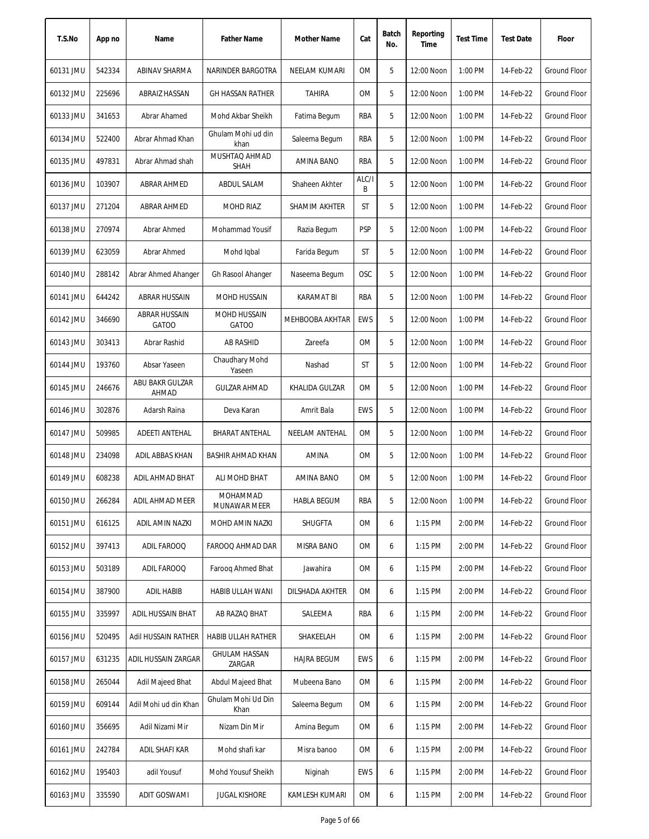| T.S.No    | App no | Name                                 | <b>Father Name</b>             | Mother Name        | Cat        | Batch<br>No. | Reporting<br>Time | <b>Test Time</b> | <b>Test Date</b> | Floor               |
|-----------|--------|--------------------------------------|--------------------------------|--------------------|------------|--------------|-------------------|------------------|------------------|---------------------|
| 60131 JMU | 542334 | ABINAV SHARMA                        | NARINDER BARGOTRA              | NEELAM KUMARI      | 0M         | 5            | 12:00 Noon        | 1:00 PM          | 14-Feb-22        | Ground Floor        |
| 60132 JMU | 225696 | ABRAIZ HASSAN                        | <b>GH HASSAN RATHER</b>        | <b>TAHIRA</b>      | 0M         | 5            | 12:00 Noon        | 1:00 PM          | 14-Feb-22        | <b>Ground Floor</b> |
| 60133 JMU | 341653 | Abrar Ahamed                         | Mohd Akbar Sheikh              | Fatima Begum       | RBA        | 5            | 12:00 Noon        | 1:00 PM          | 14-Feb-22        | Ground Floor        |
| 60134 JMU | 522400 | Abrar Ahmad Khan                     | Ghulam Mohi ud din<br>khan     | Saleema Begum      | <b>RBA</b> | 5            | 12:00 Noon        | 1:00 PM          | 14-Feb-22        | <b>Ground Floor</b> |
| 60135 JMU | 497831 | Abrar Ahmad shah                     | MUSHTAQ AHMAD<br>SHAH          | AMINA BANO         | RBA        | 5            | 12:00 Noon        | 1:00 PM          | 14-Feb-22        | <b>Ground Floor</b> |
| 60136 JMU | 103907 | ABRAR AHMED                          | ABDUL SALAM                    | Shaheen Akhter     | ALC/I<br>В | 5            | 12:00 Noon        | 1:00 PM          | 14-Feb-22        | Ground Floor        |
| 60137 JMU | 271204 | ABRAR AHMED                          | <b>MOHD RIAZ</b>               | SHAMIM AKHTER      | ST         | 5            | 12:00 Noon        | 1:00 PM          | 14-Feb-22        | <b>Ground Floor</b> |
| 60138 JMU | 270974 | Abrar Ahmed                          | Mohammad Yousif                | Razia Begum        | <b>PSP</b> | 5            | 12:00 Noon        | 1:00 PM          | 14-Feb-22        | Ground Floor        |
| 60139 JMU | 623059 | Abrar Ahmed                          | Mohd Igbal                     | Farida Begum       | ST         | 5            | 12:00 Noon        | 1:00 PM          | 14-Feb-22        | <b>Ground Floor</b> |
| 60140 JMU | 288142 | Abrar Ahmed Ahanger                  | Gh Rasool Ahanger              | Naseema Begum      | <b>OSC</b> | 5            | 12:00 Noon        | 1:00 PM          | 14-Feb-22        | Ground Floor        |
| 60141 JMU | 644242 | ABRAR HUSSAIN                        | MOHD HUSSAIN                   | <b>KARAMAT BI</b>  | RBA        | 5            | 12:00 Noon        | 1:00 PM          | 14-Feb-22        | <b>Ground Floor</b> |
| 60142 JMU | 346690 | <b>ABRAR HUSSAIN</b><br><b>GATOO</b> | MOHD HUSSAIN<br><b>GATOO</b>   | MEHBOOBA AKHTAR    | <b>EWS</b> | 5            | 12:00 Noon        | 1:00 PM          | 14-Feb-22        | Ground Floor        |
| 60143 JMU | 303413 | Abrar Rashid                         | <b>AB RASHID</b>               | Zareefa            | 0M         | 5            | 12:00 Noon        | 1:00 PM          | 14-Feb-22        | Ground Floor        |
| 60144 JMU | 193760 | Absar Yaseen                         | Chaudhary Mohd<br>Yaseen       | Nashad             | ST         | 5            | 12:00 Noon        | 1:00 PM          | 14-Feb-22        | <b>Ground Floor</b> |
| 60145 JMU | 246676 | ABU BAKR GULZAR<br>AHMAD             | <b>GULZAR AHMAD</b>            | KHALIDA GULZAR     | 0M         | 5            | 12:00 Noon        | 1:00 PM          | 14-Feb-22        | <b>Ground Floor</b> |
| 60146 JMU | 302876 | Adarsh Raina                         | Deva Karan                     | Amrit Bala         | <b>EWS</b> | 5            | 12:00 Noon        | 1:00 PM          | 14-Feb-22        | Ground Floor        |
| 60147 JMU | 509985 | ADEETI ANTEHAL                       | <b>BHARAT ANTEHAL</b>          | NEELAM ANTEHAL     | 0M         | 5            | 12:00 Noon        | 1:00 PM          | 14-Feb-22        | Ground Floor        |
| 60148 JMU | 234098 | ADIL ABBAS KHAN                      | BASHIR AHMAD KHAN              | AMINA              | 0M         | 5            | 12:00 Noon        | 1:00 PM          | 14-Feb-22        | Ground Floor        |
| 60149 JMU | 608238 | ADIL AHMAD BHAT                      | ALI MOHD BHAT                  | AMINA BANO         | 0M         | 5            | 12:00 Noon        | 1:00 PM          | 14-Feb-22        | <b>Ground Floor</b> |
| 60150 JMU | 266284 | ADIL AHMAD MEER                      | MOHAMMAD<br>MUNAWAR MEER       | <b>HABLA BEGUM</b> | RBA        | 5            | 12:00 Noon        | 1:00 PM          | 14-Feb-22        | Ground Floor        |
| 60151 JMU | 616125 | ADIL AMIN NAZKI                      | MOHD AMIN NAZKI                | SHUGFTA            | 0M         | 6            | 1:15 PM           | 2:00 PM          | 14-Feb-22        | <b>Ground Floor</b> |
| 60152 JMU | 397413 | <b>ADIL FAROOQ</b>                   | FAROOQ AHMAD DAR               | MISRA BANO         | 0M         | 6            | 1:15 PM           | 2:00 PM          | 14-Feb-22        | Ground Floor        |
| 60153 JMU | 503189 | <b>ADIL FAROOQ</b>                   | Faroog Ahmed Bhat              | Jawahira           | 0M         | 6            | 1:15 PM           | 2:00 PM          | 14-Feb-22        | Ground Floor        |
| 60154 JMU | 387900 | <b>ADIL HABIB</b>                    | HABIB ULLAH WANI               | DILSHADA AKHTER    | 0M         | 6            | 1:15 PM           | 2:00 PM          | 14-Feb-22        | <b>Ground Floor</b> |
| 60155 JMU | 335997 | ADIL HUSSAIN BHAT                    | AB RAZAQ BHAT                  | SALEEMA            | RBA        | 6            | 1:15 PM           | 2:00 PM          | 14-Feb-22        | Ground Floor        |
| 60156 JMU | 520495 | Adil HUSSAIN RATHER                  | HABIB ULLAH RATHER             | SHAKEELAH          | 0M         | 6            | $1:15$ PM         | 2:00 PM          | 14-Feb-22        | Ground Floor        |
| 60157 JMU | 631235 | ADIL HUSSAIN ZARGAR                  | <b>GHULAM HASSAN</b><br>ZARGAR | <b>HAJRA BEGUM</b> | EWS        | 6            | 1:15 PM           | 2:00 PM          | 14-Feb-22        | Ground Floor        |
| 60158 JMU | 265044 | Adil Majeed Bhat                     | Abdul Majeed Bhat              | Mubeena Bano       | OM         | 6            | 1:15 PM           | 2:00 PM          | 14-Feb-22        | Ground Floor        |
| 60159 JMU | 609144 | Adil Mohi ud din Khan                | Ghulam Mohi Ud Din<br>Khan     | Saleema Begum      | OM         | 6            | 1:15 PM           | 2:00 PM          | 14-Feb-22        | Ground Floor        |
| 60160 JMU | 356695 | Adil Nizami Mir                      | Nizam Din Mir                  | Amina Begum        | 0M         | 6            | 1:15 PM           | 2:00 PM          | 14-Feb-22        | Ground Floor        |
| 60161 JMU | 242784 | ADIL SHAFI KAR                       | Mohd shafi kar                 | Misra banoo        | 0M         | 6            | $1:15$ PM         | 2:00 PM          | 14-Feb-22        | Ground Floor        |
| 60162 JMU | 195403 | adil Yousuf                          | Mohd Yousuf Sheikh             | Niginah            | EWS        | 6            | $1:15$ PM         | 2:00 PM          | 14-Feb-22        | Ground Floor        |
| 60163 JMU | 335590 | <b>ADIT GOSWAMI</b>                  | <b>JUGAL KISHORE</b>           | KAMLESH KUMARI     | 0M         | 6            | 1:15 PM           | 2:00 PM          | 14-Feb-22        | Ground Floor        |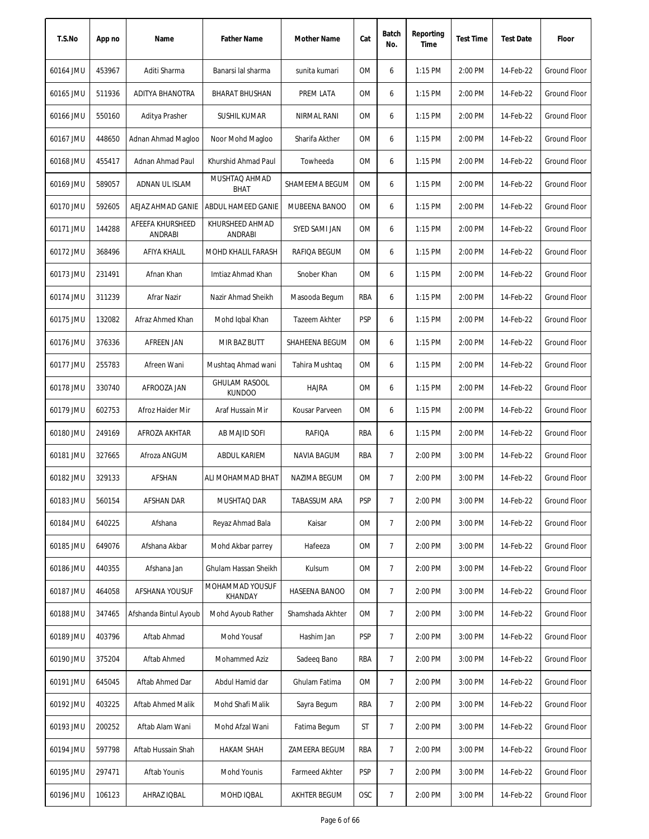| T.S.No    | App no | Name                               | <b>Father Name</b>                    | Mother Name         | Cat        | Batch<br>No.   | Reporting<br>Time | <b>Test Time</b> | <b>Test Date</b> | Floor               |
|-----------|--------|------------------------------------|---------------------------------------|---------------------|------------|----------------|-------------------|------------------|------------------|---------------------|
| 60164 JMU | 453967 | Aditi Sharma                       | Banarsi lal sharma                    | sunita kumari       | OM         | 6              | 1:15 PM           | 2:00 PM          | 14-Feb-22        | <b>Ground Floor</b> |
| 60165 JMU | 511936 | ADITYA BHANOTRA                    | <b>BHARAT BHUSHAN</b>                 | PREM LATA           | ΟM         | 6              | 1:15 PM           | 2:00 PM          | 14-Feb-22        | <b>Ground Floor</b> |
| 60166 JMU | 550160 | Aditya Prasher                     | SUSHIL KUMAR                          | NIRMAL RANI         | ΟM         | 6              | 1:15 PM           | 2:00 PM          | 14-Feb-22        | Ground Floor        |
| 60167 JMU | 448650 | Adnan Ahmad Magloo                 | Noor Mohd Magloo                      | Sharifa Akther      | OM         | 6              | 1:15 PM           | 2:00 PM          | 14-Feb-22        | <b>Ground Floor</b> |
| 60168 JMU | 455417 | Adnan Ahmad Paul                   | Khurshid Ahmad Paul                   | Towheeda            | OM         | 6              | 1:15 PM           | 2:00 PM          | 14-Feb-22        | Ground Floor        |
| 60169 JMU | 589057 | ADNAN UL ISLAM                     | MUSHTAQ AHMAD<br><b>BHAT</b>          | SHAMEEMA BEGUM      | OM         | 6              | 1:15 PM           | 2:00 PM          | 14-Feb-22        | Ground Floor        |
| 60170 JMU | 592605 | AEJAZ AHMAD GANIE                  | ABDUL HAMEED GANIE                    | MUBEENA BANOO       | ΟM         | 6              | $1:15$ PM         | 2:00 PM          | 14-Feb-22        | <b>Ground Floor</b> |
| 60171 JMU | 144288 | AFEEFA KHURSHEED<br><b>ANDRABI</b> | KHURSHEED AHMAD<br><b>ANDRABI</b>     | SYED SAMI JAN       | OM         | 6              | $1:15$ PM         | 2:00 PM          | 14-Feb-22        | <b>Ground Floor</b> |
| 60172 JMU | 368496 | AFIYA KHALIL                       | MOHD KHALIL FARASH                    | RAFIOA BEGUM        | <b>OM</b>  | 6              | 1:15 PM           | 2:00 PM          | 14-Feb-22        | <b>Ground Floor</b> |
| 60173 JMU | 231491 | Afnan Khan                         | Imtiaz Ahmad Khan                     | Snober Khan         | 0M         | 6              | 1:15 PM           | 2:00 PM          | 14-Feb-22        | Ground Floor        |
| 60174 JMU | 311239 | Afrar Nazir                        | Nazir Ahmad Sheikh                    | Masooda Begum       | RBA        | 6              | 1:15 PM           | 2:00 PM          | 14-Feb-22        | <b>Ground Floor</b> |
| 60175 JMU | 132082 | Afraz Ahmed Khan                   | Mohd Iqbal Khan                       | Tazeem Akhter       | <b>PSP</b> | 6              | 1:15 PM           | 2:00 PM          | 14-Feb-22        | <b>Ground Floor</b> |
| 60176 JMU | 376336 | AFREEN JAN                         | MIR BAZ BUTT                          | SHAHEENA BEGUM      | <b>OM</b>  | 6              | 1:15 PM           | 2:00 PM          | 14-Feb-22        | <b>Ground Floor</b> |
| 60177 JMU | 255783 | Afreen Wani                        | Mushtaq Ahmad wani                    | Tahira Mushtaq      | 0M         | 6              | 1:15 PM           | 2:00 PM          | 14-Feb-22        | Ground Floor        |
| 60178 JMU | 330740 | AFROOZA JAN                        | <b>GHULAM RASOOL</b><br><b>KUNDOO</b> | <b>HAJRA</b>        | 0M         | 6              | $1:15$ PM         | 2:00 PM          | 14-Feb-22        | Ground Floor        |
| 60179 JMU | 602753 | Afroz Haider Mir                   | Araf Hussain Mir                      | Kousar Parveen      | <b>OM</b>  | 6              | 1:15 PM           | 2:00 PM          | 14-Feb-22        | <b>Ground Floor</b> |
| 60180 JMU | 249169 | AFROZA AKHTAR                      | AB MAJID SOFI                         | RAFIQA              | RBA        | 6              | 1:15 PM           | 2:00 PM          | 14-Feb-22        | <b>Ground Floor</b> |
| 60181 JMU | 327665 | Afroza ANGUM                       | ABDUL KARIEM                          | NAVIA BAGUM         | RBA        | $\overline{7}$ | 2:00 PM           | 3:00 PM          | 14-Feb-22        | Ground Floor        |
| 60182 JMU | 329133 | AFSHAN                             | ALI MOHAMMAD BHAT                     | NAZIMA BEGUM        | 0M         | $\overline{7}$ | 2:00 PM           | 3:00 PM          | 14-Feb-22        | <b>Ground Floor</b> |
| 60183 JMU | 560154 | AFSHAN DAR                         | MUSHTAQ DAR                           | TABASSUM ARA        | <b>PSP</b> | 7              | 2:00 PM           | 3:00 PM          | 14-Feb-22        | <b>Ground Floor</b> |
| 60184 JMU | 640225 | Afshana                            | Reyaz Ahmad Bala                      | Kaisar              | 0M         | $\overline{7}$ | 2:00 PM           | 3:00 PM          | 14-Feb-22        | Ground Floor        |
| 60185 JMU | 649076 | Afshana Akbar                      | Mohd Akbar parrey                     | Hafeeza             | 0M         | $\overline{7}$ | 2:00 PM           | 3:00 PM          | 14-Feb-22        | <b>Ground Floor</b> |
| 60186 JMU | 440355 | Afshana Jan                        | Ghulam Hassan Sheikh                  | Kulsum              | ОM         | 7              | 2:00 PM           | 3:00 PM          | 14-Feb-22        | <b>Ground Floor</b> |
| 60187 JMU | 464058 | AFSHANA YOUSUF                     | MOHAMMAD YOUSUF<br>KHANDAY            | HASEENA BANOO       | 0M         | $\overline{7}$ | 2:00 PM           | 3:00 PM          | 14-Feb-22        | <b>Ground Floor</b> |
| 60188 JMU | 347465 | Afshanda Bintul Ayoub              | Mohd Ayoub Rather                     | Shamshada Akhter    | 0M         | $\overline{7}$ | 2:00 PM           | 3:00 PM          | 14-Feb-22        | <b>Ground Floor</b> |
| 60189 JMU | 403796 | Aftab Ahmad                        | Mohd Yousaf                           | Hashim Jan          | <b>PSP</b> | $\overline{7}$ | 2:00 PM           | 3:00 PM          | 14-Feb-22        | Ground Floor        |
| 60190 JMU | 375204 | Aftab Ahmed                        | Mohammed Aziz                         | Sadeeg Bano         | RBA        | 7              | 2:00 PM           | 3:00 PM          | 14-Feb-22        | <b>Ground Floor</b> |
| 60191 JMU | 645045 | Aftab Ahmed Dar                    | Abdul Hamid dar                       | Ghulam Fatima       | OM         | $\overline{7}$ | 2:00 PM           | 3:00 PM          | 14-Feb-22        | Ground Floor        |
| 60192 JMU | 403225 | Aftab Ahmed Malik                  | Mohd Shafi Malik                      | Sayra Begum         | RBA        | 7              | 2:00 PM           | 3:00 PM          | 14-Feb-22        | <b>Ground Floor</b> |
| 60193 JMU | 200252 | Aftab Alam Wani                    | Mohd Afzal Wani                       | Fatima Begum        | ST         | 7              | 2:00 PM           | 3:00 PM          | 14-Feb-22        | Ground Floor        |
| 60194 JMU | 597798 | Aftab Hussain Shah                 | <b>HAKAM SHAH</b>                     | ZAMEERA BEGUM       | RBA        | $\overline{7}$ | 2:00 PM           | 3:00 PM          | 14-Feb-22        | Ground Floor        |
| 60195 JMU | 297471 | Aftab Younis                       | Mohd Younis                           | Farmeed Akhter      | PSP        | $\overline{7}$ | 2:00 PM           | 3:00 PM          | 14-Feb-22        | Ground Floor        |
| 60196 JMU | 106123 | AHRAZ IQBAL                        | MOHD IQBAL                            | <b>AKHTER BEGUM</b> | OSC        | $\overline{7}$ | 2:00 PM           | 3:00 PM          | 14-Feb-22        | <b>Ground Floor</b> |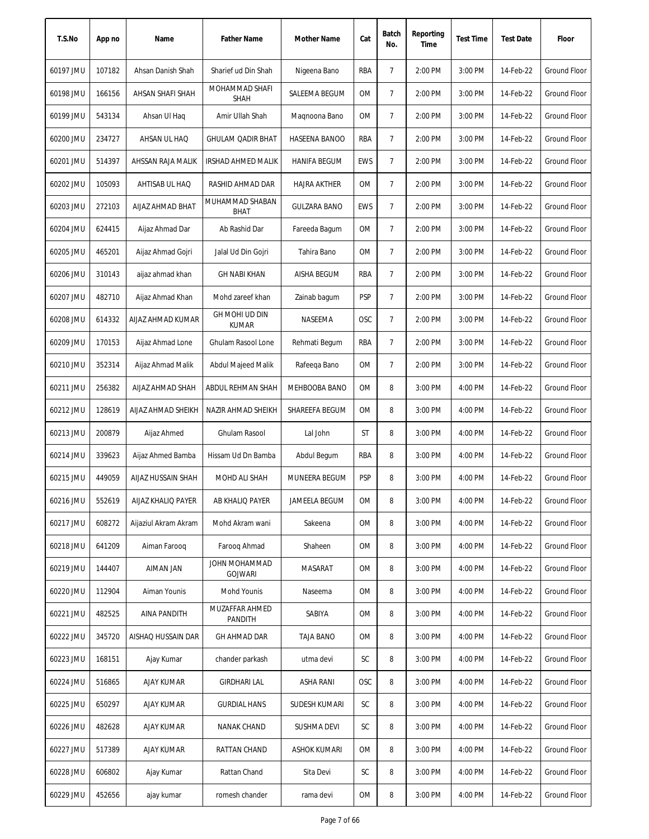| T.S.No    | App no | Name                 | <b>Father Name</b>              | Mother Name         | Cat        | Batch<br>No.   | Reporting<br>Time | <b>Test Time</b> | <b>Test Date</b> | Floor               |
|-----------|--------|----------------------|---------------------------------|---------------------|------------|----------------|-------------------|------------------|------------------|---------------------|
| 60197 JMU | 107182 | Ahsan Danish Shah    | Sharief ud Din Shah             | Nigeena Bano        | RBA        | $\overline{7}$ | 2:00 PM           | 3:00 PM          | 14-Feb-22        | Ground Floor        |
| 60198 JMU | 166156 | AHSAN SHAFI SHAH     | MOHAMMAD SHAFI<br><b>SHAH</b>   | SALEEMA BEGUM       | 0M         | 7              | 2:00 PM           | 3:00 PM          | 14-Feb-22        | Ground Floor        |
| 60199 JMU | 543134 | Ahsan UI Haq         | Amir Ullah Shah                 | Magnoona Bano       | 0M         | $\overline{7}$ | 2:00 PM           | 3:00 PM          | 14-Feb-22        | <b>Ground Floor</b> |
| 60200 JMU | 234727 | AHSAN UL HAQ         | <b>GHULAM QADIR BHAT</b>        | HASEENA BANOO       | RBA        | $\overline{7}$ | 2:00 PM           | 3:00 PM          | 14-Feb-22        | <b>Ground Floor</b> |
| 60201 JMU | 514397 | AHSSAN RAJA MALIK    | IRSHAD AHMED MALIK              | <b>HANIFA BEGUM</b> | EWS        | $\overline{7}$ | 2:00 PM           | 3:00 PM          | 14-Feb-22        | <b>Ground Floor</b> |
| 60202 JMU | 105093 | AHTISAB UL HAQ       | RASHID AHMAD DAR                | <b>HAJRA AKTHER</b> | 0M         | $\overline{7}$ | 2:00 PM           | 3:00 PM          | 14-Feb-22        | Ground Floor        |
| 60203 JMU | 272103 | AIJAZ AHMAD BHAT     | MUHAMMAD SHABAN<br><b>BHAT</b>  | <b>GULZARA BANO</b> | EWS        | $\overline{7}$ | 2:00 PM           | 3:00 PM          | 14-Feb-22        | <b>Ground Floor</b> |
| 60204 JMU | 624415 | Aijaz Ahmad Dar      | Ab Rashid Dar                   | Fareeda Bagum       | <b>OM</b>  | $\overline{7}$ | 2:00 PM           | 3:00 PM          | 14-Feb-22        | <b>Ground Floor</b> |
| 60205 JMU | 465201 | Aijaz Ahmad Gojri    | Jalal Ud Din Gojri              | Tahira Bano         | 0M         | 7              | 2:00 PM           | 3:00 PM          | 14-Feb-22        | <b>Ground Floor</b> |
| 60206 JMU | 310143 | aijaz ahmad khan     | <b>GH NABI KHAN</b>             | AISHA BEGUM         | RBA        | $\overline{7}$ | 2:00 PM           | 3:00 PM          | 14-Feb-22        | <b>Ground Floor</b> |
| 60207 JMU | 482710 | Aijaz Ahmad Khan     | Mohd zareef khan                | Zainab bagum        | <b>PSP</b> | 7              | 2:00 PM           | 3:00 PM          | 14-Feb-22        | <b>Ground Floor</b> |
| 60208 JMU | 614332 | AIJAZ AHMAD KUMAR    | GH MOHI UD DIN<br><b>KUMAR</b>  | NASEEMA             | <b>OSC</b> | $\overline{7}$ | 2:00 PM           | 3:00 PM          | 14-Feb-22        | Ground Floor        |
| 60209 JMU | 170153 | Aijaz Ahmad Lone     | Ghulam Rasool Lone              | Rehmati Begum       | <b>RBA</b> | $\overline{7}$ | 2:00 PM           | 3:00 PM          | 14-Feb-22        | Ground Floor        |
| 60210 JMU | 352314 | Aijaz Ahmad Malik    | Abdul Majeed Malik              | Rafeeqa Bano        | <b>OM</b>  | $\overline{7}$ | 2:00 PM           | 3:00 PM          | 14-Feb-22        | Ground Floor        |
| 60211 JMU | 256382 | AIJAZ AHMAD SHAH     | ABDUL REHMAN SHAH               | MEHBOOBA BANO       | 0M         | 8              | 3:00 PM           | 4:00 PM          | 14-Feb-22        | <b>Ground Floor</b> |
| 60212 JMU | 128619 | AIJAZ AHMAD SHEIKH   | NAZIR AHMAD SHEIKH              | SHAREEFA BEGUM      | 0M         | 8              | 3:00 PM           | 4:00 PM          | 14-Feb-22        | <b>Ground Floor</b> |
| 60213 JMU | 200879 | Aijaz Ahmed          | Ghulam Rasool                   | Lal John            | ST         | 8              | 3:00 PM           | 4:00 PM          | 14-Feb-22        | <b>Ground Floor</b> |
| 60214 JMU | 339623 | Aijaz Ahmed Bamba    | Hissam Ud Dn Bamba              | Abdul Begum         | RBA        | 8              | 3:00 PM           | 4:00 PM          | 14-Feb-22        | Ground Floor        |
| 60215 JMU | 449059 | AIJAZ HUSSAIN SHAH   | MOHD ALI SHAH                   | MUNEERA BEGUM       | <b>PSP</b> | 8              | 3:00 PM           | 4:00 PM          | 14-Feb-22        | Ground Floor        |
| 60216 JMU | 552619 | AIJAZ KHALIQ PAYER   | AB KHALIQ PAYER                 | JAMEELA BEGUM       | 0M         | 8              | 3:00 PM           | 4:00 PM          | 14-Feb-22        | Ground Floor        |
| 60217 JMU | 608272 | Aijaziul Akram Akram | Mohd Akram wani                 | Sakeena             | 0M         | 8              | 3:00 PM           | 4:00 PM          | 14-Feb-22        | Ground Floor        |
| 60218 JMU | 641209 | Aiman Faroog         | Faroog Ahmad                    | Shaheen             | 0M         | 8              | 3:00 PM           | 4:00 PM          | 14-Feb-22        | Ground Floor        |
| 60219 JMU | 144407 | <b>AIMAN JAN</b>     | JOHN MOHAMMAD<br><b>GOJWARI</b> | MASARAT             | 0M         | 8              | 3:00 PM           | 4:00 PM          | 14-Feb-22        | Ground Floor        |
| 60220 JMU | 112904 | Aiman Younis         | Mohd Younis                     | Naseema             | 0M         | 8              | 3:00 PM           | 4:00 PM          | 14-Feb-22        | Ground Floor        |
| 60221 JMU | 482525 | <b>AINA PANDITH</b>  | MUZAFFAR AHMED<br>PANDITH       | SABIYA              | 0M         | 8              | 3:00 PM           | 4:00 PM          | 14-Feb-22        | Ground Floor        |
| 60222 JMU | 345720 | AISHAQ HUSSAIN DAR   | GH AHMAD DAR                    | <b>TAJA BANO</b>    | 0M         | 8              | 3:00 PM           | 4:00 PM          | 14-Feb-22        | Ground Floor        |
| 60223 JMU | 168151 | Ajay Kumar           | chander parkash                 | utma devi           | SC         | 8              | 3:00 PM           | 4:00 PM          | 14-Feb-22        | Ground Floor        |
| 60224 JMU | 516865 | AJAY KUMAR           | GIRDHARI LAL                    | ASHA RANI           | <b>OSC</b> | 8              | 3:00 PM           | 4:00 PM          | 14-Feb-22        | Ground Floor        |
| 60225 JMU | 650297 | AJAY KUMAR           | <b>GURDIAL HANS</b>             | SUDESH KUMARI       | SC         | 8              | 3:00 PM           | 4:00 PM          | 14-Feb-22        | Ground Floor        |
| 60226 JMU | 482628 | <b>AJAY KUMAR</b>    | NANAK CHAND                     | SUSHMA DEVI         | SC         | 8              | 3:00 PM           | 4:00 PM          | 14-Feb-22        | Ground Floor        |
| 60227 JMU | 517389 | <b>AJAY KUMAR</b>    | RATTAN CHAND                    | <b>ASHOK KUMARI</b> | 0M         | 8              | 3:00 PM           | 4:00 PM          | 14-Feb-22        | Ground Floor        |
| 60228 JMU | 606802 | Ajay Kumar           | Rattan Chand                    | Sita Devi           | SC         | 8              | 3:00 PM           | 4:00 PM          | 14-Feb-22        | Ground Floor        |
| 60229 JMU | 452656 | ajay kumar           | romesh chander                  | rama devi           | OM         | 8              | 3:00 PM           | 4:00 PM          | 14-Feb-22        | Ground Floor        |
|           |        |                      |                                 |                     |            |                |                   |                  |                  |                     |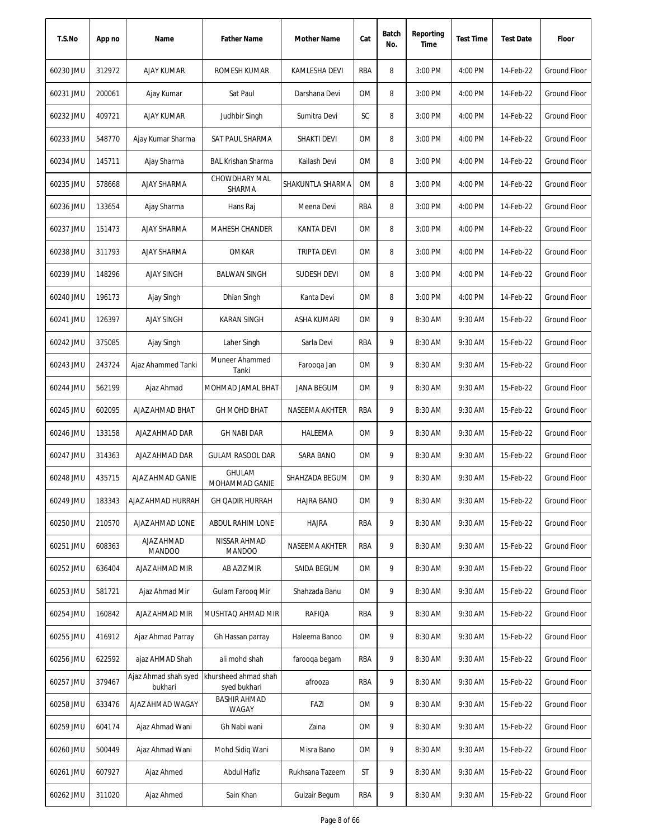| T.S.No    | App no | Name                            | <b>Father Name</b>                   | <b>Mother Name</b> | Cat       | Batch<br>No. | Reporting<br>Time | <b>Test Time</b> | <b>Test Date</b> | Floor               |
|-----------|--------|---------------------------------|--------------------------------------|--------------------|-----------|--------------|-------------------|------------------|------------------|---------------------|
| 60230 JMU | 312972 | <b>AJAY KUMAR</b>               | ROMESH KUMAR                         | KAMLESHA DEVI      | RBA       | 8            | 3:00 PM           | 4:00 PM          | 14-Feb-22        | <b>Ground Floor</b> |
| 60231 JMU | 200061 | Ajay Kumar                      | Sat Paul                             | Darshana Devi      | ОM        | 8            | 3:00 PM           | 4:00 PM          | 14-Feb-22        | Ground Floor        |
| 60232 JMU | 409721 | AJAY KUMAR                      | Judhbir Singh                        | Sumitra Devi       | SC        | 8            | 3:00 PM           | 4:00 PM          | 14-Feb-22        | Ground Floor        |
| 60233 JMU | 548770 | Ajay Kumar Sharma               | SAT PAUL SHARMA                      | <b>SHAKTI DEVI</b> | OM        | 8            | 3:00 PM           | 4:00 PM          | 14-Feb-22        | <b>Ground Floor</b> |
| 60234 JMU | 145711 | Ajay Sharma                     | <b>BAL Krishan Sharma</b>            | Kailash Devi       | OM        | 8            | 3:00 PM           | 4:00 PM          | 14-Feb-22        | <b>Ground Floor</b> |
| 60235 JMU | 578668 | <b>AJAY SHARMA</b>              | CHOWDHARY MAL<br>SHARMA              | SHAKUNTLA SHARMA   | 0M        | 8            | 3:00 PM           | 4:00 PM          | 14-Feb-22        | <b>Ground Floor</b> |
| 60236 JMU | 133654 | Ajay Sharma                     | Hans Raj                             | Meena Devi         | RBA       | 8            | 3:00 PM           | 4:00 PM          | 14-Feb-22        | Ground Floor        |
| 60237 JMU | 151473 | <b>AJAY SHARMA</b>              | MAHESH CHANDER                       | <b>KANTA DEVI</b>  | 0M        | 8            | 3:00 PM           | 4:00 PM          | 14-Feb-22        | <b>Ground Floor</b> |
| 60238 JMU | 311793 | <b>AJAY SHARMA</b>              | <b>OMKAR</b>                         | <b>TRIPTA DEVI</b> | <b>OM</b> | 8            | 3:00 PM           | 4:00 PM          | 14-Feb-22        | <b>Ground Floor</b> |
| 60239 JMU | 148296 | <b>AJAY SINGH</b>               | <b>BALWAN SINGH</b>                  | <b>SUDESH DEVI</b> | 0M        | 8            | 3:00 PM           | 4:00 PM          | 14-Feb-22        | <b>Ground Floor</b> |
| 60240 JMU | 196173 | Ajay Singh                      | Dhian Singh                          | Kanta Devi         | 0M        | 8            | 3:00 PM           | 4:00 PM          | 14-Feb-22        | Ground Floor        |
| 60241 JMU | 126397 | <b>AJAY SINGH</b>               | <b>KARAN SINGH</b>                   | ASHA KUMARI        | ОM        | 9            | 8:30 AM           | 9:30 AM          | 15-Feb-22        | Ground Floor        |
| 60242 JMU | 375085 | Ajay Singh                      | Laher Singh                          | Sarla Devi         | RBA       | 9            | 8:30 AM           | 9:30 AM          | 15-Feb-22        | <b>Ground Floor</b> |
| 60243 JMU | 243724 | Ajaz Ahammed Tanki              | Muneer Ahammed<br>Tanki              | Farooqa Jan        | 0M        | 9            | 8:30 AM           | 9:30 AM          | 15-Feb-22        | <b>Ground Floor</b> |
| 60244 JMU | 562199 | Ajaz Ahmad                      | MOHMAD JAMAL BHAT                    | JANA BEGUM         | 0M        | 9            | 8:30 AM           | 9:30 AM          | 15-Feb-22        | Ground Floor        |
| 60245 JMU | 602095 | AJAZ AHMAD BHAT                 | <b>GH MOHD BHAT</b>                  | NASEEMA AKHTER     | RBA       | 9            | 8:30 AM           | 9:30 AM          | 15-Feb-22        | Ground Floor        |
| 60246 JMU | 133158 | AJAZ AHMAD DAR                  | <b>GH NABI DAR</b>                   | HALEEMA            | <b>OM</b> | 9            | 8:30 AM           | 9:30 AM          | 15-Feb-22        | <b>Ground Floor</b> |
| 60247 JMU | 314363 | AJAZ AHMAD DAR                  | <b>GULAM RASOOL DAR</b>              | SARA BANO          | <b>OM</b> | 9            | 8:30 AM           | 9:30 AM          | 15-Feb-22        | Ground Floor        |
| 60248 JMU | 435715 | AJAZ AHMAD GANIE                | <b>GHULAM</b><br>MOHAMMAD GANIE      | SHAHZADA BEGUM     | <b>OM</b> | 9            | 8:30 AM           | 9:30 AM          | 15-Feb-22        | Ground Floor        |
| 60249 JMU | 183343 | AJAZ AHMAD HURRAH               | <b>GH QADIR HURRAH</b>               | <b>HAJRA BANO</b>  | OM        | 9            | 8:30 AM           | 9:30 AM          | 15-Feb-22        | Ground Floor        |
| 60250 JMU | 210570 | AJAZ AHMAD LONE                 | ABDUL RAHIM LONE                     | <b>HAJRA</b>       | RBA       | 9            | 8:30 AM           | 9:30 AM          | 15-Feb-22        | Ground Floor        |
| 60251 JMU | 608363 | AJAZ AHMAD<br><b>MANDOO</b>     | NISSAR AHMAD<br><b>MANDOO</b>        | NASEEMA AKHTER     | RBA       | 9            | 8:30 AM           | 9:30 AM          | 15-Feb-22        | Ground Floor        |
| 60252 JMU | 636404 | AJAZ AHMAD MIR                  | AB AZIZ MIR                          | SAIDA BEGUM        | OM        | 9            | 8:30 AM           | 9:30 AM          | 15-Feb-22        | Ground Floor        |
| 60253 JMU | 581721 | Ajaz Ahmad Mir                  | Gulam Faroog Mir                     | Shahzada Banu      | 0M        | 9            | 8:30 AM           | 9:30 AM          | 15-Feb-22        | <b>Ground Floor</b> |
| 60254 JMU | 160842 | AJAZ AHMAD MIR                  | MUSHTAQ AHMAD MIR                    | RAFIQA             | RBA       | 9            | 8:30 AM           | 9:30 AM          | 15-Feb-22        | <b>Ground Floor</b> |
| 60255 JMU | 416912 | Ajaz Ahmad Parray               | Gh Hassan parray                     | Haleema Banoo      | ОM        | 9            | 8:30 AM           | 9:30 AM          | 15-Feb-22        | Ground Floor        |
| 60256 JMU | 622592 | ajaz AHMAD Shah                 | ali mohd shah                        | farooga begam      | RBA       | 9            | 8:30 AM           | 9:30 AM          | 15-Feb-22        | Ground Floor        |
| 60257 JMU | 379467 | Ajaz Ahmad shah syed<br>bukhari | khursheed ahmad shah<br>syed bukhari | afrooza            | RBA       | 9            | 8:30 AM           | 9:30 AM          | 15-Feb-22        | Ground Floor        |
| 60258 JMU | 633476 | AJAZ AHMAD WAGAY                | <b>BASHIR AHMAD</b><br>WAGAY         | FAZI               | ОM        | 9            | 8:30 AM           | 9:30 AM          | 15-Feb-22        | Ground Floor        |
| 60259 JMU | 604174 | Ajaz Ahmad Wani                 | Gh Nabi wani                         | Zaina              | 0M        | 9            | 8:30 AM           | 9:30 AM          | 15-Feb-22        | Ground Floor        |
| 60260 JMU | 500449 | Ajaz Ahmad Wani                 | Mohd Sidiq Wani                      | Misra Bano         | 0M        | 9            | 8:30 AM           | 9:30 AM          | 15-Feb-22        | Ground Floor        |
| 60261 JMU | 607927 | Ajaz Ahmed                      | Abdul Hafiz                          | Rukhsana Tazeem    | ST        | 9            | 8:30 AM           | 9:30 AM          | 15-Feb-22        | Ground Floor        |
| 60262 JMU | 311020 | Ajaz Ahmed                      | Sain Khan                            | Gulzair Begum      | RBA       | 9            | 8:30 AM           | 9:30 AM          | 15-Feb-22        | Ground Floor        |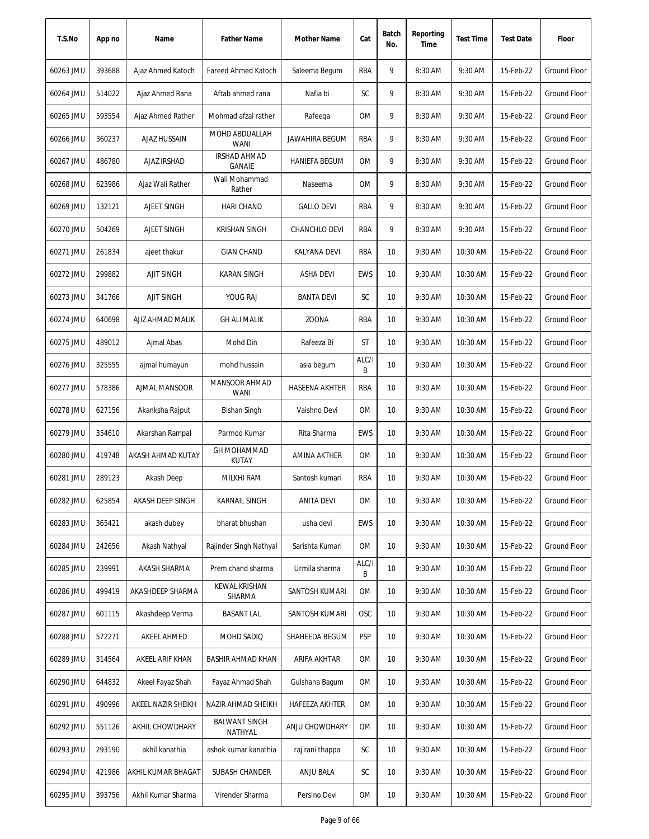| T.S.No    | App no | Name                | <b>Father Name</b>                   | Mother Name           | Cat        | Batch<br>No. | Reporting<br>Time | <b>Test Time</b> | <b>Test Date</b> | Floor               |
|-----------|--------|---------------------|--------------------------------------|-----------------------|------------|--------------|-------------------|------------------|------------------|---------------------|
| 60263 JMU | 393688 | Ajaz Ahmed Katoch   | <b>Fareed Ahmed Katoch</b>           | Saleema Begum         | RBA        | 9            | 8:30 AM           | 9:30 AM          | 15-Feb-22        | <b>Ground Floor</b> |
| 60264 JMU | 514022 | Ajaz Ahmed Rana     | Aftab ahmed rana                     | Nafia bi              | SC         | 9            | 8:30 AM           | 9:30 AM          | 15-Feb-22        | <b>Ground Floor</b> |
| 60265 JMU | 593554 | Ajaz Ahmed Rather   | Mohmad afzal rather                  | Rafeega               | 0M         | 9            | 8:30 AM           | 9:30 AM          | 15-Feb-22        | Ground Floor        |
| 60266 JMU | 360237 | <b>AJAZ HUSSAIN</b> | MOHD ABDUALLAH<br><b>WANI</b>        | <b>JAWAHIRA BEGUM</b> | RBA        | 9            | 8:30 AM           | 9:30 AM          | 15-Feb-22        | <b>Ground Floor</b> |
| 60267 JMU | 486780 | AJAZ IRSHAD         | <b>IRSHAD AHMAD</b><br><b>GANAIE</b> | <b>HANIEFA BEGUM</b>  | OM         | 9            | 8:30 AM           | 9:30 AM          | 15-Feb-22        | <b>Ground Floor</b> |
| 60268 JMU | 623986 | Ajaz Wali Rather    | Wali Mohammad<br>Rather              | Naseema               | OM         | 9            | 8:30 AM           | 9:30 AM          | 15-Feb-22        | <b>Ground Floor</b> |
| 60269 JMU | 132121 | AJEET SINGH         | <b>HARI CHAND</b>                    | <b>GALLO DEVI</b>     | RBA        | 9            | 8:30 AM           | 9:30 AM          | 15-Feb-22        | <b>Ground Floor</b> |
| 60270 JMU | 504269 | AJEET SINGH         | <b>KRISHAN SINGH</b>                 | <b>CHANCHLO DEVI</b>  | RBA        | 9            | 8:30 AM           | 9:30 AM          | 15-Feb-22        | <b>Ground Floor</b> |
| 60271 JMU | 261834 | ajeet thakur        | <b>GIAN CHAND</b>                    | KALYANA DEVI          | RBA        | 10           | 9:30 AM           | 10:30 AM         | 15-Feb-22        | <b>Ground Floor</b> |
| 60272 JMU | 299882 | <b>AJIT SINGH</b>   | <b>KARAN SINGH</b>                   | ASHA DEVI             | <b>EWS</b> | 10           | 9:30 AM           | 10:30 AM         | 15-Feb-22        | <b>Ground Floor</b> |
| 60273 JMU | 341766 | <b>AJIT SINGH</b>   | YOUG RAJ                             | <b>BANTA DEVI</b>     | SC         | 10           | 9:30 AM           | 10:30 AM         | 15-Feb-22        | <b>Ground Floor</b> |
| 60274 JMU | 640698 | AJIZ AHMAD MALIK    | <b>GH ALI MALIK</b>                  | <b>ZOONA</b>          | RBA        | 10           | 9:30 AM           | 10:30 AM         | 15-Feb-22        | <b>Ground Floor</b> |
| 60275 JMU | 489012 | Ajmal Abas          | Mohd Din                             | Rafeeza Bi            | <b>ST</b>  | 10           | 9:30 AM           | 10:30 AM         | 15-Feb-22        | <b>Ground Floor</b> |
| 60276 JMU | 325555 | ajmal humayun       | mohd hussain                         | asia begum            | ALC/I<br>B | 10           | 9:30 AM           | 10:30 AM         | 15-Feb-22        | <b>Ground Floor</b> |
| 60277 JMU | 578386 | AJMAL MANSOOR       | MANSOOR AHMAD<br><b>WANI</b>         | <b>HASEENA AKHTER</b> | RBA        | 10           | 9:30 AM           | 10:30 AM         | 15-Feb-22        | <b>Ground Floor</b> |
| 60278 JMU | 627156 | Akanksha Rajput     | <b>Bishan Singh</b>                  | Vaishno Devi          | <b>OM</b>  | 10           | 9:30 AM           | 10:30 AM         | 15-Feb-22        | <b>Ground Floor</b> |
| 60279 JMU | 354610 | Akarshan Rampal     | Parmod Kumar                         | Rita Sharma           | <b>EWS</b> | 10           | 9:30 AM           | 10:30 AM         | 15-Feb-22        | Ground Floor        |
| 60280 JMU | 419748 | AKASH AHMAD KUTAY   | <b>GH MOHAMMAD</b><br><b>KUTAY</b>   | AMINA AKTHER          | <b>OM</b>  | 10           | 9:30 AM           | 10:30 AM         | 15-Feb-22        | <b>Ground Floor</b> |
| 60281 JMU | 289123 | Akash Deep          | MILKHI RAM                           | Santosh kumari        | RBA        | 10           | 9:30 AM           | 10:30 AM         | 15-Feb-22        | <b>Ground Floor</b> |
| 60282 JMU | 625854 | AKASH DEEP SINGH    | KARNAIL SINGH                        | <b>ANITA DEVI</b>     | OM         | 10           | 9:30 AM           | 10:30 AM         | 15-Feb-22        | Ground Floor        |
| 60283 JMU | 365421 | akash dubey         | bharat bhushan                       | usha devi             | <b>EWS</b> | 10           | 9:30 AM           | 10:30 AM         | 15-Feb-22        | <b>Ground Floor</b> |
| 60284 JMU | 242656 | Akash Nathyal       | Rajinder Singh Nathyal               | Sarishta Kumari       | 0M         | 10           | 9:30 AM           | 10:30 AM         | 15-Feb-22        | Ground Floor        |
| 60285 JMU | 239991 | AKASH SHARMA        | Prem chand sharma                    | Urmila sharma         | ALC/I<br>В | 10           | 9:30 AM           | 10:30 AM         | 15-Feb-22        | <b>Ground Floor</b> |
| 60286 JMU | 499419 | AKASHDEEP SHARMA    | KEWAL KRISHAN<br>SHARMA              | SANTOSH KUMARI        | 0M         | 10           | 9:30 AM           | 10:30 AM         | 15-Feb-22        | <b>Ground Floor</b> |
| 60287 JMU | 601115 | Akashdeep Verma     | <b>BASANT LAL</b>                    | SANTOSH KUMARI        | OSC        | 10           | 9:30 AM           | 10:30 AM         | 15-Feb-22        | Ground Floor        |
| 60288 JMU | 572271 | AKEEL AHMED         | MOHD SADIQ                           | SHAHEEDA BEGUM        | <b>PSP</b> | 10           | 9:30 AM           | 10:30 AM         | 15-Feb-22        | Ground Floor        |
| 60289 JMU | 314564 | AKEEL ARIF KHAN     | <b>BASHIR AHMAD KHAN</b>             | ARIFA AKHTAR          | ОM         | 10           | 9:30 AM           | 10:30 AM         | 15-Feb-22        | Ground Floor        |
| 60290 JMU | 644832 | Akeel Fayaz Shah    | Fayaz Ahmad Shah                     | Gulshana Bagum        | OM         | 10           | 9:30 AM           | 10:30 AM         | 15-Feb-22        | Ground Floor        |
| 60291 JMU | 490996 | AKEEL NAZIR SHEIKH  | NAZIR AHMAD SHEIKH                   | HAFEEZA AKHTER        | OM         | 10           | 9:30 AM           | 10:30 AM         | 15-Feb-22        | Ground Floor        |
| 60292 JMU | 551126 | AKHIL CHOWDHARY     | <b>BALWANT SINGH</b><br>NATHYAL      | ANJU CHOWDHARY        | 0M         | 10           | 9:30 AM           | 10:30 AM         | 15-Feb-22        | Ground Floor        |
| 60293 JMU | 293190 | akhil kanathia      | ashok kumar kanathia                 | raj rani thappa       | SC         | 10           | 9:30 AM           | 10:30 AM         | 15-Feb-22        | Ground Floor        |
| 60294 JMU | 421986 | AKHIL KUMAR BHAGAT  | SUBASH CHANDER                       | ANJU BALA             | SC         | 10           | 9:30 AM           | 10:30 AM         | 15-Feb-22        | Ground Floor        |
| 60295 JMU | 393756 | Akhil Kumar Sharma  | Virender Sharma                      | Persino Devi          | OM         | 10           | 9:30 AM           | 10:30 AM         | 15-Feb-22        | <b>Ground Floor</b> |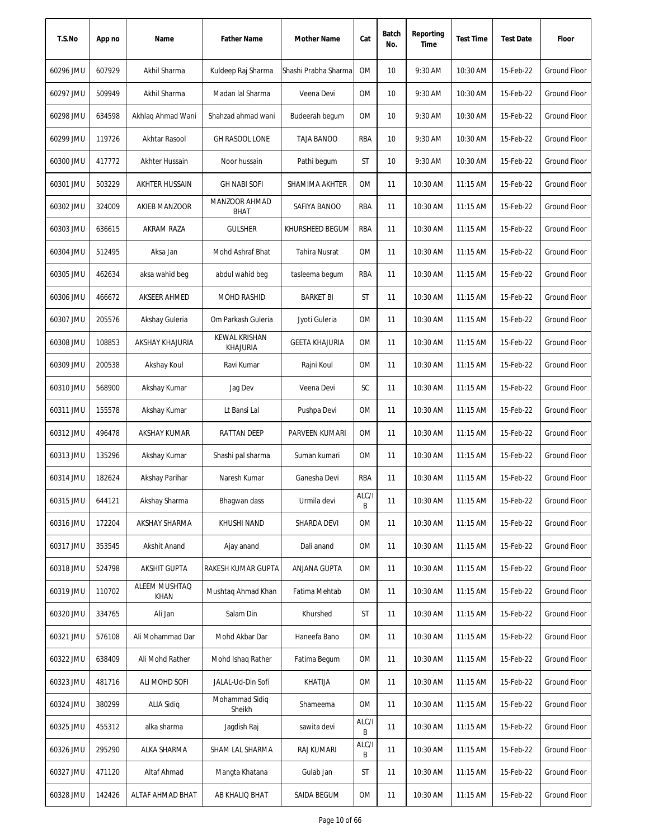| T.S.No    | App no | Name                  | <b>Father Name</b>               | Mother Name           | Cat        | Batch<br>No. | Reporting<br>Time | <b>Test Time</b> | <b>Test Date</b> | Floor               |
|-----------|--------|-----------------------|----------------------------------|-----------------------|------------|--------------|-------------------|------------------|------------------|---------------------|
| 60296 JMU | 607929 | Akhil Sharma          | Kuldeep Raj Sharma               | Shashi Prabha Sharma  | <b>OM</b>  | 10           | 9:30 AM           | 10:30 AM         | 15-Feb-22        | <b>Ground Floor</b> |
| 60297 JMU | 509949 | Akhil Sharma          | Madan lal Sharma                 | Veena Devi            | 0M         | 10           | 9:30 AM           | 10:30 AM         | 15-Feb-22        | Ground Floor        |
| 60298 JMU | 634598 | Akhlag Ahmad Wani     | Shahzad ahmad wani               | Budeerah begum        | 0M         | 10           | 9:30 AM           | 10:30 AM         | 15-Feb-22        | Ground Floor        |
| 60299 JMU | 119726 | Akhtar Rasool         | <b>GH RASOOL LONE</b>            | <b>TAJA BANOO</b>     | RBA        | 10           | 9:30 AM           | 10:30 AM         | 15-Feb-22        | <b>Ground Floor</b> |
| 60300 JMU | 417772 | Akhter Hussain        | Noor hussain                     | Pathi begum           | ST         | 10           | 9:30 AM           | 10:30 AM         | 15-Feb-22        | <b>Ground Floor</b> |
| 60301 JMU | 503229 | AKHTER HUSSAIN        | <b>GH NABI SOFI</b>              | SHAMIMA AKHTER        | <b>OM</b>  | 11           | 10:30 AM          | 11:15 AM         | 15-Feb-22        | Ground Floor        |
| 60302 JMU | 324009 | AKIEB MANZOOR         | MANZOOR AHMAD<br><b>BHAT</b>     | SAFIYA BANOO          | RBA        | 11           | 10:30 AM          | $11:15$ AM       | 15-Feb-22        | Ground Floor        |
| 60303 JMU | 636615 | AKRAM RAZA            | <b>GULSHER</b>                   | KHURSHEED BEGUM       | RBA        | 11           | 10:30 AM          | 11:15 AM         | 15-Feb-22        | Ground Floor        |
| 60304 JMU | 512495 | Aksa Jan              | Mohd Ashraf Bhat                 | <b>Tahira Nusrat</b>  | 0M         | 11           | 10:30 AM          | 11:15 AM         | 15-Feb-22        | Ground Floor        |
| 60305 JMU | 462634 | aksa wahid beg        | abdul wahid beg                  | tasleema begum        | RBA        | 11           | 10:30 AM          | 11:15 AM         | 15-Feb-22        | Ground Floor        |
| 60306 JMU | 466672 | AKSEER AHMED          | <b>MOHD RASHID</b>               | <b>BARKET BI</b>      | ST         | 11           | 10:30 AM          | $11:15$ AM       | 15-Feb-22        | <b>Ground Floor</b> |
| 60307 JMU | 205576 | Akshay Guleria        | Om Parkash Guleria               | Jyoti Guleria         | <b>OM</b>  | 11           | 10:30 AM          | 11:15 AM         | 15-Feb-22        | <b>Ground Floor</b> |
| 60308 JMU | 108853 | AKSHAY KHAJURIA       | KEWAL KRISHAN<br><b>KHAJURIA</b> | <b>GEETA KHAJURIA</b> | <b>OM</b>  | 11           | 10:30 AM          | 11:15 AM         | 15-Feb-22        | <b>Ground Floor</b> |
| 60309 JMU | 200538 | Akshay Koul           | Ravi Kumar                       | Rajni Koul            | 0M         | 11           | 10:30 AM          | 11:15 AM         | 15-Feb-22        | <b>Ground Floor</b> |
| 60310 JMU | 568900 | Akshay Kumar          | Jag Dev                          | Veena Devi            | SC         | 11           | 10:30 AM          | 11:15 AM         | 15-Feb-22        | <b>Ground Floor</b> |
| 60311 JMU | 155578 | Akshay Kumar          | Lt Bansi Lal                     | Pushpa Devi           | 0M         | 11           | 10:30 AM          | 11:15 AM         | 15-Feb-22        | <b>Ground Floor</b> |
| 60312 JMU | 496478 | <b>AKSHAY KUMAR</b>   | RATTAN DEEP                      | PARVEEN KUMARI        | <b>OM</b>  | 11           | 10:30 AM          | 11:15 AM         | 15-Feb-22        | <b>Ground Floor</b> |
| 60313 JMU | 135296 | Akshay Kumar          | Shashi pal sharma                | Suman kumari          | <b>OM</b>  | 11           | 10:30 AM          | 11:15 AM         | 15-Feb-22        | <b>Ground Floor</b> |
| 60314 JMU | 182624 | Akshay Parihar        | Naresh Kumar                     | Ganesha Devi          | RBA        | 11           | 10:30 AM          | 11:15 AM         | 15-Feb-22        | <b>Ground Floor</b> |
| 60315 JMU | 644121 | Akshay Sharma         | Bhagwan dass                     | Urmila devi           | ALC/I<br>B | 11           | 10:30 AM          | 11:15 AM         | 15-Feb-22        | <b>Ground Floor</b> |
| 60316 JMU | 172204 | AKSHAY SHARMA         | KHUSHI NAND                      | SHARDA DEVI           | 0M         | 11           | 10:30 AM          | 11:15 AM         | 15-Feb-22        | <b>Ground Floor</b> |
| 60317 JMU | 353545 | Akshit Anand          | Ajay anand                       | Dali anand            | 0M         | 11           | 10:30 AM          | 11:15 AM         | 15-Feb-22        | Ground Floor        |
| 60318 JMU | 524798 | <b>AKSHIT GUPTA</b>   | RAKESH KUMAR GUPTA               | ANJANA GUPTA          | 0M         | 11           | 10:30 AM          | 11:15 AM         | 15-Feb-22        | Ground Floor        |
| 60319 JMU | 110702 | ALEEM MUSHTAQ<br>KHAN | Mushtaq Ahmad Khan               | Fatima Mehtab         | 0M         | 11           | 10:30 AM          | 11:15 AM         | 15-Feb-22        | Ground Floor        |
| 60320 JMU | 334765 | Ali Jan               | Salam Din                        | Khurshed              | ST         | 11           | 10:30 AM          | 11:15 AM         | 15-Feb-22        | Ground Floor        |
| 60321 JMU | 576108 | Ali Mohammad Dar      | Mohd Akbar Dar                   | Haneefa Bano          | 0M         | 11           | 10:30 AM          | 11:15 AM         | 15-Feb-22        | Ground Floor        |
| 60322 JMU | 638409 | Ali Mohd Rather       | Mohd Ishaq Rather                | Fatima Begum          | 0M         | 11           | 10:30 AM          | 11:15 AM         | 15-Feb-22        | Ground Floor        |
| 60323 JMU | 481716 | ALI MOHD SOFI         | JALAL-Ud-Din Sofi                | KHATIJA               | 0M         | 11           | 10:30 AM          | 11:15 AM         | 15-Feb-22        | Ground Floor        |
| 60324 JMU | 380299 | <b>ALIA Sidig</b>     | Mohammad Sidiq<br>Sheikh         | Shameema              | 0M         | 11           | 10:30 AM          | 11:15 AM         | 15-Feb-22        | Ground Floor        |
| 60325 JMU | 455312 | alka sharma           | Jagdish Raj                      | sawita devi           | ALC/I<br>B | 11           | 10:30 AM          | 11:15 AM         | 15-Feb-22        | Ground Floor        |
| 60326 JMU | 295290 | ALKA SHARMA           | SHAM LAL SHARMA                  | RAJ KUMARI            | ALC/I<br>B | 11           | 10:30 AM          | 11:15 AM         | 15-Feb-22        | Ground Floor        |
| 60327 JMU | 471120 | Altaf Ahmad           | Mangta Khatana                   | Gulab Jan             | ST         | 11           | 10:30 AM          | 11:15 AM         | 15-Feb-22        | Ground Floor        |
| 60328 JMU | 142426 | ALTAF AHMAD BHAT      | AB KHALIQ BHAT                   | SAIDA BEGUM           | 0M         | 11           | 10:30 AM          | 11:15 AM         | 15-Feb-22        | Ground Floor        |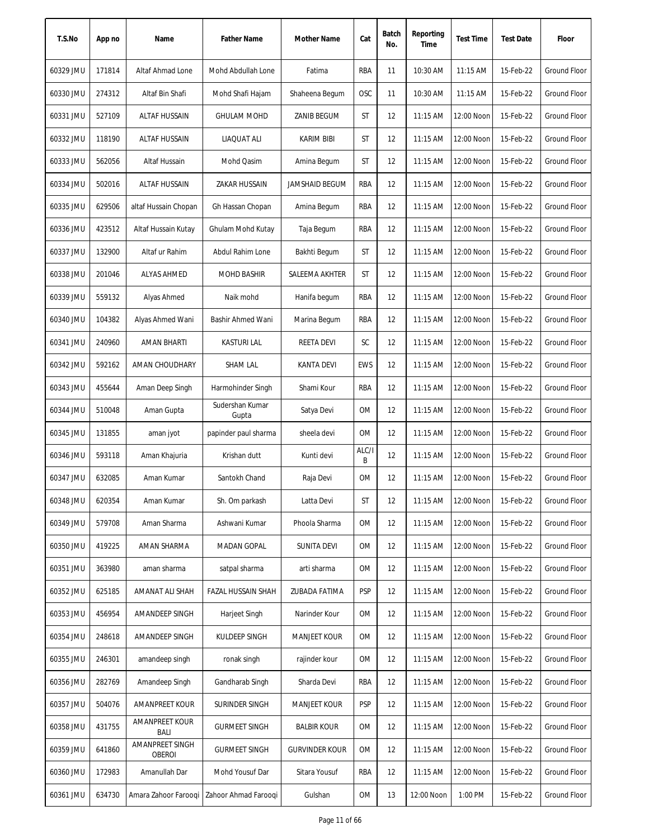| T.S.No    | App no | Name                             | <b>Father Name</b>       | Mother Name           | Cat        | Batch<br>No. | Reporting<br>Time | <b>Test Time</b> | <b>Test Date</b> | Floor               |
|-----------|--------|----------------------------------|--------------------------|-----------------------|------------|--------------|-------------------|------------------|------------------|---------------------|
| 60329 JMU | 171814 | Altaf Ahmad Lone                 | Mohd Abdullah Lone       | Fatima                | RBA        | 11           | 10:30 AM          | 11:15 AM         | 15-Feb-22        | <b>Ground Floor</b> |
| 60330 JMU | 274312 | Altaf Bin Shafi                  | Mohd Shafi Hajam         | Shaheena Begum        | <b>OSC</b> | 11           | 10:30 AM          | 11:15 AM         | 15-Feb-22        | <b>Ground Floor</b> |
| 60331 JMU | 527109 | ALTAF HUSSAIN                    | <b>GHULAM MOHD</b>       | ZANIB BEGUM           | ST         | 12           | 11:15 AM          | 12:00 Noon       | 15-Feb-22        | Ground Floor        |
| 60332 JMU | 118190 | ALTAF HUSSAIN                    | LIAQUAT ALI              | <b>KARIM BIBI</b>     | ST         | 12           | 11:15 AM          | 12:00 Noon       | 15-Feb-22        | Ground Floor        |
| 60333 JMU | 562056 | Altaf Hussain                    | Mohd Qasim               | Amina Begum           | ST         | 12           | 11:15 AM          | 12:00 Noon       | 15-Feb-22        | <b>Ground Floor</b> |
| 60334 JMU | 502016 | <b>ALTAF HUSSAIN</b>             | <b>ZAKAR HUSSAIN</b>     | <b>JAMSHAID BEGUM</b> | RBA        | 12           | 11:15 AM          | 12:00 Noon       | 15-Feb-22        | <b>Ground Floor</b> |
| 60335 JMU | 629506 | altaf Hussain Chopan             | Gh Hassan Chopan         | Amina Begum           | RBA        | 12           | 11:15 AM          | 12:00 Noon       | 15-Feb-22        | Ground Floor        |
| 60336 JMU | 423512 | Altaf Hussain Kutay              | Ghulam Mohd Kutay        | Taja Begum            | RBA        | 12           | 11:15 AM          | 12:00 Noon       | 15-Feb-22        | Ground Floor        |
| 60337 JMU | 132900 | Altaf ur Rahim                   | Abdul Rahim Lone         | Bakhti Begum          | ST         | 12           | 11:15 AM          | 12:00 Noon       | 15-Feb-22        | <b>Ground Floor</b> |
| 60338 JMU | 201046 | <b>ALYAS AHMED</b>               | <b>MOHD BASHIR</b>       | SALEEMA AKHTER        | ST         | 12           | 11:15 AM          | 12:00 Noon       | 15-Feb-22        | <b>Ground Floor</b> |
| 60339 JMU | 559132 | Alyas Ahmed                      | Naik mohd                | Hanifa begum          | RBA        | 12           | 11:15 AM          | 12:00 Noon       | 15-Feb-22        | Ground Floor        |
| 60340 JMU | 104382 | Alyas Ahmed Wani                 | Bashir Ahmed Wani        | Marina Begum          | RBA        | 12           | 11:15 AM          | 12:00 Noon       | 15-Feb-22        | <b>Ground Floor</b> |
| 60341 JMU | 240960 | <b>AMAN BHARTI</b>               | <b>KASTURI LAL</b>       | <b>REETA DEVI</b>     | SC         | 12           | 11:15 AM          | 12:00 Noon       | 15-Feb-22        | <b>Ground Floor</b> |
| 60342 JMU | 592162 | AMAN CHOUDHARY                   | <b>SHAM LAL</b>          | <b>KANTA DEVI</b>     | <b>EWS</b> | 12           | 11:15 AM          | 12:00 Noon       | 15-Feb-22        | Ground Floor        |
| 60343 JMU | 455644 | Aman Deep Singh                  | Harmohinder Singh        | Shami Kour            | <b>RBA</b> | 12           | 11:15 AM          | 12:00 Noon       | 15-Feb-22        | <b>Ground Floor</b> |
| 60344 JMU | 510048 | Aman Gupta                       | Sudershan Kumar<br>Gupta | Satya Devi            | 0M         | 12           | $11:15$ AM        | 12:00 Noon       | 15-Feb-22        | Ground Floor        |
| 60345 JMU | 131855 | aman jyot                        | papinder paul sharma     | sheela devi           | <b>OM</b>  | 12           | 11:15 AM          | 12:00 Noon       | 15-Feb-22        | Ground Floor        |
| 60346 JMU | 593118 | Aman Khajuria                    | Krishan dutt             | Kunti devi            | ALC/I<br>В | 12           | 11:15 AM          | 12:00 Noon       | 15-Feb-22        | Ground Floor        |
| 60347 JMU | 632085 | Aman Kumar                       | Santokh Chand            | Raja Devi             | 0M         | 12           | 11:15 AM          | 12:00 Noon       | 15-Feb-22        | Ground Floor        |
| 60348 JMU | 620354 | Aman Kumar                       | Sh. Om parkash           | Latta Devi            | ST         | 12           | 11:15 AM          | 12:00 Noon       | 15-Feb-22        | <b>Ground Floor</b> |
| 60349 JMU | 579708 | Aman Sharma                      | Ashwani Kumar            | Phoola Sharma         | 0M         | 12           | 11:15 AM          | 12:00 Noon       | 15-Feb-22        | Ground Floor        |
| 60350 JMU | 419225 | AMAN SHARMA                      | MADAN GOPAL              | <b>SUNITA DEVI</b>    | 0M         | 12           | 11:15 AM          | 12:00 Noon       | 15-Feb-22        | <b>Ground Floor</b> |
| 60351 JMU | 363980 | aman sharma                      | satpal sharma            | arti sharma           | 0M         | 12           | 11:15 AM          | 12:00 Noon       | 15-Feb-22        | <b>Ground Floor</b> |
| 60352 JMU | 625185 | AMANAT ALI SHAH                  | FAZAL HUSSAIN SHAH       | ZUBADA FATIMA         | <b>PSP</b> | 12           | 11:15 AM          | 12:00 Noon       | 15-Feb-22        | <b>Ground Floor</b> |
| 60353 JMU | 456954 | AMANDEEP SINGH                   | Harjeet Singh            | Narinder Kour         | 0M         | 12           | 11:15 AM          | 12:00 Noon       | 15-Feb-22        | <b>Ground Floor</b> |
| 60354 JMU | 248618 | AMANDEEP SINGH                   | KULDEEP SINGH            | <b>MANJEET KOUR</b>   | 0M         | 12           | 11:15 AM          | 12:00 Noon       | 15-Feb-22        | Ground Floor        |
| 60355 JMU | 246301 | amandeep singh                   | ronak singh              | rajinder kour         | 0M         | 12           | $11:15$ AM        | 12:00 Noon       | 15-Feb-22        | Ground Floor        |
| 60356 JMU | 282769 | Amandeep Singh                   | Gandharab Singh          | Sharda Devi           | RBA        | 12           | $11:15$ AM        | 12:00 Noon       | 15-Feb-22        | Ground Floor        |
| 60357 JMU | 504076 | AMANPREET KOUR                   | SURINDER SINGH           | <b>MANJEET KOUR</b>   | <b>PSP</b> | 12           | 11:15 AM          | 12:00 Noon       | 15-Feb-22        | Ground Floor        |
| 60358 JMU | 431755 | AMANPREET KOUR<br>BALI           | <b>GURMEET SINGH</b>     | <b>BALBIR KOUR</b>    | 0M         | 12           | 11:15 AM          | 12:00 Noon       | 15-Feb-22        | Ground Floor        |
| 60359 JMU | 641860 | AMANPREET SINGH<br><b>OBEROI</b> | <b>GURMEET SINGH</b>     | <b>GURVINDER KOUR</b> | 0M         | 12           | 11:15 AM          | 12:00 Noon       | 15-Feb-22        | <b>Ground Floor</b> |
| 60360 JMU | 172983 | Amanullah Dar                    | Mohd Yousuf Dar          | Sitara Yousuf         | RBA        | 12           | $11:15$ AM        | 12:00 Noon       | 15-Feb-22        | Ground Floor        |
| 60361 JMU | 634730 | Amara Zahoor Farooqi             | Zahoor Ahmad Farooqi     | Gulshan               | OM         | 13           | 12:00 Noon        | 1:00 PM          | 15-Feb-22        | Ground Floor        |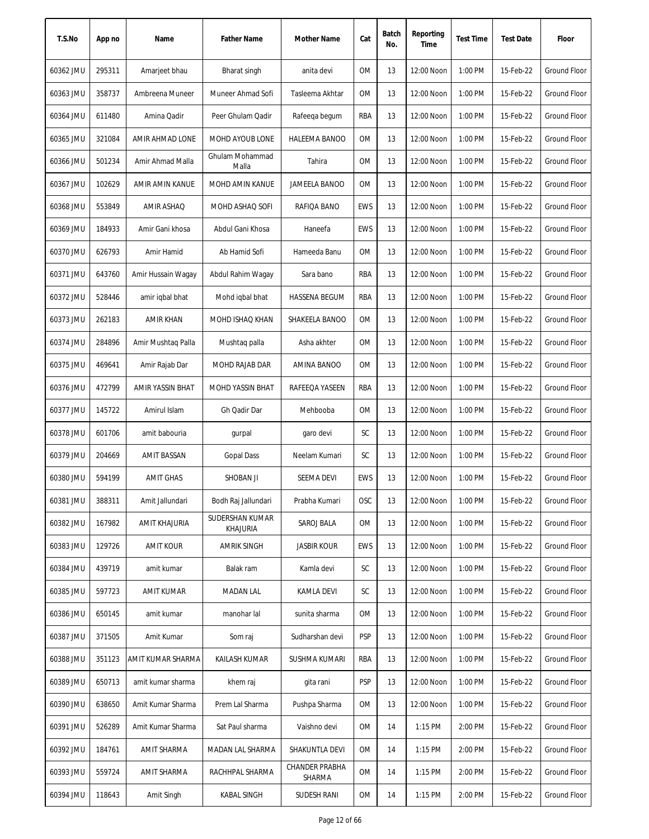| T.S.No    | App no | Name               | <b>Father Name</b>          | Mother Name                     | Cat        | Batch<br>No. | Reporting<br>Time | <b>Test Time</b> | <b>Test Date</b> | Floor               |
|-----------|--------|--------------------|-----------------------------|---------------------------------|------------|--------------|-------------------|------------------|------------------|---------------------|
| 60362 JMU | 295311 | Amarjeet bhau      | Bharat singh                | anita devi                      | 0M         | 13           | 12:00 Noon        | 1:00 PM          | 15-Feb-22        | <b>Ground Floor</b> |
| 60363 JMU | 358737 | Ambreena Muneer    | Muneer Ahmad Sofi           | Tasleema Akhtar                 | 0M         | 13           | 12:00 Noon        | 1:00 PM          | 15-Feb-22        | <b>Ground Floor</b> |
| 60364 JMU | 611480 | Amina Qadir        | Peer Ghulam Qadir           | Rafeeqa begum                   | RBA        | 13           | 12:00 Noon        | 1:00 PM          | 15-Feb-22        | Ground Floor        |
| 60365 JMU | 321084 | AMIR AHMAD LONE    | MOHD AYOUB LONE             | HALEEMA BANOO                   | 0M         | 13           | 12:00 Noon        | 1:00 PM          | 15-Feb-22        | <b>Ground Floor</b> |
| 60366 JMU | 501234 | Amir Ahmad Malla   | Ghulam Mohammad<br>Malla    | Tahira                          | OM         | 13           | 12:00 Noon        | 1:00 PM          | 15-Feb-22        | <b>Ground Floor</b> |
| 60367 JMU | 102629 | AMIR AMIN KANUE    | MOHD AMIN KANUE             | JAMEELA BANOO                   | OM         | 13           | 12:00 Noon        | 1:00 PM          | 15-Feb-22        | <b>Ground Floor</b> |
| 60368 JMU | 553849 | <b>AMIR ASHAQ</b>  | MOHD ASHAQ SOFI             | RAFIQA BANO                     | <b>EWS</b> | 13           | 12:00 Noon        | 1:00 PM          | 15-Feb-22        | <b>Ground Floor</b> |
| 60369 JMU | 184933 | Amir Gani khosa    | Abdul Gani Khosa            | Haneefa                         | <b>EWS</b> | 13           | 12:00 Noon        | 1:00 PM          | 15-Feb-22        | <b>Ground Floor</b> |
| 60370 JMU | 626793 | Amir Hamid         | Ab Hamid Sofi               | Hameeda Banu                    | 0M         | 13           | 12:00 Noon        | 1:00 PM          | 15-Feb-22        | <b>Ground Floor</b> |
| 60371 JMU | 643760 | Amir Hussain Wagay | Abdul Rahim Wagay           | Sara bano                       | RBA        | 13           | 12:00 Noon        | 1:00 PM          | 15-Feb-22        | <b>Ground Floor</b> |
| 60372 JMU | 528446 | amir iqbal bhat    | Mohd iqbal bhat             | <b>HASSENA BEGUM</b>            | RBA        | 13           | 12:00 Noon        | 1:00 PM          | 15-Feb-22        | <b>Ground Floor</b> |
| 60373 JMU | 262183 | <b>AMIR KHAN</b>   | <b>MOHD ISHAQ KHAN</b>      | SHAKEELA BANOO                  | <b>OM</b>  | 13           | 12:00 Noon        | 1:00 PM          | 15-Feb-22        | Ground Floor        |
| 60374 JMU | 284896 | Amir Mushtaq Palla | Mushtaq palla               | Asha akhter                     | <b>OM</b>  | 13           | 12:00 Noon        | 1:00 PM          | 15-Feb-22        | <b>Ground Floor</b> |
| 60375 JMU | 469641 | Amir Rajab Dar     | MOHD RAJAB DAR              | AMINA BANOO                     | <b>OM</b>  | 13           | 12:00 Noon        | 1:00 PM          | 15-Feb-22        | <b>Ground Floor</b> |
| 60376 JMU | 472799 | AMIR YASSIN BHAT   | MOHD YASSIN BHAT            | RAFEEQA YASEEN                  | RBA        | 13           | 12:00 Noon        | 1:00 PM          | 15-Feb-22        | <b>Ground Floor</b> |
| 60377 JMU | 145722 | Amirul Islam       | Gh Qadir Dar                | Mehbooba                        | ОM         | 13           | 12:00 Noon        | 1:00 PM          | 15-Feb-22        | Ground Floor        |
| 60378 JMU | 601706 | amit babouria      | gurpal                      | garo devi                       | SC         | 13           | 12:00 Noon        | 1:00 PM          | 15-Feb-22        | Ground Floor        |
| 60379 JMU | 204669 | <b>AMIT BASSAN</b> | <b>Gopal Dass</b>           | Neelam Kumari                   | SC         | 13           | 12:00 Noon        | 1:00 PM          | 15-Feb-22        | <b>Ground Floor</b> |
| 60380 JMU | 594199 | <b>AMIT GHAS</b>   | SHOBAN JI                   | SEEMA DEVI                      | <b>EWS</b> | 13           | 12:00 Noon        | 1:00 PM          | 15-Feb-22        | Ground Floor        |
| 60381 JMU | 388311 | Amit Jallundari    | Bodh Raj Jallundari         | Prabha Kumari                   | <b>OSC</b> | 13           | 12:00 Noon        | 1:00 PM          | 15-Feb-22        | Ground Floor        |
| 60382 JMU | 167982 | AMIT KHAJURIA      | SUDERSHAN KUMAR<br>KHAJURIA | SAROJ BALA                      | 0M         | 13           | 12:00 Noon        | 1:00 PM          | 15-Feb-22        | Ground Floor        |
| 60383 JMU | 129726 | <b>AMIT KOUR</b>   | <b>AMRIK SINGH</b>          | <b>JASBIR KOUR</b>              | <b>EWS</b> | 13           | 12:00 Noon        | 1:00 PM          | 15-Feb-22        | <b>Ground Floor</b> |
| 60384 JMU | 439719 | amit kumar         | Balak ram                   | Kamla devi                      | <b>SC</b>  | 13           | 12:00 Noon        | 1:00 PM          | 15-Feb-22        | Ground Floor        |
| 60385 JMU | 597723 | <b>AMIT KUMAR</b>  | <b>MADAN LAL</b>            | KAMLA DEVI                      | <b>SC</b>  | 13           | 12:00 Noon        | 1:00 PM          | 15-Feb-22        | Ground Floor        |
| 60386 JMU | 650145 | amit kumar         | manohar lal                 | sunita sharma                   | 0M         | 13           | 12:00 Noon        | 1:00 PM          | 15-Feb-22        | <b>Ground Floor</b> |
| 60387 JMU | 371505 | Amit Kumar         | Som raj                     | Sudharshan devi                 | <b>PSP</b> | 13           | 12:00 Noon        | 1:00 PM          | 15-Feb-22        | <b>Ground Floor</b> |
| 60388 JMU | 351123 | AMIT KUMAR SHARMA  | KAILASH KUMAR               | SUSHMA KUMARI                   | RBA        | 13           | 12:00 Noon        | 1:00 PM          | 15-Feb-22        | <b>Ground Floor</b> |
| 60389 JMU | 650713 | amit kumar sharma  | khem raj                    | gita rani                       | <b>PSP</b> | 13           | 12:00 Noon        | 1:00 PM          | 15-Feb-22        | <b>Ground Floor</b> |
| 60390 JMU | 638650 | Amit Kumar Sharma  | Prem Lal Sharma             | Pushpa Sharma                   | 0M         | 13           | 12:00 Noon        | 1:00 PM          | 15-Feb-22        | Ground Floor        |
| 60391 JMU | 526289 | Amit Kumar Sharma  | Sat Paul sharma             | Vaishno devi                    | ОM         | 14           | 1:15 PM           | 2:00 PM          | 15-Feb-22        | Ground Floor        |
| 60392 JMU | 184761 | AMIT SHARMA        | MADAN LAL SHARMA            | SHAKUNTLA DEVI                  | ОM         | 14           | 1:15 PM           | 2:00 PM          | 15-Feb-22        | <b>Ground Floor</b> |
| 60393 JMU | 559724 | AMIT SHARMA        | RACHHPAL SHARMA             | <b>CHANDER PRABHA</b><br>SHARMA | ОM         | 14           | 1:15 PM           | 2:00 PM          | 15-Feb-22        | Ground Floor        |
| 60394 JMU | 118643 | Amit Singh         | KABAL SINGH                 | SUDESH RANI                     | 0M         | 14           | 1:15 PM           | 2:00 PM          | 15-Feb-22        | Ground Floor        |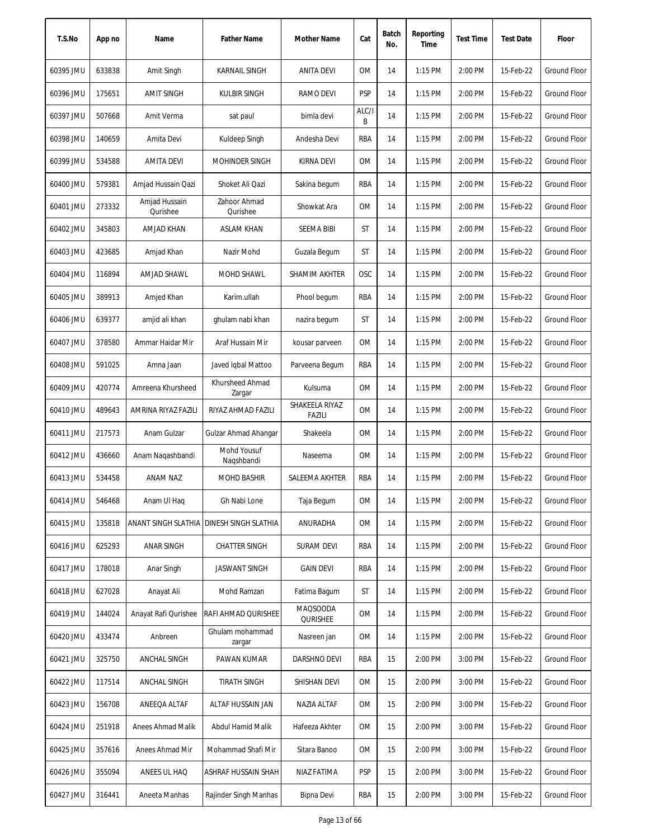| T.S.No    | App no | Name                      | <b>Father Name</b>        | <b>Mother Name</b>          | Cat        | Batch<br>No. | Reporting<br>Time | <b>Test Time</b> | <b>Test Date</b> | Floor               |
|-----------|--------|---------------------------|---------------------------|-----------------------------|------------|--------------|-------------------|------------------|------------------|---------------------|
| 60395 JMU | 633838 | Amit Singh                | <b>KARNAIL SINGH</b>      | <b>ANITA DEVI</b>           | <b>OM</b>  | 14           | 1:15 PM           | 2:00 PM          | 15-Feb-22        | Ground Floor        |
| 60396 JMU | 175651 | <b>AMIT SINGH</b>         | <b>KULBIR SINGH</b>       | RAMO DEVI                   | <b>PSP</b> | 14           | 1:15 PM           | 2:00 PM          | 15-Feb-22        | Ground Floor        |
| 60397 JMU | 507668 | Amit Verma                | sat paul                  | bimla devi                  | ALC/I<br>B | 14           | 1:15 PM           | 2:00 PM          | 15-Feb-22        | <b>Ground Floor</b> |
| 60398 JMU | 140659 | Amita Devi                | Kuldeep Singh             | Andesha Devi                | <b>RBA</b> | 14           | 1:15 PM           | 2:00 PM          | 15-Feb-22        | <b>Ground Floor</b> |
| 60399 JMU | 534588 | <b>AMITA DEVI</b>         | <b>MOHINDER SINGH</b>     | KIRNA DEVI                  | <b>OM</b>  | 14           | 1:15 PM           | 2:00 PM          | 15-Feb-22        | <b>Ground Floor</b> |
| 60400 JMU | 579381 | Amjad Hussain Qazi        | Shoket Ali Qazi           | Sakina begum                | RBA        | 14           | 1:15 PM           | 2:00 PM          | 15-Feb-22        | <b>Ground Floor</b> |
| 60401 JMU | 273332 | Amjad Hussain<br>Qurishee | Zahoor Ahmad<br>Qurishee  | Showkat Ara                 | 0M         | 14           | $1:15$ PM         | 2:00 PM          | 15-Feb-22        | <b>Ground Floor</b> |
| 60402 JMU | 345803 | AMJAD KHAN                | <b>ASLAM KHAN</b>         | <b>SEEMA BIBI</b>           | ST         | 14           | 1:15 PM           | 2:00 PM          | 15-Feb-22        | <b>Ground Floor</b> |
| 60403 JMU | 423685 | Amjad Khan                | Nazir Mohd                | Guzala Begum                | ST         | 14           | 1:15 PM           | 2:00 PM          | 15-Feb-22        | <b>Ground Floor</b> |
| 60404 JMU | 116894 | AMJAD SHAWL               | MOHD SHAWL                | SHAMIM AKHTER               | OSC        | 14           | $1:15$ PM         | 2:00 PM          | 15-Feb-22        | Ground Floor        |
| 60405 JMU | 389913 | Amjed Khan                | Karim.ullah               | Phool begum                 | RBA        | 14           | $1:15$ PM         | 2:00 PM          | 15-Feb-22        | Ground Floor        |
| 60406 JMU | 639377 | amjid ali khan            | ghulam nabi khan          | nazira begum                | ST         | 14           | 1:15 PM           | 2:00 PM          | 15-Feb-22        | Ground Floor        |
| 60407 JMU | 378580 | Ammar Haidar Mir          | Araf Hussain Mir          | kousar parveen              | 0M         | 14           | 1:15 PM           | 2:00 PM          | 15-Feb-22        | <b>Ground Floor</b> |
| 60408 JMU | 591025 | Amna Jaan                 | Javed Iqbal Mattoo        | Parveena Begum              | RBA        | 14           | 1:15 PM           | 2:00 PM          | 15-Feb-22        | <b>Ground Floor</b> |
| 60409 JMU | 420774 | Amreena Khursheed         | Khursheed Ahmad<br>Zargar | Kulsuma                     | <b>OM</b>  | 14           | 1:15 PM           | 2:00 PM          | 15-Feb-22        | <b>Ground Floor</b> |
| 60410 JMU | 489643 | AMRINA RIYAZ FAZILI       | RIYAZ AHMAD FAZILI        | SHAKEELA RIYAZ<br>FAZILI    | 0M         | 14           | 1:15 PM           | 2:00 PM          | 15-Feb-22        | Ground Floor        |
| 60411 JMU | 217573 | Anam Gulzar               | Gulzar Ahmad Ahangar      | Shakeela                    | <b>OM</b>  | 14           | 1:15 PM           | 2:00 PM          | 15-Feb-22        | <b>Ground Floor</b> |
| 60412 JMU | 436660 | Anam Naqashbandi          | Mohd Yousuf<br>Nagshbandi | Naseema                     | 0M         | 14           | 1:15 PM           | 2:00 PM          | 15-Feb-22        | <b>Ground Floor</b> |
| 60413 JMU | 534458 | ANAM NAZ                  | <b>MOHD BASHIR</b>        | SALEEMA AKHTER              | <b>RBA</b> | 14           | 1:15 PM           | 2:00 PM          | 15-Feb-22        | <b>Ground Floor</b> |
| 60414 JMU | 546468 | Anam UI Haq               | Gh Nabi Lone              | Taja Begum                  | 0M         | 14           | 1:15 PM           | 2:00 PM          | 15-Feb-22        | <b>Ground Floor</b> |
| 60415 JMU | 135818 | ANANT SINGH SLATHIA       | DINESH SINGH SLATHIA      | ANURADHA                    | 0M         | 14           | 1:15 PM           | 2:00 PM          | 15-Feb-22        | Ground Floor        |
| 60416 JMU | 625293 | <b>ANAR SINGH</b>         | <b>CHATTER SINGH</b>      | <b>SURAM DEVI</b>           | RBA        | 14           | 1:15 PM           | 2:00 PM          | 15-Feb-22        | Ground Floor        |
| 60417 JMU | 178018 | Anar Singh                | <b>JASWANT SINGH</b>      | <b>GAIN DEVI</b>            | RBA        | 14           | 1:15 PM           | 2:00 PM          | 15-Feb-22        | Ground Floor        |
| 60418 JMU | 627028 | Anayat Ali                | Mohd Ramzan               | Fatima Bagum                | ST         | 14           | 1:15 PM           | 2:00 PM          | 15-Feb-22        | Ground Floor        |
| 60419 JMU | 144024 | Anayat Rafi Qurishee      | RAFI AHMAD QURISHEE       | <b>MAQSOODA</b><br>QURISHEE | 0M         | 14           | 1:15 PM           | 2:00 PM          | 15-Feb-22        | <b>Ground Floor</b> |
| 60420 JMU | 433474 | Anbreen                   | Ghulam mohammad<br>zargar | Nasreen jan                 | 0M         | 14           | 1:15 PM           | 2:00 PM          | 15-Feb-22        | Ground Floor        |
| 60421 JMU | 325750 | ANCHAL SINGH              | PAWAN KUMAR               | DARSHNO DEVI                | RBA        | 15           | 2:00 PM           | 3:00 PM          | 15-Feb-22        | <b>Ground Floor</b> |
| 60422 JMU | 117514 | ANCHAL SINGH              | <b>TIRATH SINGH</b>       | SHISHAN DEVI                | 0M         | 15           | 2:00 PM           | 3:00 PM          | 15-Feb-22        | Ground Floor        |
| 60423 JMU | 156708 | ANEEQA ALTAF              | ALTAF HUSSAIN JAN         | NAZIA ALTAF                 | OM         | 15           | 2:00 PM           | 3:00 PM          | 15-Feb-22        | Ground Floor        |
| 60424 JMU | 251918 | Anees Ahmad Malik         | Abdul Hamid Malik         | Hafeeza Akhter              | OM         | 15           | 2:00 PM           | 3:00 PM          | 15-Feb-22        | Ground Floor        |
| 60425 JMU | 357616 | Anees Ahmad Mir           | Mohammad Shafi Mir        | Sitara Banoo                | OM         | 15           | 2:00 PM           | 3:00 PM          | 15-Feb-22        | Ground Floor        |
| 60426 JMU | 355094 | ANEES UL HAQ              | ASHRAF HUSSAIN SHAH       | NIAZ FATIMA                 | <b>PSP</b> | 15           | 2:00 PM           | 3:00 PM          | 15-Feb-22        | Ground Floor        |
| 60427 JMU | 316441 | Aneeta Manhas             | Rajinder Singh Manhas     | Bipna Devi                  | RBA        | 15           | 2:00 PM           | 3:00 PM          | 15-Feb-22        | Ground Floor        |
|           |        |                           |                           |                             |            |              |                   |                  |                  |                     |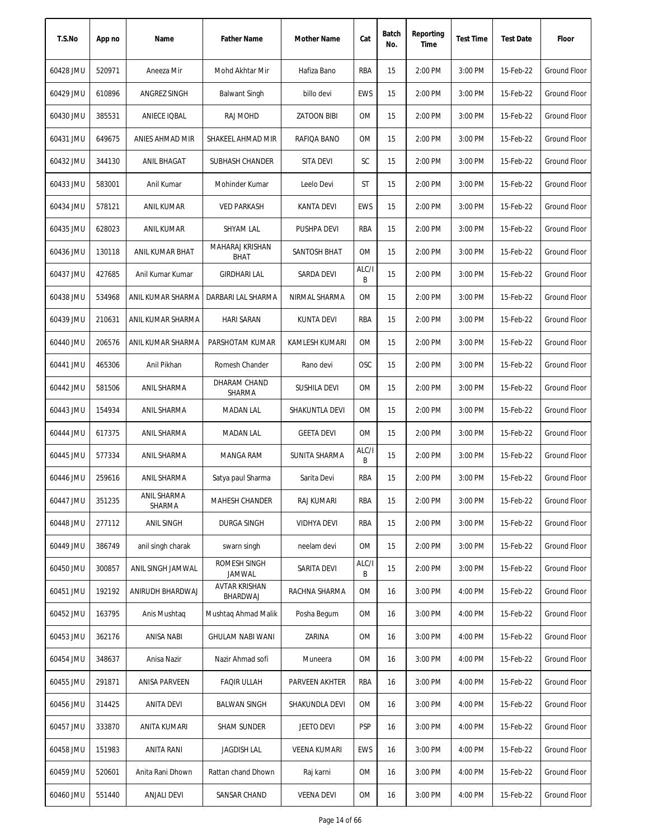| T.S.No    | App no | Name                  | <b>Father Name</b>               | Mother Name         | Cat        | Batch<br>No. | Reporting<br>Time | <b>Test Time</b> | <b>Test Date</b> | Floor               |
|-----------|--------|-----------------------|----------------------------------|---------------------|------------|--------------|-------------------|------------------|------------------|---------------------|
| 60428 JMU | 520971 | Aneeza Mir            | Mohd Akhtar Mir                  | Hafiza Bano         | RBA        | 15           | 2:00 PM           | 3:00 PM          | 15-Feb-22        | Ground Floor        |
| 60429 JMU | 610896 | ANGREZ SINGH          | <b>Balwant Singh</b>             | billo devi          | EWS        | 15           | 2:00 PM           | 3:00 PM          | 15-Feb-22        | Ground Floor        |
| 60430 JMU | 385531 | ANIECE IQBAL          | RAJ MOHD                         | <b>ZATOON BIBI</b>  | 0M         | 15           | 2:00 PM           | 3:00 PM          | 15-Feb-22        | Ground Floor        |
| 60431 JMU | 649675 | ANIES AHMAD MIR       | SHAKEEL AHMAD MIR                | RAFIQA BANO         | 0M         | 15           | 2:00 PM           | 3:00 PM          | 15-Feb-22        | <b>Ground Floor</b> |
| 60432 JMU | 344130 | <b>ANIL BHAGAT</b>    | <b>SUBHASH CHANDER</b>           | SITA DEVI           | SC         | 15           | 2:00 PM           | 3:00 PM          | 15-Feb-22        | <b>Ground Floor</b> |
| 60433 JMU | 583001 | Anil Kumar            | Mohinder Kumar                   | Leelo Devi          | ST         | 15           | 2:00 PM           | 3:00 PM          | 15-Feb-22        | Ground Floor        |
| 60434 JMU | 578121 | ANIL KUMAR            | <b>VED PARKASH</b>               | KANTA DEVI          | <b>EWS</b> | 15           | 2:00 PM           | 3:00 PM          | 15-Feb-22        | <b>Ground Floor</b> |
| 60435 JMU | 628023 | <b>ANIL KUMAR</b>     | SHYAM LAL                        | PUSHPA DEVI         | RBA        | 15           | 2:00 PM           | 3:00 PM          | 15-Feb-22        | <b>Ground Floor</b> |
| 60436 JMU | 130118 | ANIL KUMAR BHAT       | MAHARAJ KRISHAN<br><b>BHAT</b>   | SANTOSH BHAT        | 0M         | 15           | 2:00 PM           | 3:00 PM          | 15-Feb-22        | <b>Ground Floor</b> |
| 60437 JMU | 427685 | Anil Kumar Kumar      | <b>GIRDHARI LAL</b>              | SARDA DEVI          | ALC/I<br>B | 15           | 2:00 PM           | 3:00 PM          | 15-Feb-22        | <b>Ground Floor</b> |
| 60438 JMU | 534968 | ANIL KUMAR SHARMA     | DARBARI LAL SHARMA               | NIRMAL SHARMA       | 0M         | 15           | 2:00 PM           | 3:00 PM          | 15-Feb-22        | Ground Floor        |
| 60439 JMU | 210631 | ANIL KUMAR SHARMA     | <b>HARI SARAN</b>                | <b>KUNTA DEVI</b>   | RBA        | 15           | 2:00 PM           | 3:00 PM          | 15-Feb-22        | Ground Floor        |
| 60440 JMU | 206576 | ANIL KUMAR SHARMA     | PARSHOTAM KUMAR                  | KAMLESH KUMARI      | <b>OM</b>  | 15           | 2:00 PM           | 3:00 PM          | 15-Feb-22        | <b>Ground Floor</b> |
| 60441 JMU | 465306 | Anil Pikhan           | Romesh Chander                   | Rano devi           | OSC        | 15           | 2:00 PM           | 3:00 PM          | 15-Feb-22        | Ground Floor        |
| 60442 JMU | 581506 | ANIL SHARMA           | DHARAM CHAND<br>SHARMA           | <b>SUSHILA DEVI</b> | 0M         | 15           | 2:00 PM           | 3:00 PM          | 15-Feb-22        | Ground Floor        |
| 60443 JMU | 154934 | ANIL SHARMA           | <b>MADAN LAL</b>                 | SHAKUNTLA DEVI      | 0M         | 15           | 2:00 PM           | 3:00 PM          | 15-Feb-22        | Ground Floor        |
| 60444 JMU | 617375 | ANIL SHARMA           | <b>MADAN LAL</b>                 | <b>GEETA DEVI</b>   | <b>OM</b>  | 15           | 2:00 PM           | 3:00 PM          | 15-Feb-22        | Ground Floor        |
| 60445 JMU | 577334 | ANIL SHARMA           | <b>MANGA RAM</b>                 | SUNITA SHARMA       | ALC/I<br>B | 15           | 2:00 PM           | 3:00 PM          | 15-Feb-22        | Ground Floor        |
| 60446 JMU | 259616 | ANIL SHARMA           | Satya paul Sharma                | Sarita Devi         | RBA        | 15           | 2:00 PM           | 3:00 PM          | 15-Feb-22        | Ground Floor        |
| 60447 JMU | 351235 | ANIL SHARMA<br>SHARMA | MAHESH CHANDER                   | RAJ KUMARI          | RBA        | 15           | 2:00 PM           | 3:00 PM          | 15-Feb-22        | Ground Floor        |
| 60448 JMU | 277112 | ANIL SINGH            | <b>DURGA SINGH</b>               | <b>VIDHYA DEVI</b>  | RBA        | 15           | 2:00 PM           | 3:00 PM          | 15-Feb-22        | Ground Floor        |
| 60449 JMU | 386749 | anil singh charak     | swarn singh                      | neelam devi         | 0M         | 15           | 2:00 PM           | 3:00 PM          | 15-Feb-22        | Ground Floor        |
| 60450 JMU | 300857 | ANIL SINGH JAMWAL     | ROMESH SINGH<br>JAMWAL           | SARITA DEVI         | ALC/I<br>B | 15           | 2:00 PM           | 3:00 PM          | 15-Feb-22        | Ground Floor        |
| 60451 JMU | 192192 | ANIRUDH BHARDWAJ      | <b>AVTAR KRISHAN</b><br>BHARDWAJ | RACHNA SHARMA       | 0M         | 16           | 3:00 PM           | 4:00 PM          | 15-Feb-22        | Ground Floor        |
| 60452 JMU | 163795 | Anis Mushtag          | Mushtag Ahmad Malik              | Posha Begum         | 0M         | 16           | 3:00 PM           | 4:00 PM          | 15-Feb-22        | <b>Ground Floor</b> |
| 60453 JMU | 362176 | ANISA NABI            | <b>GHULAM NABI WANI</b>          | ZARINA              | 0M         | 16           | 3:00 PM           | 4:00 PM          | 15-Feb-22        | Ground Floor        |
| 60454 JMU | 348637 | Anisa Nazir           | Nazir Ahmad sofi                 | Muneera             | OM         | 16           | 3:00 PM           | 4:00 PM          | 15-Feb-22        | Ground Floor        |
| 60455 JMU | 291871 | ANISA PARVEEN         | <b>FAQIR ULLAH</b>               | PARVEEN AKHTER      | RBA        | 16           | 3:00 PM           | 4:00 PM          | 15-Feb-22        | Ground Floor        |
| 60456 JMU | 314425 | <b>ANITA DEVI</b>     | <b>BALWAN SINGH</b>              | SHAKUNDLA DEVI      | OM         | 16           | 3:00 PM           | 4:00 PM          | 15-Feb-22        | Ground Floor        |
| 60457 JMU | 333870 | ANITA KUMARI          | SHAM SUNDER                      | JEETO DEVI          | <b>PSP</b> | 16           | 3:00 PM           | 4:00 PM          | 15-Feb-22        | Ground Floor        |
| 60458 JMU | 151983 | ANITA RANI            | <b>JAGDISH LAL</b>               | <b>VEENA KUMARI</b> | EWS        | 16           | 3:00 PM           | 4:00 PM          | 15-Feb-22        | Ground Floor        |
| 60459 JMU | 520601 | Anita Rani Dhown      | Rattan chand Dhown               | Raj karni           | OM         | 16           | 3:00 PM           | 4:00 PM          | 15-Feb-22        | Ground Floor        |
| 60460 JMU | 551440 | <b>ANJALI DEVI</b>    | SANSAR CHAND                     | VEENA DEVI          | OM         | 16           | 3:00 PM           | 4:00 PM          | 15-Feb-22        | Ground Floor        |
|           |        |                       |                                  |                     |            |              |                   |                  |                  |                     |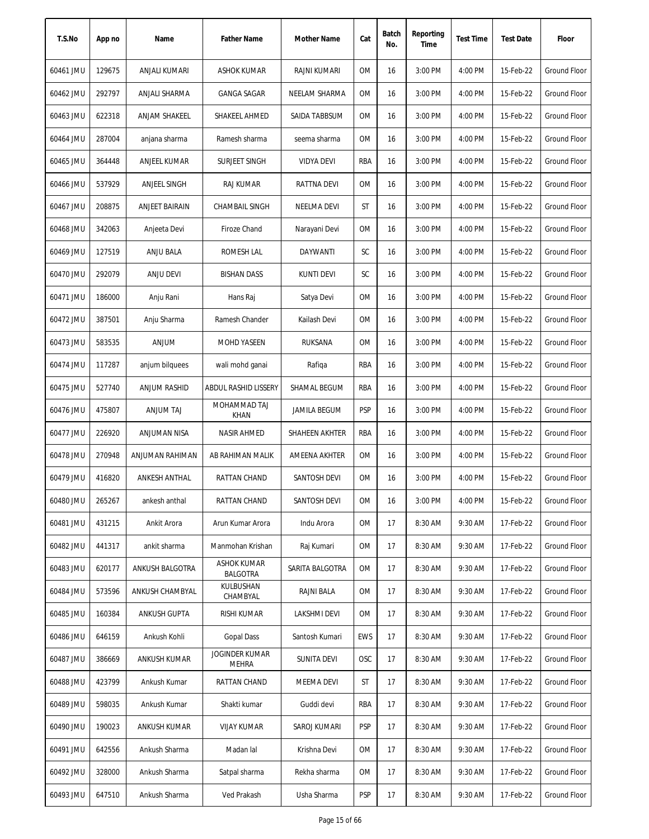| T.S.No    | App no | Name                | <b>Father Name</b>                    | <b>Mother Name</b>   | Cat        | Batch<br>No. | Reporting<br>Time | <b>Test Time</b> | <b>Test Date</b> | Floor               |
|-----------|--------|---------------------|---------------------------------------|----------------------|------------|--------------|-------------------|------------------|------------------|---------------------|
| 60461 JMU | 129675 | ANJALI KUMARI       | ASHOK KUMAR                           | RAJNI KUMARI         | <b>OM</b>  | 16           | 3:00 PM           | 4:00 PM          | 15-Feb-22        | <b>Ground Floor</b> |
| 60462 JMU | 292797 | ANJALI SHARMA       | <b>GANGA SAGAR</b>                    | NEELAM SHARMA        | ОM         | 16           | 3:00 PM           | 4:00 PM          | 15-Feb-22        | Ground Floor        |
| 60463 JMU | 622318 | ANJAM SHAKEEL       | SHAKEEL AHMED                         | SAIDA TABBSUM        | ОM         | 16           | 3:00 PM           | 4:00 PM          | 15-Feb-22        | Ground Floor        |
| 60464 JMU | 287004 | anjana sharma       | Ramesh sharma                         | seema sharma         | OM         | 16           | 3:00 PM           | 4:00 PM          | 15-Feb-22        | <b>Ground Floor</b> |
| 60465 JMU | 364448 | ANJEEL KUMAR        | <b>SURJEET SINGH</b>                  | <b>VIDYA DEVI</b>    | RBA        | 16           | 3:00 PM           | 4:00 PM          | 15-Feb-22        | <b>Ground Floor</b> |
| 60466 JMU | 537929 | ANJEEL SINGH        | <b>RAJ KUMAR</b>                      | RATTNA DEVI          | OM         | 16           | 3:00 PM           | 4:00 PM          | 15-Feb-22        | <b>Ground Floor</b> |
| 60467 JMU | 208875 | ANJEET BAIRAIN      | CHAMBAIL SINGH                        | NEELMA DEVI          | ST         | 16           | 3:00 PM           | 4:00 PM          | 15-Feb-22        | <b>Ground Floor</b> |
| 60468 JMU | 342063 | Anjeeta Devi        | <b>Firoze Chand</b>                   | Narayani Devi        | <b>OM</b>  | 16           | 3:00 PM           | 4:00 PM          | 15-Feb-22        | <b>Ground Floor</b> |
| 60469 JMU | 127519 | ANJU BALA           | ROMESH LAL                            | DAYWANTI             | SC         | 16           | 3:00 PM           | 4:00 PM          | 15-Feb-22        | <b>Ground Floor</b> |
| 60470 JMU | 292079 | ANJU DEVI           | <b>BISHAN DASS</b>                    | <b>KUNTI DEVI</b>    | SC         | 16           | 3:00 PM           | 4:00 PM          | 15-Feb-22        | Ground Floor        |
| 60471 JMU | 186000 | Anju Rani           | Hans Raj                              | Satya Devi           | <b>OM</b>  | 16           | 3:00 PM           | 4:00 PM          | 15-Feb-22        | <b>Ground Floor</b> |
| 60472 JMU | 387501 | Anju Sharma         | Ramesh Chander                        | Kailash Devi         | ОM         | 16           | 3:00 PM           | 4:00 PM          | 15-Feb-22        | <b>Ground Floor</b> |
| 60473 JMU | 583535 | <b>ANJUM</b>        | <b>MOHD YASEEN</b>                    | RUKSANA              | <b>OM</b>  | 16           | 3:00 PM           | 4:00 PM          | 15-Feb-22        | <b>Ground Floor</b> |
| 60474 JMU | 117287 | anjum bilquees      | wali mohd ganai                       | Rafiqa               | RBA        | 16           | 3:00 PM           | 4:00 PM          | 15-Feb-22        | <b>Ground Floor</b> |
| 60475 JMU | 527740 | <b>ANJUM RASHID</b> | <b>ABDUL RASHID LISSERY</b>           | SHAMAL BEGUM         | RBA        | 16           | 3:00 PM           | 4:00 PM          | 15-Feb-22        | Ground Floor        |
| 60476 JMU | 475807 | <b>ANJUM TAJ</b>    | MOHAMMAD TAJ<br><b>KHAN</b>           | <b>JAMILA BEGUM</b>  | <b>PSP</b> | 16           | 3:00 PM           | 4:00 PM          | 15-Feb-22        | <b>Ground Floor</b> |
| 60477 JMU | 226920 | ANJUMAN NISA        | <b>NASIR AHMED</b>                    | SHAHEEN AKHTER       | RBA        | 16           | 3:00 PM           | 4:00 PM          | 15-Feb-22        | <b>Ground Floor</b> |
| 60478 JMU | 270948 | ANJUMAN RAHIMAN     | AB RAHIMAN MALIK                      | <b>AMEENA AKHTER</b> | 0M         | 16           | 3:00 PM           | 4:00 PM          | 15-Feb-22        | <b>Ground Floor</b> |
| 60479 JMU | 416820 | ANKESH ANTHAL       | RATTAN CHAND                          | SANTOSH DEVI         | <b>OM</b>  | 16           | 3:00 PM           | 4:00 PM          | 15-Feb-22        | Ground Floor        |
| 60480 JMU | 265267 | ankesh anthal       | RATTAN CHAND                          | SANTOSH DEVI         | 0M         | 16           | 3:00 PM           | 4:00 PM          | 15-Feb-22        | Ground Floor        |
| 60481 JMU | 431215 | Ankit Arora         | Arun Kumar Arora                      | Indu Arora           | 0M         | 17           | 8:30 AM           | 9:30 AM          | 17-Feb-22        | Ground Floor        |
| 60482 JMU | 441317 | ankit sharma        | Manmohan Krishan                      | Raj Kumari           | OM         | 17           | 8:30 AM           | 9:30 AM          | 17-Feb-22        | Ground Floor        |
| 60483 JMU | 620177 | ANKUSH BALGOTRA     | <b>ASHOK KUMAR</b><br><b>BALGOTRA</b> | SARITA BALGOTRA      | ОM         | 17           | 8:30 AM           | 9:30 AM          | 17-Feb-22        | Ground Floor        |
| 60484 JMU | 573596 | ANKUSH CHAMBYAL     | KULBUSHAN<br>CHAMBYAL                 | RAJNI BALA           | 0M         | 17           | 8:30 AM           | 9:30 AM          | 17-Feb-22        | Ground Floor        |
| 60485 JMU | 160384 | ANKUSH GUPTA        | RISHI KUMAR                           | LAKSHMI DEVI         | ОM         | 17           | 8:30 AM           | 9:30 AM          | 17-Feb-22        | <b>Ground Floor</b> |
| 60486 JMU | 646159 | Ankush Kohli        | <b>Gopal Dass</b>                     | Santosh Kumari       | <b>EWS</b> | 17           | 8:30 AM           | 9:30 AM          | 17-Feb-22        | Ground Floor        |
| 60487 JMU | 386669 | ANKUSH KUMAR        | JOGINDER KUMAR<br><b>MEHRA</b>        | <b>SUNITA DEVI</b>   | <b>OSC</b> | 17           | 8:30 AM           | 9:30 AM          | 17-Feb-22        | Ground Floor        |
| 60488 JMU | 423799 | Ankush Kumar        | RATTAN CHAND                          | MEEMA DEVI           | ST         | 17           | 8:30 AM           | 9:30 AM          | 17-Feb-22        | Ground Floor        |
| 60489 JMU | 598035 | Ankush Kumar        | Shakti kumar                          | Guddi devi           | RBA        | 17           | 8:30 AM           | 9:30 AM          | 17-Feb-22        | <b>Ground Floor</b> |
| 60490 JMU | 190023 | ANKUSH KUMAR        | <b>VIJAY KUMAR</b>                    | SAROJ KUMARI         | <b>PSP</b> | 17           | 8:30 AM           | 9:30 AM          | 17-Feb-22        | Ground Floor        |
| 60491 JMU | 642556 | Ankush Sharma       | Madan lal                             | Krishna Devi         | 0M         | 17           | 8:30 AM           | 9:30 AM          | 17-Feb-22        | Ground Floor        |
| 60492 JMU | 328000 | Ankush Sharma       | Satpal sharma                         | Rekha sharma         | ОM         | 17           | 8:30 AM           | 9:30 AM          | 17-Feb-22        | Ground Floor        |
| 60493 JMU | 647510 | Ankush Sharma       | Ved Prakash                           | Usha Sharma          | <b>PSP</b> | 17           | 8:30 AM           | 9:30 AM          | 17-Feb-22        | Ground Floor        |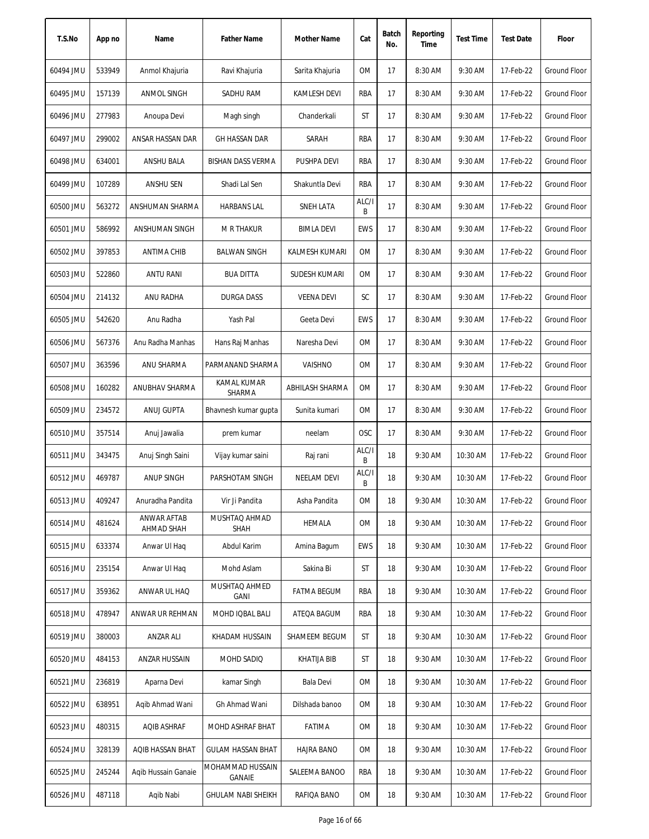| T.S.No    | App no | Name                      | <b>Father Name</b>           | Mother Name        | Cat        | Batch<br>No. | Reporting<br>Time | <b>Test Time</b> | <b>Test Date</b> | Floor               |
|-----------|--------|---------------------------|------------------------------|--------------------|------------|--------------|-------------------|------------------|------------------|---------------------|
| 60494 JMU | 533949 | Anmol Khajuria            | Ravi Khajuria                | Sarita Khajuria    | 0M         | 17           | 8:30 AM           | 9:30 AM          | 17-Feb-22        | <b>Ground Floor</b> |
| 60495 JMU | 157139 | ANMOL SINGH               | SADHU RAM                    | KAMLESH DEVI       | RBA        | 17           | 8:30 AM           | 9:30 AM          | 17-Feb-22        | <b>Ground Floor</b> |
| 60496 JMU | 277983 | Anoupa Devi               | Magh singh                   | Chanderkali        | ST         | 17           | 8:30 AM           | 9:30 AM          | 17-Feb-22        | <b>Ground Floor</b> |
| 60497 JMU | 299002 | ANSAR HASSAN DAR          | <b>GH HASSAN DAR</b>         | SARAH              | RBA        | 17           | 8:30 AM           | 9:30 AM          | 17-Feb-22        | <b>Ground Floor</b> |
| 60498 JMU | 634001 | ANSHU BALA                | <b>BISHAN DASS VERMA</b>     | PUSHPA DEVI        | RBA        | 17           | 8:30 AM           | 9:30 AM          | 17-Feb-22        | Ground Floor        |
| 60499 JMU | 107289 | ANSHU SEN                 | Shadi Lal Sen                | Shakuntla Devi     | RBA        | 17           | 8:30 AM           | 9:30 AM          | 17-Feb-22        | Ground Floor        |
| 60500 JMU | 563272 | ANSHUMAN SHARMA           | <b>HARBANS LAL</b>           | SNEH LATA          | ALC/I<br>B | 17           | 8:30 AM           | 9:30 AM          | 17-Feb-22        | <b>Ground Floor</b> |
| 60501 JMU | 586992 | ANSHUMAN SINGH            | <b>M R THAKUR</b>            | <b>BIMLA DEVI</b>  | EWS        | 17           | 8:30 AM           | 9:30 AM          | 17-Feb-22        | <b>Ground Floor</b> |
| 60502 JMU | 397853 | <b>ANTIMA CHIB</b>        | <b>BALWAN SINGH</b>          | KALMESH KUMARI     | <b>OM</b>  | 17           | 8:30 AM           | 9:30 AM          | 17-Feb-22        | <b>Ground Floor</b> |
| 60503 JMU | 522860 | ANTU RANI                 | <b>BUA DITTA</b>             | SUDESH KUMARI      | 0M         | 17           | 8:30 AM           | 9:30 AM          | 17-Feb-22        | Ground Floor        |
| 60504 JMU | 214132 | ANU RADHA                 | <b>DURGA DASS</b>            | <b>VEENA DEVI</b>  | SC         | 17           | 8:30 AM           | 9:30 AM          | 17-Feb-22        | <b>Ground Floor</b> |
| 60505 JMU | 542620 | Anu Radha                 | Yash Pal                     | Geeta Devi         | <b>EWS</b> | 17           | 8:30 AM           | 9:30 AM          | 17-Feb-22        | <b>Ground Floor</b> |
| 60506 JMU | 567376 | Anu Radha Manhas          | Hans Raj Manhas              | Naresha Devi       | <b>OM</b>  | 17           | 8:30 AM           | 9:30 AM          | 17-Feb-22        | <b>Ground Floor</b> |
| 60507 JMU | 363596 | ANU SHARMA                | PARMANAND SHARMA             | VAISHNO            | <b>OM</b>  | 17           | 8:30 AM           | 9:30 AM          | 17-Feb-22        | Ground Floor        |
| 60508 JMU | 160282 | ANUBHAV SHARMA            | <b>KAMAL KUMAR</b><br>SHARMA | ABHILASH SHARMA    | 0M         | 17           | 8:30 AM           | 9:30 AM          | 17-Feb-22        | <b>Ground Floor</b> |
| 60509 JMU | 234572 | ANUJ GUPTA                | Bhavnesh kumar gupta         | Sunita kumari      | <b>OM</b>  | 17           | 8:30 AM           | 9:30 AM          | 17-Feb-22        | <b>Ground Floor</b> |
| 60510 JMU | 357514 | Anuj Jawalia              | prem kumar                   | neelam             | OSC        | 17           | 8:30 AM           | 9:30 AM          | 17-Feb-22        | <b>Ground Floor</b> |
| 60511 JMU | 343475 | Anuj Singh Saini          | Vijay kumar saini            | Raj rani           | ALC/I<br>Β | 18           | 9:30 AM           | 10:30 AM         | 17-Feb-22        | Ground Floor        |
| 60512 JMU | 469787 | ANUP SINGH                | PARSHOTAM SINGH              | <b>NEELAM DEVI</b> | ALC/I<br>B | 18           | 9:30 AM           | 10:30 AM         | 17-Feb-22        | Ground Floor        |
| 60513 JMU | 409247 | Anuradha Pandita          | Vir Ji Pandita               | Asha Pandita       | OM         | 18           | 9:30 AM           | 10:30 AM         | 17-Feb-22        | Ground Floor        |
| 60514 JMU | 481624 | ANWAR AFTAB<br>AHMAD SHAH | MUSHTAQ AHMAD<br><b>SHAH</b> | HEMALA             | 0M         | 18           | 9:30 AM           | 10:30 AM         | 17-Feb-22        | Ground Floor        |
| 60515 JMU | 633374 | Anwar UI Haq              | Abdul Karim                  | Amina Bagum        | EWS        | 18           | 9:30 AM           | 10:30 AM         | 17-Feb-22        | Ground Floor        |
| 60516 JMU | 235154 | Anwar UI Haq              | Mohd Aslam                   | Sakina Bi          | ST         | 18           | 9:30 AM           | 10:30 AM         | 17-Feb-22        | Ground Floor        |
| 60517 JMU | 359362 | ANWAR UL HAQ              | MUSHTAQ AHMED<br><b>GANI</b> | <b>FATMA BEGUM</b> | RBA        | 18           | 9:30 AM           | 10:30 AM         | 17-Feb-22        | Ground Floor        |
| 60518 JMU | 478947 | ANWAR UR REHMAN           | MOHD IQBAL BALI              | ATEQA BAGUM        | RBA        | 18           | 9:30 AM           | 10:30 AM         | 17-Feb-22        | <b>Ground Floor</b> |
| 60519 JMU | 380003 | ANZAR ALI                 | KHADAM HUSSAIN               | SHAMEEM BEGUM      | ST         | 18           | 9:30 AM           | 10:30 AM         | 17-Feb-22        | Ground Floor        |
| 60520 JMU | 484153 | ANZAR HUSSAIN             | MOHD SADIQ                   | <b>KHATIJA BIB</b> | ST         | 18           | 9:30 AM           | 10:30 AM         | 17-Feb-22        | Ground Floor        |
| 60521 JMU | 236819 | Aparna Devi               | kamar Singh                  | Bala Devi          | OM         | 18           | 9:30 AM           | 10:30 AM         | 17-Feb-22        | Ground Floor        |
| 60522 JMU | 638951 | Agib Ahmad Wani           | Gh Ahmad Wani                | Dilshada banoo     | OM         | 18           | 9:30 AM           | 10:30 AM         | 17-Feb-22        | Ground Floor        |
| 60523 JMU | 480315 | AQIB ASHRAF               | MOHD ASHRAF BHAT             | FATIMA             | OM         | 18           | 9:30 AM           | 10:30 AM         | 17-Feb-22        | <b>Ground Floor</b> |
| 60524 JMU | 328139 | AQIB HASSAN BHAT          | GULAM HASSAN BHAT            | <b>HAJRA BANO</b>  | OM         | 18           | 9:30 AM           | 10:30 AM         | 17-Feb-22        | Ground Floor        |
| 60525 JMU | 245244 | Agib Hussain Ganaie       | MOHAMMAD HUSSAIN<br>GANAIE   | SALEEMA BANOO      | RBA        | 18           | 9:30 AM           | 10:30 AM         | 17-Feb-22        | <b>Ground Floor</b> |
| 60526 JMU | 487118 | Aqib Nabi                 | <b>GHULAM NABI SHEIKH</b>    | RAFIQA BANO        | 0M         | 18           | 9:30 AM           | 10:30 AM         | 17-Feb-22        | Ground Floor        |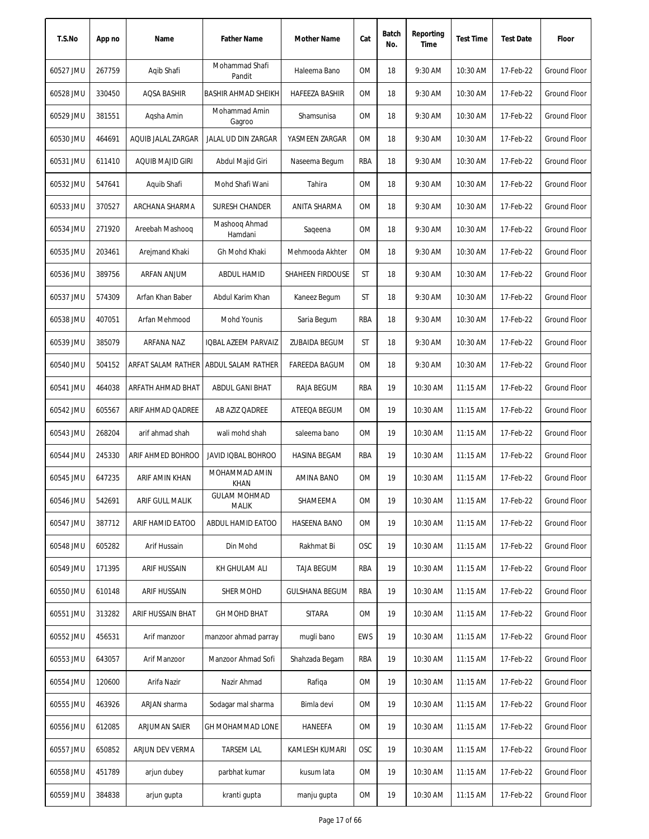| T.S.No    | App no | Name                    | <b>Father Name</b>                      | Mother Name           | Cat        | Batch<br>No. | Reporting<br>Time | <b>Test Time</b> | <b>Test Date</b> | Floor               |
|-----------|--------|-------------------------|-----------------------------------------|-----------------------|------------|--------------|-------------------|------------------|------------------|---------------------|
| 60527 JMU | 267759 | Agib Shafi              | Mohammad Shafi<br>Pandit                | Haleema Bano          | 0M         | 18           | 9:30 AM           | 10:30 AM         | 17-Feb-22        | Ground Floor        |
| 60528 JMU | 330450 | AQSA BASHIR             | <b>BASHIR AHMAD SHEIKH</b>              | <b>HAFEEZA BASHIR</b> | 0M         | 18           | 9:30 AM           | 10:30 AM         | 17-Feb-22        | Ground Floor        |
| 60529 JMU | 381551 | Aqsha Amin              | Mohammad Amin<br>Gagroo                 | Shamsunisa            | 0M         | 18           | 9:30 AM           | 10:30 AM         | 17-Feb-22        | Ground Floor        |
| 60530 JMU | 464691 | AQUIB JALAL ZARGAR      | JALAL UD DIN ZARGAR                     | YASMEEN ZARGAR        | 0M         | 18           | 9:30 AM           | 10:30 AM         | 17-Feb-22        | <b>Ground Floor</b> |
| 60531 JMU | 611410 | <b>AQUIB MAJID GIRI</b> | Abdul Majid Giri                        | Naseema Begum         | RBA        | 18           | 9:30 AM           | 10:30 AM         | 17-Feb-22        | Ground Floor        |
| 60532 JMU | 547641 | Aquib Shafi             | Mohd Shafi Wani                         | Tahira                | 0M         | 18           | 9:30 AM           | 10:30 AM         | 17-Feb-22        | <b>Ground Floor</b> |
| 60533 JMU | 370527 | ARCHANA SHARMA          | <b>SURESH CHANDER</b>                   | ANITA SHARMA          | 0M         | 18           | 9:30 AM           | 10:30 AM         | 17-Feb-22        | Ground Floor        |
| 60534 JMU | 271920 | Areebah Mashoog         | Mashooq Ahmad<br>Hamdani                | Sageena               | 0M         | 18           | 9:30 AM           | 10:30 AM         | 17-Feb-22        | <b>Ground Floor</b> |
| 60535 JMU | 203461 | Arejmand Khaki          | Gh Mohd Khaki                           | Mehmooda Akhter       | <b>OM</b>  | 18           | 9:30 AM           | 10:30 AM         | 17-Feb-22        | <b>Ground Floor</b> |
| 60536 JMU | 389756 | ARFAN ANJUM             | ABDUL HAMID                             | SHAHEEN FIRDOUSE      | ST         | 18           | 9:30 AM           | 10:30 AM         | 17-Feb-22        | <b>Ground Floor</b> |
| 60537 JMU | 574309 | Arfan Khan Baber        | Abdul Karim Khan                        | Kaneez Begum          | ST         | 18           | 9:30 AM           | 10:30 AM         | 17-Feb-22        | Ground Floor        |
| 60538 JMU | 407051 | Arfan Mehmood           | Mohd Younis                             | Saria Begum           | RBA        | 18           | 9:30 AM           | 10:30 AM         | 17-Feb-22        | Ground Floor        |
| 60539 JMU | 385079 | ARFANA NAZ              | IQBAL AZEEM PARVAIZ                     | <b>ZUBAIDA BEGUM</b>  | ST         | 18           | 9:30 AM           | 10:30 AM         | 17-Feb-22        | <b>Ground Floor</b> |
| 60540 JMU | 504152 |                         | ARFAT SALAM RATHER   ABDUL SALAM RATHER | <b>FAREEDA BAGUM</b>  | 0M         | 18           | 9:30 AM           | 10:30 AM         | 17-Feb-22        | <b>Ground Floor</b> |
| 60541 JMU | 464038 | ARFATH AHMAD BHAT       | ABDUL GANI BHAT                         | RAJA BEGUM            | <b>RBA</b> | 19           | 10:30 AM          | 11:15 AM         | 17-Feb-22        | <b>Ground Floor</b> |
| 60542 JMU | 605567 | ARIF AHMAD QADREE       | AB AZIZ QADREE                          | ATEEQA BEGUM          | 0M         | 19           | 10:30 AM          | 11:15 AM         | 17-Feb-22        | <b>Ground Floor</b> |
| 60543 JMU | 268204 | arif ahmad shah         | wali mohd shah                          | saleema bano          | <b>OM</b>  | 19           | 10:30 AM          | 11:15 AM         | 17-Feb-22        | <b>Ground Floor</b> |
| 60544 JMU | 245330 | ARIF AHMED BOHROO       | <b>JAVID IQBAL BOHROO</b>               | <b>HASINA BEGAM</b>   | RBA        | 19           | 10:30 AM          | 11:15 AM         | 17-Feb-22        | <b>Ground Floor</b> |
| 60545 JMU | 647235 | ARIF AMIN KHAN          | MOHAMMAD AMIN<br><b>KHAN</b>            | AMINA BANO            | <b>OM</b>  | 19           | 10:30 AM          | $11:15$ AM       | 17-Feb-22        | Ground Floor        |
| 60546 JMU | 542691 | ARIF GULL MALIK         | <b>GULAM MOHMAD</b><br><b>MALIK</b>     | SHAMEEMA              | 0M         | 19           | 10:30 AM          | 11:15 AM         | 17-Feb-22        | Ground Floor        |
| 60547 JMU | 387712 | ARIF HAMID EATOO        | ABDUL HAMID EATOO                       | HASEENA BANO          | 0M         | 19           | 10:30 AM          | 11:15 AM         | 17-Feb-22        | <b>Ground Floor</b> |
| 60548 JMU | 605282 | Arif Hussain            | Din Mohd                                | Rakhmat Bi            | <b>OSC</b> | 19           | 10:30 AM          | 11:15 AM         | 17-Feb-22        | Ground Floor        |
| 60549 JMU | 171395 | ARIF HUSSAIN            | KH GHULAM ALI                           | TAJA BEGUM            | RBA        | 19           | 10:30 AM          | 11:15 AM         | 17-Feb-22        | Ground Floor        |
| 60550 JMU | 610148 | ARIF HUSSAIN            | <b>SHER MOHD</b>                        | <b>GULSHANA BEGUM</b> | RBA        | 19           | 10:30 AM          | 11:15 AM         | 17-Feb-22        | <b>Ground Floor</b> |
| 60551 JMU | 313282 | ARIF HUSSAIN BHAT       | <b>GH MOHD BHAT</b>                     | <b>SITARA</b>         | 0M         | 19           | 10:30 AM          | 11:15 AM         | 17-Feb-22        | Ground Floor        |
| 60552 JMU | 456531 | Arif manzoor            | manzoor ahmad parray                    | mugli bano            | EWS        | 19           | 10:30 AM          | 11:15 AM         | 17-Feb-22        | Ground Floor        |
| 60553 JMU | 643057 | Arif Manzoor            | Manzoor Ahmad Sofi                      | Shahzada Begam        | RBA        | 19           | 10:30 AM          | 11:15 AM         | 17-Feb-22        | Ground Floor        |
| 60554 JMU | 120600 | Arifa Nazir             | Nazir Ahmad                             | Rafiqa                | 0M         | 19           | 10:30 AM          | 11:15 AM         | 17-Feb-22        | Ground Floor        |
| 60555 JMU | 463926 | ARJAN sharma            | Sodagar mal sharma                      | Bimla devi            | 0M         | 19           | 10:30 AM          | 11:15 AM         | 17-Feb-22        | Ground Floor        |
| 60556 JMU | 612085 | ARJUMAN SAIER           | GH MOHAMMAD LONE                        | HANEEFA               | 0M         | 19           | 10:30 AM          | 11:15 AM         | 17-Feb-22        | Ground Floor        |
| 60557 JMU | 650852 | ARJUN DEV VERMA         | <b>TARSEM LAL</b>                       | KAMLESH KUMARI        | OSC        | 19           | 10:30 AM          | 11:15 AM         | 17-Feb-22        | Ground Floor        |
| 60558 JMU | 451789 | arjun dubey             | parbhat kumar                           | kusum lata            | 0M         | 19           | 10:30 AM          | 11:15 AM         | 17-Feb-22        | Ground Floor        |
| 60559 JMU | 384838 | arjun gupta             | kranti gupta                            | manju gupta           | 0M         | 19           | 10:30 AM          | 11:15 AM         | 17-Feb-22        | Ground Floor        |
|           |        |                         |                                         |                       |            |              |                   |                  |                  |                     |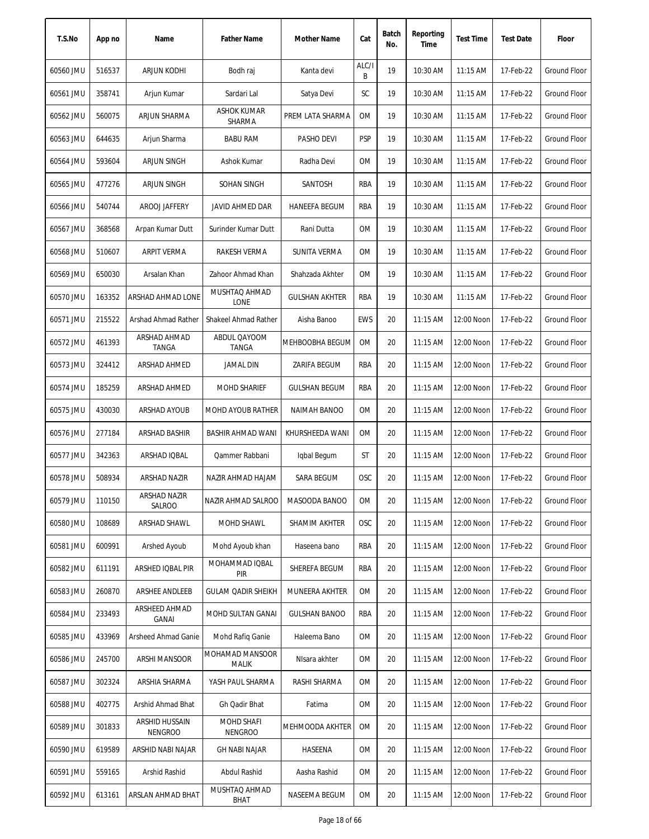| T.S.No    | App no | Name                             | <b>Father Name</b>           | Mother Name           | Cat        | Batch<br>No. | Reporting<br>Time | <b>Test Time</b> | <b>Test Date</b> | Floor               |
|-----------|--------|----------------------------------|------------------------------|-----------------------|------------|--------------|-------------------|------------------|------------------|---------------------|
| 60560 JMU | 516537 | ARJUN KODHI                      | Bodh raj                     | Kanta devi            | ALC/I<br>B | 19           | 10:30 AM          | 11:15 AM         | 17-Feb-22        | <b>Ground Floor</b> |
| 60561 JMU | 358741 | Arjun Kumar                      | Sardari Lal                  | Satya Devi            | SC         | 19           | 10:30 AM          | $11:15$ AM       | 17-Feb-22        | Ground Floor        |
| 60562 JMU | 560075 | ARJUN SHARMA                     | ASHOK KUMAR<br>SHARMA        | PREM LATA SHARMA      | ОM         | 19           | 10:30 AM          | $11:15$ AM       | 17-Feb-22        | Ground Floor        |
| 60563 JMU | 644635 | Arjun Sharma                     | <b>BABU RAM</b>              | PASHO DEVI            | <b>PSP</b> | 19           | 10:30 AM          | 11:15 AM         | 17-Feb-22        | <b>Ground Floor</b> |
| 60564 JMU | 593604 | ARJUN SINGH                      | Ashok Kumar                  | Radha Devi            | OM         | 19           | 10:30 AM          | 11:15 AM         | 17-Feb-22        | <b>Ground Floor</b> |
| 60565 JMU | 477276 | ARJUN SINGH                      | SOHAN SINGH                  | SANTOSH               | RBA        | 19           | 10:30 AM          | 11:15 AM         | 17-Feb-22        | <b>Ground Floor</b> |
| 60566 JMU | 540744 | AROOJ JAFFERY                    | JAVID AHMED DAR              | <b>HANEEFA BEGUM</b>  | RBA        | 19           | 10:30 AM          | $11:15$ AM       | 17-Feb-22        | Ground Floor        |
| 60567 JMU | 368568 | Arpan Kumar Dutt                 | Surinder Kumar Dutt          | Rani Dutta            | OM         | 19           | 10:30 AM          | 11:15 AM         | 17-Feb-22        | <b>Ground Floor</b> |
| 60568 JMU | 510607 | <b>ARPIT VERMA</b>               | RAKESH VERMA                 | <b>SUNITA VERMA</b>   | <b>OM</b>  | 19           | 10:30 AM          | 11:15 AM         | 17-Feb-22        | <b>Ground Floor</b> |
| 60569 JMU | 650030 | Arsalan Khan                     | Zahoor Ahmad Khan            | Shahzada Akhter       | 0M         | 19           | 10:30 AM          | 11:15 AM         | 17-Feb-22        | <b>Ground Floor</b> |
| 60570 JMU | 163352 | ARSHAD AHMAD LONE                | MUSHTAQ AHMAD<br>LONE        | <b>GULSHAN AKHTER</b> | RBA        | 19           | 10:30 AM          | $11:15$ AM       | 17-Feb-22        | Ground Floor        |
| 60571 JMU | 215522 | Arshad Ahmad Rather              | <b>Shakeel Ahmad Rather</b>  | Aisha Banoo           | <b>EWS</b> | 20           | 11:15 AM          | 12:00 Noon       | 17-Feb-22        | Ground Floor        |
| 60572 JMU | 461393 | ARSHAD AHMAD<br>TANGA            | ABDUL QAYOOM<br><b>TANGA</b> | MEHBOOBHA BEGUM       | <b>OM</b>  | 20           | 11:15 AM          | 12:00 Noon       | 17-Feb-22        | Ground Floor        |
| 60573 JMU | 324412 | ARSHAD AHMED                     | JAMAL DIN                    | ZARIFA BEGUM          | RBA        | 20           | 11:15 AM          | 12:00 Noon       | 17-Feb-22        | <b>Ground Floor</b> |
| 60574 JMU | 185259 | ARSHAD AHMED                     | <b>MOHD SHARIEF</b>          | <b>GULSHAN BEGUM</b>  | RBA        | 20           | 11:15 AM          | 12:00 Noon       | 17-Feb-22        | Ground Floor        |
| 60575 JMU | 430030 | ARSHAD AYOUB                     | <b>MOHD AYOUB RATHER</b>     | <b>NAIMAH BANOO</b>   | ОM         | 20           | $11:15$ AM        | 12:00 Noon       | 17-Feb-22        | Ground Floor        |
| 60576 JMU | 277184 | ARSHAD BASHIR                    | BASHIR AHMAD WANI            | KHURSHEEDA WANI       | OM         | 20           | 11:15 AM          | 12:00 Noon       | 17-Feb-22        | <b>Ground Floor</b> |
| 60577 JMU | 342363 | ARSHAD IQBAL                     | Qammer Rabbani               | Iqbal Begum           | ST         | 20           | 11:15 AM          | 12:00 Noon       | 17-Feb-22        | <b>Ground Floor</b> |
| 60578 JMU | 508934 | ARSHAD NAZIR                     | NAZIR AHMAD HAJAM            | SARA BEGUM            | OSC        | 20           | 11:15 AM          | 12:00 Noon       | 17-Feb-22        | Ground Floor        |
| 60579 JMU | 110150 | ARSHAD NAZIR<br>SALROO           | NAZIR AHMAD SALROO           | MASOODA BANOO         | OM         | 20           | 11:15 AM          | 12:00 Noon       | 17-Feb-22        | <b>Ground Floor</b> |
| 60580 JMU | 108689 | ARSHAD SHAWL                     | MOHD SHAWL                   | SHAMIM AKHTER         | OSC        | 20           | 11:15 AM          | 12:00 Noon       | 17-Feb-22        | <b>Ground Floor</b> |
| 60581 JMU | 600991 | Arshed Ayoub                     | Mohd Ayoub khan              | Haseena bano          | RBA        | 20           | 11:15 AM          | 12:00 Noon       | 17-Feb-22        | Ground Floor        |
| 60582 JMU | 611191 | ARSHED IQBAL PIR                 | MOHAMMAD IQBAL<br><b>PIR</b> | SHEREFA BEGUM         | RBA        | 20           | $11:15$ AM        | 12:00 Noon       | 17-Feb-22        | Ground Floor        |
| 60583 JMU | 260870 | ARSHEE ANDLEEB                   | <b>GULAM QADIR SHEIKH</b>    | MUNEERA AKHTER        | 0M         | 20           | 11:15 AM          | 12:00 Noon       | 17-Feb-22        | <b>Ground Floor</b> |
| 60584 JMU | 233493 | ARSHEED AHMAD<br>GANAI           | <b>MOHD SULTAN GANAI</b>     | <b>GULSHAN BANOO</b>  | RBA        | 20           | 11:15 AM          | 12:00 Noon       | 17-Feb-22        | Ground Floor        |
| 60585 JMU | 433969 | Arsheed Ahmad Ganie              | Mohd Rafiq Ganie             | Haleema Bano          | ОM         | 20           | $11:15$ AM        | 12:00 Noon       | 17-Feb-22        | Ground Floor        |
| 60586 JMU | 245700 | ARSHI MANSOOR                    | MOHAMAD MANSOOR<br>MALIK     | NIsara akhter         | ОM         | 20           | $11:15$ AM        | 12:00 Noon       | 17-Feb-22        | Ground Floor        |
| 60587 JMU | 302324 | ARSHIA SHARMA                    | YASH PAUL SHARMA             | RASHI SHARMA          | ОM         | 20           | $11:15$ AM        | 12:00 Noon       | 17-Feb-22        | Ground Floor        |
| 60588 JMU | 402775 | Arshid Ahmad Bhat                | Gh Qadir Bhat                | Fatima                | 0M         | 20           | 11:15 AM          | 12:00 Noon       | 17-Feb-22        | <b>Ground Floor</b> |
| 60589 JMU | 301833 | ARSHID HUSSAIN<br><b>NENGROO</b> | MOHD SHAFI<br><b>NENGROO</b> | MEHMOODA AKHTER       | <b>OM</b>  | 20           | 11:15 AM          | 12:00 Noon       | 17-Feb-22        | Ground Floor        |
| 60590 JMU | 619589 | ARSHID NABI NAJAR                | <b>GH NABI NAJAR</b>         | HASEENA               | OM         | 20           | 11:15 AM          | 12:00 Noon       | 17-Feb-22        | Ground Floor        |
| 60591 JMU | 559165 | Arshid Rashid                    | Abdul Rashid                 | Aasha Rashid          | ОM         | 20           | 11:15 AM          | 12:00 Noon       | 17-Feb-22        | Ground Floor        |
| 60592 JMU | 613161 | ARSLAN AHMAD BHAT                | MUSHTAQ AHMAD<br>BHAT        | NASEEMA BEGUM         | 0M         | 20           | 11:15 AM          | 12:00 Noon       | 17-Feb-22        | Ground Floor        |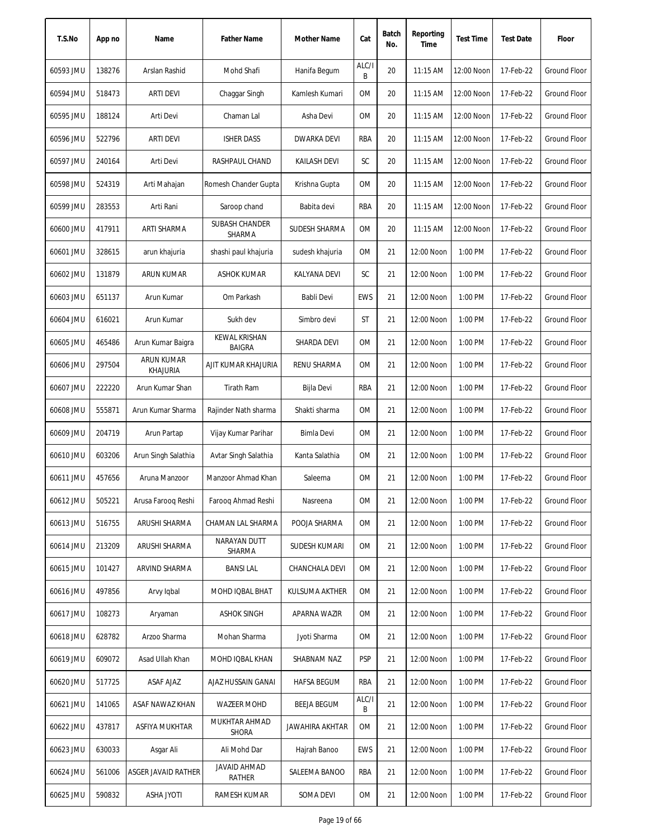| T.S.No    | App no | Name                                 | <b>Father Name</b>             | Mother Name         | Cat        | Batch<br>No. | Reporting<br>Time | <b>Test Time</b> | <b>Test Date</b> | Floor               |
|-----------|--------|--------------------------------------|--------------------------------|---------------------|------------|--------------|-------------------|------------------|------------------|---------------------|
| 60593 JMU | 138276 | Arslan Rashid                        | Mohd Shafi                     | Hanifa Begum        | ALC/I<br>B | 20           | 11:15 AM          | 12:00 Noon       | 17-Feb-22        | <b>Ground Floor</b> |
| 60594 JMU | 518473 | <b>ARTI DEVI</b>                     | Chaggar Singh                  | Kamlesh Kumari      | 0M         | 20           | $11:15$ AM        | 12:00 Noon       | 17-Feb-22        | <b>Ground Floor</b> |
| 60595 JMU | 188124 | Arti Devi                            | Chaman Lal                     | Asha Devi           | ОM         | 20           | $11:15$ AM        | 12:00 Noon       | 17-Feb-22        | Ground Floor        |
| 60596 JMU | 522796 | <b>ARTI DEVI</b>                     | <b>ISHER DASS</b>              | <b>DWARKA DEVI</b>  | RBA        | 20           | 11:15 AM          | 12:00 Noon       | 17-Feb-22        | <b>Ground Floor</b> |
| 60597 JMU | 240164 | Arti Devi                            | RASHPAUL CHAND                 | <b>KAILASH DEVI</b> | SC         | 20           | 11:15 AM          | 12:00 Noon       | 17-Feb-22        | <b>Ground Floor</b> |
| 60598 JMU | 524319 | Arti Mahajan                         | Romesh Chander Gupta           | Krishna Gupta       | OM         | 20           | 11:15 AM          | 12:00 Noon       | 17-Feb-22        | Ground Floor        |
| 60599 JMU | 283553 | Arti Rani                            | Saroop chand                   | Babita devi         | RBA        | 20           | $11:15$ AM        | 12:00 Noon       | 17-Feb-22        | <b>Ground Floor</b> |
| 60600 JMU | 417911 | ARTI SHARMA                          | SUBASH CHANDER<br>SHARMA       | SUDESH SHARMA       | <b>OM</b>  | 20           | 11:15 AM          | 12:00 Noon       | 17-Feb-22        | <b>Ground Floor</b> |
| 60601 JMU | 328615 | arun khajuria                        | shashi paul khajuria           | sudesh khajuria     | <b>OM</b>  | 21           | 12:00 Noon        | 1:00 PM          | 17-Feb-22        | <b>Ground Floor</b> |
| 60602 JMU | 131879 | ARUN KUMAR                           | <b>ASHOK KUMAR</b>             | KALYANA DEVI        | SC         | 21           | 12:00 Noon        | 1:00 PM          | 17-Feb-22        | Ground Floor        |
| 60603 JMU | 651137 | Arun Kumar                           | Om Parkash                     | Babli Devi          | <b>EWS</b> | 21           | 12:00 Noon        | 1:00 PM          | 17-Feb-22        | <b>Ground Floor</b> |
| 60604 JMU | 616021 | Arun Kumar                           | Sukh dev                       | Simbro devi         | ST         | 21           | 12:00 Noon        | 1:00 PM          | 17-Feb-22        | <b>Ground Floor</b> |
| 60605 JMU | 465486 | Arun Kumar Baigra                    | KEWAL KRISHAN<br><b>BAIGRA</b> | SHARDA DEVI         | <b>OM</b>  | 21           | 12:00 Noon        | 1:00 PM          | 17-Feb-22        | Ground Floor        |
| 60606 JMU | 297504 | <b>ARUN KUMAR</b><br><b>KHAJURIA</b> | AJIT KUMAR KHAJURIA            | RENU SHARMA         | <b>OM</b>  | 21           | 12:00 Noon        | 1:00 PM          | 17-Feb-22        | Ground Floor        |
| 60607 JMU | 222220 | Arun Kumar Shan                      | <b>Tirath Ram</b>              | Bijla Devi          | RBA        | 21           | 12:00 Noon        | 1:00 PM          | 17-Feb-22        | Ground Floor        |
| 60608 JMU | 555871 | Arun Kumar Sharma                    | Rajinder Nath sharma           | Shakti sharma       | <b>OM</b>  | 21           | 12:00 Noon        | 1:00 PM          | 17-Feb-22        | Ground Floor        |
| 60609 JMU | 204719 | Arun Partap                          | Vijay Kumar Parihar            | Bimla Devi          | <b>OM</b>  | 21           | 12:00 Noon        | 1:00 PM          | 17-Feb-22        | <b>Ground Floor</b> |
| 60610 JMU | 603206 | Arun Singh Salathia                  | Avtar Singh Salathia           | Kanta Salathia      | <b>OM</b>  | 21           | 12:00 Noon        | 1:00 PM          | 17-Feb-22        | <b>Ground Floor</b> |
| 60611 JMU | 457656 | Aruna Manzoor                        | Manzoor Ahmad Khan             | Saleema             | <b>OM</b>  | 21           | 12:00 Noon        | 1:00 PM          | 17-Feb-22        | <b>Ground Floor</b> |
| 60612 JMU | 505221 | Arusa Faroog Reshi                   | Faroog Ahmad Reshi             | Nasreena            | OM         | 21           | 12:00 Noon        | 1:00 PM          | 17-Feb-22        | Ground Floor        |
| 60613 JMU | 516755 | ARUSHI SHARMA                        | CHAMAN LAL SHARMA              | POOJA SHARMA        | 0M         | 21           | 12:00 Noon        | 1:00 PM          | 17-Feb-22        | Ground Floor        |
| 60614 JMU | 213209 | ARUSHI SHARMA                        | NARAYAN DUTT<br>SHARMA         | SUDESH KUMARI       | ОM         | 21           | 12:00 Noon        | 1:00 PM          | 17-Feb-22        | Ground Floor        |
| 60615 JMU | 101427 | ARVIND SHARMA                        | <b>BANSILAL</b>                | CHANCHALA DEVI      | OM         | 21           | 12:00 Noon        | 1:00 PM          | 17-Feb-22        | <b>Ground Floor</b> |
| 60616 JMU | 497856 | Arvy Igbal                           | MOHD IQBAL BHAT                | KULSUMA AKTHER      | 0M         | 21           | 12:00 Noon        | 1:00 PM          | 17-Feb-22        | <b>Ground Floor</b> |
| 60617 JMU | 108273 | Aryaman                              | <b>ASHOK SINGH</b>             | APARNA WAZIR        | OM         | 21           | 12:00 Noon        | 1:00 PM          | 17-Feb-22        | <b>Ground Floor</b> |
| 60618 JMU | 628782 | Arzoo Sharma                         | Mohan Sharma                   | Jyoti Sharma        | 0M         | 21           | 12:00 Noon        | 1:00 PM          | 17-Feb-22        | Ground Floor        |
| 60619 JMU | 609072 | Asad Ullah Khan                      | MOHD IQBAL KHAN                | SHABNAM NAZ         | <b>PSP</b> | 21           | 12:00 Noon        | 1:00 PM          | 17-Feb-22        | Ground Floor        |
| 60620 JMU | 517725 | ASAF AJAZ                            | AJAZ HUSSAIN GANAI             | <b>HAFSA BEGUM</b>  | RBA        | 21           | 12:00 Noon        | 1:00 PM          | 17-Feb-22        | Ground Floor        |
| 60621 JMU | 141065 | ASAF NAWAZ KHAN                      | <b>WAZEER MOHD</b>             | BEEJA BEGUM         | ALC/I<br>B | 21           | 12:00 Noon        | 1:00 PM          | 17-Feb-22        | <b>Ground Floor</b> |
| 60622 JMU | 437817 | ASFIYA MUKHTAR                       | MUKHTAR AHMAD<br><b>SHORA</b>  | JAWAHIRA AKHTAR     | ОM         | 21           | 12:00 Noon        | 1:00 PM          | 17-Feb-22        | Ground Floor        |
| 60623 JMU | 630033 | Asgar Ali                            | Ali Mohd Dar                   | Hajrah Banoo        | EWS        | 21           | 12:00 Noon        | 1:00 PM          | 17-Feb-22        | Ground Floor        |
| 60624 JMU | 561006 | ASGER JAVAID RATHER                  | JAVAID AHMAD<br>RATHER         | SALEEMA BANOO       | RBA        | 21           | 12:00 Noon        | 1:00 PM          | 17-Feb-22        | Ground Floor        |
| 60625 JMU | 590832 | <b>ASHA JYOTI</b>                    | RAMESH KUMAR                   | SOMA DEVI           | ОM         | 21           | 12:00 Noon        | 1:00 PM          | 17-Feb-22        | <b>Ground Floor</b> |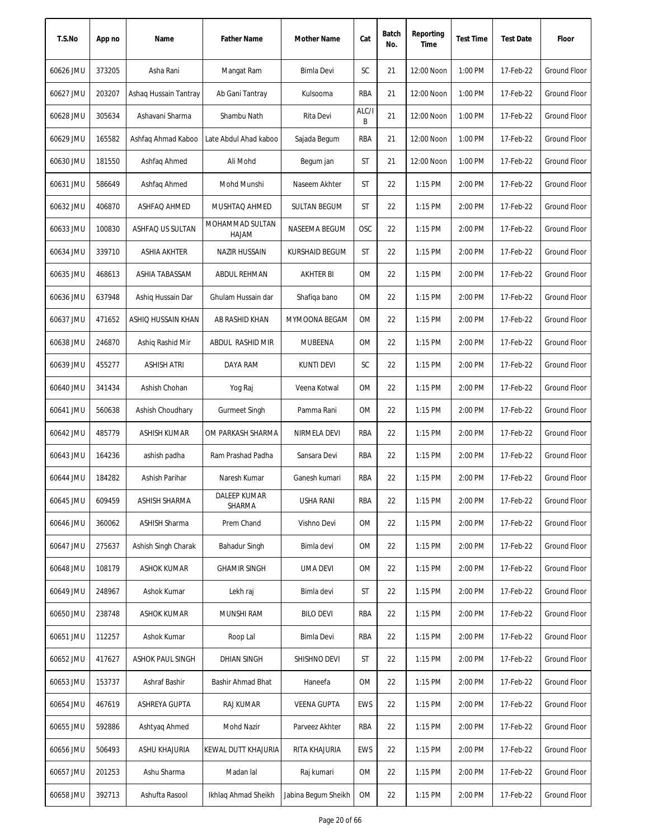| T.S.No    | App no | Name                  | <b>Father Name</b>            | Mother Name           | Cat        | Batch<br>No. | Reporting<br>Time | <b>Test Time</b> | <b>Test Date</b> | Floor               |
|-----------|--------|-----------------------|-------------------------------|-----------------------|------------|--------------|-------------------|------------------|------------------|---------------------|
| 60626 JMU | 373205 | Asha Rani             | Mangat Ram                    | Bimla Devi            | SC         | 21           | 12:00 Noon        | 1:00 PM          | 17-Feb-22        | Ground Floor        |
| 60627 JMU | 203207 | Ashaq Hussain Tantray | Ab Gani Tantray               | Kulsooma              | <b>RBA</b> | 21           | 12:00 Noon        | 1:00 PM          | 17-Feb-22        | Ground Floor        |
| 60628 JMU | 305634 | Ashavani Sharma       | Shambu Nath                   | Rita Devi             | ALC/I<br>B | 21           | 12:00 Noon        | 1:00 PM          | 17-Feb-22        | Ground Floor        |
| 60629 JMU | 165582 | Ashfaq Ahmad Kaboo    | Late Abdul Ahad kaboo         | Sajada Begum          | <b>RBA</b> | 21           | 12:00 Noon        | 1:00 PM          | 17-Feb-22        | <b>Ground Floor</b> |
| 60630 JMU | 181550 | Ashfaq Ahmed          | Ali Mohd                      | Begum jan             | <b>ST</b>  | 21           | 12:00 Noon        | 1:00 PM          | 17-Feb-22        | Ground Floor        |
| 60631 JMU | 586649 | Ashfaq Ahmed          | Mohd Munshi                   | Naseem Akhter         | <b>ST</b>  | 22           | 1:15 PM           | 2:00 PM          | 17-Feb-22        | Ground Floor        |
| 60632 JMU | 406870 | ASHFAQ AHMED          | MUSHTAQ AHMED                 | <b>SULTAN BEGUM</b>   | ST         | 22           | 1:15 PM           | 2:00 PM          | 17-Feb-22        | <b>Ground Floor</b> |
| 60633 JMU | 100830 | ASHFAQ US SULTAN      | MOHAMMAD SULTAN<br>HAJAM      | NASEEMA BEGUM         | OSC        | 22           | 1:15 PM           | 2:00 PM          | 17-Feb-22        | Ground Floor        |
| 60634 JMU | 339710 | ASHIA AKHTER          | <b>NAZIR HUSSAIN</b>          | <b>KURSHAID BEGUM</b> | ST         | 22           | $1:15$ PM         | 2:00 PM          | 17-Feb-22        | <b>Ground Floor</b> |
| 60635 JMU | 468613 | ASHIA TABASSAM        | ABDUL REHMAN                  | <b>AKHTER BI</b>      | <b>OM</b>  | 22           | $1:15$ PM         | 2:00 PM          | 17-Feb-22        | <b>Ground Floor</b> |
| 60636 JMU | 637948 | Ashig Hussain Dar     | Ghulam Hussain dar            | Shafiqa bano          | <b>OM</b>  | 22           | $1:15$ PM         | 2:00 PM          | 17-Feb-22        | Ground Floor        |
| 60637 JMU | 471652 | ASHIQ HUSSAIN KHAN    | AB RASHID KHAN                | MYMOONA BEGAM         | 0M         | 22           | 1:15 PM           | 2:00 PM          | 17-Feb-22        | Ground Floor        |
| 60638 JMU | 246870 | Ashig Rashid Mir      | ABDUL RASHID MIR              | <b>MUBEENA</b>        | <b>OM</b>  | 22           | 1:15 PM           | 2:00 PM          | 17-Feb-22        | Ground Floor        |
| 60639 JMU | 455277 | ASHISH ATRI           | DAYA RAM                      | <b>KUNTI DEVI</b>     | SC         | 22           | 1:15 PM           | 2:00 PM          | 17-Feb-22        | Ground Floor        |
| 60640 JMU | 341434 | Ashish Chohan         | Yog Raj                       | Veena Kotwal          | <b>OM</b>  | 22           | 1:15 PM           | 2:00 PM          | 17-Feb-22        | <b>Ground Floor</b> |
| 60641 JMU | 560638 | Ashish Choudhary      | <b>Gurmeet Singh</b>          | Pamma Rani            | 0M         | 22           | 1:15 PM           | 2:00 PM          | 17-Feb-22        | <b>Ground Floor</b> |
| 60642 JMU | 485779 | <b>ASHISH KUMAR</b>   | OM PARKASH SHARMA             | NIRMELA DEVI          | <b>RBA</b> | 22           | 1:15 PM           | 2:00 PM          | 17-Feb-22        | Ground Floor        |
| 60643 JMU | 164236 | ashish padha          | Ram Prashad Padha             | Sansara Devi          | RBA        | 22           | 1:15 PM           | 2:00 PM          | 17-Feb-22        | Ground Floor        |
| 60644 JMU | 184282 | Ashish Parihar        | Naresh Kumar                  | Ganesh kumari         | RBA        | 22           | $1:15$ PM         | 2:00 PM          | 17-Feb-22        | <b>Ground Floor</b> |
| 60645 JMU | 609459 | ASHISH SHARMA         | <b>DALEEP KUMAR</b><br>SHARMA | <b>USHA RANI</b>      | <b>RBA</b> | 22           | 1:15 PM           | 2:00 PM          | 17-Feb-22        | <b>Ground Floor</b> |
| 60646 JMU | 360062 | <b>ASHISH Sharma</b>  | Prem Chand                    | Vishno Devi           | 0M         | 22           | 1:15 PM           | 2:00 PM          | 17-Feb-22        | <b>Ground Floor</b> |
| 60647 JMU | 275637 | Ashish Singh Charak   | <b>Bahadur Singh</b>          | Bimla devi            | 0M         | 22           | 1:15 PM           | 2:00 PM          | 17-Feb-22        | Ground Floor        |
| 60648 JMU | 108179 | <b>ASHOK KUMAR</b>    | <b>GHAMIR SINGH</b>           | <b>UMA DEVI</b>       | 0M         | 22           | 1:15 PM           | 2:00 PM          | 17-Feb-22        | Ground Floor        |
| 60649 JMU | 248967 | Ashok Kumar           | Lekh raj                      | Bimla devi            | ST         | 22           | 1:15 PM           | 2:00 PM          | 17-Feb-22        | <b>Ground Floor</b> |
| 60650 JMU | 238748 | <b>ASHOK KUMAR</b>    | MUNSHI RAM                    | <b>BILO DEVI</b>      | RBA        | 22           | 1:15 PM           | 2:00 PM          | 17-Feb-22        | Ground Floor        |
| 60651 JMU | 112257 | Ashok Kumar           | Roop Lal                      | Bimla Devi            | RBA        | 22           | 1:15 PM           | 2:00 PM          | 17-Feb-22        | Ground Floor        |
| 60652 JMU | 417627 | ASHOK PAUL SINGH      | <b>DHIAN SINGH</b>            | SHISHNO DEVI          | ST         | 22           | $1:15$ PM         | 2:00 PM          | 17-Feb-22        | Ground Floor        |
| 60653 JMU | 153737 | Ashraf Bashir         | Bashir Ahmad Bhat             | Haneefa               | 0M         | 22           | $1:15$ PM         | 2:00 PM          | 17-Feb-22        | Ground Floor        |
| 60654 JMU | 467619 | <b>ASHREYA GUPTA</b>  | <b>RAJ KUMAR</b>              | <b>VEENA GUPTA</b>    | EWS        | 22           | 1:15 PM           | 2:00 PM          | 17-Feb-22        | Ground Floor        |
| 60655 JMU | 592886 | Ashtyaq Ahmed         | Mohd Nazir                    | Parveez Akhter        | RBA        | 22           | 1:15 PM           | 2:00 PM          | 17-Feb-22        | Ground Floor        |
| 60656 JMU | 506493 | ASHU KHAJURIA         | KEWAL DUTT KHAJURIA           | RITA KHAJURIA         | EWS        | 22           | 1:15 PM           | 2:00 PM          | 17-Feb-22        | <b>Ground Floor</b> |
| 60657 JMU | 201253 | Ashu Sharma           | Madan lal                     | Raj kumari            | 0M         | 22           | 1:15 PM           | 2:00 PM          | 17-Feb-22        | <b>Ground Floor</b> |
| 60658 JMU | 392713 | Ashufta Rasool        | Ikhlaq Ahmad Sheikh           | Jabina Begum Sheikh   | OM         | 22           | 1:15 PM           | 2:00 PM          | 17-Feb-22        | Ground Floor        |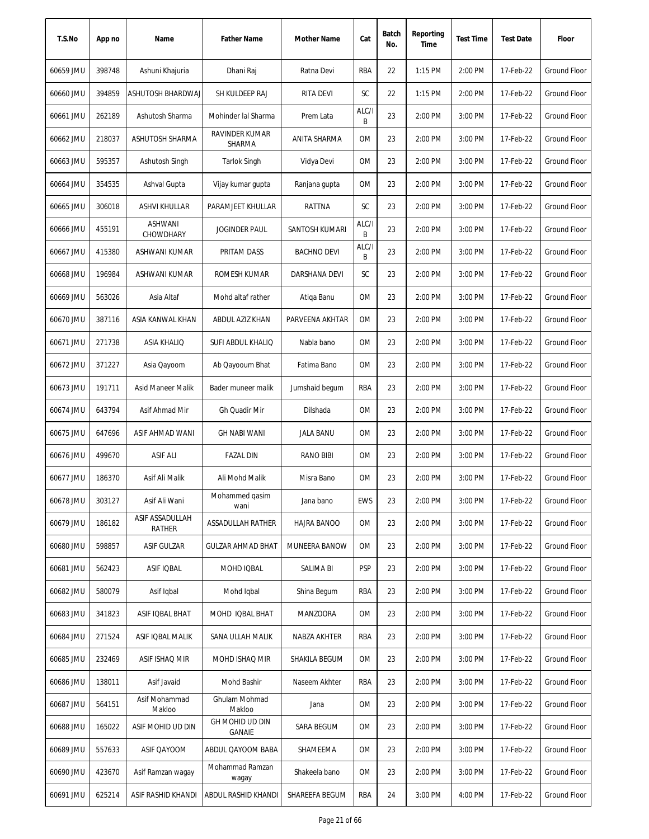| T.S.No    | App no | Name                      | <b>Father Name</b>        | <b>Mother Name</b> | Cat        | Batch<br>No. | Reporting<br>Time | <b>Test Time</b> | <b>Test Date</b> | Floor               |
|-----------|--------|---------------------------|---------------------------|--------------------|------------|--------------|-------------------|------------------|------------------|---------------------|
| 60659 JMU | 398748 | Ashuni Khajuria           | Dhani Raj                 | Ratna Devi         | RBA        | 22           | 1:15 PM           | 2:00 PM          | 17-Feb-22        | Ground Floor        |
| 60660 JMU | 394859 | ASHUTOSH BHARDWAJ         | SH KULDEEP RAJ            | <b>RITA DEVI</b>   | SC         | 22           | 1:15 PM           | 2:00 PM          | 17-Feb-22        | Ground Floor        |
| 60661 JMU | 262189 | Ashutosh Sharma           | Mohinder lal Sharma       | Prem Lata          | ALC/I<br>B | 23           | 2:00 PM           | 3:00 PM          | 17-Feb-22        | Ground Floor        |
| 60662 JMU | 218037 | ASHUTOSH SHARMA           | RAVINDER KUMAR<br>SHARMA  | ANITA SHARMA       | 0M         | 23           | 2:00 PM           | 3:00 PM          | 17-Feb-22        | <b>Ground Floor</b> |
| 60663 JMU | 595357 | Ashutosh Singh            | Tarlok Singh              | Vidya Devi         | 0M         | 23           | 2:00 PM           | 3:00 PM          | 17-Feb-22        | <b>Ground Floor</b> |
| 60664 JMU | 354535 | Ashval Gupta              | Vijay kumar gupta         | Ranjana gupta      | 0M         | 23           | 2:00 PM           | 3:00 PM          | 17-Feb-22        | <b>Ground Floor</b> |
| 60665 JMU | 306018 | ASHVI KHULLAR             | PARAMJEET KHULLAR         | RATTNA             | SC         | 23           | 2:00 PM           | 3:00 PM          | 17-Feb-22        | Ground Floor        |
| 60666 JMU | 455191 | ASHWANI<br>CHOWDHARY      | <b>JOGINDER PAUL</b>      | SANTOSH KUMARI     | ALC/I<br>B | 23           | 2:00 PM           | 3:00 PM          | 17-Feb-22        | Ground Floor        |
| 60667 JMU | 415380 | ASHWANI KUMAR             | PRITAM DASS               | <b>BACHNO DEVI</b> | ALC/I<br>B | 23           | 2:00 PM           | 3:00 PM          | 17-Feb-22        | <b>Ground Floor</b> |
| 60668 JMU | 196984 | ASHWANI KUMAR             | ROMESH KUMAR              | DARSHANA DEVI      | SC         | 23           | 2:00 PM           | 3:00 PM          | 17-Feb-22        | <b>Ground Floor</b> |
| 60669 JMU | 563026 | Asia Altaf                | Mohd altaf rather         | Atiga Banu         | 0M         | 23           | 2:00 PM           | 3:00 PM          | 17-Feb-22        | Ground Floor        |
| 60670 JMU | 387116 | ASIA KANWAL KHAN          | ABDUL AZIZ KHAN           | PARVEENA AKHTAR    | <b>OM</b>  | 23           | 2:00 PM           | 3:00 PM          | 17-Feb-22        | Ground Floor        |
| 60671 JMU | 271738 | <b>ASIA KHALIQ</b>        | SUFI ABDUL KHALIQ         | Nabla bano         | <b>OM</b>  | 23           | 2:00 PM           | 3:00 PM          | 17-Feb-22        | <b>Ground Floor</b> |
| 60672 JMU | 371227 | Asia Qayoom               | Ab Qayooum Bhat           | Fatima Bano        | 0M         | 23           | 2:00 PM           | 3:00 PM          | 17-Feb-22        | Ground Floor        |
| 60673 JMU | 191711 | Asid Maneer Malik         | Bader muneer malik        | Jumshaid begum     | <b>RBA</b> | 23           | 2:00 PM           | 3:00 PM          | 17-Feb-22        | Ground Floor        |
| 60674 JMU | 643794 | Asif Ahmad Mir            | Gh Quadir Mir             | Dilshada           | 0M         | 23           | 2:00 PM           | 3:00 PM          | 17-Feb-22        | Ground Floor        |
| 60675 JMU | 647696 | ASIF AHMAD WANI           | <b>GH NABI WANI</b>       | <b>JALA BANU</b>   | 0M         | 23           | 2:00 PM           | 3:00 PM          | 17-Feb-22        | Ground Floor        |
| 60676 JMU | 499670 | <b>ASIF ALI</b>           | <b>FAZAL DIN</b>          | <b>RANO BIBI</b>   | 0M         | 23           | 2:00 PM           | 3:00 PM          | 17-Feb-22        | Ground Floor        |
| 60677 JMU | 186370 | Asif Ali Malik            | Ali Mohd Malik            | Misra Bano         | 0M         | 23           | 2:00 PM           | 3:00 PM          | 17-Feb-22        | <b>Ground Floor</b> |
| 60678 JMU | 303127 | Asif Ali Wani             | Mohammed qasim<br>wani    | Jana bano          | <b>EWS</b> | 23           | 2:00 PM           | 3:00 PM          | 17-Feb-22        | Ground Floor        |
| 60679 JMU | 186182 | ASIF ASSADULLAH<br>RATHER | ASSADULLAH RATHER         | HAJRA BANOO        | 0M         | 23           | 2:00 PM           | 3:00 PM          | 17-Feb-22        | <b>Ground Floor</b> |
| 60680 JMU | 598857 | <b>ASIF GULZAR</b>        | <b>GULZAR AHMAD BHAT</b>  | MUNEERA BANOW      | 0M         | 23           | 2:00 PM           | 3:00 PM          | 17-Feb-22        | Ground Floor        |
| 60681 JMU | 562423 | ASIF IQBAL                | MOHD IQBAL                | SALIMA BI          | <b>PSP</b> | 23           | 2:00 PM           | 3:00 PM          | 17-Feb-22        | <b>Ground Floor</b> |
| 60682 JMU | 580079 | Asif Iqbal                | Mohd Igbal                | Shina Begum        | RBA        | 23           | 2:00 PM           | 3:00 PM          | 17-Feb-22        | Ground Floor        |
| 60683 JMU | 341823 | ASIF IQBAL BHAT           | MOHD IQBAL BHAT           | <b>MANZOORA</b>    | 0M         | 23           | 2:00 PM           | 3:00 PM          | 17-Feb-22        | <b>Ground Floor</b> |
| 60684 JMU | 271524 | ASIF IQBAL MALIK          | SANA ULLAH MALIK          | NABZA AKHTER       | RBA        | 23           | 2:00 PM           | 3:00 PM          | 17-Feb-22        | Ground Floor        |
| 60685 JMU | 232469 | ASIF ISHAQ MIR            | MOHD ISHAQ MIR            | SHAKILA BEGUM      | 0M         | 23           | 2:00 PM           | 3:00 PM          | 17-Feb-22        | Ground Floor        |
| 60686 JMU | 138011 | Asif Javaid               | Mohd Bashir               | Naseem Akhter      | RBA        | 23           | 2:00 PM           | 3:00 PM          | 17-Feb-22        | Ground Floor        |
| 60687 JMU | 564151 | Asif Mohammad<br>Makloo   | Ghulam Mohmad<br>Makloo   | Jana               | OM         | 23           | 2:00 PM           | 3:00 PM          | 17-Feb-22        | Ground Floor        |
| 60688 JMU | 165022 | ASIF MOHID UD DIN         | GH MOHID UD DIN<br>GANAIE | SARA BEGUM         | OM         | 23           | 2:00 PM           | 3:00 PM          | 17-Feb-22        | Ground Floor        |
| 60689 JMU | 557633 | ASIF QAYOOM               | ABDUL QAYOOM BABA         | SHAMEEMA           | OM         | 23           | 2:00 PM           | 3:00 PM          | 17-Feb-22        | <b>Ground Floor</b> |
| 60690 JMU | 423670 | Asif Ramzan wagay         | Mohammad Ramzan<br>wagay  | Shakeela bano      | OM         | 23           | 2:00 PM           | 3:00 PM          | 17-Feb-22        | Ground Floor        |
| 60691 JMU | 625214 | ASIF RASHID KHANDI        | ABDUL RASHID KHANDI       | SHAREEFA BEGUM     | RBA        | 24           | 3:00 PM           | 4:00 PM          | 17-Feb-22        | Ground Floor        |
|           |        |                           |                           |                    |            |              |                   |                  |                  |                     |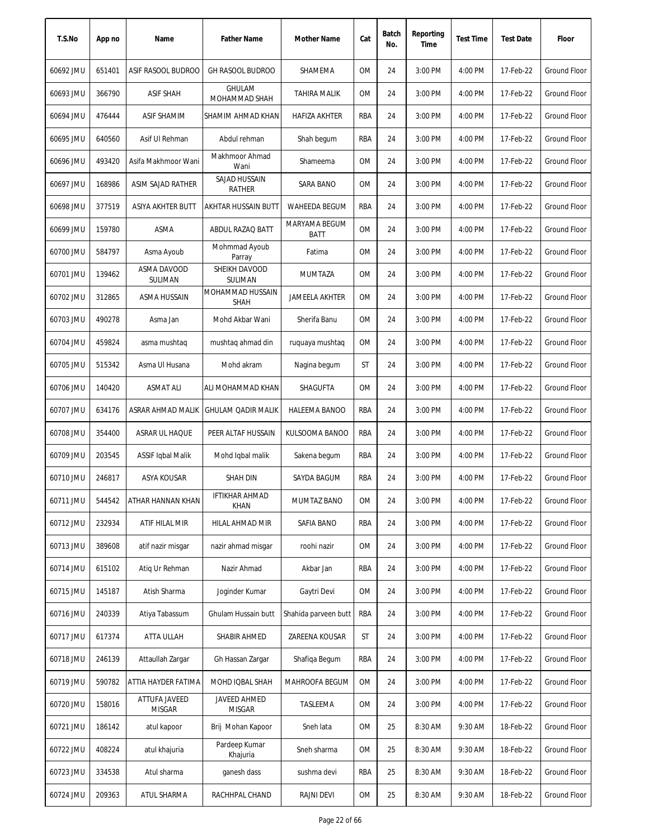| T.S.No    | App no | Name                           | <b>Father Name</b>              | Mother Name           | Cat       | Batch<br>No. | Reporting<br>Time | <b>Test Time</b> | <b>Test Date</b> | Floor               |
|-----------|--------|--------------------------------|---------------------------------|-----------------------|-----------|--------------|-------------------|------------------|------------------|---------------------|
| 60692 JMU | 651401 | ASIF RASOOL BUDROO             | <b>GH RASOOL BUDROO</b>         | SHAMEMA               | OM        | 24           | 3:00 PM           | 4:00 PM          | 17-Feb-22        | <b>Ground Floor</b> |
| 60693 JMU | 366790 | <b>ASIF SHAH</b>               | <b>GHULAM</b><br>MOHAMMAD SHAH  | <b>TAHIRA MALIK</b>   | ОM        | 24           | 3:00 PM           | 4:00 PM          | 17-Feb-22        | <b>Ground Floor</b> |
| 60694 JMU | 476444 | <b>ASIF SHAMIM</b>             | SHAMIM AHMAD KHAN               | HAFIZA AKHTER         | RBA       | 24           | 3:00 PM           | 4:00 PM          | 17-Feb-22        | <b>Ground Floor</b> |
| 60695 JMU | 640560 | Asif UI Rehman                 | Abdul rehman                    | Shah begum            | RBA       | 24           | 3:00 PM           | 4:00 PM          | 17-Feb-22        | <b>Ground Floor</b> |
| 60696 JMU | 493420 | Asifa Makhmoor Wani            | Makhmoor Ahmad<br>Wani          | Shameema              | 0M        | 24           | 3:00 PM           | 4:00 PM          | 17-Feb-22        | Ground Floor        |
| 60697 JMU | 168986 | ASIM SAJAD RATHER              | SAJAD HUSSAIN<br><b>RATHER</b>  | SARA BANO             | 0M        | 24           | 3:00 PM           | 4:00 PM          | 17-Feb-22        | <b>Ground Floor</b> |
| 60698 JMU | 377519 | ASIYA AKHTER BUTT              | AKHTAR HUSSAIN BUTT             | WAHEEDA BEGUM         | RBA       | 24           | 3:00 PM           | 4:00 PM          | 17-Feb-22        | <b>Ground Floor</b> |
| 60699 JMU | 159780 | ASMA                           | ABDUL RAZAQ BATT                | MARYAMA BEGUM<br>BATT | <b>OM</b> | 24           | 3:00 PM           | 4:00 PM          | 17-Feb-22        | <b>Ground Floor</b> |
| 60700 JMU | 584797 | Asma Ayoub                     | Mohmmad Ayoub<br>Parray         | Fatima                | 0M        | 24           | 3:00 PM           | 4:00 PM          | 17-Feb-22        | <b>Ground Floor</b> |
| 60701 JMU | 139462 | ASMA DAVOOD<br>SULIMAN         | SHEIKH DAVOOD<br><b>SULIMAN</b> | <b>MUMTAZA</b>        | 0M        | 24           | 3:00 PM           | 4:00 PM          | 17-Feb-22        | Ground Floor        |
| 60702 JMU | 312865 | ASMA HUSSAIN                   | MOHAMMAD HUSSAIN<br><b>SHAH</b> | <b>JAMEELA AKHTER</b> | <b>OM</b> | 24           | 3:00 PM           | 4:00 PM          | 17-Feb-22        | Ground Floor        |
| 60703 JMU | 490278 | Asma Jan                       | Mohd Akbar Wani                 | Sherifa Banu          | ОM        | 24           | 3:00 PM           | 4:00 PM          | 17-Feb-22        | Ground Floor        |
| 60704 JMU | 459824 | asma mushtaq                   | mushtaq ahmad din               | ruguaya mushtaq       | <b>OM</b> | 24           | 3:00 PM           | 4:00 PM          | 17-Feb-22        | Ground Floor        |
| 60705 JMU | 515342 | Asma UI Husana                 | Mohd akram                      | Nagina begum          | ST        | 24           | 3:00 PM           | 4:00 PM          | 17-Feb-22        | <b>Ground Floor</b> |
| 60706 JMU | 140420 | <b>ASMAT ALI</b>               | ALI MOHAMMAD KHAN               | SHAGUFTA              | <b>OM</b> | 24           | 3:00 PM           | 4:00 PM          | 17-Feb-22        | <b>Ground Floor</b> |
| 60707 JMU | 634176 | ASRAR AHMAD MALIK              | <b>GHULAM QADIR MALIK</b>       | HALEEMA BANOO         | RBA       | 24           | 3:00 PM           | 4:00 PM          | 17-Feb-22        | <b>Ground Floor</b> |
| 60708 JMU | 354400 | ASRAR UL HAQUE                 | PEER ALTAF HUSSAIN              | KULSOOMA BANOO        | RBA       | 24           | 3:00 PM           | 4:00 PM          | 17-Feb-22        | Ground Floor        |
| 60709 JMU | 203545 | <b>ASSIF Iqbal Malik</b>       | Mohd Iqbal malik                | Sakena begum          | RBA       | 24           | 3:00 PM           | 4:00 PM          | 17-Feb-22        | <b>Ground Floor</b> |
| 60710 JMU | 246817 | ASYA KOUSAR                    | <b>SHAH DIN</b>                 | SAYDA BAGUM           | RBA       | 24           | 3:00 PM           | 4:00 PM          | 17-Feb-22        | <b>Ground Floor</b> |
| 60711 JMU | 544542 | ATHAR HANNAN KHAN              | <b>IFTIKHAR AHMAD</b><br>KHAN   | MUMTAZ BANO           | 0M        | 24           | 3:00 PM           | 4:00 PM          | 17-Feb-22        | <b>Ground Floor</b> |
| 60712 JMU | 232934 | ATIF HILAL MIR                 | HILAL AHMAD MIR                 | SAFIA BANO            | RBA       | 24           | 3:00 PM           | 4:00 PM          | 17-Feb-22        | <b>Ground Floor</b> |
| 60713 JMU | 389608 | atif nazir misgar              | nazir ahmad misgar              | roohi nazir           | ОM        | 24           | 3:00 PM           | 4:00 PM          | 17-Feb-22        | Ground Floor        |
| 60714 JMU | 615102 | Atiq Ur Rehman                 | Nazir Ahmad                     | Akbar Jan             | RBA       | 24           | 3:00 PM           | 4:00 PM          | 17-Feb-22        | <b>Ground Floor</b> |
| 60715 JMU | 145187 | Atish Sharma                   | Joginder Kumar                  | Gaytri Devi           | ОM        | 24           | 3:00 PM           | 4:00 PM          | 17-Feb-22        | <b>Ground Floor</b> |
| 60716 JMU | 240339 | Atiya Tabassum                 | Ghulam Hussain butt             | Shahida parveen butt  | RBA       | 24           | 3:00 PM           | 4:00 PM          | 17-Feb-22        | Ground Floor        |
| 60717 JMU | 617374 | ATTA ULLAH                     | SHABIR AHMED                    | ZAREENA KOUSAR        | ST        | 24           | 3:00 PM           | 4:00 PM          | 17-Feb-22        | Ground Floor        |
| 60718 JMU | 246139 | Attaullah Zargar               | Gh Hassan Zargar                | Shafiqa Begum         | RBA       | 24           | 3:00 PM           | 4:00 PM          | 17-Feb-22        | <b>Ground Floor</b> |
| 60719 JMU | 590782 | ATTIA HAYDER FATIMA            | MOHD IQBAL SHAH                 | MAHROOFA BEGUM        | 0M        | 24           | 3:00 PM           | 4:00 PM          | 17-Feb-22        | Ground Floor        |
| 60720 JMU | 158016 | ATTUFA JAVEED<br><b>MISGAR</b> | JAVEED AHMED<br><b>MISGAR</b>   | TASLEEMA              | OM        | 24           | 3:00 PM           | 4:00 PM          | 17-Feb-22        | Ground Floor        |
| 60721 JMU | 186142 | atul kapoor                    | Brij Mohan Kapoor               | Sneh lata             | ΟM        | 25           | 8:30 AM           | 9:30 AM          | 18-Feb-22        | Ground Floor        |
| 60722 JMU | 408224 | atul khajuria                  | Pardeep Kumar<br>Khajuria       | Sneh sharma           | OM        | 25           | 8:30 AM           | 9:30 AM          | 18-Feb-22        | Ground Floor        |
| 60723 JMU | 334538 | Atul sharma                    | ganesh dass                     | sushma devi           | RBA       | 25           | 8:30 AM           | 9:30 AM          | 18-Feb-22        | <b>Ground Floor</b> |
| 60724 JMU | 209363 | ATUL SHARMA                    | RACHHPAL CHAND                  | <b>RAJNI DEVI</b>     | ΟM        | 25           | 8:30 AM           | 9:30 AM          | 18-Feb-22        | Ground Floor        |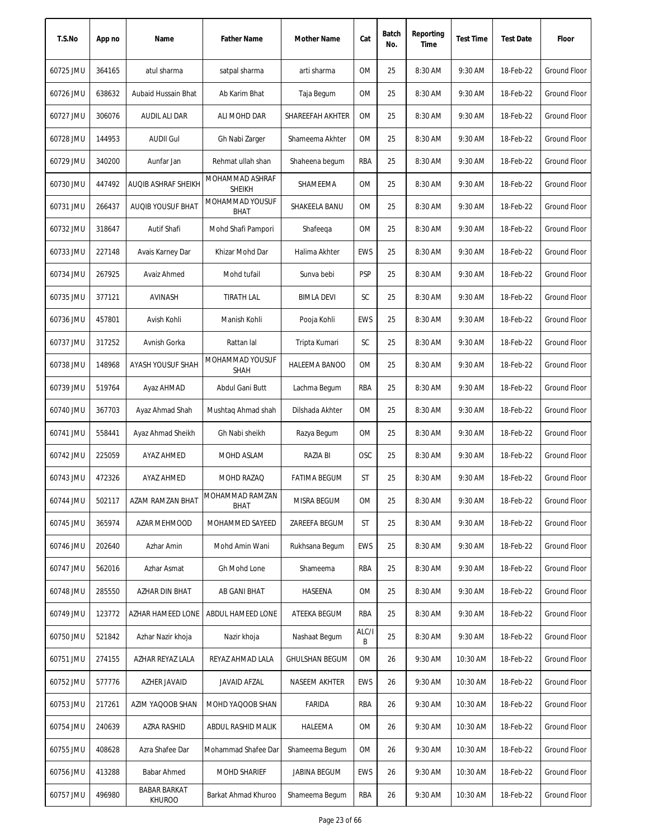| T.S.No    | App no | Name                                 | <b>Father Name</b>               | Mother Name           | Cat        | Batch<br>No. | Reporting<br>Time | <b>Test Time</b> | <b>Test Date</b> | Floor               |
|-----------|--------|--------------------------------------|----------------------------------|-----------------------|------------|--------------|-------------------|------------------|------------------|---------------------|
| 60725 JMU | 364165 | atul sharma                          | satpal sharma                    | arti sharma           | 0M         | 25           | 8:30 AM           | 9:30 AM          | 18-Feb-22        | Ground Floor        |
| 60726 JMU | 638632 | Aubaid Hussain Bhat                  | Ab Karim Bhat                    | Taja Begum            | 0M         | 25           | 8:30 AM           | 9:30 AM          | 18-Feb-22        | <b>Ground Floor</b> |
| 60727 JMU | 306076 | AUDIL ALI DAR                        | ALI MOHD DAR                     | SHAREEFAH AKHTER      | 0M         | 25           | 8:30 AM           | 9:30 AM          | 18-Feb-22        | <b>Ground Floor</b> |
| 60728 JMU | 144953 | <b>AUDII Gul</b>                     | Gh Nabi Zarger                   | Shameema Akhter       | 0M         | 25           | 8:30 AM           | 9:30 AM          | 18-Feb-22        | Ground Floor        |
| 60729 JMU | 340200 | Aunfar Jan                           | Rehmat ullah shan                | Shaheena begum        | RBA        | 25           | 8:30 AM           | 9:30 AM          | 18-Feb-22        | Ground Floor        |
| 60730 JMU | 447492 | <b>AUQIB ASHRAF SHEIKH</b>           | MOHAMMAD ASHRAF<br><b>SHEIKH</b> | SHAMEEMA              | 0M         | 25           | 8:30 AM           | 9:30 AM          | 18-Feb-22        | Ground Floor        |
| 60731 JMU | 266437 | AUQIB YOUSUF BHAT                    | MOHAMMAD YOUSUF<br><b>BHAT</b>   | SHAKEELA BANU         | 0M         | 25           | 8:30 AM           | 9:30 AM          | 18-Feb-22        | <b>Ground Floor</b> |
| 60732 JMU | 318647 | Autif Shafi                          | Mohd Shafi Pampori               | Shafeega              | 0M         | 25           | 8:30 AM           | 9:30 AM          | 18-Feb-22        | <b>Ground Floor</b> |
| 60733 JMU | 227148 | Avais Karney Dar                     | Khizar Mohd Dar                  | Halima Akhter         | <b>EWS</b> | 25           | 8:30 AM           | 9:30 AM          | 18-Feb-22        | <b>Ground Floor</b> |
| 60734 JMU | 267925 | Avaiz Ahmed                          | Mohd tufail                      | Sunva bebi            | <b>PSP</b> | 25           | 8:30 AM           | 9:30 AM          | 18-Feb-22        | Ground Floor        |
| 60735 JMU | 377121 | AVINASH                              | <b>TIRATH LAL</b>                | <b>BIMLA DEVI</b>     | SC         | 25           | 8:30 AM           | 9:30 AM          | 18-Feb-22        | <b>Ground Floor</b> |
| 60736 JMU | 457801 | Avish Kohli                          | Manish Kohli                     | Pooja Kohli           | <b>EWS</b> | 25           | 8:30 AM           | 9:30 AM          | 18-Feb-22        | <b>Ground Floor</b> |
| 60737 JMU | 317252 | Avnish Gorka                         | Rattan lal                       | Tripta Kumari         | SC         | 25           | 8:30 AM           | 9:30 AM          | 18-Feb-22        | <b>Ground Floor</b> |
| 60738 JMU | 148968 | AYASH YOUSUF SHAH                    | MOHAMMAD YOUSUF<br><b>SHAH</b>   | HALEEMA BANOO         | 0M         | 25           | 8:30 AM           | 9:30 AM          | 18-Feb-22        | Ground Floor        |
| 60739 JMU | 519764 | Ayaz AHMAD                           | Abdul Gani Butt                  | Lachma Begum          | RBA        | 25           | 8:30 AM           | 9:30 AM          | 18-Feb-22        | <b>Ground Floor</b> |
| 60740 JMU | 367703 | Ayaz Ahmad Shah                      | Mushtaq Ahmad shah               | Dilshada Akhter       | 0M         | 25           | 8:30 AM           | 9:30 AM          | 18-Feb-22        | <b>Ground Floor</b> |
| 60741 JMU | 558441 | Ayaz Ahmad Sheikh                    | Gh Nabi sheikh                   | Razya Begum           | 0M         | 25           | 8:30 AM           | 9:30 AM          | 18-Feb-22        | <b>Ground Floor</b> |
| 60742 JMU | 225059 | AYAZ AHMED                           | MOHD ASLAM                       | RAZIA BI              | <b>OSC</b> | 25           | 8:30 AM           | 9:30 AM          | 18-Feb-22        | <b>Ground Floor</b> |
| 60743 JMU | 472326 | <b>AYAZ AHMED</b>                    | MOHD RAZAQ                       | <b>FATIMA BEGUM</b>   | ST         | 25           | 8:30 AM           | 9:30 AM          | 18-Feb-22        | Ground Floor        |
| 60744 JMU | 502117 | AZAM RAMZAN BHAT                     | MOHAMMAD RAMZAN<br>BHAT          | MISRA BEGUM           | 0M         | 25           | 8:30 AM           | 9:30 AM          | 18-Feb-22        | Ground Floor        |
| 60745 JMU | 365974 | AZAR MEHMOOD                         | MOHAMMED SAYEED                  | ZAREEFA BEGUM         | ST         | 25           | 8:30 AM           | 9:30 AM          | 18-Feb-22        | <b>Ground Floor</b> |
| 60746 JMU | 202640 | Azhar Amin                           | Mohd Amin Wani                   | Rukhsana Begum        | <b>EWS</b> | 25           | 8:30 AM           | 9:30 AM          | 18-Feb-22        | Ground Floor        |
| 60747 JMU | 562016 | Azhar Asmat                          | Gh Mohd Lone                     | Shameema              | RBA        | 25           | 8:30 AM           | 9:30 AM          | 18-Feb-22        | <b>Ground Floor</b> |
| 60748 JMU | 285550 | AZHAR DIN BHAT                       | AB GANI BHAT                     | HASEENA               | 0M         | 25           | 8:30 AM           | 9:30 AM          | 18-Feb-22        | <b>Ground Floor</b> |
| 60749 JMU | 123772 | AZHAR HAMEED LONE                    | ABDUL HAMEED LONE                | ATEEKA BEGUM          | RBA        | 25           | 8:30 AM           | 9:30 AM          | 18-Feb-22        | <b>Ground Floor</b> |
| 60750 JMU | 521842 | Azhar Nazir khoja                    | Nazir khoja                      | Nashaat Begum         | ALC/I<br>B | 25           | 8:30 AM           | 9:30 AM          | 18-Feb-22        | Ground Floor        |
| 60751 JMU | 274155 | AZHAR REYAZ LALA                     | REYAZ AHMAD LALA                 | <b>GHULSHAN BEGUM</b> | 0M         | 26           | 9:30 AM           | 10:30 AM         | 18-Feb-22        | <b>Ground Floor</b> |
| 60752 JMU | 577776 | AZHER JAVAID                         | JAVAID AFZAL                     | NASEEM AKHTER         | EWS        | 26           | 9:30 AM           | 10:30 AM         | 18-Feb-22        | Ground Floor        |
| 60753 JMU | 217261 | AZIM YAQOOB SHAN                     | MOHD YAQOOB SHAN                 | FARIDA                | RBA        | 26           | 9:30 AM           | 10:30 AM         | 18-Feb-22        | Ground Floor        |
| 60754 JMU | 240639 | AZRA RASHID                          | ABDUL RASHID MALIK               | HALEEMA               | 0M         | 26           | 9:30 AM           | 10:30 AM         | 18-Feb-22        | Ground Floor        |
| 60755 JMU | 408628 | Azra Shafee Dar                      | Mohammad Shafee Dar              | Shameema Begum        | 0M         | 26           | 9:30 AM           | 10:30 AM         | 18-Feb-22        | Ground Floor        |
| 60756 JMU | 413288 | Babar Ahmed                          | <b>MOHD SHARIEF</b>              | JABINA BEGUM          | <b>EWS</b> | 26           | 9:30 AM           | 10:30 AM         | 18-Feb-22        | Ground Floor        |
| 60757 JMU | 496980 | <b>BABAR BARKAT</b><br><b>KHUROO</b> | Barkat Ahmad Khuroo              | Shameema Begum        | RBA        | 26           | 9:30 AM           | 10:30 AM         | 18-Feb-22        | <b>Ground Floor</b> |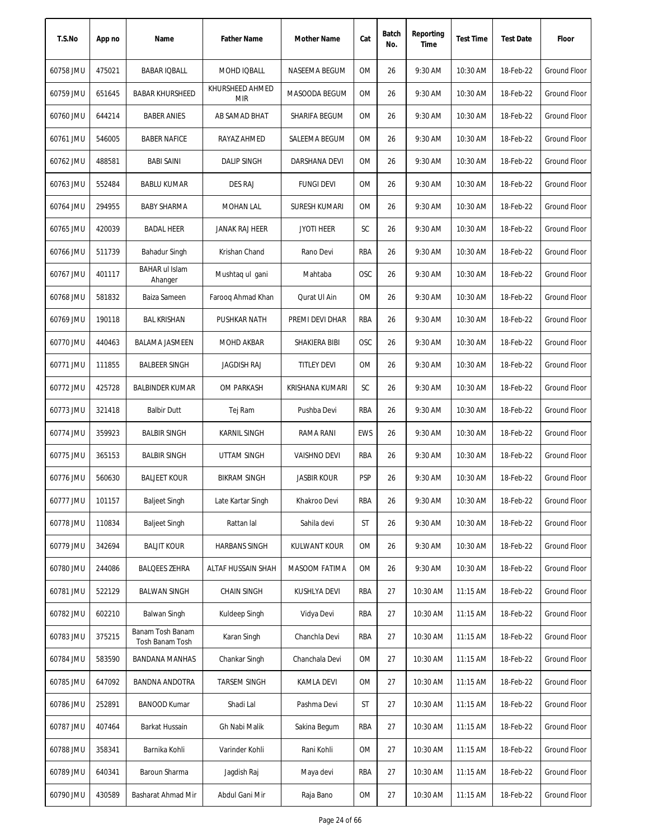| T.S.No    | App no | Name                                | <b>Father Name</b>            | Mother Name          | Cat        | Batch<br>No. | Reporting<br>Time | <b>Test Time</b> | <b>Test Date</b> | Floor               |
|-----------|--------|-------------------------------------|-------------------------------|----------------------|------------|--------------|-------------------|------------------|------------------|---------------------|
| 60758 JMU | 475021 | <b>BABAR IQBALL</b>                 | MOHD IQBALL                   | NASEEMA BEGUM        | <b>OM</b>  | 26           | 9:30 AM           | 10:30 AM         | 18-Feb-22        | <b>Ground Floor</b> |
| 60759 JMU | 651645 | <b>BABAR KHURSHEED</b>              | KHURSHEED AHMED<br><b>MIR</b> | MASOODA BEGUM        | 0M         | 26           | 9:30 AM           | 10:30 AM         | 18-Feb-22        | Ground Floor        |
| 60760 JMU | 644214 | <b>BABER ANIES</b>                  | AB SAMAD BHAT                 | SHARIFA BEGUM        | 0M         | 26           | 9:30 AM           | 10:30 AM         | 18-Feb-22        | Ground Floor        |
| 60761 JMU | 546005 | <b>BABER NAFICE</b>                 | RAYAZ AHMED                   | SALEEMA BEGUM        | 0M         | 26           | 9:30 AM           | 10:30 AM         | 18-Feb-22        | <b>Ground Floor</b> |
| 60762 JMU | 488581 | <b>BABI SAINI</b>                   | <b>DALIP SINGH</b>            | DARSHANA DEVI        | 0M         | 26           | 9:30 AM           | 10:30 AM         | 18-Feb-22        | Ground Floor        |
| 60763 JMU | 552484 | <b>BABLU KUMAR</b>                  | <b>DES RAJ</b>                | <b>FUNGI DEVI</b>    | 0M         | 26           | 9:30 AM           | 10:30 AM         | 18-Feb-22        | <b>Ground Floor</b> |
| 60764 JMU | 294955 | <b>BABY SHARMA</b>                  | MOHAN LAL                     | <b>SURESH KUMARI</b> | 0M         | 26           | 9:30 AM           | 10:30 AM         | 18-Feb-22        | <b>Ground Floor</b> |
| 60765 JMU | 420039 | <b>BADAL HEER</b>                   | JANAK RAJ HEER                | <b>JYOTI HEER</b>    | SC         | 26           | 9:30 AM           | 10:30 AM         | 18-Feb-22        | Ground Floor        |
| 60766 JMU | 511739 | Bahadur Singh                       | Krishan Chand                 | Rano Devi            | RBA        | 26           | 9:30 AM           | 10:30 AM         | 18-Feb-22        | Ground Floor        |
| 60767 JMU | 401117 | <b>BAHAR ul Islam</b><br>Ahanger    | Mushtaq ul gani               | Mahtaba              | <b>OSC</b> | 26           | 9:30 AM           | 10:30 AM         | 18-Feb-22        | Ground Floor        |
| 60768 JMU | 581832 | Baiza Sameen                        | Faroog Ahmad Khan             | Qurat UI Ain         | 0M         | 26           | 9:30 AM           | 10:30 AM         | 18-Feb-22        | <b>Ground Floor</b> |
| 60769 JMU | 190118 | <b>BAL KRISHAN</b>                  | <b>PUSHKAR NATH</b>           | PREMI DEVI DHAR      | RBA        | 26           | 9:30 AM           | 10:30 AM         | 18-Feb-22        | <b>Ground Floor</b> |
| 60770 JMU | 440463 | <b>BALAMA JASMEEN</b>               | MOHD AKBAR                    | SHAKIERA BIBI        | OSC        | 26           | 9:30 AM           | 10:30 AM         | 18-Feb-22        | Ground Floor        |
| 60771 JMU | 111855 | <b>BALBEER SINGH</b>                | <b>JAGDISH RAJ</b>            | <b>TITLEY DEVI</b>   | <b>OM</b>  | 26           | 9:30 AM           | 10:30 AM         | 18-Feb-22        | <b>Ground Floor</b> |
| 60772 JMU | 425728 | <b>BALBINDER KUMAR</b>              | OM PARKASH                    | KRISHANA KUMARI      | SC         | 26           | 9:30 AM           | 10:30 AM         | 18-Feb-22        | Ground Floor        |
| 60773 JMU | 321418 | <b>Balbir Dutt</b>                  | Tej Ram                       | Pushba Devi          | RBA        | 26           | 9:30 AM           | 10:30 AM         | 18-Feb-22        | <b>Ground Floor</b> |
| 60774 JMU | 359923 | <b>BALBIR SINGH</b>                 | <b>KARNIL SINGH</b>           | <b>RAMA RANI</b>     | <b>EWS</b> | 26           | 9:30 AM           | 10:30 AM         | 18-Feb-22        | <b>Ground Floor</b> |
| 60775 JMU | 365153 | <b>BALBIR SINGH</b>                 | <b>UTTAM SINGH</b>            | <b>VAISHNO DEVI</b>  | RBA        | 26           | 9:30 AM           | 10:30 AM         | 18-Feb-22        | <b>Ground Floor</b> |
| 60776 JMU | 560630 | <b>BALJEET KOUR</b>                 | <b>BIKRAM SINGH</b>           | <b>JASBIR KOUR</b>   | <b>PSP</b> | 26           | 9:30 AM           | 10:30 AM         | 18-Feb-22        | <b>Ground Floor</b> |
| 60777 JMU | 101157 | <b>Baljeet Singh</b>                | Late Kartar Singh             | Khakroo Devi         | RBA        | 26           | 9:30 AM           | 10:30 AM         | 18-Feb-22        | Ground Floor        |
| 60778 JMU | 110834 | <b>Baljeet Singh</b>                | Rattan lal                    | Sahila devi          | ST         | 26           | 9:30 AM           | 10:30 AM         | 18-Feb-22        | <b>Ground Floor</b> |
| 60779 JMU | 342694 | <b>BALJIT KOUR</b>                  | <b>HARBANS SINGH</b>          | <b>KULWANT KOUR</b>  | 0M         | 26           | 9:30 AM           | 10:30 AM         | 18-Feb-22        | Ground Floor        |
| 60780 JMU | 244086 | <b>BALQEES ZEHRA</b>                | ALTAF HUSSAIN SHAH            | MASOOM FATIMA        | 0M         | 26           | 9:30 AM           | 10:30 AM         | 18-Feb-22        | Ground Floor        |
| 60781 JMU | 522129 | <b>BALWAN SINGH</b>                 | <b>CHAIN SINGH</b>            | KUSHLYA DEVI         | RBA        | 27           | 10:30 AM          | 11:15 AM         | 18-Feb-22        | Ground Floor        |
| 60782 JMU | 602210 | Balwan Singh                        | Kuldeep Singh                 | Vidya Devi           | RBA        | 27           | 10:30 AM          | 11:15 AM         | 18-Feb-22        | Ground Floor        |
| 60783 JMU | 375215 | Banam Tosh Banam<br>Tosh Banam Tosh | Karan Singh                   | Chanchla Devi        | RBA        | 27           | 10:30 AM          | 11:15 AM         | 18-Feb-22        | Ground Floor        |
| 60784 JMU | 583590 | <b>BANDANA MANHAS</b>               | Chankar Singh                 | Chanchala Devi       | 0M         | 27           | 10:30 AM          | $11:15$ AM       | 18-Feb-22        | Ground Floor        |
| 60785 JMU | 647092 | BANDNA ANDOTRA                      | <b>TARSEM SINGH</b>           | KAMLA DEVI           | 0M         | 27           | 10:30 AM          | $11:15$ AM       | 18-Feb-22        | Ground Floor        |
| 60786 JMU | 252891 | <b>BANOOD Kumar</b>                 | Shadi Lal                     | Pashma Devi          | ST         | 27           | 10:30 AM          | 11:15 AM         | 18-Feb-22        | Ground Floor        |
| 60787 JMU | 407464 | Barkat Hussain                      | Gh Nabi Malik                 | Sakina Begum         | RBA        | 27           | 10:30 AM          | 11:15 AM         | 18-Feb-22        | Ground Floor        |
| 60788 JMU | 358341 | Barnika Kohli                       | Varinder Kohli                | Rani Kohli           | 0M         | 27           | 10:30 AM          | 11:15 AM         | 18-Feb-22        | Ground Floor        |
| 60789 JMU | 640341 | Baroun Sharma                       | Jagdish Raj                   | Maya devi            | RBA        | 27           | 10:30 AM          | 11:15 AM         | 18-Feb-22        | Ground Floor        |
| 60790 JMU | 430589 | Basharat Ahmad Mir                  | Abdul Gani Mir                | Raja Bano            | 0M         | 27           | 10:30 AM          | 11:15 AM         | 18-Feb-22        | Ground Floor        |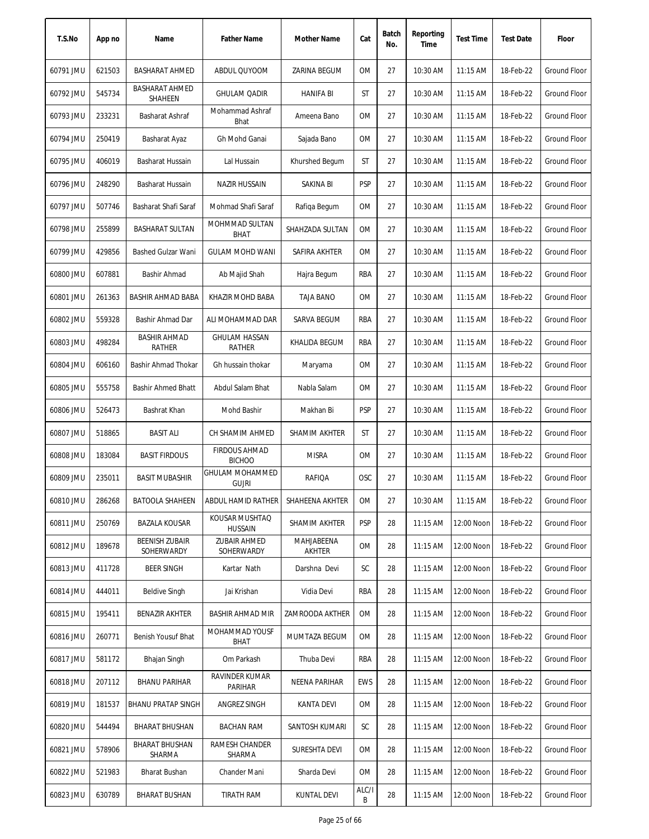| T.S.No    | App no | Name                                    | <b>Father Name</b>                    | Mother Name          | Cat        | Batch<br>No. | Reporting<br>Time | <b>Test Time</b> | <b>Test Date</b> | Floor               |
|-----------|--------|-----------------------------------------|---------------------------------------|----------------------|------------|--------------|-------------------|------------------|------------------|---------------------|
| 60791 JMU | 621503 | <b>BASHARAT AHMED</b>                   | ABDUL QUYOOM                          | ZARINA BEGUM         | <b>OM</b>  | 27           | 10:30 AM          | 11:15 AM         | 18-Feb-22        | Ground Floor        |
| 60792 JMU | 545734 | <b>BASHARAT AHMED</b><br><b>SHAHEEN</b> | <b>GHULAM QADIR</b>                   | <b>HANIFA BI</b>     | ST         | 27           | 10:30 AM          | 11:15 AM         | 18-Feb-22        | Ground Floor        |
| 60793 JMU | 233231 | Basharat Ashraf                         | Mohammad Ashraf<br>Bhat               | Ameena Bano          | 0M         | 27           | 10:30 AM          | 11:15 AM         | 18-Feb-22        | Ground Floor        |
| 60794 JMU | 250419 | Basharat Ayaz                           | Gh Mohd Ganai                         | Sajada Bano          | 0M         | 27           | 10:30 AM          | 11:15 AM         | 18-Feb-22        | Ground Floor        |
| 60795 JMU | 406019 | Basharat Hussain                        | Lal Hussain                           | Khurshed Begum       | <b>ST</b>  | 27           | 10:30 AM          | 11:15 AM         | 18-Feb-22        | Ground Floor        |
| 60796 JMU | 248290 | Basharat Hussain                        | <b>NAZIR HUSSAIN</b>                  | SAKINA BI            | <b>PSP</b> | 27           | 10:30 AM          | 11:15 AM         | 18-Feb-22        | Ground Floor        |
| 60797 JMU | 507746 | Basharat Shafi Saraf                    | Mohmad Shafi Saraf                    | Rafiqa Begum         | 0M         | 27           | 10:30 AM          | $11:15$ AM       | 18-Feb-22        | Ground Floor        |
| 60798 JMU | 255899 | <b>BASHARAT SULTAN</b>                  | MOHMMAD SULTAN<br><b>BHAT</b>         | SHAHZADA SULTAN      | <b>OM</b>  | 27           | 10:30 AM          | 11:15 AM         | 18-Feb-22        | Ground Floor        |
| 60799 JMU | 429856 | <b>Bashed Gulzar Wani</b>               | <b>GULAM MOHD WANI</b>                | SAFIRA AKHTER        | <b>OM</b>  | 27           | 10:30 AM          | 11:15 AM         | 18-Feb-22        | <b>Ground Floor</b> |
| 60800 JMU | 607881 | Bashir Ahmad                            | Ab Majid Shah                         | Hajra Begum          | <b>RBA</b> | 27           | 10:30 AM          | 11:15 AM         | 18-Feb-22        | <b>Ground Floor</b> |
| 60801 JMU | 261363 | BASHIR AHMAD BABA                       | KHAZIR MOHD BABA                      | <b>TAJA BANO</b>     | <b>OM</b>  | 27           | 10:30 AM          | $11:15$ AM       | 18-Feb-22        | <b>Ground Floor</b> |
| 60802 JMU | 559328 | Bashir Ahmad Dar                        | ALI MOHAMMAD DAR                      | SARVA BEGUM          | RBA        | 27           | 10:30 AM          | 11:15 AM         | 18-Feb-22        | Ground Floor        |
| 60803 JMU | 498284 | <b>BASHIR AHMAD</b><br><b>RATHER</b>    | <b>GHULAM HASSAN</b><br>RATHER        | KHALIDA BEGUM        | <b>RBA</b> | 27           | 10:30 AM          | 11:15 AM         | 18-Feb-22        | Ground Floor        |
| 60804 JMU | 606160 | Bashir Ahmad Thokar                     | Gh hussain thokar                     | Maryama              | 0M         | 27           | 10:30 AM          | 11:15 AM         | 18-Feb-22        | Ground Floor        |
| 60805 JMU | 555758 | <b>Bashir Ahmed Bhatt</b>               | Abdul Salam Bhat                      | Nabla Salam          | <b>OM</b>  | 27           | 10:30 AM          | 11:15 AM         | 18-Feb-22        | <b>Ground Floor</b> |
| 60806 JMU | 526473 | Bashrat Khan                            | Mohd Bashir                           | Makhan Bi            | <b>PSP</b> | 27           | 10:30 AM          | 11:15 AM         | 18-Feb-22        | Ground Floor        |
| 60807 JMU | 518865 | <b>BASIT ALI</b>                        | CH SHAMIM AHMED                       | SHAMIM AKHTER        | ST         | 27           | 10:30 AM          | 11:15 AM         | 18-Feb-22        | <b>Ground Floor</b> |
| 60808 JMU | 183084 | <b>BASIT FIRDOUS</b>                    | <b>FIRDOUS AHMAD</b><br><b>BICHOO</b> | <b>MISRA</b>         | <b>OM</b>  | 27           | 10:30 AM          | 11:15 AM         | 18-Feb-22        | Ground Floor        |
| 60809 JMU | 235011 | <b>BASIT MUBASHIR</b>                   | GHULAM MOHAMMED<br><b>GUJRI</b>       | <b>RAFIQA</b>        | OSC        | 27           | 10:30 AM          | 11:15 AM         | 18-Feb-22        | Ground Floor        |
| 60810 JMU | 286268 | <b>BATOOLA SHAHEEN</b>                  | ABDUL HAMID RATHER                    | SHAHEENA AKHTER      | 0M         | 27           | 10:30 AM          | $11:15$ AM       | 18-Feb-22        | Ground Floor        |
| 60811 JMU | 250769 | <b>BAZALA KOUSAR</b>                    | KOUSAR MUSHTAQ<br><b>HUSSAIN</b>      | SHAMIM AKHTER        | <b>PSP</b> | 28           | $11:15$ AM        | 12:00 Noon       | 18-Feb-22        | Ground Floor        |
| 60812 JMU | 189678 | <b>BEENISH ZUBAIR</b><br>SOHERWARDY     | ZUBAIR AHMED<br>SOHERWARDY            | MAHJABEENA<br>AKHTER | 0M         | 28           | $11:15$ AM        | 12:00 Noon       | 18-Feb-22        | Ground Floor        |
| 60813 JMU | 411728 | <b>BEER SINGH</b>                       | Kartar Nath                           | Darshna Devi         | SC         | 28           | $11:15$ AM        | 12:00 Noon       | 18-Feb-22        | Ground Floor        |
| 60814 JMU | 444011 | <b>Beldive Singh</b>                    | Jai Krishan                           | Vidia Devi           | RBA        | 28           | $11:15$ AM        | 12:00 Noon       | 18-Feb-22        | <b>Ground Floor</b> |
| 60815 JMU | 195411 | <b>BENAZIR AKHTER</b>                   | <b>BASHIR AHMAD MIR</b>               | ZAMROODA AKTHER      | <b>OM</b>  | 28           | $11:15$ AM        | 12:00 Noon       | 18-Feb-22        | <b>Ground Floor</b> |
| 60816 JMU | 260771 | Benish Yousuf Bhat                      | MOHAMMAD YOUSF<br>BHAT                | MUMTAZA BEGUM        | 0M         | 28           | 11:15 AM          | 12:00 Noon       | 18-Feb-22        | Ground Floor        |
| 60817 JMU | 581172 | Bhajan Singh                            | Om Parkash                            | Thuba Devi           | RBA        | 28           | 11:15 AM          | 12:00 Noon       | 18-Feb-22        | Ground Floor        |
| 60818 JMU | 207112 | <b>BHANU PARIHAR</b>                    | RAVINDER KUMAR<br>PARIHAR             | NEENA PARIHAR        | <b>EWS</b> | 28           | 11:15 AM          | 12:00 Noon       | 18-Feb-22        | Ground Floor        |
| 60819 JMU | 181537 | <b>BHANU PRATAP SINGH</b>               | ANGREZ SINGH                          | KANTA DEVI           | 0M         | 28           | 11:15 AM          | 12:00 Noon       | 18-Feb-22        | Ground Floor        |
| 60820 JMU | 544494 | <b>BHARAT BHUSHAN</b>                   | <b>BACHAN RAM</b>                     | SANTOSH KUMARI       | SC         | 28           | 11:15 AM          | 12:00 Noon       | 18-Feb-22        | Ground Floor        |
| 60821 JMU | 578906 | <b>BHARAT BHUSHAN</b><br>SHARMA         | RAMESH CHANDER<br>SHARMA              | SURESHTA DEVI        | 0M         | 28           | 11:15 AM          | 12:00 Noon       | 18-Feb-22        | <b>Ground Floor</b> |
| 60822 JMU | 521983 | Bharat Bushan                           | Chander Mani                          | Sharda Devi          | OM         | 28           | 11:15 AM          | 12:00 Noon       | 18-Feb-22        | Ground Floor        |
| 60823 JMU | 630789 | BHARAT BUSHAN                           | TIRATH RAM                            | KUNTAL DEVI          | ALC/I<br>В | 28           | 11:15 AM          | 12:00 Noon       | 18-Feb-22        | Ground Floor        |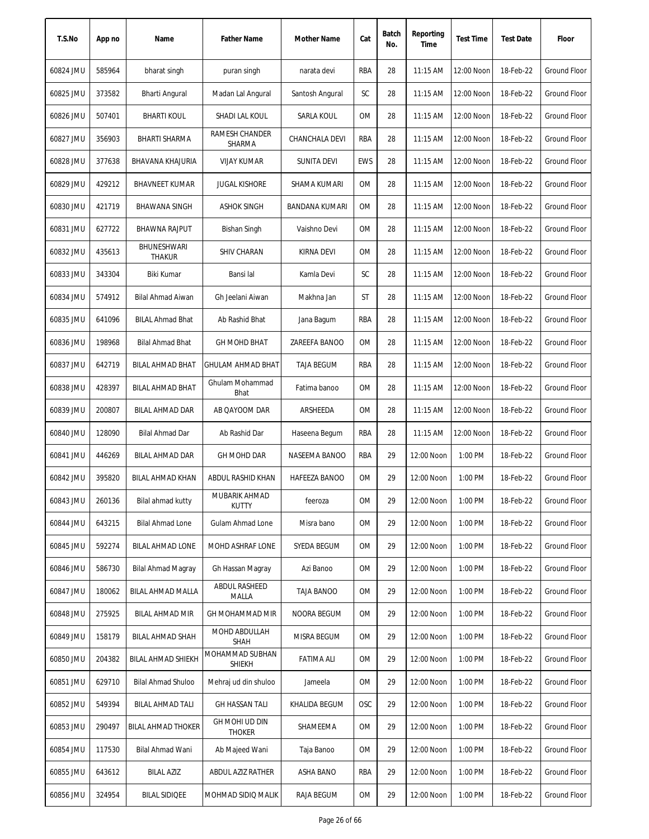| T.S.No    | App no | Name                         | <b>Father Name</b>               | Mother Name        | Cat        | Batch<br>No. | Reporting<br>Time | <b>Test Time</b> | <b>Test Date</b> | Floor               |
|-----------|--------|------------------------------|----------------------------------|--------------------|------------|--------------|-------------------|------------------|------------------|---------------------|
| 60824 JMU | 585964 | bharat singh                 | puran singh                      | narata devi        | RBA        | 28           | $11:15$ AM        | 12:00 Noon       | 18-Feb-22        | Ground Floor        |
| 60825 JMU | 373582 | Bharti Angural               | Madan Lal Angural                | Santosh Angural    | SC         | 28           | $11:15$ AM        | 12:00 Noon       | 18-Feb-22        | Ground Floor        |
| 60826 JMU | 507401 | <b>BHARTI KOUL</b>           | SHADI LAL KOUL                   | SARLA KOUL         | 0M         | 28           | $11:15$ AM        | 12:00 Noon       | 18-Feb-22        | Ground Floor        |
| 60827 JMU | 356903 | <b>BHARTI SHARMA</b>         | RAMESH CHANDER<br>SHARMA         | CHANCHALA DEVI     | RBA        | 28           | 11:15 AM          | 12:00 Noon       | 18-Feb-22        | Ground Floor        |
| 60828 JMU | 377638 | BHAVANA KHAJURIA             | <b>VIJAY KUMAR</b>               | <b>SUNITA DEVI</b> | <b>EWS</b> | 28           | 11:15 AM          | 12:00 Noon       | 18-Feb-22        | Ground Floor        |
| 60829 JMU | 429212 | <b>BHAVNEET KUMAR</b>        | <b>JUGAL KISHORE</b>             | SHAMA KUMARI       | 0M         | 28           | 11:15 AM          | 12:00 Noon       | 18-Feb-22        | Ground Floor        |
| 60830 JMU | 421719 | BHAWANA SINGH                | ASHOK SINGH                      | BANDANA KUMARI     | 0M         | 28           | 11:15 AM          | 12:00 Noon       | 18-Feb-22        | <b>Ground Floor</b> |
| 60831 JMU | 627722 | <b>BHAWNA RAJPUT</b>         | Bishan Singh                     | Vaishno Devi       | <b>OM</b>  | 28           | 11:15 AM          | 12:00 Noon       | 18-Feb-22        | <b>Ground Floor</b> |
| 60832 JMU | 435613 | BHUNESHWARI<br><b>THAKUR</b> | <b>SHIV CHARAN</b>               | KIRNA DEVI         | <b>OM</b>  | 28           | 11:15 AM          | 12:00 Noon       | 18-Feb-22        | <b>Ground Floor</b> |
| 60833 JMU | 343304 | Biki Kumar                   | Bansi lal                        | Kamla Devi         | SC         | 28           | 11:15 AM          | 12:00 Noon       | 18-Feb-22        | <b>Ground Floor</b> |
| 60834 JMU | 574912 | Bilal Ahmad Aiwan            | Gh Jeelani Aiwan                 | Makhna Jan         | ST         | 28           | 11:15 AM          | 12:00 Noon       | 18-Feb-22        | Ground Floor        |
| 60835 JMU | 641096 | <b>BILAL Ahmad Bhat</b>      | Ab Rashid Bhat                   | Jana Bagum         | RBA        | 28           | 11:15 AM          | 12:00 Noon       | 18-Feb-22        | Ground Floor        |
| 60836 JMU | 198968 | <b>Bilal Ahmad Bhat</b>      | <b>GH MOHD BHAT</b>              | ZAREEFA BANOO      | <b>OM</b>  | 28           | 11:15 AM          | 12:00 Noon       | 18-Feb-22        | Ground Floor        |
| 60837 JMU | 642719 | <b>BILAL AHMAD BHAT</b>      | <b>GHULAM AHMAD BHAT</b>         | <b>TAJA BEGUM</b>  | <b>RBA</b> | 28           | 11:15 AM          | 12:00 Noon       | 18-Feb-22        | Ground Floor        |
| 60838 JMU | 428397 | <b>BILAL AHMAD BHAT</b>      | Ghulam Mohammad<br>Bhat          | Fatima banoo       | 0M         | 28           | 11:15 AM          | 12:00 Noon       | 18-Feb-22        | Ground Floor        |
| 60839 JMU | 200807 | BILAL AHMAD DAR              | AB QAYOOM DAR                    | ARSHEEDA           | 0M         | 28           | $11:15$ AM        | 12:00 Noon       | 18-Feb-22        | <b>Ground Floor</b> |
| 60840 JMU | 128090 | Bilal Ahmad Dar              | Ab Rashid Dar                    | Haseena Begum      | RBA        | 28           | 11:15 AM          | 12:00 Noon       | 18-Feb-22        | <b>Ground Floor</b> |
| 60841 JMU | 446269 | BILAL AHMAD DAR              | GH MOHD DAR                      | NASEEMA BANOO      | RBA        | 29           | 12:00 Noon        | 1:00 PM          | 18-Feb-22        | Ground Floor        |
| 60842 JMU | 395820 | BILAL AHMAD KHAN             | ABDUL RASHID KHAN                | HAFEEZA BANOO      | <b>OM</b>  | 29           | 12:00 Noon        | 1:00 PM          | 18-Feb-22        | Ground Floor        |
| 60843 JMU | 260136 | Bilal ahmad kutty            | MUBARIK AHMAD<br><b>KUTTY</b>    | feeroza            | 0M         | 29           | 12:00 Noon        | 1:00 PM          | 18-Feb-22        | Ground Floor        |
| 60844 JMU | 643215 | <b>Bilal Ahmad Lone</b>      | Gulam Ahmad Lone                 | Misra bano         | 0M         | 29           | 12:00 Noon        | 1:00 PM          | 18-Feb-22        | Ground Floor        |
| 60845 JMU | 592274 | <b>BILAL AHMAD LONE</b>      | MOHD ASHRAF LONE                 | SYEDA BEGUM        | 0M         | 29           | 12:00 Noon        | 1:00 PM          | 18-Feb-22        | Ground Floor        |
| 60846 JMU | 586730 | <b>Bilal Ahmad Magray</b>    | Gh Hassan Magray                 | Azi Banoo          | 0M         | 29           | 12:00 Noon        | 1:00 PM          | 18-Feb-22        | Ground Floor        |
| 60847 JMU | 180062 | BILAL AHMAD MALLA            | ABDUL RASHEED<br>MALLA           | <b>TAJA BANOO</b>  | 0M         | 29           | 12:00 Noon        | 1:00 PM          | 18-Feb-22        | <b>Ground Floor</b> |
| 60848 JMU | 275925 | <b>BILAL AHMAD MIR</b>       | GH MOHAMMAD MIR                  | NOORA BEGUM        | 0M         | 29           | 12:00 Noon        | 1:00 PM          | 18-Feb-22        | Ground Floor        |
| 60849 JMU | 158179 | BILAL AHMAD SHAH             | MOHD ABDULLAH<br><b>SHAH</b>     | MISRA BEGUM        | 0M         | 29           | 12:00 Noon        | 1:00 PM          | 18-Feb-22        | Ground Floor        |
| 60850 JMU | 204382 | BILAL AHMAD SHIEKH           | MOHAMMAD SUBHAN<br><b>SHIEKH</b> | <b>FATIMA ALI</b>  | OM         | 29           | 12:00 Noon        | 1:00 PM          | 18-Feb-22        | Ground Floor        |
| 60851 JMU | 629710 | <b>Bilal Ahmad Shuloo</b>    | Mehraj ud din shuloo             | Jameela            | 0M         | 29           | 12:00 Noon        | 1:00 PM          | 18-Feb-22        | Ground Floor        |
| 60852 JMU | 549394 | BILAL AHMAD TALI             | <b>GH HASSAN TALI</b>            | KHALIDA BEGUM      | <b>OSC</b> | 29           | 12:00 Noon        | 1:00 PM          | 18-Feb-22        | Ground Floor        |
| 60853 JMU | 290497 | BILAL AHMAD THOKER           | GH MOHI UD DIN<br><b>THOKER</b>  | SHAMEEMA           | 0M         | 29           | 12:00 Noon        | 1:00 PM          | 18-Feb-22        | Ground Floor        |
| 60854 JMU | 117530 | Bilal Ahmad Wani             | Ab Majeed Wani                   | Taja Banoo         | 0M         | 29           | 12:00 Noon        | 1:00 PM          | 18-Feb-22        | Ground Floor        |
| 60855 JMU | 643612 | <b>BILAL AZIZ</b>            | ABDUL AZIZ RATHER                | ASHA BANO          | RBA        | 29           | 12:00 Noon        | 1:00 PM          | 18-Feb-22        | Ground Floor        |
| 60856 JMU | 324954 | <b>BILAL SIDIQEE</b>         | MOHMAD SIDIQ MALIK               | RAJA BEGUM         | 0M         | 29           | 12:00 Noon        | 1:00 PM          | 18-Feb-22        | Ground Floor        |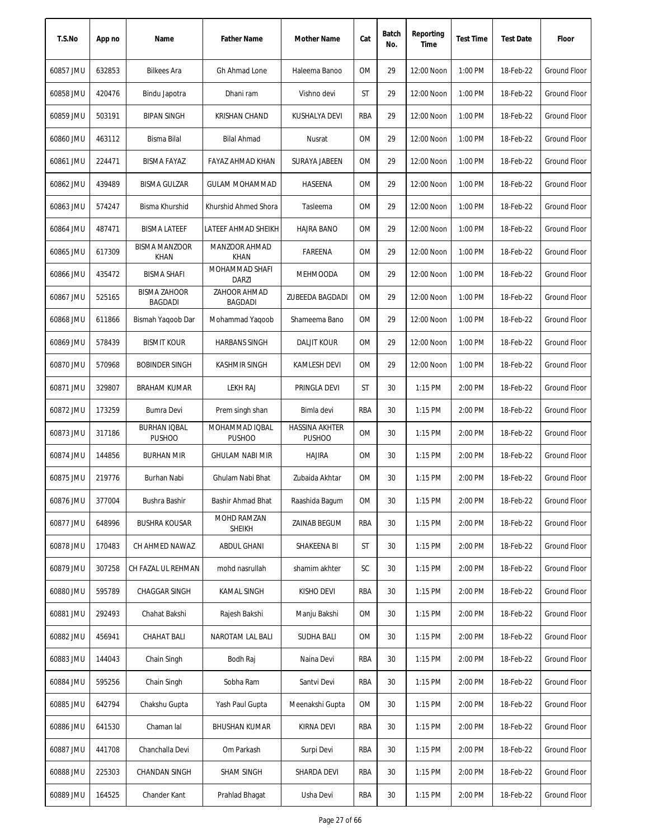| T.S.No    | App no | Name                                  | <b>Father Name</b>              | Mother Name                     | Cat        | Batch<br>No. | Reporting<br>Time | <b>Test Time</b> | <b>Test Date</b> | Floor               |
|-----------|--------|---------------------------------------|---------------------------------|---------------------------------|------------|--------------|-------------------|------------------|------------------|---------------------|
| 60857 JMU | 632853 | <b>Bilkees Ara</b>                    | Gh Ahmad Lone                   | Haleema Banoo                   | 0M         | 29           | 12:00 Noon        | 1:00 PM          | 18-Feb-22        | Ground Floor        |
| 60858 JMU | 420476 | Bindu Japotra                         | Dhani ram                       | Vishno devi                     | ST         | 29           | 12:00 Noon        | 1:00 PM          | 18-Feb-22        | Ground Floor        |
| 60859 JMU | 503191 | <b>BIPAN SINGH</b>                    | KRISHAN CHAND                   | KUSHALYA DEVI                   | RBA        | 29           | 12:00 Noon        | 1:00 PM          | 18-Feb-22        | Ground Floor        |
| 60860 JMU | 463112 | <b>Bisma Bilal</b>                    | <b>Bilal Ahmad</b>              | Nusrat                          | <b>OM</b>  | 29           | 12:00 Noon        | 1:00 PM          | 18-Feb-22        | Ground Floor        |
| 60861 JMU | 224471 | <b>BISMA FAYAZ</b>                    | FAYAZ AHMAD KHAN                | SURAYA JABEEN                   | 0M         | 29           | 12:00 Noon        | 1:00 PM          | 18-Feb-22        | <b>Ground Floor</b> |
| 60862 JMU | 439489 | <b>BISMA GULZAR</b>                   | <b>GULAM MOHAMMAD</b>           | HASEENA                         | 0M         | 29           | 12:00 Noon        | 1:00 PM          | 18-Feb-22        | <b>Ground Floor</b> |
| 60863 JMU | 574247 | Bisma Khurshid                        | Khurshid Ahmed Shora            | Tasleema                        | 0M         | 29           | 12:00 Noon        | 1:00 PM          | 18-Feb-22        | <b>Ground Floor</b> |
| 60864 JMU | 487471 | <b>BISMA LATEEF</b>                   | LATEEF AHMAD SHEIKH             | <b>HAJRA BANO</b>               | <b>OM</b>  | 29           | 12:00 Noon        | 1:00 PM          | 18-Feb-22        | <b>Ground Floor</b> |
| 60865 JMU | 617309 | <b>BISMA MANZOOR</b><br>KHAN          | MANZOOR AHMAD<br><b>KHAN</b>    | FAREENA                         | 0M         | 29           | 12:00 Noon        | 1:00 PM          | 18-Feb-22        | <b>Ground Floor</b> |
| 60866 JMU | 435472 | <b>BISMA SHAFI</b>                    | MOHAMMAD SHAFI<br><b>DARZI</b>  | <b>MEHMOODA</b>                 | 0M         | 29           | 12:00 Noon        | 1:00 PM          | 18-Feb-22        | <b>Ground Floor</b> |
| 60867 JMU | 525165 | <b>BISMA ZAHOOR</b><br><b>BAGDADI</b> | ZAHOOR AHMAD<br><b>BAGDADI</b>  | ZUBEEDA BAGDADI                 | 0M         | 29           | 12:00 Noon        | 1:00 PM          | 18-Feb-22        | Ground Floor        |
| 60868 JMU | 611866 | Bismah Yaqoob Dar                     | Mohammad Yaqoob                 | Shameema Bano                   | 0M         | 29           | 12:00 Noon        | 1:00 PM          | 18-Feb-22        | <b>Ground Floor</b> |
| 60869 JMU | 578439 | <b>BISMIT KOUR</b>                    | <b>HARBANS SINGH</b>            | <b>DALJIT KOUR</b>              | <b>OM</b>  | 29           | 12:00 Noon        | 1:00 PM          | 18-Feb-22        | <b>Ground Floor</b> |
| 60870 JMU | 570968 | <b>BOBINDER SINGH</b>                 | <b>KASHMIR SINGH</b>            | <b>KAMLESH DEVI</b>             | 0M         | 29           | 12:00 Noon        | 1:00 PM          | 18-Feb-22        | Ground Floor        |
| 60871 JMU | 329807 | <b>BRAHAM KUMAR</b>                   | <b>LEKH RAJ</b>                 | PRINGLA DEVI                    | ST         | 30           | $1:15$ PM         | 2:00 PM          | 18-Feb-22        | <b>Ground Floor</b> |
| 60872 JMU | 173259 | Bumra Devi                            | Prem singh shan                 | Bimla devi                      | RBA        | 30           | $1:15$ PM         | 2:00 PM          | 18-Feb-22        | Ground Floor        |
| 60873 JMU | 317186 | <b>BURHAN IQBAL</b><br><b>PUSHOO</b>  | MOHAMMAD IQBAL<br><b>PUSHOO</b> | HASSINA AKHTER<br><b>PUSHOO</b> | <b>OM</b>  | 30           | 1:15 PM           | 2:00 PM          | 18-Feb-22        | <b>Ground Floor</b> |
| 60874 JMU | 144856 | <b>BURHAN MIR</b>                     | <b>GHULAM NABI MIR</b>          | <b>HAJIRA</b>                   | 0M         | 30           | 1:15 PM           | 2:00 PM          | 18-Feb-22        | Ground Floor        |
| 60875 JMU | 219776 | Burhan Nabi                           | Ghulam Nabi Bhat                | Zubaida Akhtar                  | 0M         | 30           | 1:15 PM           | 2:00 PM          | 18-Feb-22        | Ground Floor        |
| 60876 JMU | 377004 | Bushra Bashir                         | Bashir Ahmad Bhat               | Raashida Bagum                  | 0M         | 30           | 1:15 PM           | 2:00 PM          | 18-Feb-22        | Ground Floor        |
| 60877 JMU | 648996 | <b>BUSHRA KOUSAR</b>                  | MOHD RAMZAN<br><b>SHEIKH</b>    | ZAINAB BEGUM                    | RBA        | 30           | 1:15 PM           | 2:00 PM          | 18-Feb-22        | Ground Floor        |
| 60878 JMU | 170483 | CH AHMED NAWAZ                        | ABDUL GHANI                     | SHAKEENA BI                     | ST         | 30           | 1:15 PM           | 2:00 PM          | 18-Feb-22        | <b>Ground Floor</b> |
| 60879 JMU | 307258 | CH FAZAL UL REHMAN                    | mohd nasrullah                  | shamim akhter                   | SC         | 30           | 1:15 PM           | 2:00 PM          | 18-Feb-22        | Ground Floor        |
| 60880 JMU | 595789 | CHAGGAR SINGH                         | <b>KAMAL SINGH</b>              | KISHO DEVI                      | <b>RBA</b> | 30           | 1:15 PM           | 2:00 PM          | 18-Feb-22        | Ground Floor        |
| 60881 JMU | 292493 | Chahat Bakshi                         | Rajesh Bakshi                   | Manju Bakshi                    | 0M         | 30           | 1:15 PM           | 2:00 PM          | 18-Feb-22        | Ground Floor        |
| 60882 JMU | 456941 | CHAHAT BALI                           | NAROTAM LAL BALI                | <b>SUDHA BALI</b>               | 0M         | 30           | $1:15$ PM         | 2:00 PM          | 18-Feb-22        | Ground Floor        |
| 60883 JMU | 144043 | Chain Singh                           | Bodh Raj                        | Naina Devi                      | RBA        | 30           | 1:15 PM           | 2:00 PM          | 18-Feb-22        | Ground Floor        |
| 60884 JMU | 595256 | Chain Singh                           | Sobha Ram                       | Santvi Devi                     | RBA        | 30           | 1:15 PM           | 2:00 PM          | 18-Feb-22        | Ground Floor        |
| 60885 JMU | 642794 | Chakshu Gupta                         | Yash Paul Gupta                 | Meenakshi Gupta                 | 0M         | 30           | 1:15 PM           | 2:00 PM          | 18-Feb-22        | Ground Floor        |
| 60886 JMU | 641530 | Chaman lal                            | <b>BHUSHAN KUMAR</b>            | KIRNA DEVI                      | RBA        | 30           | 1:15 PM           | 2:00 PM          | 18-Feb-22        | <b>Ground Floor</b> |
| 60887 JMU | 441708 | Chanchalla Devi                       | Om Parkash                      | Surpi Devi                      | RBA        | 30           | 1:15 PM           | 2:00 PM          | 18-Feb-22        | <b>Ground Floor</b> |
| 60888 JMU | 225303 | CHANDAN SINGH                         | SHAM SINGH                      | SHARDA DEVI                     | RBA        | 30           | 1:15 PM           | 2:00 PM          | 18-Feb-22        | Ground Floor        |
| 60889 JMU | 164525 | Chander Kant                          | Prahlad Bhagat                  | Usha Devi                       | RBA        | 30           | 1:15 PM           | 2:00 PM          | 18-Feb-22        | Ground Floor        |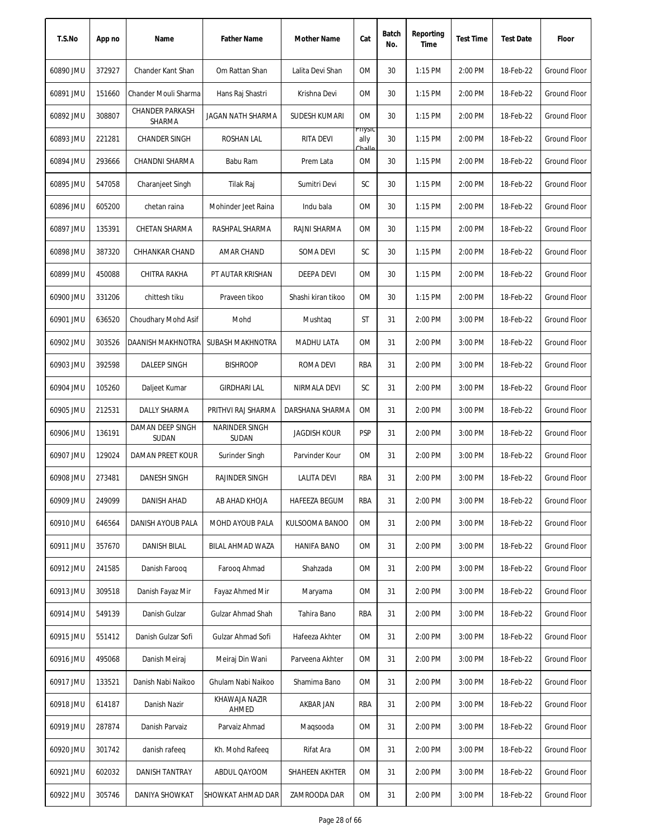| T.S.No    | App no | Name                      | <b>Father Name</b>       | <b>Mother Name</b>  | Cat                      | Batch<br>No. | Reporting<br>Time | <b>Test Time</b> | <b>Test Date</b> | Floor               |
|-----------|--------|---------------------------|--------------------------|---------------------|--------------------------|--------------|-------------------|------------------|------------------|---------------------|
| 60890 JMU | 372927 | Chander Kant Shan         | Om Rattan Shan           | Lalita Devi Shan    | 0M                       | 30           | 1:15 PM           | 2:00 PM          | 18-Feb-22        | <b>Ground Floor</b> |
| 60891 JMU | 151660 | Chander Mouli Sharma      | Hans Raj Shastri         | Krishna Devi        | 0M                       | 30           | 1:15 PM           | 2:00 PM          | 18-Feb-22        | <b>Ground Floor</b> |
| 60892 JMU | 308807 | CHANDER PARKASH<br>SHARMA | JAGAN NATH SHARMA        | SUDESH KUMARI       | 0M                       | 30           | $1:15$ PM         | 2:00 PM          | 18-Feb-22        | Ground Floor        |
| 60893 JMU | 221281 | <b>CHANDER SINGH</b>      | ROSHAN LAL               | RITA DEVI           | Priysic<br>ally<br>بالمط | 30           | $1:15$ PM         | 2:00 PM          | 18-Feb-22        | <b>Ground Floor</b> |
| 60894 JMU | 293666 | CHANDNI SHARMA            | Babu Ram                 | Prem Lata           | ΟM                       | 30           | 1:15 PM           | 2:00 PM          | 18-Feb-22        | <b>Ground Floor</b> |
| 60895 JMU | 547058 | Charanjeet Singh          | Tilak Raj                | Sumitri Devi        | SC                       | 30           | 1:15 PM           | 2:00 PM          | 18-Feb-22        | <b>Ground Floor</b> |
| 60896 JMU | 605200 | chetan raina              | Mohinder Jeet Raina      | Indu bala           | ОM                       | 30           | 1:15 PM           | 2:00 PM          | 18-Feb-22        | Ground Floor        |
| 60897 JMU | 135391 | CHETAN SHARMA             | RASHPAL SHARMA           | RAJNI SHARMA        | OM                       | 30           | 1:15 PM           | 2:00 PM          | 18-Feb-22        | <b>Ground Floor</b> |
| 60898 JMU | 387320 | CHHANKAR CHAND            | AMAR CHAND               | SOMA DEVI           | SC                       | 30           | $1:15$ PM         | 2:00 PM          | 18-Feb-22        | <b>Ground Floor</b> |
| 60899 JMU | 450088 | CHITRA RAKHA              | PT AUTAR KRISHAN         | <b>DEEPA DEVI</b>   | <b>OM</b>                | 30           | 1:15 PM           | 2:00 PM          | 18-Feb-22        | <b>Ground Floor</b> |
| 60900 JMU | 331206 | chittesh tiku             | Praveen tikoo            | Shashi kiran tikoo  | <b>OM</b>                | 30           | 1:15 PM           | 2:00 PM          | 18-Feb-22        | <b>Ground Floor</b> |
| 60901 JMU | 636520 | Choudhary Mohd Asif       | Mohd                     | Mushtag             | ST                       | 31           | 2:00 PM           | 3:00 PM          | 18-Feb-22        | Ground Floor        |
| 60902 JMU | 303526 | DAANISH MAKHNOTRA         | SUBASH MAKHNOTRA         | <b>MADHU LATA</b>   | <b>OM</b>                | 31           | 2:00 PM           | 3:00 PM          | 18-Feb-22        | <b>Ground Floor</b> |
| 60903 JMU | 392598 | DALEEP SINGH              | <b>BISHROOP</b>          | <b>ROMA DEVI</b>    | RBA                      | 31           | 2:00 PM           | 3:00 PM          | 18-Feb-22        | Ground Floor        |
| 60904 JMU | 105260 | Daljeet Kumar             | <b>GIRDHARI LAL</b>      | NIRMALA DEVI        | SC                       | 31           | 2:00 PM           | 3:00 PM          | 18-Feb-22        | <b>Ground Floor</b> |
| 60905 JMU | 212531 | DALLY SHARMA              | PRITHVI RAJ SHARMA       | DARSHANA SHARMA     | ОM                       | 31           | 2:00 PM           | 3:00 PM          | 18-Feb-22        | Ground Floor        |
| 60906 JMU | 136191 | DAMAN DEEP SINGH<br>SUDAN | NARINDER SINGH<br>SUDAN  | <b>JAGDISH KOUR</b> | <b>PSP</b>               | 31           | 2:00 PM           | 3:00 PM          | 18-Feb-22        | <b>Ground Floor</b> |
| 60907 JMU | 129024 | <b>DAMAN PREET KOUR</b>   | Surinder Singh           | Parvinder Kour      | <b>OM</b>                | 31           | 2:00 PM           | 3:00 PM          | 18-Feb-22        | <b>Ground Floor</b> |
| 60908 JMU | 273481 | <b>DANESH SINGH</b>       | RAJINDER SINGH           | LALITA DEVI         | RBA                      | 31           | 2:00 PM           | 3:00 PM          | 18-Feb-22        | <b>Ground Floor</b> |
| 60909 JMU | 249099 | DANISH AHAD               | AB AHAD KHOJA            | HAFEEZA BEGUM       | RBA                      | 31           | 2:00 PM           | 3:00 PM          | 18-Feb-22        | <b>Ground Floor</b> |
| 60910 JMU | 646564 | DANISH AYOUB PALA         | MOHD AYOUB PALA          | KULSOOMA BANOO      | 0M                       | 31           | 2:00 PM           | 3:00 PM          | 18-Feb-22        | Ground Floor        |
| 60911 JMU | 357670 | <b>DANISH BILAL</b>       | BILAL AHMAD WAZA         | <b>HANIFA BANO</b>  | 0M                       | 31           | 2:00 PM           | 3:00 PM          | 18-Feb-22        | Ground Floor        |
| 60912 JMU | 241585 | Danish Faroog             | Faroog Ahmad             | Shahzada            | ОM                       | 31           | 2:00 PM           | 3:00 PM          | 18-Feb-22        | Ground Floor        |
| 60913 JMU | 309518 | Danish Fayaz Mir          | Fayaz Ahmed Mir          | Maryama             | OM                       | 31           | 2:00 PM           | 3:00 PM          | 18-Feb-22        | Ground Floor        |
| 60914 JMU | 549139 | Danish Gulzar             | Gulzar Ahmad Shah        | Tahira Bano         | RBA                      | 31           | 2:00 PM           | 3:00 PM          | 18-Feb-22        | Ground Floor        |
| 60915 JMU | 551412 | Danish Gulzar Sofi        | Gulzar Ahmad Sofi        | Hafeeza Akhter      | ОM                       | 31           | 2:00 PM           | 3:00 PM          | 18-Feb-22        | Ground Floor        |
| 60916 JMU | 495068 | Danish Meiraj             | Meiraj Din Wani          | Parveena Akhter     | ОM                       | 31           | 2:00 PM           | 3:00 PM          | 18-Feb-22        | <b>Ground Floor</b> |
| 60917 JMU | 133521 | Danish Nabi Naikoo        | Ghulam Nabi Naikoo       | Shamima Bano        | ОM                       | 31           | 2:00 PM           | 3:00 PM          | 18-Feb-22        | <b>Ground Floor</b> |
| 60918 JMU | 614187 | Danish Nazir              | KHAWAJA NAZIR<br>AHMED   | AKBAR JAN           | RBA                      | 31           | 2:00 PM           | 3:00 PM          | 18-Feb-22        | Ground Floor        |
| 60919 JMU | 287874 | Danish Parvaiz            | Parvaiz Ahmad            | Magsooda            | ОM                       | 31           | 2:00 PM           | 3:00 PM          | 18-Feb-22        | Ground Floor        |
| 60920 JMU | 301742 | danish rafeeq             | Kh. Mohd Rafeeq          | Rifat Ara           | 0M                       | 31           | 2:00 PM           | 3:00 PM          | 18-Feb-22        | Ground Floor        |
| 60921 JMU | 602032 | DANISH TANTRAY            | ABDUL QAYOOM             | SHAHEEN AKHTER      | ОM                       | 31           | 2:00 PM           | 3:00 PM          | 18-Feb-22        | Ground Floor        |
| 60922 JMU | 305746 | DANIYA SHOWKAT            | <b>SHOWKAT AHMAD DAR</b> | ZAMROODA DAR        | OM                       | 31           | 2:00 PM           | 3:00 PM          | 18-Feb-22        | Ground Floor        |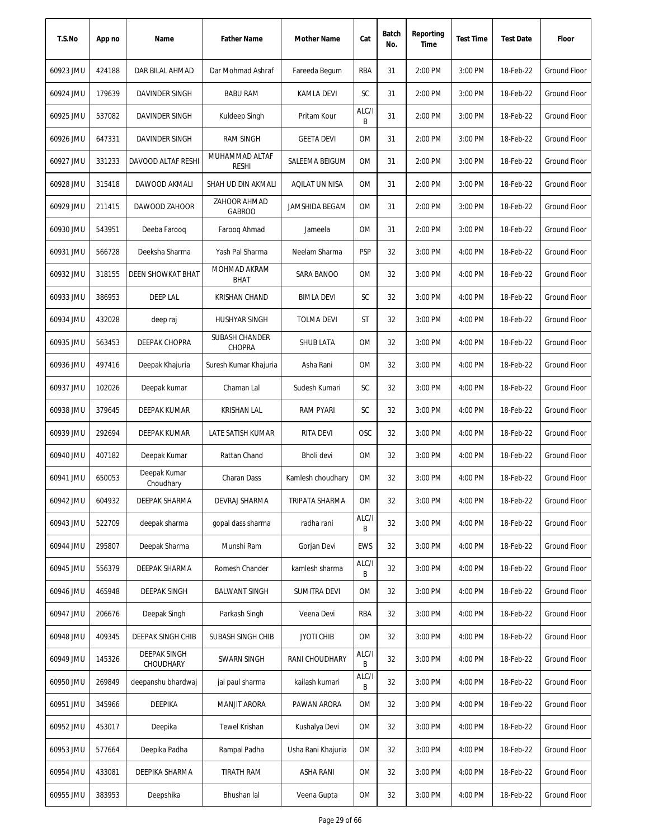| T.S.No    | App no | Name                             | <b>Father Name</b>             | Mother Name         | Cat        | Batch<br>No. | Reporting<br>Time | <b>Test Time</b> | <b>Test Date</b> | Floor               |
|-----------|--------|----------------------------------|--------------------------------|---------------------|------------|--------------|-------------------|------------------|------------------|---------------------|
| 60923 JMU | 424188 | DAR BILAL AHMAD                  | Dar Mohmad Ashraf              | Fareeda Begum       | RBA        | 31           | 2:00 PM           | 3:00 PM          | 18-Feb-22        | Ground Floor        |
| 60924 JMU | 179639 | DAVINDER SINGH                   | <b>BABU RAM</b>                | <b>KAMLA DEVI</b>   | SC         | 31           | 2:00 PM           | 3:00 PM          | 18-Feb-22        | Ground Floor        |
| 60925 JMU | 537082 | DAVINDER SINGH                   | Kuldeep Singh                  | Pritam Kour         | ALC/I<br>B | 31           | 2:00 PM           | 3:00 PM          | 18-Feb-22        | Ground Floor        |
| 60926 JMU | 647331 | DAVINDER SINGH                   | <b>RAM SINGH</b>               | <b>GEETA DEVI</b>   | 0M         | 31           | 2:00 PM           | 3:00 PM          | 18-Feb-22        | Ground Floor        |
| 60927 JMU | 331233 | DAVOOD ALTAF RESHI               | MUHAMMAD ALTAF<br><b>RESHI</b> | SALEEMA BEIGUM      | <b>OM</b>  | 31           | 2:00 PM           | 3:00 PM          | 18-Feb-22        | Ground Floor        |
| 60928 JMU | 315418 | DAWOOD AKMALI                    | SHAH UD DIN AKMALI             | AQILAT UN NISA      | <b>OM</b>  | 31           | 2:00 PM           | 3:00 PM          | 18-Feb-22        | Ground Floor        |
| 60929 JMU | 211415 | DAWOOD ZAHOOR                    | ZAHOOR AHMAD<br><b>GABROO</b>  | JAMSHIDA BEGAM      | 0M         | 31           | 2:00 PM           | 3:00 PM          | 18-Feb-22        | Ground Floor        |
| 60930 JMU | 543951 | Deeba Farooq                     | Faroog Ahmad                   | Jameela             | <b>OM</b>  | 31           | 2:00 PM           | 3:00 PM          | 18-Feb-22        | <b>Ground Floor</b> |
| 60931 JMU | 566728 | Deeksha Sharma                   | Yash Pal Sharma                | Neelam Sharma       | <b>PSP</b> | 32           | 3:00 PM           | 4:00 PM          | 18-Feb-22        | <b>Ground Floor</b> |
| 60932 JMU | 318155 | <b>DEEN SHOWKAT BHAT</b>         | MOHMAD AKRAM<br><b>BHAT</b>    | SARA BANOO          | <b>OM</b>  | 32           | 3:00 PM           | 4:00 PM          | 18-Feb-22        | <b>Ground Floor</b> |
| 60933 JMU | 386953 | <b>DEEP LAL</b>                  | <b>KRISHAN CHAND</b>           | BIMLA DEVI          | SC         | 32           | 3:00 PM           | 4:00 PM          | 18-Feb-22        | <b>Ground Floor</b> |
| 60934 JMU | 432028 | deep raj                         | <b>HUSHYAR SINGH</b>           | <b>TOLMA DEVI</b>   | ST         | 32           | 3:00 PM           | 4:00 PM          | 18-Feb-22        | Ground Floor        |
| 60935 JMU | 563453 | <b>DEEPAK CHOPRA</b>             | SUBASH CHANDER<br>CHOPRA       | <b>SHUB LATA</b>    | <b>OM</b>  | 32           | 3:00 PM           | 4:00 PM          | 18-Feb-22        | <b>Ground Floor</b> |
| 60936 JMU | 497416 | Deepak Khajuria                  | Suresh Kumar Khajuria          | Asha Rani           | <b>OM</b>  | 32           | 3:00 PM           | 4:00 PM          | 18-Feb-22        | Ground Floor        |
| 60937 JMU | 102026 | Deepak kumar                     | Chaman Lal                     | Sudesh Kumari       | SC         | 32           | 3:00 PM           | 4:00 PM          | 18-Feb-22        | <b>Ground Floor</b> |
| 60938 JMU | 379645 | DEEPAK KUMAR                     | <b>KRISHAN LAL</b>             | <b>RAM PYARI</b>    | SC         | 32           | 3:00 PM           | 4:00 PM          | 18-Feb-22        | Ground Floor        |
| 60939 JMU | 292694 | DEEPAK KUMAR                     | LATE SATISH KUMAR              | <b>RITA DEVI</b>    | <b>OSC</b> | 32           | 3:00 PM           | 4:00 PM          | 18-Feb-22        | Ground Floor        |
| 60940 JMU | 407182 | Deepak Kumar                     | Rattan Chand                   | Bholi devi          | 0M         | 32           | 3:00 PM           | 4:00 PM          | 18-Feb-22        | Ground Floor        |
| 60941 JMU | 650053 | Deepak Kumar<br>Choudhary        | Charan Dass                    | Kamlesh choudhary   | <b>OM</b>  | 32           | 3:00 PM           | 4:00 PM          | 18-Feb-22        | Ground Floor        |
| 60942 JMU | 604932 | DEEPAK SHARMA                    | DEVRAJ SHARMA                  | TRIPATA SHARMA      | 0M         | 32           | 3:00 PM           | 4:00 PM          | 18-Feb-22        | <b>Ground Floor</b> |
| 60943 JMU | 522709 | deepak sharma                    | gopal dass sharma              | radha rani          | ALC/I<br>B | 32           | 3:00 PM           | 4:00 PM          | 18-Feb-22        | Ground Floor        |
| 60944 JMU | 295807 | Deepak Sharma                    | Munshi Ram                     | Gorjan Devi         | EWS        | 32           | 3:00 PM           | 4:00 PM          | 18-Feb-22        | Ground Floor        |
| 60945 JMU | 556379 | DEEPAK SHARMA                    | Romesh Chander                 | kamlesh sharma      | ALC/I<br>B | 32           | 3:00 PM           | 4:00 PM          | 18-Feb-22        | Ground Floor        |
| 60946 JMU | 465948 | DEEPAK SINGH                     | <b>BALWANT SINGH</b>           | <b>SUMITRA DEVI</b> | 0M         | 32           | 3:00 PM           | 4:00 PM          | 18-Feb-22        | Ground Floor        |
| 60947 JMU | 206676 | Deepak Singh                     | Parkash Singh                  | Veena Devi          | RBA        | 32           | 3:00 PM           | 4:00 PM          | 18-Feb-22        | Ground Floor        |
| 60948 JMU | 409345 | <b>DEEPAK SINGH CHIB</b>         | SUBASH SINGH CHIB              | <b>JYOTI CHIB</b>   | <b>OM</b>  | 32           | 3:00 PM           | 4:00 PM          | 18-Feb-22        | Ground Floor        |
| 60949 JMU | 145326 | <b>DEEPAK SINGH</b><br>CHOUDHARY | SWARN SINGH                    | RANI CHOUDHARY      | ALC/I<br>B | 32           | 3:00 PM           | 4:00 PM          | 18-Feb-22        | Ground Floor        |
| 60950 JMU | 269849 | deepanshu bhardwaj               | jai paul sharma                | kailash kumari      | ALC/I<br>B | 32           | 3:00 PM           | 4:00 PM          | 18-Feb-22        | Ground Floor        |
| 60951 JMU | 345966 | <b>DEEPIKA</b>                   | <b>MANJIT ARORA</b>            | PAWAN ARORA         | 0M         | 32           | 3:00 PM           | 4:00 PM          | 18-Feb-22        | Ground Floor        |
| 60952 JMU | 453017 | Deepika                          | Tewel Krishan                  | Kushalya Devi       | <b>OM</b>  | 32           | 3:00 PM           | 4:00 PM          | 18-Feb-22        | Ground Floor        |
| 60953 JMU | 577664 | Deepika Padha                    | Rampal Padha                   | Usha Rani Khajuria  | <b>OM</b>  | 32           | 3:00 PM           | 4:00 PM          | 18-Feb-22        | Ground Floor        |
| 60954 JMU | 433081 | DEEPIKA SHARMA                   | <b>TIRATH RAM</b>              | ASHA RANI           | 0M         | 32           | 3:00 PM           | 4:00 PM          | 18-Feb-22        | Ground Floor        |
| 60955 JMU | 383953 | Deepshika                        | Bhushan lal                    | Veena Gupta         | OM         | 32           | 3:00 PM           | 4:00 PM          | 18-Feb-22        | Ground Floor        |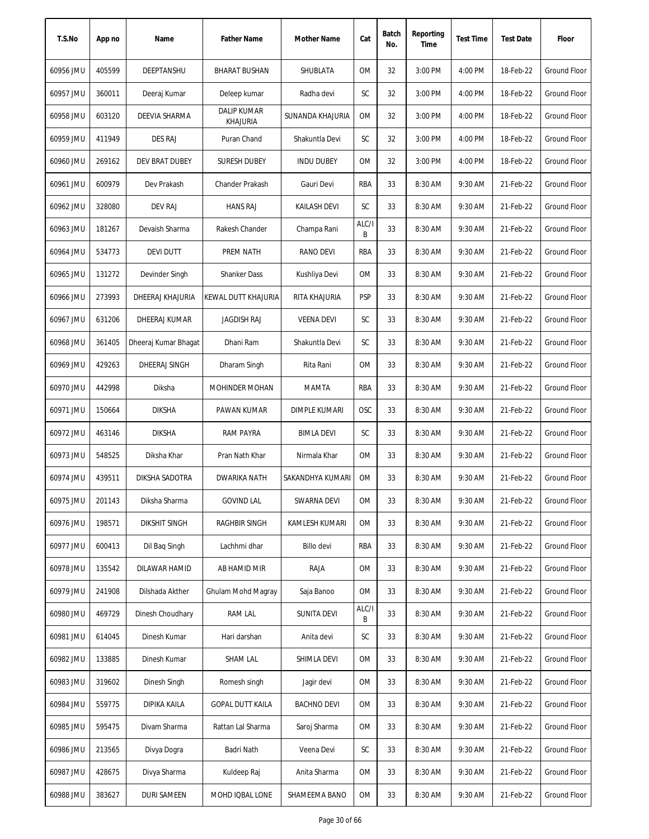| T.S.No    | App no | Name                 | <b>Father Name</b>                    | Mother Name          | Cat        | Batch<br>No. | Reporting<br>Time | <b>Test Time</b> | <b>Test Date</b> | Floor               |
|-----------|--------|----------------------|---------------------------------------|----------------------|------------|--------------|-------------------|------------------|------------------|---------------------|
| 60956 JMU | 405599 | DEEPTANSHU           | BHARAT BUSHAN                         | SHUBLATA             | <b>OM</b>  | 32           | 3:00 PM           | 4:00 PM          | 18-Feb-22        | Ground Floor        |
| 60957 JMU | 360011 | Deeraj Kumar         | Deleep kumar                          | Radha devi           | SC         | 32           | 3:00 PM           | 4:00 PM          | 18-Feb-22        | Ground Floor        |
| 60958 JMU | 603120 | DEEVIA SHARMA        | <b>DALIP KUMAR</b><br><b>KHAJURIA</b> | SUNANDA KHAJURIA     | 0M         | 32           | 3:00 PM           | 4:00 PM          | 18-Feb-22        | <b>Ground Floor</b> |
| 60959 JMU | 411949 | <b>DES RAJ</b>       | Puran Chand                           | Shakuntla Devi       | SC         | 32           | 3:00 PM           | 4:00 PM          | 18-Feb-22        | <b>Ground Floor</b> |
| 60960 JMU | 269162 | DEV BRAT DUBEY       | <b>SURESH DUBEY</b>                   | <b>INDU DUBEY</b>    | 0M         | 32           | 3:00 PM           | 4:00 PM          | 18-Feb-22        | <b>Ground Floor</b> |
| 60961 JMU | 600979 | Dev Prakash          | Chander Prakash                       | Gauri Devi           | <b>RBA</b> | 33           | 8:30 AM           | 9:30 AM          | 21-Feb-22        | <b>Ground Floor</b> |
| 60962 JMU | 328080 | <b>DEV RAJ</b>       | <b>HANS RAJ</b>                       | <b>KAILASH DEVI</b>  | SC         | 33           | 8:30 AM           | 9:30 AM          | 21-Feb-22        | Ground Floor        |
| 60963 JMU | 181267 | Devaish Sharma       | Rakesh Chander                        | Champa Rani          | ALC/I<br>B | 33           | 8:30 AM           | 9:30 AM          | 21-Feb-22        | <b>Ground Floor</b> |
| 60964 JMU | 534773 | <b>DEVI DUTT</b>     | PREM NATH                             | <b>RANO DEVI</b>     | RBA        | 33           | 8:30 AM           | 9:30 AM          | 21-Feb-22        | <b>Ground Floor</b> |
| 60965 JMU | 131272 | Devinder Singh       | <b>Shanker Dass</b>                   | Kushliya Devi        | 0M         | 33           | 8:30 AM           | 9:30 AM          | 21-Feb-22        | <b>Ground Floor</b> |
| 60966 JMU | 273993 | DHEERAJ KHAJURIA     | KEWAL DUTT KHAJURIA                   | RITA KHAJURIA        | <b>PSP</b> | 33           | 8:30 AM           | 9:30 AM          | 21-Feb-22        | <b>Ground Floor</b> |
| 60967 JMU | 631206 | DHEERAJ KUMAR        | <b>JAGDISH RAJ</b>                    | <b>VEENA DEVI</b>    | SC         | 33           | 8:30 AM           | 9:30 AM          | 21-Feb-22        | Ground Floor        |
| 60968 JMU | 361405 | Dheeraj Kumar Bhagat | Dhani Ram                             | Shakuntla Devi       | SC         | 33           | 8:30 AM           | 9:30 AM          | 21-Feb-22        | Ground Floor        |
| 60969 JMU | 429263 | DHEERAJ SINGH        | Dharam Singh                          | Rita Rani            | 0M         | 33           | 8:30 AM           | 9:30 AM          | 21-Feb-22        | <b>Ground Floor</b> |
| 60970 JMU | 442998 | Diksha               | MOHINDER MOHAN                        | MAMTA                | <b>RBA</b> | 33           | 8:30 AM           | 9:30 AM          | 21-Feb-22        | <b>Ground Floor</b> |
| 60971 JMU | 150664 | <b>DIKSHA</b>        | PAWAN KUMAR                           | <b>DIMPLE KUMARI</b> | <b>OSC</b> | 33           | 8:30 AM           | 9:30 AM          | 21-Feb-22        | Ground Floor        |
| 60972 JMU | 463146 | <b>DIKSHA</b>        | <b>RAM PAYRA</b>                      | <b>BIMLA DEVI</b>    | SC         | 33           | 8:30 AM           | 9:30 AM          | 21-Feb-22        | Ground Floor        |
| 60973 JMU | 548525 | Diksha Khar          | Pran Nath Khar                        | Nirmala Khar         | <b>OM</b>  | 33           | 8:30 AM           | 9:30 AM          | 21-Feb-22        | Ground Floor        |
| 60974 JMU | 439511 | DIKSHA SADOTRA       | <b>DWARIKA NATH</b>                   | SAKANDHYA KUMARI     | <b>OM</b>  | 33           | 8:30 AM           | 9:30 AM          | 21-Feb-22        | Ground Floor        |
| 60975 JMU | 201143 | Diksha Sharma        | <b>GOVIND LAL</b>                     | SWARNA DEVI          | 0M         | 33           | 8:30 AM           | 9:30 AM          | 21-Feb-22        | Ground Floor        |
| 60976 JMU | 198571 | <b>DIKSHIT SINGH</b> | RAGHBIR SINGH                         | KAMLESH KUMARI       | 0M         | 33           | 8:30 AM           | 9:30 AM          | 21-Feb-22        | <b>Ground Floor</b> |
| 60977 JMU | 600413 | Dil Bag Singh        | Lachhmi dhar                          | <b>Billo</b> devi    | <b>RBA</b> | 33           | 8:30 AM           | 9:30 AM          | 21-Feb-22        | Ground Floor        |
| 60978 JMU | 135542 | DILAWAR HAMID        | AB HAMID MIR                          | RAJA                 | 0M         | 33           | 8:30 AM           | 9:30 AM          | 21-Feb-22        | Ground Floor        |
| 60979 JMU | 241908 | Dilshada Akther      | Ghulam Mohd Magray                    | Saja Banoo           | 0M         | 33           | 8:30 AM           | 9:30 AM          | 21-Feb-22        | Ground Floor        |
| 60980 JMU | 469729 | Dinesh Choudhary     | RAM LAL                               | <b>SUNITA DEVI</b>   | ALC/I<br>B | 33           | 8:30 AM           | 9:30 AM          | 21-Feb-22        | Ground Floor        |
| 60981 JMU | 614045 | Dinesh Kumar         | Hari darshan                          | Anita devi           | SC         | 33           | 8:30 AM           | 9:30 AM          | 21-Feb-22        | Ground Floor        |
| 60982 JMU | 133885 | Dinesh Kumar         | SHAM LAL                              | SHIMLA DEVI          | 0M         | 33           | 8:30 AM           | 9:30 AM          | 21-Feb-22        | Ground Floor        |
| 60983 JMU | 319602 | Dinesh Singh         | Romesh singh                          | Jagir devi           | 0M         | 33           | 8:30 AM           | 9:30 AM          | 21-Feb-22        | Ground Floor        |
| 60984 JMU | 559775 | DIPIKA KAILA         | <b>GOPAL DUTT KAILA</b>               | <b>BACHNO DEVI</b>   | 0M         | 33           | 8:30 AM           | 9:30 AM          | 21-Feb-22        | Ground Floor        |
| 60985 JMU | 595475 | Divam Sharma         | Rattan Lal Sharma                     | Saroj Sharma         | 0M         | 33           | 8:30 AM           | 9:30 AM          | 21-Feb-22        | Ground Floor        |
| 60986 JMU | 213565 | Divya Dogra          | Badri Nath                            | Veena Devi           | SC         | 33           | 8:30 AM           | 9:30 AM          | 21-Feb-22        | Ground Floor        |
| 60987 JMU | 428675 | Divya Sharma         | Kuldeep Raj                           | Anita Sharma         | 0M         | 33           | 8:30 AM           | 9:30 AM          | 21-Feb-22        | Ground Floor        |
| 60988 JMU | 383627 | <b>DURI SAMEEN</b>   | MOHD IQBAL LONE                       | SHAMEEMA BANO        | OM         | 33           | 8:30 AM           | 9:30 AM          | 21-Feb-22        | Ground Floor        |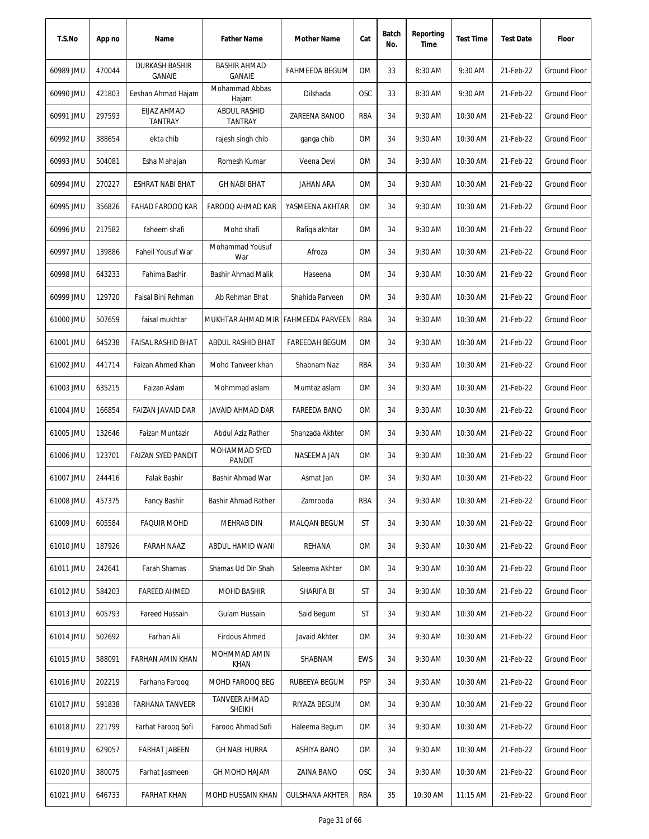| T.S.No    | App no | Name                                   | <b>Father Name</b>                 | Mother Name            | Cat        | Batch<br>No. | Reporting<br>Time | <b>Test Time</b> | <b>Test Date</b> | Floor               |
|-----------|--------|----------------------------------------|------------------------------------|------------------------|------------|--------------|-------------------|------------------|------------------|---------------------|
| 60989 JMU | 470044 | <b>DURKASH BASHIR</b><br><b>GANAIE</b> | <b>BASHIR AHMAD</b><br>GANAIE      | <b>FAHMEEDA BEGUM</b>  | 0M         | 33           | 8:30 AM           | 9:30 AM          | 21-Feb-22        | Ground Floor        |
| 60990 JMU | 421803 | Eeshan Ahmad Hajam                     | Mohammad Abbas<br>Hajam            | Dilshada               | <b>OSC</b> | 33           | 8:30 AM           | 9:30 AM          | 21-Feb-22        | <b>Ground Floor</b> |
| 60991 JMU | 297593 | EIJAZ AHMAD<br><b>TANTRAY</b>          | <b>ABDUL RASHID</b><br>TANTRAY     | ZAREENA BANOO          | RBA        | 34           | 9:30 AM           | 10:30 AM         | 21-Feb-22        | Ground Floor        |
| 60992 JMU | 388654 | ekta chib                              | rajesh singh chib                  | ganga chib             | 0M         | 34           | 9:30 AM           | 10:30 AM         | 21-Feb-22        | <b>Ground Floor</b> |
| 60993 JMU | 504081 | Esha Mahajan                           | Romesh Kumar                       | Veena Devi             | 0M         | 34           | 9:30 AM           | 10:30 AM         | 21-Feb-22        | Ground Floor        |
| 60994 JMU | 270227 | ESHRAT NABI BHAT                       | <b>GH NABI BHAT</b>                | JAHAN ARA              | 0M         | 34           | 9:30 AM           | 10:30 AM         | 21-Feb-22        | Ground Floor        |
| 60995 JMU | 356826 | FAHAD FAROOQ KAR                       | FAROOQ AHMAD KAR                   | YASMEENA AKHTAR        | 0M         | 34           | 9:30 AM           | 10:30 AM         | 21-Feb-22        | Ground Floor        |
| 60996 JMU | 217582 | faheem shafi                           | Mohd shafi                         | Rafiga akhtar          | 0M         | 34           | 9:30 AM           | 10:30 AM         | 21-Feb-22        | Ground Floor        |
| 60997 JMU | 139886 | Faheil Yousuf War                      | Mohammad Yousuf<br>War             | Afroza                 | 0M         | 34           | 9:30 AM           | 10:30 AM         | 21-Feb-22        | <b>Ground Floor</b> |
| 60998 JMU | 643233 | Fahima Bashir                          | Bashir Ahmad Malik                 | Haseena                | 0M         | 34           | 9:30 AM           | 10:30 AM         | 21-Feb-22        | Ground Floor        |
| 60999 JMU | 129720 | Faisal Bini Rehman                     | Ab Rehman Bhat                     | Shahida Parveen        | 0M         | 34           | 9:30 AM           | 10:30 AM         | 21-Feb-22        | Ground Floor        |
| 61000 JMU | 507659 | faisal mukhtar                         | MUKHTAR AHMAD MIR FAHMEEDA PARVEEN |                        | RBA        | 34           | 9:30 AM           | 10:30 AM         | 21-Feb-22        | <b>Ground Floor</b> |
| 61001 JMU | 645238 | <b>FAISAL RASHID BHAT</b>              | <b>ABDUL RASHID BHAT</b>           | <b>FAREEDAH BEGUM</b>  | 0M         | 34           | 9:30 AM           | 10:30 AM         | 21-Feb-22        | <b>Ground Floor</b> |
| 61002 JMU | 441714 | Faizan Ahmed Khan                      | Mohd Tanveer khan                  | Shabnam Naz            | RBA        | 34           | 9:30 AM           | 10:30 AM         | 21-Feb-22        | Ground Floor        |
| 61003 JMU | 635215 | Faizan Aslam                           | Mohmmad aslam                      | Mumtaz aslam           | 0M         | 34           | 9:30 AM           | 10:30 AM         | 21-Feb-22        | Ground Floor        |
| 61004 JMU | 166854 | FAIZAN JAVAID DAR                      | JAVAID AHMAD DAR                   | <b>FAREEDA BANO</b>    | 0M         | 34           | 9:30 AM           | 10:30 AM         | 21-Feb-22        | <b>Ground Floor</b> |
| 61005 JMU | 132646 | Faizan Muntazir                        | Abdul Aziz Rather                  | Shahzada Akhter        | 0M         | 34           | 9:30 AM           | 10:30 AM         | 21-Feb-22        | <b>Ground Floor</b> |
| 61006 JMU | 123701 | <b>FAIZAN SYED PANDIT</b>              | MOHAMMAD SYED<br>PANDIT            | NASEEMA JAN            | 0M         | 34           | 9:30 AM           | 10:30 AM         | 21-Feb-22        | <b>Ground Floor</b> |
| 61007 JMU | 244416 | Falak Bashir                           | Bashir Ahmad War                   | Asmat Jan              | 0M         | 34           | 9:30 AM           | 10:30 AM         | 21-Feb-22        | Ground Floor        |
| 61008 JMU | 457375 | <b>Fancy Bashir</b>                    | Bashir Ahmad Rather                | Zamrooda               | RBA        | 34           | 9:30 AM           | 10:30 AM         | 21-Feb-22        | <b>Ground Floor</b> |
| 61009 JMU | 605584 | <b>FAQUIR MOHD</b>                     | MEHRAB DIN                         | MALQAN BEGUM           | ST         | 34           | 9:30 AM           | 10:30 AM         | 21-Feb-22        | Ground Floor        |
| 61010 JMU | 187926 | FARAH NAAZ                             | ABDUL HAMID WANI                   | REHANA                 | 0M         | 34           | 9:30 AM           | 10:30 AM         | 21-Feb-22        | <b>Ground Floor</b> |
| 61011 JMU | 242641 | Farah Shamas                           | Shamas Ud Din Shah                 | Saleema Akhter         | 0M         | 34           | 9:30 AM           | 10:30 AM         | 21-Feb-22        | <b>Ground Floor</b> |
| 61012 JMU | 584203 | <b>FAREED AHMED</b>                    | <b>MOHD BASHIR</b>                 | SHARIFA BI             | ST         | 34           | 9:30 AM           | 10:30 AM         | 21-Feb-22        | Ground Floor        |
| 61013 JMU | 605793 | Fareed Hussain                         | Gulam Hussain                      | Said Begum             | ST         | 34           | 9:30 AM           | 10:30 AM         | 21-Feb-22        | <b>Ground Floor</b> |
| 61014 JMU | 502692 | Farhan Ali                             | <b>Firdous Ahmed</b>               | Javaid Akhter          | 0M         | 34           | 9:30 AM           | 10:30 AM         | 21-Feb-22        | Ground Floor        |
| 61015 JMU | 588091 | FARHAN AMIN KHAN                       | MOHMMAD AMIN<br><b>KHAN</b>        | SHABNAM                | <b>EWS</b> | 34           | 9:30 AM           | 10:30 AM         | 21-Feb-22        | <b>Ground Floor</b> |
| 61016 JMU | 202219 | Farhana Farooq                         | MOHD FAROOQ BEG                    | RUBEEYA BEGUM          | <b>PSP</b> | 34           | 9:30 AM           | 10:30 AM         | 21-Feb-22        | Ground Floor        |
| 61017 JMU | 591838 | <b>FARHANA TANVEER</b>                 | TANVEER AHMAD<br><b>SHEIKH</b>     | RIYAZA BEGUM           | 0M         | 34           | 9:30 AM           | 10:30 AM         | 21-Feb-22        | <b>Ground Floor</b> |
| 61018 JMU | 221799 | Farhat Faroog Sofi                     | Farooq Ahmad Sofi                  | Haleema Begum          | 0M         | 34           | 9:30 AM           | 10:30 AM         | 21-Feb-22        | Ground Floor        |
| 61019 JMU | 629057 | <b>FARHAT JABEEN</b>                   | <b>GH NABI HURRA</b>               | ASHIYA BANO            | 0M         | 34           | 9:30 AM           | 10:30 AM         | 21-Feb-22        | Ground Floor        |
| 61020 JMU | 380075 | Farhat Jasmeen                         | GH MOHD HAJAM                      | <b>ZAINA BANO</b>      | <b>OSC</b> | 34           | 9:30 AM           | 10:30 AM         | 21-Feb-22        | <b>Ground Floor</b> |
| 61021 JMU | 646733 | <b>FARHAT KHAN</b>                     | MOHD HUSSAIN KHAN                  | <b>GULSHANA AKHTER</b> | RBA        | 35           | 10:30 AM          | 11:15 AM         | 21-Feb-22        | Ground Floor        |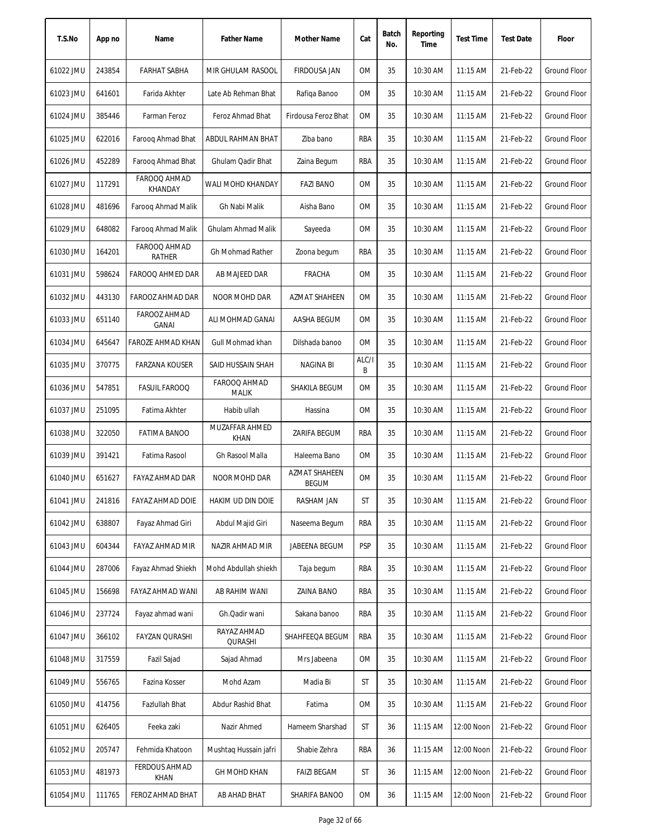| T.S.No    | App no | Name                                | <b>Father Name</b>            | Mother Name                          | Cat        | Batch<br>No. | Reporting<br>Time | <b>Test Time</b> | <b>Test Date</b> | Floor               |
|-----------|--------|-------------------------------------|-------------------------------|--------------------------------------|------------|--------------|-------------------|------------------|------------------|---------------------|
| 61022 JMU | 243854 | <b>FARHAT SABHA</b>                 | MIR GHULAM RASOOL             | <b>FIRDOUSA JAN</b>                  | 0M         | 35           | 10:30 AM          | 11:15 AM         | 21-Feb-22        | <b>Ground Floor</b> |
| 61023 JMU | 641601 | Farida Akhter                       | Late Ab Rehman Bhat           | Rafiga Banoo                         | ОM         | 35           | 10:30 AM          | 11:15 AM         | 21-Feb-22        | Ground Floor        |
| 61024 JMU | 385446 | Farman Feroz                        | Feroz Ahmad Bhat              | Firdousa Feroz Bhat                  | OM         | 35           | 10:30 AM          | $11:15$ AM       | 21-Feb-22        | Ground Floor        |
| 61025 JMU | 622016 | Faroog Ahmad Bhat                   | ABDUL RAHMAN BHAT             | Ziba bano                            | RBA        | 35           | 10:30 AM          | 11:15 AM         | 21-Feb-22        | <b>Ground Floor</b> |
| 61026 JMU | 452289 | Faroog Ahmad Bhat                   | Ghulam Qadir Bhat             | Zaina Begum                          | RBA        | 35           | 10:30 AM          | 11:15 AM         | 21-Feb-22        | <b>Ground Floor</b> |
| 61027 JMU | 117291 | FAROOQ AHMAD<br>KHANDAY             | WALI MOHD KHANDAY             | <b>FAZI BANO</b>                     | OM         | 35           | 10:30 AM          | 11:15 AM         | 21-Feb-22        | <b>Ground Floor</b> |
| 61028 JMU | 481696 | Faroog Ahmad Malik                  | Gh Nabi Malik                 | Aisha Bano                           | ОM         | 35           | 10:30 AM          | $11:15$ AM       | 21-Feb-22        | Ground Floor        |
| 61029 JMU | 648082 | Faroog Ahmad Malik                  | <b>Ghulam Ahmad Malik</b>     | Sayeeda                              | 0M         | 35           | 10:30 AM          | 11:15 AM         | 21-Feb-22        | <b>Ground Floor</b> |
| 61030 JMU | 164201 | FAROOQ AHMAD<br>RATHER              | <b>Gh Mohmad Rather</b>       | Zoona begum                          | RBA        | 35           | 10:30 AM          | 11:15 AM         | 21-Feb-22        | <b>Ground Floor</b> |
| 61031 JMU | 598624 | FAROOQ AHMED DAR                    | AB MAJEED DAR                 | <b>FRACHA</b>                        | 0M         | 35           | 10:30 AM          | 11:15 AM         | 21-Feb-22        | <b>Ground Floor</b> |
| 61032 JMU | 443130 | FAROOZ AHMAD DAR                    | NOOR MOHD DAR                 | AZMAT SHAHEEN                        | ОM         | 35           | 10:30 AM          | $11:15$ AM       | 21-Feb-22        | <b>Ground Floor</b> |
| 61033 JMU | 651140 | FAROOZ AHMAD<br><b>GANAI</b>        | ALI MOHMAD GANAI              | AASHA BEGUM                          | ОM         | 35           | 10:30 AM          | 11:15 AM         | 21-Feb-22        | Ground Floor        |
| 61034 JMU | 645647 | FAROZE AHMAD KHAN                   | Gull Mohmad khan              | Dilshada banoo                       | <b>OM</b>  | 35           | 10:30 AM          | 11:15 AM         | 21-Feb-22        | Ground Floor        |
| 61035 JMU | 370775 | <b>FARZANA KOUSER</b>               | SAID HUSSAIN SHAH             | NAGINA BI                            | ALC/I<br>B | 35           | 10:30 AM          | 11:15 AM         | 21-Feb-22        | Ground Floor        |
| 61036 JMU | 547851 | <b>FASUIL FAROOQ</b>                | FAROOQ AHMAD<br><b>MALIK</b>  | SHAKILA BEGUM                        | 0M         | 35           | 10:30 AM          | 11:15 AM         | 21-Feb-22        | <b>Ground Floor</b> |
| 61037 JMU | 251095 | Fatima Akhter                       | Habib ullah                   | Hassina                              | ОM         | 35           | 10:30 AM          | 11:15 AM         | 21-Feb-22        | Ground Floor        |
| 61038 JMU | 322050 | <b>FATIMA BANOO</b>                 | MUZAFFAR AHMED<br><b>KHAN</b> | ZARIFA BEGUM                         | RBA        | 35           | 10:30 AM          | 11:15 AM         | 21-Feb-22        | <b>Ground Floor</b> |
| 61039 JMU | 391421 | Fatima Rasool                       | Gh Rasool Malla               | Haleema Bano                         | <b>OM</b>  | 35           | 10:30 AM          | 11:15 AM         | 21-Feb-22        | <b>Ground Floor</b> |
| 61040 JMU | 651627 | FAYAZ AHMAD DAR                     | NOOR MOHD DAR                 | <b>AZMAT SHAHEEN</b><br><b>BEGUM</b> | <b>OM</b>  | 35           | 10:30 AM          | $11:15$ AM       | 21-Feb-22        | Ground Floor        |
| 61041 JMU | 241816 | FAYAZ AHMAD DOIE                    | HAKIM UD DIN DOIE             | RASHAM JAN                           | ST         | 35           | 10:30 AM          | 11:15 AM         | 21-Feb-22        | Ground Floor        |
| 61042 JMU | 638807 | Fayaz Ahmad Giri                    | Abdul Majid Giri              | Naseema Begum                        | RBA        | 35           | 10:30 AM          | 11:15 AM         | 21-Feb-22        | Ground Floor        |
| 61043 JMU | 604344 | FAYAZ AHMAD MIR                     | NAZIR AHMAD MIR               | JABEENA BEGUM                        | <b>PSP</b> | 35           | 10:30 AM          | 11:15 AM         | 21-Feb-22        | Ground Floor        |
| 61044 JMU | 287006 | Fayaz Ahmad Shiekh                  | Mohd Abdullah shiekh          | Taja begum                           | RBA        | 35           | 10:30 AM          | 11:15 AM         | 21-Feb-22        | Ground Floor        |
| 61045 JMU | 156698 | FAYAZ AHMAD WANI                    | AB RAHIM WANI                 | ZAINA BANO                           | RBA        | 35           | 10:30 AM          | 11:15 AM         | 21-Feb-22        | <b>Ground Floor</b> |
| 61046 JMU | 237724 | Fayaz ahmad wani                    | Gh.Qadir wani                 | Sakana banoo                         | RBA        | 35           | 10:30 AM          | 11:15 AM         | 21-Feb-22        | <b>Ground Floor</b> |
| 61047 JMU | 366102 | FAYZAN QURASHI                      | RAYAZ AHMAD<br>QURASHI        | SHAHFEEQA BEGUM                      | RBA        | 35           | 10:30 AM          | 11:15 AM         | 21-Feb-22        | Ground Floor        |
| 61048 JMU | 317559 | Fazil Sajad                         | Sajad Ahmad                   | Mrs Jabeena                          | ОM         | 35           | 10:30 AM          | 11:15 AM         | 21-Feb-22        | Ground Floor        |
| 61049 JMU | 556765 | Fazina Kosser                       | Mohd Azam                     | Madia Bi                             | ST         | 35           | 10:30 AM          | 11:15 AM         | 21-Feb-22        | Ground Floor        |
| 61050 JMU | 414756 | Fazlullah Bhat                      | Abdur Rashid Bhat             | Fatima                               | ОM         | 35           | 10:30 AM          | 11:15 AM         | 21-Feb-22        | Ground Floor        |
| 61051 JMU | 626405 | Feeka zaki                          | Nazir Ahmed                   | Hameem Sharshad                      | ST         | 36           | 11:15 AM          | 12:00 Noon       | 21-Feb-22        | Ground Floor        |
| 61052 JMU | 205747 | Fehmida Khatoon                     | Mushtaq Hussain jafri         | Shabie Zehra                         | RBA        | 36           | 11:15 AM          | 12:00 Noon       | 21-Feb-22        | Ground Floor        |
| 61053 JMU | 481973 | <b>FERDOUS AHMAD</b><br><b>KHAN</b> | GH MOHD KHAN                  | <b>FAIZI BEGAM</b>                   | ST         | 36           | $11:15$ AM        | 12:00 Noon       | 21-Feb-22        | Ground Floor        |
| 61054 JMU | 111765 | FEROZ AHMAD BHAT                    | AB AHAD BHAT                  | SHARIFA BANOO                        | ОM         | 36           | 11:15 AM          | 12:00 Noon       | 21-Feb-22        | Ground Floor        |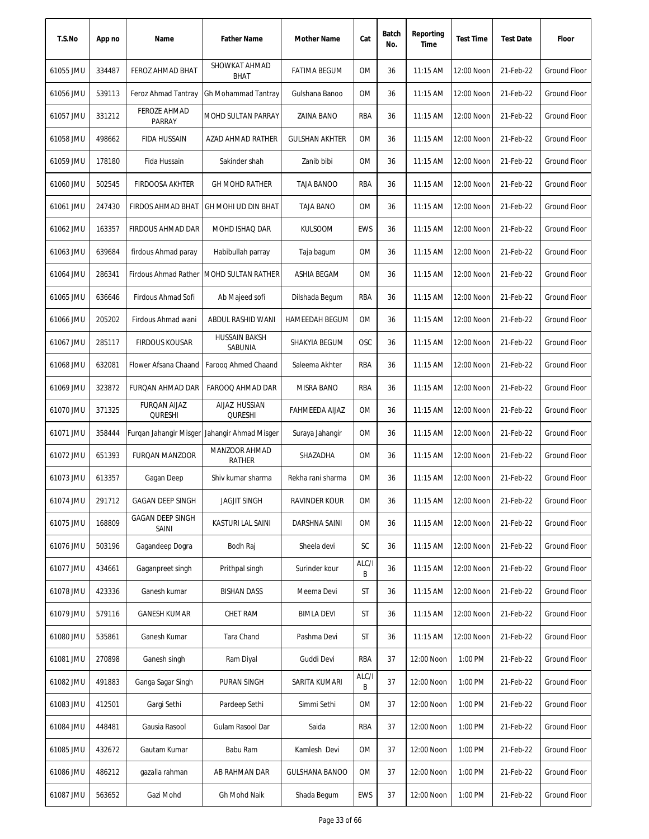| T.S.No    | App no | Name                                  | <b>Father Name</b>                           | Mother Name           | Cat        | Batch<br>No. | Reporting<br>Time | <b>Test Time</b> | <b>Test Date</b> | Floor               |
|-----------|--------|---------------------------------------|----------------------------------------------|-----------------------|------------|--------------|-------------------|------------------|------------------|---------------------|
| 61055 JMU | 334487 | FEROZ AHMAD BHAT                      | SHOWKAT AHMAD<br><b>BHAT</b>                 | <b>FATIMA BEGUM</b>   | OM         | 36           | 11:15 AM          | 12:00 Noon       | 21-Feb-22        | <b>Ground Floor</b> |
| 61056 JMU | 539113 | Feroz Ahmad Tantray                   | Gh Mohammad Tantray                          | Gulshana Banoo        | 0M         | 36           | 11:15 AM          | 12:00 Noon       | 21-Feb-22        | <b>Ground Floor</b> |
| 61057 JMU | 331212 | <b>FEROZE AHMAD</b><br>PARRAY         | MOHD SULTAN PARRAY                           | ZAINA BANO            | RBA        | 36           | 11:15 AM          | 12:00 Noon       | 21-Feb-22        | <b>Ground Floor</b> |
| 61058 JMU | 498662 | <b>FIDA HUSSAIN</b>                   | AZAD AHMAD RATHER                            | <b>GULSHAN AKHTER</b> | <b>OM</b>  | 36           | 11:15 AM          | 12:00 Noon       | 21-Feb-22        | <b>Ground Floor</b> |
| 61059 JMU | 178180 | Fida Hussain                          | Sakinder shah                                | Zanib bibi            | 0M         | 36           | $11:15$ AM        | 12:00 Noon       | 21-Feb-22        | Ground Floor        |
| 61060 JMU | 502545 | <b>FIRDOOSA AKHTER</b>                | <b>GH MOHD RATHER</b>                        | <b>TAJA BANOO</b>     | RBA        | 36           | 11:15 AM          | 12:00 Noon       | 21-Feb-22        | <b>Ground Floor</b> |
| 61061 JMU | 247430 | <b>FIRDOS AHMAD BHAT</b>              | GH MOHI UD DIN BHAT                          | <b>TAJA BANO</b>      | 0M         | 36           | 11:15 AM          | 12:00 Noon       | 21-Feb-22        | <b>Ground Floor</b> |
| 61062 JMU | 163357 | <b>FIRDOUS AHMAD DAR</b>              | MOHD ISHAQ DAR                               | <b>KULSOOM</b>        | <b>EWS</b> | 36           | 11:15 AM          | 12:00 Noon       | 21-Feb-22        | <b>Ground Floor</b> |
| 61063 JMU | 639684 | firdous Ahmad paray                   | Habibullah parray                            | Taja bagum            | 0M         | 36           | 11:15 AM          | 12:00 Noon       | 21-Feb-22        | <b>Ground Floor</b> |
| 61064 JMU | 286341 |                                       | Firdous Ahmad Rather MOHD SULTAN RATHER      | ASHIA BEGAM           | 0M         | 36           | 11:15 AM          | 12:00 Noon       | 21-Feb-22        | <b>Ground Floor</b> |
| 61065 JMU | 636646 | Firdous Ahmad Sofi                    | Ab Majeed sofi                               | Dilshada Begum        | RBA        | 36           | 11:15 AM          | 12:00 Noon       | 21-Feb-22        | <b>Ground Floor</b> |
| 61066 JMU | 205202 | Firdous Ahmad wani                    | ABDUL RASHID WANI                            | <b>HAMEEDAH BEGUM</b> | <b>OM</b>  | 36           | 11:15 AM          | 12:00 Noon       | 21-Feb-22        | <b>Ground Floor</b> |
| 61067 JMU | 285117 | <b>FIRDOUS KOUSAR</b>                 | <b>HUSSAIN BAKSH</b><br>SABUNIA              | SHAKYIA BEGUM         | OSC        | 36           | 11:15 AM          | 12:00 Noon       | 21-Feb-22        | <b>Ground Floor</b> |
| 61068 JMU | 632081 | Flower Afsana Chaand                  | Faroog Ahmed Chaand                          | Saleema Akhter        | RBA        | 36           | 11:15 AM          | 12:00 Noon       | 21-Feb-22        | <b>Ground Floor</b> |
| 61069 JMU | 323872 | FURQAN AHMAD DAR                      | FAROOQ AHMAD DAR                             | <b>MISRA BANO</b>     | RBA        | 36           | 11:15 AM          | 12:00 Noon       | 21-Feb-22        | <b>Ground Floor</b> |
| 61070 JMU | 371325 | <b>FURQAN AIJAZ</b><br><b>QURESHI</b> | AIJAZ HUSSIAN<br><b>QURESHI</b>              | FAHMEEDA AIJAZ        | 0M         | 36           | $11:15$ AM        | 12:00 Noon       | 21-Feb-22        | Ground Floor        |
| 61071 JMU | 358444 |                                       | Furqan Jahangir Misger Jahangir Ahmad Misger | Suraya Jahangir       | 0M         | 36           | 11:15 AM          | 12:00 Noon       | 21-Feb-22        | Ground Floor        |
| 61072 JMU | 651393 | <b>FURQAN MANZOOR</b>                 | MANZOOR AHMAD<br><b>RATHER</b>               | SHAZADHA              | <b>OM</b>  | 36           | 11:15 AM          | 12:00 Noon       | 21-Feb-22        | Ground Floor        |
| 61073 JMU | 613357 | Gagan Deep                            | Shiv kumar sharma                            | Rekha rani sharma     | <b>OM</b>  | 36           | 11:15 AM          | 12:00 Noon       | 21-Feb-22        | <b>Ground Floor</b> |
| 61074 JMU | 291712 | <b>GAGAN DEEP SINGH</b>               | <b>JAGJIT SINGH</b>                          | <b>RAVINDER KOUR</b>  | <b>OM</b>  | 36           | 11:15 AM          | 12:00 Noon       | 21-Feb-22        | <b>Ground Floor</b> |
| 61075 JMU | 168809 | GAGAN DEEP SINGH<br>SAINI             | KASTURI LAL SAINI                            | DARSHNA SAINI         | 0M         | 36           | 11:15 AM          | 12:00 Noon       | 21-Feb-22        | <b>Ground Floor</b> |
| 61076 JMU | 503196 | Gagandeep Dogra                       | Bodh Raj                                     | Sheela devi           | SC         | 36           | 11:15 AM          | 12:00 Noon       | 21-Feb-22        | <b>Ground Floor</b> |
| 61077 JMU | 434661 | Gaganpreet singh                      | Prithpal singh                               | Surinder kour         | ALC/I<br>B | 36           | 11:15 AM          | 12:00 Noon       | 21-Feb-22        | Ground Floor        |
| 61078 JMU | 423336 | Ganesh kumar                          | <b>BISHAN DASS</b>                           | Meema Devi            | ST         | 36           | 11:15 AM          | 12:00 Noon       | 21-Feb-22        | <b>Ground Floor</b> |
| 61079 JMU | 579116 | <b>GANESH KUMAR</b>                   | CHET RAM                                     | <b>BIMLA DEVI</b>     | ST         | 36           | $11:15$ AM        | 12:00 Noon       | 21-Feb-22        | Ground Floor        |
| 61080 JMU | 535861 | Ganesh Kumar                          | Tara Chand                                   | Pashma Devi           | ST         | 36           | 11:15 AM          | 12:00 Noon       | 21-Feb-22        | Ground Floor        |
| 61081 JMU | 270898 | Ganesh singh                          | Ram Diyal                                    | Guddi Devi            | RBA        | 37           | 12:00 Noon        | 1:00 PM          | 21-Feb-22        | Ground Floor        |
| 61082 JMU | 491883 | Ganga Sagar Singh                     | PURAN SINGH                                  | SARITA KUMARI         | ALC/I<br>B | 37           | 12:00 Noon        | 1:00 PM          | 21-Feb-22        | Ground Floor        |
| 61083 JMU | 412501 | Gargi Sethi                           | Pardeep Sethi                                | Simmi Sethi           | ОM         | 37           | 12:00 Noon        | 1:00 PM          | 21-Feb-22        | Ground Floor        |
| 61084 JMU | 448481 | Gausia Rasool                         | Gulam Rasool Dar                             | Saida                 | RBA        | 37           | 12:00 Noon        | 1:00 PM          | 21-Feb-22        | Ground Floor        |
| 61085 JMU | 432672 | Gautam Kumar                          | Babu Ram                                     | Kamlesh Devi          | ОM         | 37           | 12:00 Noon        | 1:00 PM          | 21-Feb-22        | Ground Floor        |
| 61086 JMU | 486212 | gazalla rahman                        | AB RAHMAN DAR                                | <b>GULSHANA BANOO</b> | OM         | 37           | 12:00 Noon        | 1:00 PM          | 21-Feb-22        | Ground Floor        |
| 61087 JMU | 563652 | Gazi Mohd                             | Gh Mohd Naik                                 | Shada Begum           | EWS        | 37           | 12:00 Noon        | 1:00 PM          | 21-Feb-22        | <b>Ground Floor</b> |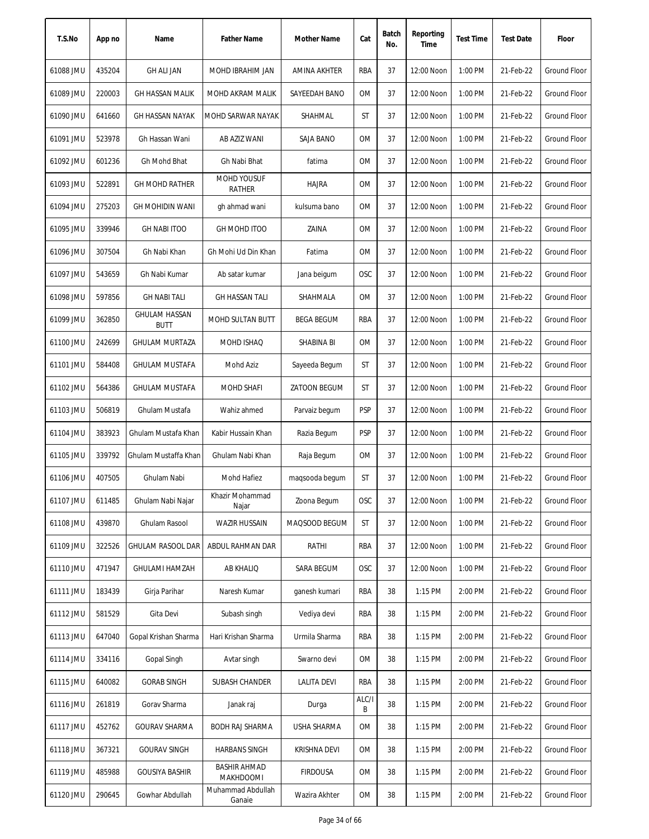| T.S.No    | App no | Name                                | <b>Father Name</b>               | Mother Name       | Cat        | Batch<br>No. | Reporting<br>Time | <b>Test Time</b> | <b>Test Date</b> | Floor               |
|-----------|--------|-------------------------------------|----------------------------------|-------------------|------------|--------------|-------------------|------------------|------------------|---------------------|
| 61088 JMU | 435204 | <b>GH ALI JAN</b>                   | MOHD IBRAHIM JAN                 | AMINA AKHTER      | RBA        | 37           | 12:00 Noon        | 1:00 PM          | 21-Feb-22        | Ground Floor        |
| 61089 JMU | 220003 | <b>GH HASSAN MALIK</b>              | MOHD AKRAM MALIK                 | SAYEEDAH BANO     | 0M         | 37           | 12:00 Noon        | 1:00 PM          | 21-Feb-22        | Ground Floor        |
| 61090 JMU | 641660 | GH HASSAN NAYAK                     | MOHD SARWAR NAYAK                | SHAHMAL           | ST         | 37           | 12:00 Noon        | 1:00 PM          | 21-Feb-22        | Ground Floor        |
| 61091 JMU | 523978 | Gh Hassan Wani                      | AB AZIZ WANI                     | SAJA BANO         | 0M         | 37           | 12:00 Noon        | 1:00 PM          | 21-Feb-22        | Ground Floor        |
| 61092 JMU | 601236 | Gh Mohd Bhat                        | Gh Nabi Bhat                     | fatima            | 0M         | 37           | 12:00 Noon        | 1:00 PM          | 21-Feb-22        | Ground Floor        |
| 61093 JMU | 522891 | <b>GH MOHD RATHER</b>               | MOHD YOUSUF<br>RATHER            | <b>HAJRA</b>      | 0M         | 37           | 12:00 Noon        | 1:00 PM          | 21-Feb-22        | Ground Floor        |
| 61094 JMU | 275203 | <b>GH MOHIDIN WANI</b>              | gh ahmad wani                    | kulsuma bano      | 0M         | 37           | 12:00 Noon        | 1:00 PM          | 21-Feb-22        | <b>Ground Floor</b> |
| 61095 JMU | 339946 | <b>GH NABI ITOO</b>                 | <b>GH MOHD ITOO</b>              | ZAINA             | 0M         | 37           | 12:00 Noon        | 1:00 PM          | 21-Feb-22        | Ground Floor        |
| 61096 JMU | 307504 | Gh Nabi Khan                        | Gh Mohi Ud Din Khan              | Fatima            | <b>OM</b>  | 37           | 12:00 Noon        | 1:00 PM          | 21-Feb-22        | <b>Ground Floor</b> |
| 61097 JMU | 543659 | Gh Nabi Kumar                       | Ab satar kumar                   | Jana beigum       | <b>OSC</b> | 37           | 12:00 Noon        | 1:00 PM          | 21-Feb-22        | Ground Floor        |
| 61098 JMU | 597856 | <b>GH NABI TALI</b>                 | <b>GH HASSAN TALI</b>            | SHAHMALA          | <b>OM</b>  | 37           | 12:00 Noon        | 1:00 PM          | 21-Feb-22        | Ground Floor        |
| 61099 JMU | 362850 | <b>GHULAM HASSAN</b><br><b>BUTT</b> | MOHD SULTAN BUTT                 | <b>BEGA BEGUM</b> | RBA        | 37           | 12:00 Noon        | 1:00 PM          | 21-Feb-22        | Ground Floor        |
| 61100 JMU | 242699 | <b>GHULAM MURTAZA</b>               | MOHD ISHAQ                       | SHABINA BI        | <b>OM</b>  | 37           | 12:00 Noon        | 1:00 PM          | 21-Feb-22        | <b>Ground Floor</b> |
| 61101 JMU | 584408 | <b>GHULAM MUSTAFA</b>               | Mohd Aziz                        | Sayeeda Begum     | <b>ST</b>  | 37           | 12:00 Noon        | 1:00 PM          | 21-Feb-22        | Ground Floor        |
| 61102 JMU | 564386 | <b>GHULAM MUSTAFA</b>               | <b>MOHD SHAFI</b>                | ZATOON BEGUM      | <b>ST</b>  | 37           | 12:00 Noon        | 1:00 PM          | 21-Feb-22        | <b>Ground Floor</b> |
| 61103 JMU | 506819 | Ghulam Mustafa                      | Wahiz ahmed                      | Parvaiz begum     | <b>PSP</b> | 37           | 12:00 Noon        | 1:00 PM          | 21-Feb-22        | Ground Floor        |
| 61104 JMU | 383923 | Ghulam Mustafa Khan                 | Kabir Hussain Khan               | Razia Begum       | <b>PSP</b> | 37           | 12:00 Noon        | 1:00 PM          | 21-Feb-22        | <b>Ground Floor</b> |
| 61105 JMU | 339792 | Ghulam Mustaffa Khan                | Ghulam Nabi Khan                 | Raja Begum        | <b>OM</b>  | 37           | 12:00 Noon        | 1:00 PM          | 21-Feb-22        | <b>Ground Floor</b> |
| 61106 JMU | 407505 | Ghulam Nabi                         | Mohd Hafiez                      | magsooda begum    | <b>ST</b>  | 37           | 12:00 Noon        | 1:00 PM          | 21-Feb-22        | Ground Floor        |
| 61107 JMU | 611485 | Ghulam Nabi Najar                   | Khazir Mohammad<br>Najar         | Zoona Begum       | <b>OSC</b> | 37           | 12:00 Noon        | 1:00 PM          | 21-Feb-22        | Ground Floor        |
| 61108 JMU | 439870 | Ghulam Rasool                       | <b>WAZIR HUSSAIN</b>             | MAQSOOD BEGUM     | ST         | 37           | 12:00 Noon        | 1:00 PM          | 21-Feb-22        | Ground Floor        |
| 61109 JMU | 322526 | GHULAM RASOOL DAR                   | ABDUL RAHMAN DAR                 | RATHI             | RBA        | 37           | 12:00 Noon        | 1:00 PM          | 21-Feb-22        | Ground Floor        |
| 61110 JMU | 471947 | <b>GHULAMI HAMZAH</b>               | <b>AB KHALIQ</b>                 | SARA BEGUM        | <b>OSC</b> | 37           | 12:00 Noon        | 1:00 PM          | 21-Feb-22        | Ground Floor        |
| 61111 JMU | 183439 | Girja Parihar                       | Naresh Kumar                     | ganesh kumari     | RBA        | 38           | 1:15 PM           | 2:00 PM          | 21-Feb-22        | Ground Floor        |
| 61112 JMU | 581529 | Gita Devi                           | Subash singh                     | Vediya devi       | RBA        | 38           | 1:15 PM           | 2:00 PM          | 21-Feb-22        | Ground Floor        |
| 61113 JMU | 647040 | Gopal Krishan Sharma                | Hari Krishan Sharma              | Urmila Sharma     | RBA        | 38           | 1:15 PM           | 2:00 PM          | 21-Feb-22        | Ground Floor        |
| 61114 JMU | 334116 | Gopal Singh                         | Avtar singh                      | Swarno devi       | 0M         | 38           | $1:15$ PM         | 2:00 PM          | 21-Feb-22        | Ground Floor        |
| 61115 JMU | 640082 | <b>GORAB SINGH</b>                  | SUBASH CHANDER                   | LALITA DEVI       | RBA        | 38           | $1:15$ PM         | 2:00 PM          | 21-Feb-22        | Ground Floor        |
| 61116 JMU | 261819 | Gorav Sharma                        | Janak raj                        | Durga             | ALC/I<br>В | 38           | 1:15 PM           | 2:00 PM          | 21-Feb-22        | Ground Floor        |
| 61117 JMU | 452762 | <b>GOURAV SHARMA</b>                | <b>BODH RAJ SHARMA</b>           | USHA SHARMA       | 0M         | 38           | 1:15 PM           | 2:00 PM          | 21-Feb-22        | Ground Floor        |
| 61118 JMU | 367321 | <b>GOURAV SINGH</b>                 | <b>HARBANS SINGH</b>             | KRISHNA DEVI      | 0M         | 38           | 1:15 PM           | 2:00 PM          | 21-Feb-22        | Ground Floor        |
| 61119 JMU | 485988 | <b>GOUSIYA BASHIR</b>               | <b>BASHIR AHMAD</b><br>MAKHDOOMI | <b>FIRDOUSA</b>   | 0M         | 38           | 1:15 PM           | 2:00 PM          | 21-Feb-22        | Ground Floor        |
| 61120 JMU | 290645 | Gowhar Abdullah                     | Muhammad Abdullah<br>Ganaie      | Wazira Akhter     | 0M         | 38           | 1:15 PM           | 2:00 PM          | 21-Feb-22        | Ground Floor        |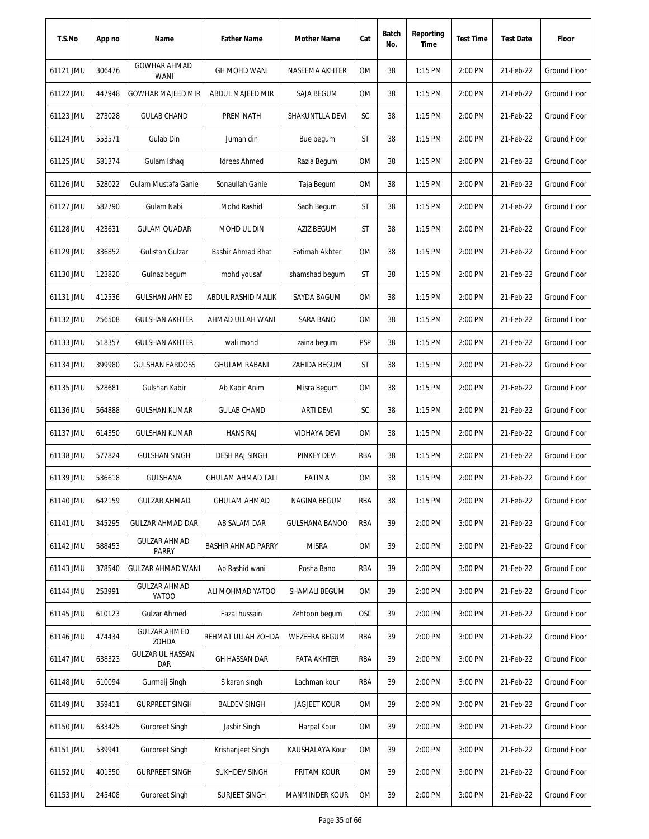| T.S.No    | App no | Name                                | <b>Father Name</b>        | Mother Name           | Cat        | Batch<br>No. | Reporting<br>Time | <b>Test Time</b> | <b>Test Date</b> | Floor               |
|-----------|--------|-------------------------------------|---------------------------|-----------------------|------------|--------------|-------------------|------------------|------------------|---------------------|
| 61121 JMU | 306476 | <b>GOWHAR AHMAD</b><br><b>WANI</b>  | <b>GH MOHD WANI</b>       | NASEEMA AKHTER        | <b>OM</b>  | 38           | $1:15$ PM         | 2:00 PM          | 21-Feb-22        | Ground Floor        |
| 61122 JMU | 447948 | <b>GOWHAR MAJEED MIR</b>            | ABDUL MAJEED MIR          | SAJA BEGUM            | 0M         | 38           | $1:15$ PM         | 2:00 PM          | 21-Feb-22        | Ground Floor        |
| 61123 JMU | 273028 | <b>GULAB CHAND</b>                  | PREM NATH                 | SHAKUNTLLA DEVI       | SC         | 38           | 1:15 PM           | 2:00 PM          | 21-Feb-22        | Ground Floor        |
| 61124 JMU | 553571 | Gulab Din                           | Juman din                 | Bue begum             | ST         | 38           | 1:15 PM           | 2:00 PM          | 21-Feb-22        | Ground Floor        |
| 61125 JMU | 581374 | Gulam Ishaq                         | <b>Idrees Ahmed</b>       | Razia Begum           | 0M         | 38           | 1:15 PM           | 2:00 PM          | 21-Feb-22        | <b>Ground Floor</b> |
| 61126 JMU | 528022 | Gulam Mustafa Ganie                 | Sonaullah Ganie           | Taja Begum            | 0M         | 38           | 1:15 PM           | 2:00 PM          | 21-Feb-22        | Ground Floor        |
| 61127 JMU | 582790 | Gulam Nabi                          | Mohd Rashid               | Sadh Begum            | ST         | 38           | 1:15 PM           | 2:00 PM          | 21-Feb-22        | Ground Floor        |
| 61128 JMU | 423631 | <b>GULAM QUADAR</b>                 | MOHD UL DIN               | AZIZ BEGUM            | ST         | 38           | $1:15$ PM         | 2:00 PM          | 21-Feb-22        | <b>Ground Floor</b> |
| 61129 JMU | 336852 | Gulistan Gulzar                     | Bashir Ahmad Bhat         | Fatimah Akhter        | <b>OM</b>  | 38           | $1:15$ PM         | 2:00 PM          | 21-Feb-22        | <b>Ground Floor</b> |
| 61130 JMU | 123820 | Gulnaz begum                        | mohd yousaf               | shamshad begum        | ST         | 38           | $1:15$ PM         | 2:00 PM          | 21-Feb-22        | <b>Ground Floor</b> |
| 61131 JMU | 412536 | <b>GULSHAN AHMED</b>                | ABDUL RASHID MALIK        | SAYDA BAGUM           | 0M         | 38           | $1:15$ PM         | 2:00 PM          | 21-Feb-22        | <b>Ground Floor</b> |
| 61132 JMU | 256508 | <b>GULSHAN AKHTER</b>               | AHMAD ULLAH WANI          | SARA BANO             | 0M         | 38           | 1:15 PM           | 2:00 PM          | 21-Feb-22        | Ground Floor        |
| 61133 JMU | 518357 | <b>GULSHAN AKHTER</b>               | wali mohd                 | zaina begum           | <b>PSP</b> | 38           | 1:15 PM           | 2:00 PM          | 21-Feb-22        | <b>Ground Floor</b> |
| 61134 JMU | 399980 | <b>GULSHAN FARDOSS</b>              | <b>GHULAM RABANI</b>      | ZAHIDA BEGUM          | <b>ST</b>  | 38           | 1:15 PM           | 2:00 PM          | 21-Feb-22        | Ground Floor        |
| 61135 JMU | 528681 | Gulshan Kabir                       | Ab Kabir Anim             | Misra Begum           | <b>OM</b>  | 38           | 1:15 PM           | 2:00 PM          | 21-Feb-22        | <b>Ground Floor</b> |
| 61136 JMU | 564888 | <b>GULSHAN KUMAR</b>                | <b>GULAB CHAND</b>        | <b>ARTI DEVI</b>      | SC         | 38           | 1:15 PM           | 2:00 PM          | 21-Feb-22        | Ground Floor        |
| 61137 JMU | 614350 | <b>GULSHAN KUMAR</b>                | <b>HANS RAJ</b>           | <b>VIDHAYA DEVI</b>   | <b>OM</b>  | 38           | 1:15 PM           | 2:00 PM          | 21-Feb-22        | <b>Ground Floor</b> |
| 61138 JMU | 577824 | <b>GULSHAN SINGH</b>                | DESH RAJ SINGH            | PINKEY DEVI           | RBA        | 38           | 1:15 PM           | 2:00 PM          | 21-Feb-22        | Ground Floor        |
| 61139 JMU | 536618 | <b>GULSHANA</b>                     | <b>GHULAM AHMAD TALI</b>  | <b>FATIMA</b>         | <b>OM</b>  | 38           | $1:15$ PM         | 2:00 PM          | 21-Feb-22        | Ground Floor        |
| 61140 JMU | 642159 | <b>GULZAR AHMAD</b>                 | <b>GHULAM AHMAD</b>       | NAGINA BEGUM          | RBA        | 38           | 1:15 PM           | 2:00 PM          | 21-Feb-22        | Ground Floor        |
| 61141 JMU | 345295 | <b>GULZAR AHMAD DAR</b>             | AB SALAM DAR              | <b>GULSHANA BANOO</b> | <b>RBA</b> | 39           | 2:00 PM           | 3:00 PM          | 21-Feb-22        | Ground Floor        |
| 61142 JMU | 588453 | <b>GULZAR AHMAD</b><br>PARRY        | <b>BASHIR AHMAD PARRY</b> | <b>MISRA</b>          | 0M         | 39           | 2:00 PM           | 3:00 PM          | 21-Feb-22        | Ground Floor        |
| 61143 JMU | 378540 | GULZAR AHMAD WANI                   | Ab Rashid wani            | Posha Bano            | RBA        | 39           | 2:00 PM           | 3:00 PM          | 21-Feb-22        | Ground Floor        |
| 61144 JMU | 253991 | <b>GULZAR AHMAD</b><br><b>YATOO</b> | ALI MOHMAD YATOO          | SHAMALI BEGUM         | 0M         | 39           | 2:00 PM           | 3:00 PM          | 21-Feb-22        | Ground Floor        |
| 61145 JMU | 610123 | Gulzar Ahmed                        | Fazal hussain             | Zehtoon begum         | OSC        | 39           | 2:00 PM           | 3:00 PM          | 21-Feb-22        | Ground Floor        |
| 61146 JMU | 474434 | <b>GULZAR AHMED</b><br>ZOHDA        | REHMAT ULLAH ZOHDA        | <b>WEZEERA BEGUM</b>  | RBA        | 39           | 2:00 PM           | 3:00 PM          | 21-Feb-22        | Ground Floor        |
| 61147 JMU | 638323 | <b>GULZAR UL HASSAN</b><br>Dar      | GH HASSAN DAR             | <b>FATA AKHTER</b>    | RBA        | 39           | 2:00 PM           | 3:00 PM          | 21-Feb-22        | Ground Floor        |
| 61148 JMU | 610094 | Gurmaij Singh                       | S karan singh             | Lachman kour          | RBA        | 39           | 2:00 PM           | 3:00 PM          | 21-Feb-22        | Ground Floor        |
| 61149 JMU | 359411 | <b>GURPREET SINGH</b>               | <b>BALDEV SINGH</b>       | <b>JAGJEET KOUR</b>   | 0M         | 39           | 2:00 PM           | 3:00 PM          | 21-Feb-22        | Ground Floor        |
| 61150 JMU | 633425 | Gurpreet Singh                      | Jasbir Singh              | Harpal Kour           | 0M         | 39           | 2:00 PM           | 3:00 PM          | 21-Feb-22        | Ground Floor        |
| 61151 JMU | 539941 | Gurpreet Singh                      | Krishanjeet Singh         | KAUSHALAYA Kour       | 0M         | 39           | 2:00 PM           | 3:00 PM          | 21-Feb-22        | Ground Floor        |
| 61152 JMU | 401350 | <b>GURPREET SINGH</b>               | SUKHDEV SINGH             | PRITAM KOUR           | 0M         | 39           | 2:00 PM           | 3:00 PM          | 21-Feb-22        | Ground Floor        |
| 61153 JMU | 245408 | <b>Gurpreet Singh</b>               | SURJEET SINGH             | <b>MANMINDER KOUR</b> | <b>OM</b>  | 39           | 2:00 PM           | 3:00 PM          | 21-Feb-22        | Ground Floor        |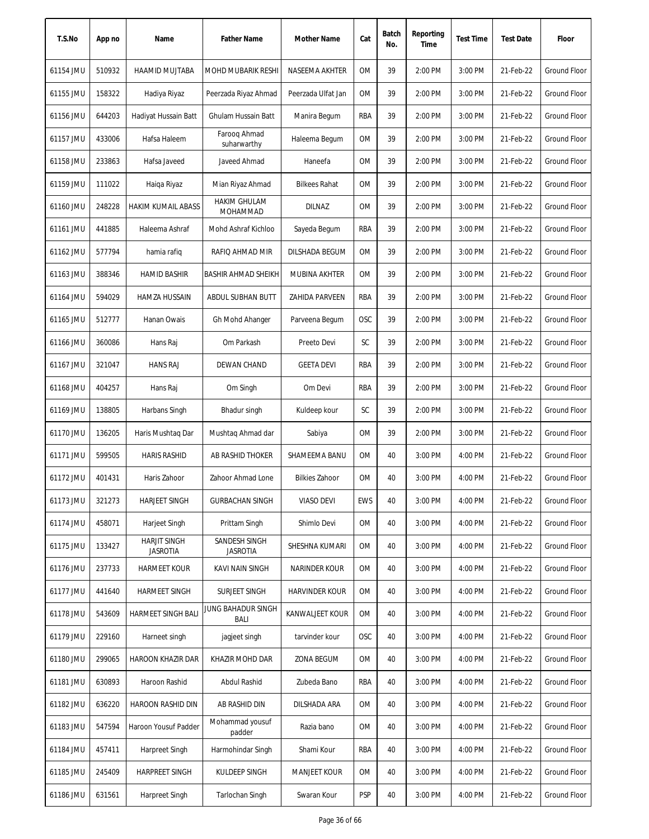| T.S.No    | App no | Name                                   | <b>Father Name</b>               | Mother Name            | Cat        | Batch<br>No. | Reporting<br>Time | <b>Test Time</b> | <b>Test Date</b> | Floor               |
|-----------|--------|----------------------------------------|----------------------------------|------------------------|------------|--------------|-------------------|------------------|------------------|---------------------|
| 61154 JMU | 510932 | <b>HAAMID MUJTABA</b>                  | <b>MOHD MUBARIK RESHI</b>        | NASEEMA AKHTER         | <b>OM</b>  | 39           | 2:00 PM           | 3:00 PM          | 21-Feb-22        | Ground Floor        |
| 61155 JMU | 158322 | Hadiya Riyaz                           | Peerzada Riyaz Ahmad             | Peerzada Ulfat Jan     | 0M         | 39           | 2:00 PM           | 3:00 PM          | 21-Feb-22        | Ground Floor        |
| 61156 JMU | 644203 | Hadiyat Hussain Batt                   | Ghulam Hussain Batt              | Manira Begum           | RBA        | 39           | 2:00 PM           | 3:00 PM          | 21-Feb-22        | Ground Floor        |
| 61157 JMU | 433006 | Hafsa Haleem                           | Faroog Ahmad<br>suharwarthy      | Haleema Begum          | 0M         | 39           | 2:00 PM           | 3:00 PM          | 21-Feb-22        | <b>Ground Floor</b> |
| 61158 JMU | 233863 | Hafsa Javeed                           | Javeed Ahmad                     | Haneefa                | 0M         | 39           | 2:00 PM           | 3:00 PM          | 21-Feb-22        | Ground Floor        |
| 61159 JMU | 111022 | Haiqa Riyaz                            | Mian Riyaz Ahmad                 | <b>Bilkees Rahat</b>   | 0M         | 39           | 2:00 PM           | 3:00 PM          | 21-Feb-22        | Ground Floor        |
| 61160 JMU | 248228 | HAKIM KUMAIL ABASS                     | <b>HAKIM GHULAM</b><br>MOHAMMAD  | <b>DILNAZ</b>          | 0M         | 39           | 2:00 PM           | 3:00 PM          | 21-Feb-22        | Ground Floor        |
| 61161 JMU | 441885 | Haleema Ashraf                         | Mohd Ashraf Kichloo              | Sayeda Begum           | RBA        | 39           | 2:00 PM           | 3:00 PM          | 21-Feb-22        | <b>Ground Floor</b> |
| 61162 JMU | 577794 | hamia rafiq                            | RAFIQ AHMAD MIR                  | DILSHADA BEGUM         | <b>OM</b>  | 39           | 2:00 PM           | 3:00 PM          | 21-Feb-22        | <b>Ground Floor</b> |
| 61163 JMU | 388346 | <b>HAMID BASHIR</b>                    | <b>BASHIR AHMAD SHEIKH</b>       | MUBINA AKHTER          | <b>OM</b>  | 39           | 2:00 PM           | 3:00 PM          | 21-Feb-22        | <b>Ground Floor</b> |
| 61164 JMU | 594029 | HAMZA HUSSAIN                          | ABDUL SUBHAN BUTT                | ZAHIDA PARVEEN         | RBA        | 39           | 2:00 PM           | 3:00 PM          | 21-Feb-22        | Ground Floor        |
| 61165 JMU | 512777 | Hanan Owais                            | Gh Mohd Ahanger                  | Parveena Begum         | <b>OSC</b> | 39           | 2:00 PM           | 3:00 PM          | 21-Feb-22        | Ground Floor        |
| 61166 JMU | 360086 | Hans Raj                               | Om Parkash                       | Preeto Devi            | SC         | 39           | 2:00 PM           | 3:00 PM          | 21-Feb-22        | <b>Ground Floor</b> |
| 61167 JMU | 321047 | <b>HANS RAJ</b>                        | DEWAN CHAND                      | <b>GEETA DEVI</b>      | <b>RBA</b> | 39           | 2:00 PM           | 3:00 PM          | 21-Feb-22        | <b>Ground Floor</b> |
| 61168 JMU | 404257 | Hans Raj                               | Om Singh                         | Om Devi                | <b>RBA</b> | 39           | 2:00 PM           | 3:00 PM          | 21-Feb-22        | <b>Ground Floor</b> |
| 61169 JMU | 138805 | Harbans Singh                          | Bhadur singh                     | Kuldeep kour           | SC         | 39           | 2:00 PM           | 3:00 PM          | 21-Feb-22        | Ground Floor        |
| 61170 JMU | 136205 | Haris Mushtaq Dar                      | Mushtaq Ahmad dar                | Sabiya                 | <b>OM</b>  | 39           | 2:00 PM           | 3:00 PM          | 21-Feb-22        | <b>Ground Floor</b> |
| 61171 JMU | 599505 | <b>HARIS RASHID</b>                    | <b>AB RASHID THOKER</b>          | SHAMEEMA BANU          | <b>OM</b>  | 40           | 3:00 PM           | 4:00 PM          | 21-Feb-22        | Ground Floor        |
| 61172 JMU | 401431 | Haris Zahoor                           | Zahoor Ahmad Lone                | <b>Bilkies Zahoor</b>  | <b>OM</b>  | 40           | 3:00 PM           | 4:00 PM          | 21-Feb-22        | Ground Floor        |
| 61173 JMU | 321273 | <b>HARJEET SINGH</b>                   | <b>GURBACHAN SINGH</b>           | VIASO DEVI             | EWS        | 40           | 3:00 PM           | 4:00 PM          | 21-Feb-22        | Ground Floor        |
| 61174 JMU | 458071 | Harjeet Singh                          | Prittam Singh                    | Shimlo Devi            | 0M         | 40           | 3:00 PM           | 4:00 PM          | 21-Feb-22        | Ground Floor        |
| 61175 JMU | 133427 | <b>HARJIT SINGH</b><br><b>JASROTIA</b> | SANDESH SINGH<br><b>JASROTIA</b> | SHESHNA KUMARI         | 0M         | 40           | 3:00 PM           | 4:00 PM          | 21-Feb-22        | Ground Floor        |
| 61176 JMU | 237733 | <b>HARMEET KOUR</b>                    | KAVI NAIN SINGH                  | NARINDER KOUR          | 0M         | 40           | 3:00 PM           | 4:00 PM          | 21-Feb-22        | Ground Floor        |
| 61177 JMU | 441640 | HARMEET SINGH                          | SURJEET SINGH                    | <b>HARVINDER KOUR</b>  | <b>OM</b>  | 40           | 3:00 PM           | 4:00 PM          | 21-Feb-22        | Ground Floor        |
| 61178 JMU | 543609 | <b>HARMEET SINGH BALI</b>              | JUNG BAHADUR SINGH<br>BALI       | <b>KANWALJEET KOUR</b> | <b>OM</b>  | 40           | 3:00 PM           | 4:00 PM          | 21-Feb-22        | Ground Floor        |
| 61179 JMU | 229160 | Harneet singh                          | jagjeet singh                    | tarvinder kour         | OSC        | 40           | 3:00 PM           | 4:00 PM          | 21-Feb-22        | Ground Floor        |
| 61180 JMU | 299065 | HAROON KHAZIR DAR                      | KHAZIR MOHD DAR                  | ZONA BEGUM             | 0M         | 40           | 3:00 PM           | 4:00 PM          | 21-Feb-22        | Ground Floor        |
| 61181 JMU | 630893 | Haroon Rashid                          | Abdul Rashid                     | Zubeda Bano            | RBA        | 40           | 3:00 PM           | 4:00 PM          | 21-Feb-22        | Ground Floor        |
| 61182 JMU | 636220 | HAROON RASHID DIN                      | AB RASHID DIN                    | DILSHADA ARA           | OM         | 40           | 3:00 PM           | 4:00 PM          | 21-Feb-22        | Ground Floor        |
| 61183 JMU | 547594 | Haroon Yousuf Padder                   | Mohammad yousuf<br>padder        | Razia bano             | <b>OM</b>  | 40           | 3:00 PM           | 4:00 PM          | 21-Feb-22        | Ground Floor        |
| 61184 JMU | 457411 | Harpreet Singh                         | Harmohindar Singh                | Shami Kour             | RBA        | 40           | 3:00 PM           | 4:00 PM          | 21-Feb-22        | Ground Floor        |
| 61185 JMU | 245409 | <b>HARPREET SINGH</b>                  | KULDEEP SINGH                    | <b>MANJEET KOUR</b>    | OM         | 40           | 3:00 PM           | 4:00 PM          | 21-Feb-22        | Ground Floor        |
| 61186 JMU | 631561 | Harpreet Singh                         | Tarlochan Singh                  | Swaran Kour            | <b>PSP</b> | 40           | 3:00 PM           | 4:00 PM          | 21-Feb-22        | Ground Floor        |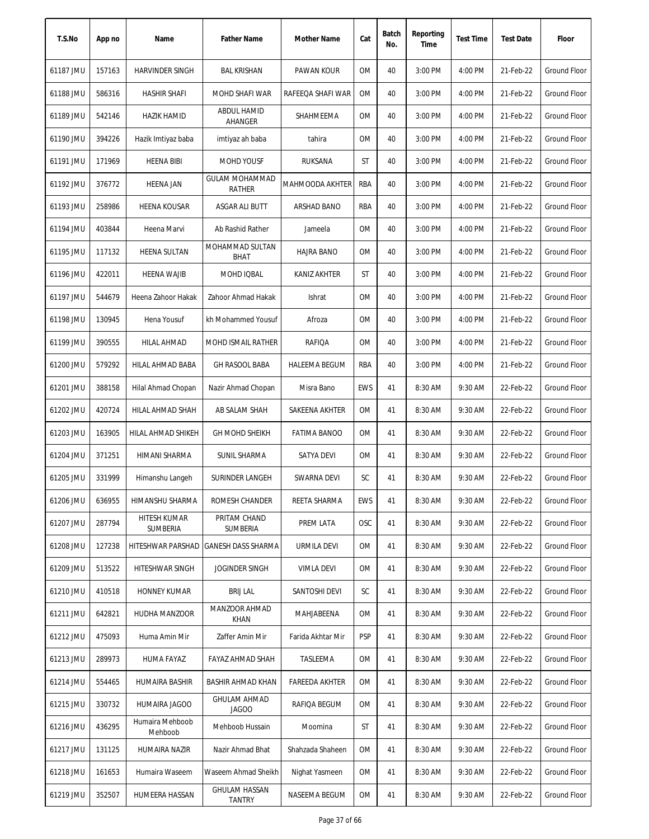| T.S.No    | App no | Name                       | <b>Father Name</b>                     | Mother Name           | Cat        | Batch<br>No. | Reporting<br>Time | <b>Test Time</b> | <b>Test Date</b> | Floor               |
|-----------|--------|----------------------------|----------------------------------------|-----------------------|------------|--------------|-------------------|------------------|------------------|---------------------|
| 61187 JMU | 157163 | <b>HARVINDER SINGH</b>     | <b>BAL KRISHAN</b>                     | PAWAN KOUR            | <b>OM</b>  | 40           | 3:00 PM           | 4:00 PM          | 21-Feb-22        | <b>Ground Floor</b> |
| 61188 JMU | 586316 | <b>HASHIR SHAFI</b>        | MOHD SHAFI WAR                         | RAFEEQA SHAFI WAR     | 0M         | 40           | 3:00 PM           | 4:00 PM          | 21-Feb-22        | <b>Ground Floor</b> |
| 61189 JMU | 542146 | <b>HAZIK HAMID</b>         | ABDUL HAMID<br>AHANGER                 | SHAHMEEMA             | 0M         | 40           | 3:00 PM           | 4:00 PM          | 21-Feb-22        | Ground Floor        |
| 61190 JMU | 394226 | Hazik Imtiyaz baba         | imtiyaz ah baba                        | tahira                | 0M         | 40           | 3:00 PM           | 4:00 PM          | 21-Feb-22        | <b>Ground Floor</b> |
| 61191 JMU | 171969 | <b>HEENA BIBI</b>          | <b>MOHD YOUSF</b>                      | <b>RUKSANA</b>        | ST         | 40           | 3:00 PM           | 4:00 PM          | 21-Feb-22        | <b>Ground Floor</b> |
| 61192 JMU | 376772 | <b>HEENA JAN</b>           | <b>GULAM MOHAMMAD</b><br><b>RATHER</b> | MAHMOODA AKHTER       | RBA        | 40           | 3:00 PM           | 4:00 PM          | 21-Feb-22        | <b>Ground Floor</b> |
| 61193 JMU | 258986 | <b>HEENA KOUSAR</b>        | ASGAR ALI BUTT                         | ARSHAD BANO           | RBA        | 40           | 3:00 PM           | 4:00 PM          | 21-Feb-22        | Ground Floor        |
| 61194 JMU | 403844 | Heena Marvi                | Ab Rashid Rather                       | Jameela               | 0M         | 40           | 3:00 PM           | 4:00 PM          | 21-Feb-22        | <b>Ground Floor</b> |
| 61195 JMU | 117132 | <b>HEENA SULTAN</b>        | MOHAMMAD SULTAN<br><b>BHAT</b>         | <b>HAJRA BANO</b>     | <b>OM</b>  | 40           | 3:00 PM           | 4:00 PM          | 21-Feb-22        | <b>Ground Floor</b> |
| 61196 JMU | 422011 | <b>HEENA WAJIB</b>         | MOHD IQBAL                             | <b>KANIZ AKHTER</b>   | ST         | 40           | 3:00 PM           | 4:00 PM          | 21-Feb-22        | <b>Ground Floor</b> |
| 61197 JMU | 544679 | Heena Zahoor Hakak         | Zahoor Ahmad Hakak                     | Ishrat                | 0M         | 40           | 3:00 PM           | 4:00 PM          | 21-Feb-22        | Ground Floor        |
| 61198 JMU | 130945 | Hena Yousuf                | kh Mohammed Yousuf                     | Afroza                | 0M         | 40           | 3:00 PM           | 4:00 PM          | 21-Feb-22        | Ground Floor        |
| 61199 JMU | 390555 | HILAL AHMAD                | MOHD ISMAIL RATHER                     | RAFIQA                | 0M         | 40           | 3:00 PM           | 4:00 PM          | 21-Feb-22        | <b>Ground Floor</b> |
| 61200 JMU | 579292 | HILAL AHMAD BABA           | <b>GH RASOOL BABA</b>                  | <b>HALEEMA BEGUM</b>  | <b>RBA</b> | 40           | 3:00 PM           | 4:00 PM          | 21-Feb-22        | <b>Ground Floor</b> |
| 61201 JMU | 388158 | Hilal Ahmad Chopan         | Nazir Ahmad Chopan                     | Misra Bano            | <b>EWS</b> | 41           | 8:30 AM           | 9:30 AM          | 22-Feb-22        | Ground Floor        |
| 61202 JMU | 420724 | HILAL AHMAD SHAH           | AB SALAM SHAH                          | SAKEENA AKHTER        | 0M         | 41           | 8:30 AM           | 9:30 AM          | 22-Feb-22        | <b>Ground Floor</b> |
| 61203 JMU | 163905 | HILAL AHMAD SHIKEH         | <b>GH MOHD SHEIKH</b>                  | <b>FATIMA BANOO</b>   | 0M         | 41           | 8:30 AM           | 9:30 AM          | 22-Feb-22        | <b>Ground Floor</b> |
| 61204 JMU | 371251 | HIMANI SHARMA              | SUNIL SHARMA                           | SATYA DEVI            | 0M         | 41           | 8:30 AM           | 9:30 AM          | 22-Feb-22        | <b>Ground Floor</b> |
| 61205 JMU | 331999 | Himanshu Langeh            | SURINDER LANGEH                        | SWARNA DEVI           | SC         | 41           | 8:30 AM           | 9:30 AM          | 22-Feb-22        | <b>Ground Floor</b> |
| 61206 JMU | 636955 | HIMANSHU SHARMA            | ROMESH CHANDER                         | REETA SHARMA          | EWS        | 41           | 8:30 AM           | 9:30 AM          | 22-Feb-22        | Ground Floor        |
| 61207 JMU | 287794 | HITESH KUMAR<br>SUMBERIA   | PRITAM CHAND<br>SUMBERIA               | PREM LATA             | OSC        | 41           | 8:30 AM           | 9:30 AM          | 22-Feb-22        | Ground Floor        |
| 61208 JMU | 127238 | HITESHWAR PARSHAD          | <b>GANESH DASS SHARMA</b>              | URMILA DEVI           | OM         | 41           | 8:30 AM           | 9:30 AM          | 22-Feb-22        | Ground Floor        |
| 61209 JMU | 513522 | HITESHWAR SINGH            | <b>JOGINDER SINGH</b>                  | <b>VIMLA DEVI</b>     | OM         | 41           | 8:30 AM           | 9:30 AM          | 22-Feb-22        | <b>Ground Floor</b> |
| 61210 JMU | 410518 | HONNEY KUMAR               | <b>BRIJ LAL</b>                        | SANTOSHI DEVI         | SC         | 41           | 8:30 AM           | 9:30 AM          | 22-Feb-22        | <b>Ground Floor</b> |
| 61211 JMU | 642821 | HUDHA MANZOOR              | MANZOOR AHMAD<br>KHAN                  | MAHJABEENA            | 0M         | 41           | 8:30 AM           | 9:30 AM          | 22-Feb-22        | Ground Floor        |
| 61212 JMU | 475093 | Huma Amin Mir              | Zaffer Amin Mir                        | Farida Akhtar Mir     | <b>PSP</b> | 41           | 8:30 AM           | 9:30 AM          | 22-Feb-22        | Ground Floor        |
| 61213 JMU | 289973 | HUMA FAYAZ                 | FAYAZ AHMAD SHAH                       | TASLEEMA              | OM         | 41           | 8:30 AM           | 9:30 AM          | 22-Feb-22        | Ground Floor        |
| 61214 JMU | 554465 | HUMAIRA BASHIR             | <b>BASHIR AHMAD KHAN</b>               | <b>FAREEDA AKHTER</b> | OM         | 41           | 8:30 AM           | 9:30 AM          | 22-Feb-22        | Ground Floor        |
| 61215 JMU | 330732 | HUMAIRA JAGOO              | <b>GHULAM AHMAD</b><br><b>JAGOO</b>    | RAFIQA BEGUM          | OM         | 41           | 8:30 AM           | 9:30 AM          | 22-Feb-22        | Ground Floor        |
| 61216 JMU | 436295 | Humaira Mehboob<br>Mehboob | Mehboob Hussain                        | Moomina               | ST         | 41           | 8:30 AM           | 9:30 AM          | 22-Feb-22        | Ground Floor        |
| 61217 JMU | 131125 | HUMAIRA NAZIR              | Nazir Ahmad Bhat                       | Shahzada Shaheen      | OM         | 41           | 8:30 AM           | 9:30 AM          | 22-Feb-22        | Ground Floor        |
| 61218 JMU | 161653 | Humaira Waseem             | Waseem Ahmad Sheikh                    | Nighat Yasmeen        | OM         | 41           | 8:30 AM           | 9:30 AM          | 22-Feb-22        | Ground Floor        |
| 61219 JMU | 352507 | HUMEERA HASSAN             | <b>GHULAM HASSAN</b><br>TANTRY         | NASEEMA BEGUM         | OM         | 41           | 8:30 AM           | 9:30 AM          | 22-Feb-22        | Ground Floor        |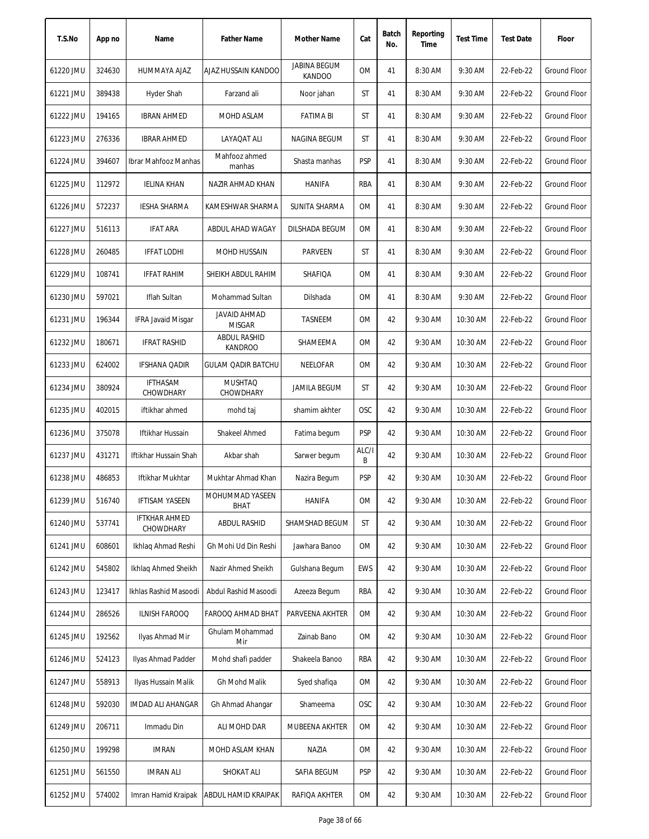| T.S.No    | App no | Name                              | <b>Father Name</b>                    | Mother Name                          | Cat        | Batch<br>No. | Reporting<br>Time | <b>Test Time</b> | <b>Test Date</b> | Floor               |
|-----------|--------|-----------------------------------|---------------------------------------|--------------------------------------|------------|--------------|-------------------|------------------|------------------|---------------------|
| 61220 JMU | 324630 | HUMMAYA AJAZ                      | AJAZ HUSSAIN KANDOO                   | <b>JABINA BEGUM</b><br><b>KANDOO</b> | <b>OM</b>  | 41           | 8:30 AM           | 9:30 AM          | 22-Feb-22        | <b>Ground Floor</b> |
| 61221 JMU | 389438 | Hyder Shah                        | Farzand ali                           | Noor jahan                           | ST         | 41           | 8:30 AM           | 9:30 AM          | 22-Feb-22        | Ground Floor        |
| 61222 JMU | 194165 | <b>IBRAN AHMED</b>                | MOHD ASLAM                            | FATIMA BI                            | ST         | 41           | 8:30 AM           | 9:30 AM          | 22-Feb-22        | Ground Floor        |
| 61223 JMU | 276336 | <b>IBRAR AHMED</b>                | LAYAQAT ALI                           | NAGINA BEGUM                         | ST         | 41           | 8:30 AM           | 9:30 AM          | 22-Feb-22        | Ground Floor        |
| 61224 JMU | 394607 | Ibrar Mahfooz Manhas              | Mahfooz ahmed<br>manhas               | Shasta manhas                        | <b>PSP</b> | 41           | 8:30 AM           | 9:30 AM          | 22-Feb-22        | <b>Ground Floor</b> |
| 61225 JMU | 112972 | <b>IELINA KHAN</b>                | NAZIR AHMAD KHAN                      | <b>HANIFA</b>                        | RBA        | 41           | 8:30 AM           | 9:30 AM          | 22-Feb-22        | Ground Floor        |
| 61226 JMU | 572237 | IESHA SHARMA                      | KAMESHWAR SHARMA                      | SUNITA SHARMA                        | 0M         | 41           | 8:30 AM           | 9:30 AM          | 22-Feb-22        | Ground Floor        |
| 61227 JMU | 516113 | <b>IFAT ARA</b>                   | ABDUL AHAD WAGAY                      | DILSHADA BEGUM                       | 0M         | 41           | 8:30 AM           | 9:30 AM          | 22-Feb-22        | <b>Ground Floor</b> |
| 61228 JMU | 260485 | <b>IFFAT LODHI</b>                | MOHD HUSSAIN                          | <b>PARVEEN</b>                       | ST         | 41           | 8:30 AM           | 9:30 AM          | 22-Feb-22        | <b>Ground Floor</b> |
| 61229 JMU | 108741 | <b>IFFAT RAHIM</b>                | SHEIKH ABDUL RAHIM                    | SHAFIQA                              | 0M         | 41           | 8:30 AM           | 9:30 AM          | 22-Feb-22        | <b>Ground Floor</b> |
| 61230 JMU | 597021 | Iflah Sultan                      | Mohammad Sultan                       | Dilshada                             | 0M         | 41           | 8:30 AM           | 9:30 AM          | 22-Feb-22        | Ground Floor        |
| 61231 JMU | 196344 | <b>IFRA Javaid Misgar</b>         | <b>JAVAID AHMAD</b><br><b>MISGAR</b>  | TASNEEM                              | 0M         | 42           | 9:30 AM           | 10:30 AM         | 22-Feb-22        | Ground Floor        |
| 61232 JMU | 180671 | <b>IFRAT RASHID</b>               | <b>ABDUL RASHID</b><br><b>KANDROO</b> | SHAMEEMA                             | 0M         | 42           | 9:30 AM           | 10:30 AM         | 22-Feb-22        | <b>Ground Floor</b> |
| 61233 JMU | 624002 | <b>IFSHANA QADIR</b>              | GULAM QADIR BATCHU                    | NEELOFAR                             | 0M         | 42           | 9:30 AM           | 10:30 AM         | 22-Feb-22        | <b>Ground Floor</b> |
| 61234 JMU | 380924 | <b>IFTHASAM</b><br>CHOWDHARY      | <b>MUSHTAQ</b><br>CHOWDHARY           | <b>JAMILA BEGUM</b>                  | ST         | 42           | 9:30 AM           | 10:30 AM         | 22-Feb-22        | <b>Ground Floor</b> |
| 61235 JMU | 402015 | iftikhar ahmed                    | mohd taj                              | shamim akhter                        | <b>OSC</b> | 42           | 9:30 AM           | 10:30 AM         | 22-Feb-22        | <b>Ground Floor</b> |
| 61236 JMU | 375078 | Iftikhar Hussain                  | Shakeel Ahmed                         | Fatima begum                         | <b>PSP</b> | 42           | 9:30 AM           | 10:30 AM         | 22-Feb-22        | <b>Ground Floor</b> |
| 61237 JMU | 431271 | Iftikhar Hussain Shah             | Akbar shah                            | Sarwer begum                         | ALC/I<br>B | 42           | 9:30 AM           | 10:30 AM         | 22-Feb-22        | <b>Ground Floor</b> |
| 61238 JMU | 486853 | Iftikhar Mukhtar                  | Mukhtar Ahmad Khan                    | Nazira Begum                         | <b>PSP</b> | 42           | 9:30 AM           | 10:30 AM         | 22-Feb-22        | Ground Floor        |
| 61239 JMU | 516740 | <b>IFTISAM YASEEN</b>             | MOHUMMAD YASEEN<br>BHAT               | <b>HANIFA</b>                        | 0M         | 42           | 9:30 AM           | 10:30 AM         | 22-Feb-22        | Ground Floor        |
| 61240 JMU | 537741 | <b>IFTKHAR AHMED</b><br>CHOWDHARY | ABDUL RASHID                          | SHAMSHAD BEGUM                       | ST         | 42           | 9:30 AM           | 10:30 AM         | 22-Feb-22        | <b>Ground Floor</b> |
| 61241 JMU | 608601 | Ikhlaq Ahmad Reshi                | Gh Mohi Ud Din Reshi                  | Jawhara Banoo                        | 0M         | 42           | 9:30 AM           | 10:30 AM         | 22-Feb-22        | Ground Floor        |
| 61242 JMU | 545802 | Ikhlag Ahmed Sheikh               | Nazir Ahmed Sheikh                    | Gulshana Begum                       | EWS        | 42           | 9:30 AM           | 10:30 AM         | 22-Feb-22        | Ground Floor        |
| 61243 JMU | 123417 | Ikhlas Rashid Masoodi             | Abdul Rashid Masoodi                  | Azeeza Begum                         | RBA        | 42           | 9:30 AM           | 10:30 AM         | 22-Feb-22        | Ground Floor        |
| 61244 JMU | 286526 | <b>ILNISH FAROOQ</b>              | FAROOQ AHMAD BHAT                     | PARVEENA AKHTER                      | 0M         | 42           | 9:30 AM           | 10:30 AM         | 22-Feb-22        | Ground Floor        |
| 61245 JMU | 192562 | Ilyas Ahmad Mir                   | Ghulam Mohammad<br>Mir                | Zainab Bano                          | 0M         | 42           | 9:30 AM           | 10:30 AM         | 22-Feb-22        | Ground Floor        |
| 61246 JMU | 524123 | Ilyas Ahmad Padder                | Mohd shafi padder                     | Shakeela Banoo                       | RBA        | 42           | 9:30 AM           | 10:30 AM         | 22-Feb-22        | Ground Floor        |
| 61247 JMU | 558913 | Ilyas Hussain Malik               | Gh Mohd Malik                         | Syed shafiqa                         | 0M         | 42           | 9:30 AM           | 10:30 AM         | 22-Feb-22        | Ground Floor        |
| 61248 JMU | 592030 | IMDAD ALI AHANGAR                 | Gh Ahmad Ahangar                      | Shameema                             | <b>OSC</b> | 42           | 9:30 AM           | 10:30 AM         | 22-Feb-22        | <b>Ground Floor</b> |
| 61249 JMU | 206711 | Immadu Din                        | ALI MOHD DAR                          | MUBEENA AKHTER                       | 0M         | 42           | 9:30 AM           | 10:30 AM         | 22-Feb-22        | Ground Floor        |
| 61250 JMU | 199298 | <b>IMRAN</b>                      | MOHD ASLAM KHAN                       | NAZIA                                | 0M         | 42           | 9:30 AM           | 10:30 AM         | 22-Feb-22        | Ground Floor        |
| 61251 JMU | 561550 | <b>IMRAN ALI</b>                  | SHOKAT ALI                            | SAFIA BEGUM                          | <b>PSP</b> | 42           | 9:30 AM           | 10:30 AM         | 22-Feb-22        | <b>Ground Floor</b> |
| 61252 JMU | 574002 | Imran Hamid Kraipak               | ABDUL HAMID KRAIPAK                   | RAFIQA AKHTER                        | 0M         | 42           | 9:30 AM           | 10:30 AM         | 22-Feb-22        | Ground Floor        |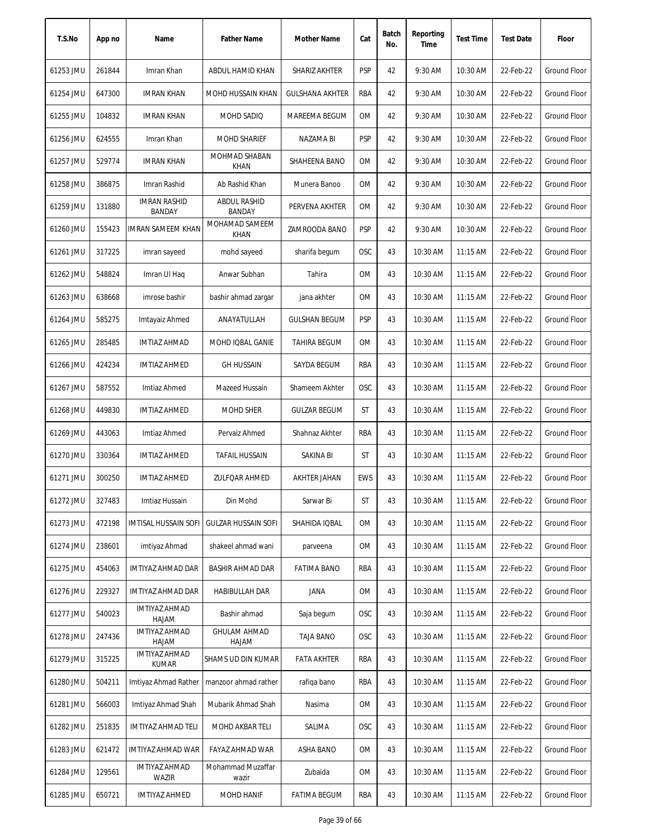| T.S.No    | App no | Name                                 | <b>Father Name</b>            | Mother Name            | Cat        | Batch<br>No. | Reporting<br>Time | <b>Test Time</b> | <b>Test Date</b> | Floor               |
|-----------|--------|--------------------------------------|-------------------------------|------------------------|------------|--------------|-------------------|------------------|------------------|---------------------|
| 61253 JMU | 261844 | Imran Khan                           | ABDUL HAMID KHAN              | SHARIZ AKHTER          | <b>PSP</b> | 42           | 9:30 AM           | 10:30 AM         | 22-Feb-22        | <b>Ground Floor</b> |
| 61254 JMU | 647300 | <b>IMRAN KHAN</b>                    | MOHD HUSSAIN KHAN             | <b>GULSHANA AKHTER</b> | RBA        | 42           | 9:30 AM           | 10:30 AM         | 22-Feb-22        | Ground Floor        |
| 61255 JMU | 104832 | <b>IMRAN KHAN</b>                    | MOHD SADIQ                    | MAREEMA BEGUM          | ОM         | 42           | 9:30 AM           | 10:30 AM         | 22-Feb-22        | <b>Ground Floor</b> |
| 61256 JMU | 624555 | Imran Khan                           | <b>MOHD SHARIEF</b>           | NAZAMA BI              | PSP        | 42           | 9:30 AM           | 10:30 AM         | 22-Feb-22        | <b>Ground Floor</b> |
| 61257 JMU | 529774 | <b>IMRAN KHAN</b>                    | MOHMAD SHABAN<br><b>KHAN</b>  | SHAHEENA BANO          | OM         | 42           | 9:30 AM           | 10:30 AM         | 22-Feb-22        | <b>Ground Floor</b> |
| 61258 JMU | 386875 | Imran Rashid                         | Ab Rashid Khan                | Munera Banoo           | OM         | 42           | 9:30 AM           | 10:30 AM         | 22-Feb-22        | <b>Ground Floor</b> |
| 61259 JMU | 131880 | <b>IMRAN RASHID</b><br>BANDAY        | <b>ABDUL RASHID</b><br>BANDAY | PERVENA AKHTER         | ОM         | 42           | 9:30 AM           | 10:30 AM         | 22-Feb-22        | Ground Floor        |
| 61260 JMU | 155423 | <b>IMRAN SAMEEM KHAN</b>             | MOHAMAD SAMEEM<br><b>KHAN</b> | ZAMROODA BANO          | <b>PSP</b> | 42           | 9:30 AM           | 10:30 AM         | 22-Feb-22        | <b>Ground Floor</b> |
| 61261 JMU | 317225 | imran sayeed                         | mohd sayeed                   | sharifa begum          | OSC        | 43           | 10:30 AM          | 11:15 AM         | 22-Feb-22        | <b>Ground Floor</b> |
| 61262 JMU | 548824 | Imran UI Haq                         | Anwar Subhan                  | Tahira                 | <b>OM</b>  | 43           | 10:30 AM          | 11:15 AM         | 22-Feb-22        | <b>Ground Floor</b> |
| 61263 JMU | 638668 | imrose bashir                        | bashir ahmad zargar           | jana akhter            | ОM         | 43           | 10:30 AM          | 11:15 AM         | 22-Feb-22        | <b>Ground Floor</b> |
| 61264 JMU | 585275 | Imtayaiz Ahmed                       | ANAYATULLAH                   | <b>GULSHAN BEGUM</b>   | <b>PSP</b> | 43           | 10:30 AM          | 11:15 AM         | 22-Feb-22        | <b>Ground Floor</b> |
| 61265 JMU | 285485 | <b>IMTIAZ AHMAD</b>                  | MOHD IQBAL GANIE              | <b>TAHIRA BEGUM</b>    | <b>OM</b>  | 43           | 10:30 AM          | 11:15 AM         | 22-Feb-22        | <b>Ground Floor</b> |
| 61266 JMU | 424234 | <b>IMTIAZ AHMED</b>                  | <b>GH HUSSAIN</b>             | SAYDA BEGUM            | RBA        | 43           | 10:30 AM          | 11:15 AM         | 22-Feb-22        | <b>Ground Floor</b> |
| 61267 JMU | 587552 | Imtiaz Ahmed                         | Mazeed Hussain                | Shameem Akhter         | OSC        | 43           | 10:30 AM          | 11:15 AM         | 22-Feb-22        | <b>Ground Floor</b> |
| 61268 JMU | 449830 | <b>IMTIAZ AHMED</b>                  | MOHD SHER                     | <b>GULZAR BEGUM</b>    | ST         | 43           | 10:30 AM          | 11:15 AM         | 22-Feb-22        | Ground Floor        |
| 61269 JMU | 443063 | Imtiaz Ahmed                         | Pervaiz Ahmed                 | Shahnaz Akhter         | RBA        | 43           | 10:30 AM          | 11:15 AM         | 22-Feb-22        | Ground Floor        |
| 61270 JMU | 330364 | <b>IMTIAZ AHMED</b>                  | TAFAIL HUSSAIN                | SAKINA BI              | ST         | 43           | 10:30 AM          | 11:15 AM         | 22-Feb-22        | Ground Floor        |
| 61271 JMU | 300250 | <b>IMTIAZ AHMED</b>                  | <b>ZULFQAR AHMED</b>          | AKHTER JAHAN           | <b>EWS</b> | 43           | 10:30 AM          | $11:15$ AM       | 22-Feb-22        | <b>Ground Floor</b> |
| 61272 JMU | 327483 | Imtiaz Hussain                       | Din Mohd                      | Sarwar Bi              | ST         | 43           | 10:30 AM          | $11:15$ AM       | 22-Feb-22        | <b>Ground Floor</b> |
| 61273 JMU | 472198 | <b>IMTISAL HUSSAIN SOFI</b>          | <b>GULZAR HUSSAIN SOFI</b>    | SHAHIDA IQBAL          | 0M         | 43           | 10:30 AM          | 11:15 AM         | 22-Feb-22        | Ground Floor        |
| 61274 JMU | 238601 | imtiyaz Ahmad                        | shakeel ahmad wani            | parveena               | ОM         | 43           | 10:30 AM          | 11:15 AM         | 22-Feb-22        | Ground Floor        |
| 61275 JMU | 454063 | IMTIYAZ AHMAD DAR                    | BASHIR AHMAD DAR              | <b>FATIMA BANO</b>     | RBA        | 43           | 10:30 AM          | 11:15 AM         | 22-Feb-22        | <b>Ground Floor</b> |
| 61276 JMU | 229327 | IMTIYAZ AHMAD DAR                    | HABIBULLAH DAR                | JANA                   | OM         | 43           | 10:30 AM          | 11:15 AM         | 22-Feb-22        | <b>Ground Floor</b> |
| 61277 JMU | 540023 | <b>IMTIYAZ AHMAD</b><br>HAJAM        | Bashir ahmad                  | Saja begum             | OSC        | 43           | 10:30 AM          | 11:15 AM         | 22-Feb-22        | <b>Ground Floor</b> |
| 61278 JMU | 247436 | <b>IMTIYAZ AHMAD</b><br>HAJAM        | <b>GHULAM AHMAD</b><br>HAJAM  | TAJA BANO              | OSC        | 43           | 10:30 AM          | 11:15 AM         | 22-Feb-22        | Ground Floor        |
| 61279 JMU | 315225 | <b>IMTIYAZ AHMAD</b><br><b>KUMAR</b> | SHAMS UD DIN KUMAR            | <b>FATA AKHTER</b>     | RBA        | 43           | 10:30 AM          | $11:15$ AM       | 22-Feb-22        | Ground Floor        |
| 61280 JMU | 504211 | Imtiyaz Ahmad Rather                 | manzoor ahmad rather          | rafiga bano            | RBA        | 43           | 10:30 AM          | 11:15 AM         | 22-Feb-22        | Ground Floor        |
| 61281 JMU | 566003 | Imtiyaz Ahmad Shah                   | Mubarik Ahmad Shah            | Nasima                 | 0M         | 43           | 10:30 AM          | 11:15 AM         | 22-Feb-22        | Ground Floor        |
| 61282 JMU | 251835 | IMTIYAZ AHMAD TELI                   | MOHD AKBAR TELI               | SALIMA                 | OSC        | 43           | 10:30 AM          | 11:15 AM         | 22-Feb-22        | Ground Floor        |
| 61283 JMU | 621472 | IMTIYAZ AHMAD WAR                    | FAYAZ AHMAD WAR               | ASHA BANO              | 0M         | 43           | 10:30 AM          | 11:15 AM         | 22-Feb-22        | Ground Floor        |
| 61284 JMU | 129561 | IMTIYAZ AHMAD<br>WAZIR               | Mohammad Muzaffar<br>wazir    | Zubaida                | ОM         | 43           | 10:30 AM          | 11:15 AM         | 22-Feb-22        | Ground Floor        |
| 61285 JMU | 650721 | <b>IMTIYAZ AHMED</b>                 | MOHD HANIF                    | <b>FATIMA BEGUM</b>    | RBA        | 43           | 10:30 AM          | 11:15 AM         | 22-Feb-22        | Ground Floor        |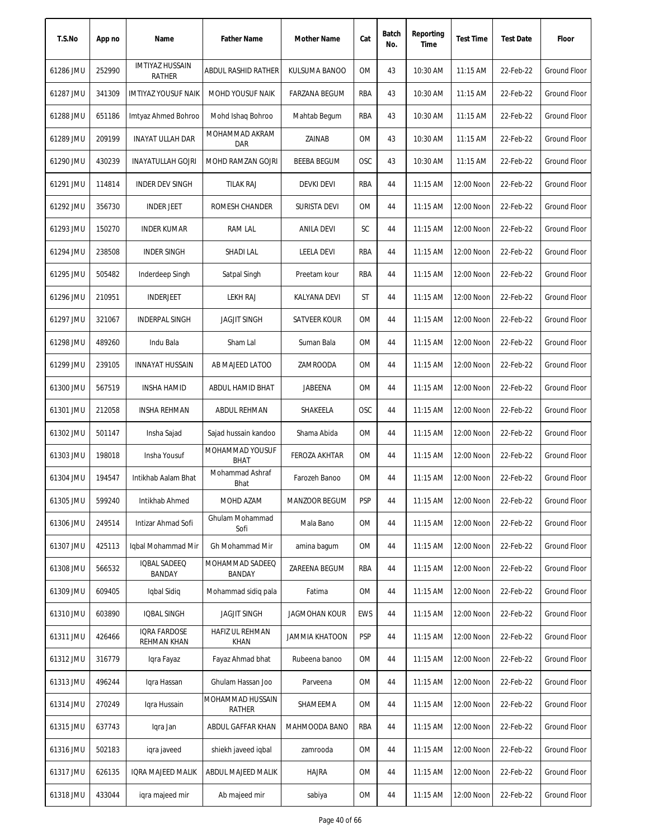| T.S.No    | App no | Name                                    | <b>Father Name</b>             | Mother Name           | Cat        | Batch<br>No. | Reporting<br>Time | <b>Test Time</b> | <b>Test Date</b> | Floor               |
|-----------|--------|-----------------------------------------|--------------------------------|-----------------------|------------|--------------|-------------------|------------------|------------------|---------------------|
| 61286 JMU | 252990 | <b>IMTIYAZ HUSSAIN</b><br><b>RATHER</b> | ABDUL RASHID RATHER            | KULSUMA BANOO         | <b>OM</b>  | 43           | 10:30 AM          | 11:15 AM         | 22-Feb-22        | <b>Ground Floor</b> |
| 61287 JMU | 341309 | <b>IMTIYAZ YOUSUF NAIK</b>              | <b>MOHD YOUSUF NAIK</b>        | <b>FARZANA BEGUM</b>  | RBA        | 43           | 10:30 AM          | $11:15$ AM       | 22-Feb-22        | <b>Ground Floor</b> |
| 61288 JMU | 651186 | Imtyaz Ahmed Bohroo                     | Mohd Ishaq Bohroo              | Mahtab Begum          | RBA        | 43           | 10:30 AM          | $11:15$ AM       | 22-Feb-22        | Ground Floor        |
| 61289 JMU | 209199 | <b>INAYAT ULLAH DAR</b>                 | MOHAMMAD AKRAM<br><b>DAR</b>   | ZAINAB                | 0M         | 43           | 10:30 AM          | 11:15 AM         | 22-Feb-22        | Ground Floor        |
| 61290 JMU | 430239 | <b>INAYATULLAH GOJRI</b>                | MOHD RAMZAN GOJRI              | <b>BEEBA BEGUM</b>    | <b>OSC</b> | 43           | 10:30 AM          | 11:15 AM         | 22-Feb-22        | Ground Floor        |
| 61291 JMU | 114814 | <b>INDER DEV SINGH</b>                  | <b>TILAK RAJ</b>               | <b>DEVKI DEVI</b>     | RBA        | 44           | 11:15 AM          | 12:00 Noon       | 22-Feb-22        | <b>Ground Floor</b> |
| 61292 JMU | 356730 | <b>INDER JEET</b>                       | ROMESH CHANDER                 | SURISTA DEVI          | 0M         | 44           | $11:15$ AM        | 12:00 Noon       | 22-Feb-22        | Ground Floor        |
| 61293 JMU | 150270 | <b>INDER KUMAR</b>                      | <b>RAM LAL</b>                 | <b>ANILA DEVI</b>     | SC         | 44           | 11:15 AM          | 12:00 Noon       | 22-Feb-22        | <b>Ground Floor</b> |
| 61294 JMU | 238508 | <b>INDER SINGH</b>                      | SHADI LAL                      | <b>LEELA DEVI</b>     | RBA        | 44           | 11:15 AM          | 12:00 Noon       | 22-Feb-22        | <b>Ground Floor</b> |
| 61295 JMU | 505482 | Inderdeep Singh                         | Satpal Singh                   | Preetam kour          | RBA        | 44           | 11:15 AM          | 12:00 Noon       | 22-Feb-22        | <b>Ground Floor</b> |
| 61296 JMU | 210951 | <b>INDERJEET</b>                        | <b>LEKH RAJ</b>                | KALYANA DEVI          | ST         | 44           | 11:15 AM          | 12:00 Noon       | 22-Feb-22        | Ground Floor        |
| 61297 JMU | 321067 | INDERPAL SINGH                          | <b>JAGJIT SINGH</b>            | SATVEER KOUR          | 0M         | 44           | $11:15$ AM        | 12:00 Noon       | 22-Feb-22        | Ground Floor        |
| 61298 JMU | 489260 | Indu Bala                               | Sham Lal                       | Suman Bala            | 0M         | 44           | 11:15 AM          | 12:00 Noon       | 22-Feb-22        | <b>Ground Floor</b> |
| 61299 JMU | 239105 | <b>INNAYAT HUSSAIN</b>                  | AB MAJEED LATOO                | ZAMROODA              | 0M         | 44           | 11:15 AM          | 12:00 Noon       | 22-Feb-22        | <b>Ground Floor</b> |
| 61300 JMU | 567519 | <b>INSHA HAMID</b>                      | ABDUL HAMID BHAT               | JABEENA               | 0M         | 44           | 11:15 AM          | 12:00 Noon       | 22-Feb-22        | <b>Ground Floor</b> |
| 61301 JMU | 212058 | <b>INSHA REHMAN</b>                     | ABDUL REHMAN                   | SHAKEELA              | <b>OSC</b> | 44           | 11:15 AM          | 12:00 Noon       | 22-Feb-22        | Ground Floor        |
| 61302 JMU | 501147 | Insha Sajad                             | Sajad hussain kandoo           | Shama Abida           | 0M         | 44           | 11:15 AM          | 12:00 Noon       | 22-Feb-22        | <b>Ground Floor</b> |
| 61303 JMU | 198018 | Insha Yousuf                            | MOHAMMAD YOUSUF<br><b>BHAT</b> | <b>FEROZA AKHTAR</b>  | <b>OM</b>  | 44           | 11:15 AM          | 12:00 Noon       | 22-Feb-22        | Ground Floor        |
| 61304 JMU | 194547 | Intikhab Aalam Bhat                     | Mohammad Ashraf<br>Bhat        | Farozeh Banoo         | 0M         | 44           | 11:15 AM          | 12:00 Noon       | 22-Feb-22        | <b>Ground Floor</b> |
| 61305 JMU | 599240 | Intikhab Ahmed                          | MOHD AZAM                      | MANZOOR BEGUM         | <b>PSP</b> | 44           | 11:15 AM          | 12:00 Noon       | 22-Feb-22        | Ground Floor        |
| 61306 JMU | 249514 | Intizar Ahmad Sofi                      | Ghulam Mohammad<br>Sofi        | Mala Bano             | 0M         | 44           | 11:15 AM          | 12:00 Noon       | 22-Feb-22        | Ground Floor        |
| 61307 JMU | 425113 | Iqbal Mohammad Mir                      | Gh Mohammad Mir                | amina bagum           | 0M         | 44           | 11:15 AM          | 12:00 Noon       | 22-Feb-22        | Ground Floor        |
| 61308 JMU | 566532 | IQBAL SADEEQ<br>BANDAY                  | MOHAMMAD SADEEQ<br>BANDAY      | ZAREENA BEGUM         | RBA        | 44           | 11:15 AM          | 12:00 Noon       | 22-Feb-22        | Ground Floor        |
| 61309 JMU | 609405 | Iqbal Sidiq                             | Mohammad sidiq pala            | Fatima                | 0M         | 44           | 11:15 AM          | 12:00 Noon       | 22-Feb-22        | Ground Floor        |
| 61310 JMU | 603890 | IQBAL SINGH                             | <b>JAGJIT SINGH</b>            | <b>JAGMOHAN KOUR</b>  | <b>EWS</b> | 44           | 11:15 AM          | 12:00 Noon       | 22-Feb-22        | Ground Floor        |
| 61311 JMU | 426466 | <b>IQRA FARDOSE</b><br>REHMAN KHAN      | HAFIZ UL REHMAN<br><b>KHAN</b> | <b>JAMMIA KHATOON</b> | <b>PSP</b> | 44           | 11:15 AM          | 12:00 Noon       | 22-Feb-22        | Ground Floor        |
| 61312 JMU | 316779 | Igra Fayaz                              | Fayaz Ahmad bhat               | Rubeena banoo         | 0M         | 44           | $11:15$ AM        | 12:00 Noon       | 22-Feb-22        | Ground Floor        |
| 61313 JMU | 496244 | Iqra Hassan                             | Ghulam Hassan Joo              | Parveena              | OM         | 44           | $11:15$ AM        | 12:00 Noon       | 22-Feb-22        | Ground Floor        |
| 61314 JMU | 270249 | Igra Hussain                            | MOHAMMAD HUSSAIN<br>RATHER     | SHAMEEMA              | 0M         | 44           | 11:15 AM          | 12:00 Noon       | 22-Feb-22        | Ground Floor        |
| 61315 JMU | 637743 | Iqra Jan                                | ABDUL GAFFAR KHAN              | MAHMOODA BANO         | RBA        | 44           | 11:15 AM          | 12:00 Noon       | 22-Feb-22        | Ground Floor        |
| 61316 JMU | 502183 | igra javeed                             | shiekh javeed iqbal            | zamrooda              | 0M         | 44           | 11:15 AM          | 12:00 Noon       | 22-Feb-22        | <b>Ground Floor</b> |
| 61317 JMU | 626135 | IQRA MAJEED MALIK                       | ABDUL MAJEED MALIK             | <b>HAJRA</b>          | OM         | 44           | $11:15$ AM        | 12:00 Noon       | 22-Feb-22        | Ground Floor        |
| 61318 JMU | 433044 | igra majeed mir                         | Ab majeed mir                  | sabiya                | 0M         | 44           | $11:15$ AM        | 12:00 Noon       | 22-Feb-22        | Ground Floor        |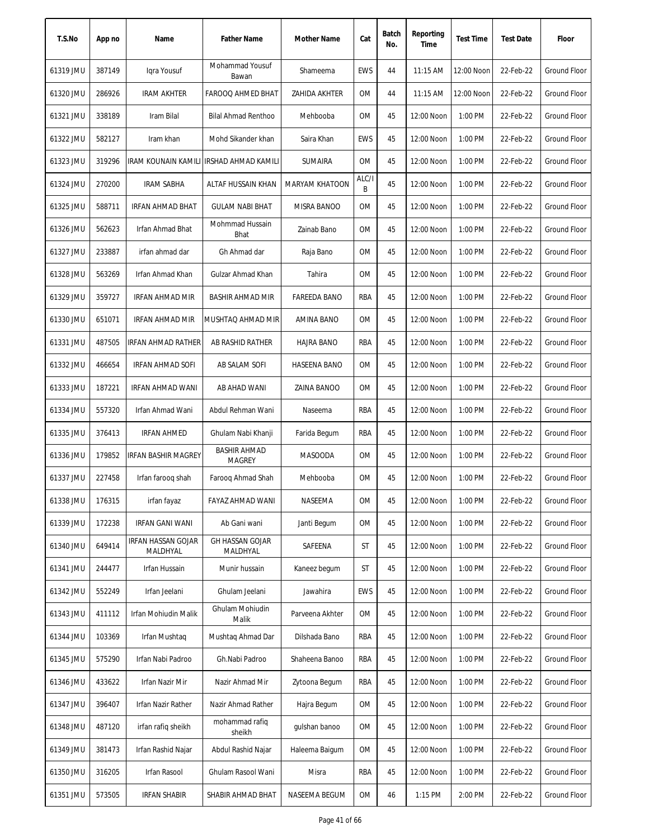| T.S.No    | App no | Name                           | <b>Father Name</b>                      | Mother Name           | Cat        | Batch<br>No. | Reporting<br>Time | <b>Test Time</b> | <b>Test Date</b> | Floor               |
|-----------|--------|--------------------------------|-----------------------------------------|-----------------------|------------|--------------|-------------------|------------------|------------------|---------------------|
| 61319 JMU | 387149 | Igra Yousuf                    | Mohammad Yousuf<br>Bawan                | Shameema              | EWS        | 44           | 11:15 AM          | 12:00 Noon       | 22-Feb-22        | <b>Ground Floor</b> |
| 61320 JMU | 286926 | <b>IRAM AKHTER</b>             | FAROOQ AHMED BHAT                       | ZAHIDA AKHTER         | 0M         | 44           | 11:15 AM          | 12:00 Noon       | 22-Feb-22        | <b>Ground Floor</b> |
| 61321 JMU | 338189 | Iram Bilal                     | <b>Bilal Ahmad Renthoo</b>              | Mehbooba              | 0M         | 45           | 12:00 Noon        | 1:00 PM          | 22-Feb-22        | Ground Floor        |
| 61322 JMU | 582127 | Iram khan                      | Mohd Sikander khan                      | Saira Khan            | <b>EWS</b> | 45           | 12:00 Noon        | 1:00 PM          | 22-Feb-22        | <b>Ground Floor</b> |
| 61323 JMU | 319296 |                                | IRAM KOUNAIN KAMILI IRSHAD AHMAD KAMILI | <b>SUMAIRA</b>        | 0M         | 45           | 12:00 Noon        | 1:00 PM          | 22-Feb-22        | <b>Ground Floor</b> |
| 61324 JMU | 270200 | <b>IRAM SABHA</b>              | ALTAF HUSSAIN KHAN                      | <b>MARYAM KHATOON</b> | ALC/I<br>B | 45           | 12:00 Noon        | 1:00 PM          | 22-Feb-22        | <b>Ground Floor</b> |
| 61325 JMU | 588711 | IRFAN AHMAD BHAT               | <b>GULAM NABI BHAT</b>                  | MISRA BANOO           | 0M         | 45           | 12:00 Noon        | 1:00 PM          | 22-Feb-22        | Ground Floor        |
| 61326 JMU | 562623 | Irfan Ahmad Bhat               | Mohmmad Hussain<br><b>Bhat</b>          | Zainab Bano           | 0M         | 45           | 12:00 Noon        | 1:00 PM          | 22-Feb-22        | <b>Ground Floor</b> |
| 61327 JMU | 233887 | irfan ahmad dar                | Gh Ahmad dar                            | Raja Bano             | 0M         | 45           | 12:00 Noon        | 1:00 PM          | 22-Feb-22        | <b>Ground Floor</b> |
| 61328 JMU | 563269 | Irfan Ahmad Khan               | Gulzar Ahmad Khan                       | Tahira                | 0M         | 45           | 12:00 Noon        | 1:00 PM          | 22-Feb-22        | <b>Ground Floor</b> |
| 61329 JMU | 359727 | <b>IRFAN AHMAD MIR</b>         | BASHIR AHMAD MIR                        | <b>FAREEDA BANO</b>   | RBA        | 45           | 12:00 Noon        | 1:00 PM          | 22-Feb-22        | Ground Floor        |
| 61330 JMU | 651071 | IRFAN AHMAD MIR                | MUSHTAQ AHMAD MIR                       | AMINA BANO            | 0M         | 45           | 12:00 Noon        | 1:00 PM          | 22-Feb-22        | Ground Floor        |
| 61331 JMU | 487505 | IRFAN AHMAD RATHER             | AB RASHID RATHER                        | <b>HAJRA BANO</b>     | RBA        | 45           | 12:00 Noon        | 1:00 PM          | 22-Feb-22        | <b>Ground Floor</b> |
| 61332 JMU | 466654 | <b>IRFAN AHMAD SOFI</b>        | AB SALAM SOFI                           | <b>HASEENA BANO</b>   | 0M         | 45           | 12:00 Noon        | 1:00 PM          | 22-Feb-22        | <b>Ground Floor</b> |
| 61333 JMU | 187221 | IRFAN AHMAD WANI               | AB AHAD WANI                            | ZAINA BANOO           | 0M         | 45           | 12:00 Noon        | 1:00 PM          | 22-Feb-22        | <b>Ground Floor</b> |
| 61334 JMU | 557320 | Irfan Ahmad Wani               | Abdul Rehman Wani                       | Naseema               | RBA        | 45           | 12:00 Noon        | 1:00 PM          | 22-Feb-22        | Ground Floor        |
| 61335 JMU | 376413 | <b>IRFAN AHMED</b>             | Ghulam Nabi Khanji                      | Farida Begum          | RBA        | 45           | 12:00 Noon        | 1:00 PM          | 22-Feb-22        | Ground Floor        |
| 61336 JMU | 179852 | IRFAN BASHIR MAGREY            | <b>BASHIR AHMAD</b><br><b>MAGREY</b>    | <b>MASOODA</b>        | 0M         | 45           | 12:00 Noon        | 1:00 PM          | 22-Feb-22        | <b>Ground Floor</b> |
| 61337 JMU | 227458 | Irfan faroog shah              | Faroog Ahmad Shah                       | Mehbooba              | 0M         | 45           | 12:00 Noon        | 1:00 PM          | 22-Feb-22        | Ground Floor        |
| 61338 JMU | 176315 | irfan fayaz                    | FAYAZ AHMAD WANI                        | NASEEMA               | 0M         | 45           | 12:00 Noon        | 1:00 PM          | 22-Feb-22        | <b>Ground Floor</b> |
| 61339 JMU | 172238 | IRFAN GANI WANI                | Ab Gani wani                            | Janti Begum           | 0M         | 45           | 12:00 Noon        | 1:00 PM          | 22-Feb-22        | Ground Floor        |
| 61340 JMU | 649414 | IRFAN HASSAN GOJAR<br>MALDHYAL | <b>GH HASSAN GOJAR</b><br>MALDHYAL      | SAFEENA               | ST         | 45           | 12:00 Noon        | 1:00 PM          | 22-Feb-22        | <b>Ground Floor</b> |
| 61341 JMU | 244477 | Irfan Hussain                  | Munir hussain                           | Kaneez begum          | ST         | 45           | 12:00 Noon        | 1:00 PM          | 22-Feb-22        | <b>Ground Floor</b> |
| 61342 JMU | 552249 | Irfan Jeelani                  | Ghulam Jeelani                          | Jawahira              | <b>EWS</b> | 45           | 12:00 Noon        | 1:00 PM          | 22-Feb-22        | Ground Floor        |
| 61343 JMU | 411112 | Irfan Mohiudin Malik           | Ghulam Mohiudin<br>Malik                | Parveena Akhter       | 0M         | 45           | 12:00 Noon        | 1:00 PM          | 22-Feb-22        | <b>Ground Floor</b> |
| 61344 JMU | 103369 | Irfan Mushtaq                  | Mushtaq Ahmad Dar                       | Dilshada Bano         | RBA        | 45           | 12:00 Noon        | 1:00 PM          | 22-Feb-22        | <b>Ground Floor</b> |
| 61345 JMU | 575290 | Irfan Nabi Padroo              | Gh.Nabi Padroo                          | Shaheena Banoo        | RBA        | 45           | 12:00 Noon        | 1:00 PM          | 22-Feb-22        | <b>Ground Floor</b> |
| 61346 JMU | 433622 | Irfan Nazir Mir                | Nazir Ahmad Mir                         | Zytoona Begum         | RBA        | 45           | 12:00 Noon        | 1:00 PM          | 22-Feb-22        | Ground Floor        |
| 61347 JMU | 396407 | Irfan Nazir Rather             | Nazir Ahmad Rather                      | Hajra Begum           | 0M         | 45           | 12:00 Noon        | 1:00 PM          | 22-Feb-22        | Ground Floor        |
| 61348 JMU | 487120 | irfan rafiq sheikh             | mohammad rafiq<br>sheikh                | gulshan banoo         | 0M         | 45           | 12:00 Noon        | 1:00 PM          | 22-Feb-22        | Ground Floor        |
| 61349 JMU | 381473 | Irfan Rashid Najar             | Abdul Rashid Najar                      | Haleema Baigum        | 0M         | 45           | 12:00 Noon        | 1:00 PM          | 22-Feb-22        | <b>Ground Floor</b> |
| 61350 JMU | 316205 | Irfan Rasool                   | Ghulam Rasool Wani                      | Misra                 | RBA        | 45           | 12:00 Noon        | 1:00 PM          | 22-Feb-22        | Ground Floor        |
| 61351 JMU | 573505 | <b>IRFAN SHABIR</b>            | SHABIR AHMAD BHAT                       | NASEEMA BEGUM         | 0M         | 46           | 1:15 PM           | 2:00 PM          | 22-Feb-22        | Ground Floor        |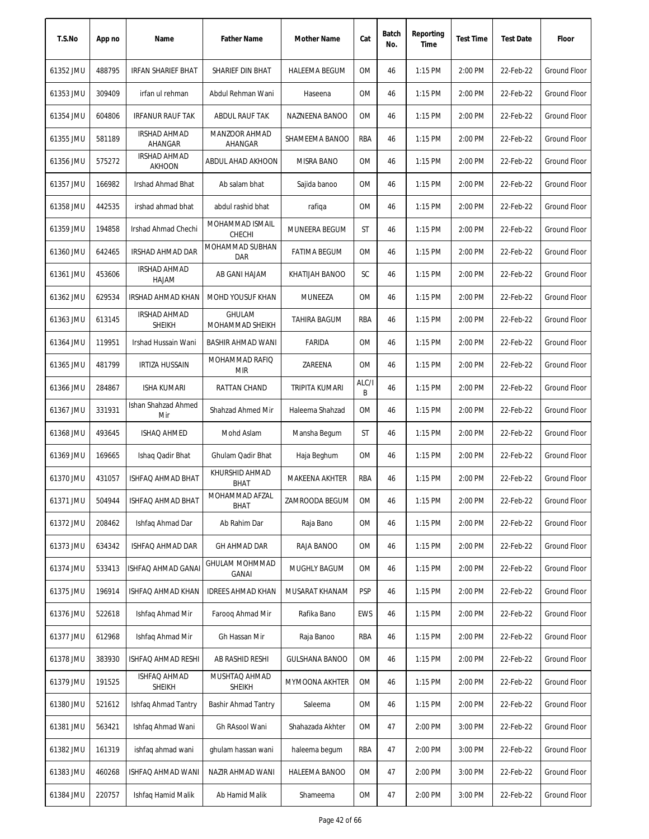| T.S.No    | App no | Name                                 | <b>Father Name</b>               | Mother Name           | Cat        | Batch<br>No. | Reporting<br>Time | <b>Test Time</b> | <b>Test Date</b> | Floor               |
|-----------|--------|--------------------------------------|----------------------------------|-----------------------|------------|--------------|-------------------|------------------|------------------|---------------------|
| 61352 JMU | 488795 | IRFAN SHARIEF BHAT                   | SHARIEF DIN BHAT                 | HALEEMA BEGUM         | 0M         | 46           | $1:15$ PM         | 2:00 PM          | 22-Feb-22        | Ground Floor        |
| 61353 JMU | 309409 | irfan ul rehman                      | Abdul Rehman Wani                | Haseena               | 0M         | 46           | $1:15$ PM         | 2:00 PM          | 22-Feb-22        | <b>Ground Floor</b> |
| 61354 JMU | 604806 | <b>IRFANUR RAUF TAK</b>              | ABDUL RAUF TAK                   | NAZNEENA BANOO        | 0M         | 46           | 1:15 PM           | 2:00 PM          | 22-Feb-22        | Ground Floor        |
| 61355 JMU | 581189 | IRSHAD AHMAD<br>AHANGAR              | MANZOOR AHMAD<br>AHANGAR         | SHAMEEMA BANOO        | RBA        | 46           | 1:15 PM           | 2:00 PM          | 22-Feb-22        | <b>Ground Floor</b> |
| 61356 JMU | 575272 | <b>IRSHAD AHMAD</b><br><b>AKHOON</b> | ABDUL AHAD AKHOON                | MISRA BANO            | 0M         | 46           | 1:15 PM           | 2:00 PM          | 22-Feb-22        | Ground Floor        |
| 61357 JMU | 166982 | Irshad Ahmad Bhat                    | Ab salam bhat                    | Sajida banoo          | 0M         | 46           | 1:15 PM           | 2:00 PM          | 22-Feb-22        | Ground Floor        |
| 61358 JMU | 442535 | irshad ahmad bhat                    | abdul rashid bhat                | rafiqa                | 0M         | 46           | $1:15$ PM         | 2:00 PM          | 22-Feb-22        | <b>Ground Floor</b> |
| 61359 JMU | 194858 | Irshad Ahmad Chechi                  | MOHAMMAD ISMAIL<br>CHECHI        | <b>MUNEERA BEGUM</b>  | ST         | 46           | 1:15 PM           | 2:00 PM          | 22-Feb-22        | <b>Ground Floor</b> |
| 61360 JMU | 642465 | IRSHAD AHMAD DAR                     | MOHAMMAD SUBHAN<br>DAR           | <b>FATIMA BEGUM</b>   | 0M         | 46           | 1:15 PM           | 2:00 PM          | 22-Feb-22        | <b>Ground Floor</b> |
| 61361 JMU | 453606 | <b>IRSHAD AHMAD</b><br>HAJAM         | AB GANI HAJAM                    | KHATIJAH BANOO        | SC         | 46           | $1:15$ PM         | 2:00 PM          | 22-Feb-22        | Ground Floor        |
| 61362 JMU | 629534 | <b>IRSHAD AHMAD KHAN</b>             | MOHD YOUSUF KHAN                 | MUNEEZA               | 0M         | 46           | 1:15 PM           | 2:00 PM          | 22-Feb-22        | <b>Ground Floor</b> |
| 61363 JMU | 613145 | IRSHAD AHMAD<br><b>SHEIKH</b>        | <b>GHULAM</b><br>MOHAMMAD SHEIKH | TAHIRA BAGUM          | RBA        | 46           | $1:15$ PM         | 2:00 PM          | 22-Feb-22        | Ground Floor        |
| 61364 JMU | 119951 | Irshad Hussain Wani                  | BASHIR AHMAD WANI                | FARIDA                | 0M         | 46           | 1:15 PM           | 2:00 PM          | 22-Feb-22        | Ground Floor        |
| 61365 JMU | 481799 | <b>IRTIZA HUSSAIN</b>                | MOHAMMAD RAFIQ<br><b>MIR</b>     | ZAREENA               | 0M         | 46           | 1:15 PM           | 2:00 PM          | 22-Feb-22        | Ground Floor        |
| 61366 JMU | 284867 | <b>ISHA KUMARI</b>                   | RATTAN CHAND                     | TRIPITA KUMARI        | ALC/I<br>B | 46           | 1:15 PM           | 2:00 PM          | 22-Feb-22        | Ground Floor        |
| 61367 JMU | 331931 | Ishan Shahzad Ahmed<br>Mir           | Shahzad Ahmed Mir                | Haleema Shahzad       | 0M         | 46           | 1:15 PM           | 2:00 PM          | 22-Feb-22        | <b>Ground Floor</b> |
| 61368 JMU | 493645 | <b>ISHAQ AHMED</b>                   | Mohd Aslam                       | Mansha Begum          | ST         | 46           | 1:15 PM           | 2:00 PM          | 22-Feb-22        | <b>Ground Floor</b> |
| 61369 JMU | 169665 | Ishaq Qadir Bhat                     | Ghulam Qadir Bhat                | Haja Beghum           | 0M         | 46           | $1:15$ PM         | 2:00 PM          | 22-Feb-22        | Ground Floor        |
| 61370 JMU | 431057 | ISHFAQ AHMAD BHAT                    | KHURSHID AHMAD<br>BHAT           | MAKEENA AKHTER        | RBA        | 46           | 1:15 PM           | 2:00 PM          | 22-Feb-22        | Ground Floor        |
| 61371 JMU | 504944 | ISHFAQ AHMAD BHAT                    | MOHAMMAD AFZAL<br>BHAT           | ZAMROODA BEGUM        | 0M         | 46           | 1:15 PM           | 2:00 PM          | 22-Feb-22        | <b>Ground Floor</b> |
| 61372 JMU | 208462 | Ishfaq Ahmad Dar                     | Ab Rahim Dar                     | Raja Bano             | 0M         | 46           | 1:15 PM           | 2:00 PM          | 22-Feb-22        | <b>Ground Floor</b> |
| 61373 JMU | 634342 | ISHFAQ AHMAD DAR                     | <b>GH AHMAD DAR</b>              | RAJA BANOO            | OM         | 46           | 1:15 PM           | 2:00 PM          | 22-Feb-22        | Ground Floor        |
| 61374 JMU | 533413 | ISHFAQ AHMAD GANAI                   | GHULAM MOHMMAD<br>GANAI          | MUGHLY BAGUM          | 0M         | 46           | 1:15 PM           | 2:00 PM          | 22-Feb-22        | Ground Floor        |
| 61375 JMU | 196914 | ISHFAQ AHMAD KHAN                    | <b>IDREES AHMAD KHAN</b>         | MUSARAT KHANAM        | <b>PSP</b> | 46           | 1:15 PM           | 2:00 PM          | 22-Feb-22        | Ground Floor        |
| 61376 JMU | 522618 | Ishfaq Ahmad Mir                     | Faroog Ahmad Mir                 | Rafika Bano           | EWS        | 46           | 1:15 PM           | 2:00 PM          | 22-Feb-22        | Ground Floor        |
| 61377 JMU | 612968 | Ishfaq Ahmad Mir                     | Gh Hassan Mir                    | Raja Banoo            | RBA        | 46           | $1:15$ PM         | 2:00 PM          | 22-Feb-22        | Ground Floor        |
| 61378 JMU | 383930 | ISHFAQ AHMAD RESHI                   | AB RASHID RESHI                  | <b>GULSHANA BANOO</b> | OM         | 46           | 1:15 PM           | 2:00 PM          | 22-Feb-22        | Ground Floor        |
| 61379 JMU | 191525 | ISHFAQ AHMAD<br>SHEIKH               | MUSHTAQ AHMAD<br>SHEIKH          | MYMOONA AKHTER        | OM         | 46           | 1:15 PM           | 2:00 PM          | 22-Feb-22        | Ground Floor        |
| 61380 JMU | 521612 | Ishfaq Ahmad Tantry                  | <b>Bashir Ahmad Tantry</b>       | Saleema               | OM         | 46           | 1:15 PM           | 2:00 PM          | 22-Feb-22        | Ground Floor        |
| 61381 JMU | 563421 | Ishfaq Ahmad Wani                    | Gh RAsool Wani                   | Shahazada Akhter      | OM         | 47           | 2:00 PM           | 3:00 PM          | 22-Feb-22        | Ground Floor        |
| 61382 JMU | 161319 | ishfaq ahmad wani                    | ghulam hassan wani               | haleema begum         | RBA        | 47           | 2:00 PM           | 3:00 PM          | 22-Feb-22        | Ground Floor        |
| 61383 JMU | 460268 | ISHFAQ AHMAD WANI                    | NAZIR AHMAD WANI                 | HALEEMA BANOO         | OM         | 47           | 2:00 PM           | 3:00 PM          | 22-Feb-22        | Ground Floor        |
| 61384 JMU | 220757 | Ishfaq Hamid Malik                   | Ab Hamid Malik                   | Shameema              | OM         | 47           | 2:00 PM           | 3:00 PM          | 22-Feb-22        | Ground Floor        |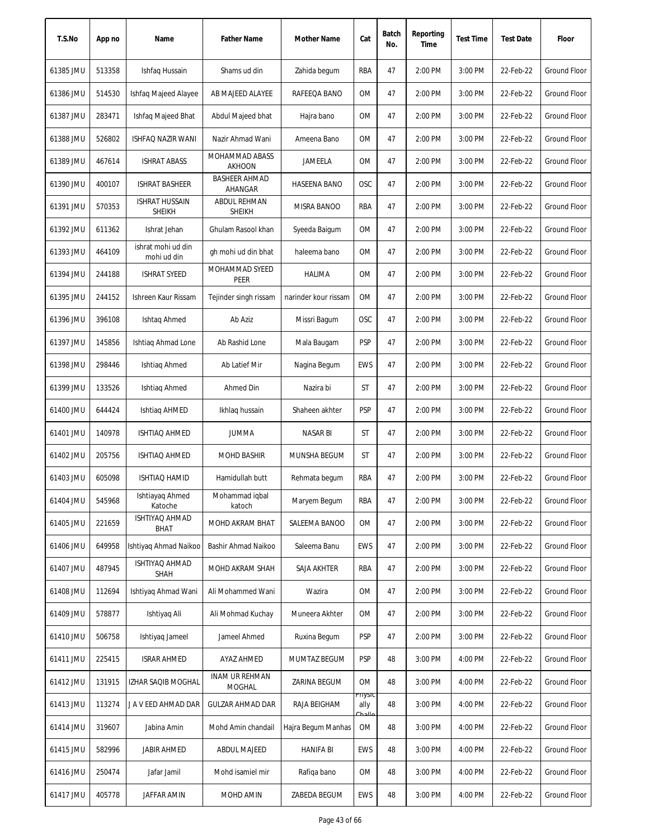| T.S.No    | App no | Name                                   | <b>Father Name</b>                   | Mother Name          | Cat                      | Batch<br>No. | Reporting<br>Time | <b>Test Time</b> | <b>Test Date</b> | Floor               |
|-----------|--------|----------------------------------------|--------------------------------------|----------------------|--------------------------|--------------|-------------------|------------------|------------------|---------------------|
| 61385 JMU | 513358 | Ishfaq Hussain                         | Shams ud din                         | Zahida begum         | RBA                      | 47           | 2:00 PM           | 3:00 PM          | 22-Feb-22        | Ground Floor        |
| 61386 JMU | 514530 | <b>Ishfag Majeed Alayee</b>            | AB MAJEED ALAYEE                     | RAFEEQA BANO         | 0M                       | 47           | 2:00 PM           | 3:00 PM          | 22-Feb-22        | Ground Floor        |
| 61387 JMU | 283471 | Ishfaq Majeed Bhat                     | Abdul Majeed bhat                    | Hajra bano           | 0M                       | 47           | 2:00 PM           | 3:00 PM          | 22-Feb-22        | Ground Floor        |
| 61388 JMU | 526802 | <b>ISHFAQ NAZIR WANI</b>               | Nazir Ahmad Wani                     | Ameena Bano          | 0M                       | 47           | 2:00 PM           | 3:00 PM          | 22-Feb-22        | <b>Ground Floor</b> |
| 61389 JMU | 467614 | <b>ISHRAT ABASS</b>                    | MOHAMMAD ABASS<br><b>AKHOON</b>      | JAMEELA              | 0M                       | 47           | 2:00 PM           | 3:00 PM          | 22-Feb-22        | <b>Ground Floor</b> |
| 61390 JMU | 400107 | <b>ISHRAT BASHEER</b>                  | <b>BASHEER AHMAD</b><br>AHANGAR      | <b>HASEENA BANO</b>  | <b>OSC</b>               | 47           | 2:00 PM           | 3:00 PM          | 22-Feb-22        | Ground Floor        |
| 61391 JMU | 570353 | <b>ISHRAT HUSSAIN</b><br><b>SHEIKH</b> | <b>ABDUL REHMAN</b><br><b>SHEIKH</b> | MISRA BANOO          | RBA                      | 47           | 2:00 PM           | 3:00 PM          | 22-Feb-22        | Ground Floor        |
| 61392 JMU | 611362 | Ishrat Jehan                           | Ghulam Rasool khan                   | Syeeda Baigum        | 0M                       | 47           | 2:00 PM           | 3:00 PM          | 22-Feb-22        | <b>Ground Floor</b> |
| 61393 JMU | 464109 | ishrat mohi ud din<br>mohi ud din      | gh mohi ud din bhat                  | haleema bano         | <b>OM</b>                | 47           | 2:00 PM           | 3:00 PM          | 22-Feb-22        | <b>Ground Floor</b> |
| 61394 JMU | 244188 | ISHRAT SYEED                           | MOHAMMAD SYEED<br>PEER               | HALIMA               | 0M                       | 47           | 2:00 PM           | 3:00 PM          | 22-Feb-22        | Ground Floor        |
| 61395 JMU | 244152 | Ishreen Kaur Rissam                    | Tejinder singh rissam                | narinder kour rissam | 0M                       | 47           | 2:00 PM           | 3:00 PM          | 22-Feb-22        | Ground Floor        |
| 61396 JMU | 396108 | Ishtaq Ahmed                           | Ab Aziz                              | Missri Bagum         | <b>OSC</b>               | 47           | 2:00 PM           | 3:00 PM          | 22-Feb-22        | <b>Ground Floor</b> |
| 61397 JMU | 145856 | Ishtiag Ahmad Lone                     | Ab Rashid Lone                       | Mala Baugam          | <b>PSP</b>               | 47           | 2:00 PM           | 3:00 PM          | 22-Feb-22        | <b>Ground Floor</b> |
| 61398 JMU | 298446 | Ishtiag Ahmed                          | Ab Latief Mir                        | Nagina Begum         | EWS                      | 47           | 2:00 PM           | 3:00 PM          | 22-Feb-22        | Ground Floor        |
| 61399 JMU | 133526 | Ishtiaq Ahmed                          | Ahmed Din                            | Nazira bi            | ST                       | 47           | 2:00 PM           | 3:00 PM          | 22-Feb-22        | Ground Floor        |
| 61400 JMU | 644424 | Ishtiag AHMED                          | Ikhlaq hussain                       | Shaheen akhter       | <b>PSP</b>               | 47           | 2:00 PM           | 3:00 PM          | 22-Feb-22        | Ground Floor        |
| 61401 JMU | 140978 | ISHTIAQ AHMED                          | <b>JUMMA</b>                         | <b>NASAR BI</b>      | ST                       | 47           | 2:00 PM           | 3:00 PM          | 22-Feb-22        | Ground Floor        |
| 61402 JMU | 205756 | ISHTIAQ AHMED                          | <b>MOHD BASHIR</b>                   | MUNSHA BEGUM         | ST                       | 47           | 2:00 PM           | 3:00 PM          | 22-Feb-22        | Ground Floor        |
| 61403 JMU | 605098 | <b>ISHTIAQ HAMID</b>                   | Hamidullah butt                      | Rehmata begum        | RBA                      | 47           | 2:00 PM           | 3:00 PM          | 22-Feb-22        | <b>Ground Floor</b> |
| 61404 JMU | 545968 | Ishtiayaq Ahmed<br>Katoche             | Mohammad iqbal<br>katoch             | Maryem Begum         | RBA                      | 47           | 2:00 PM           | 3:00 PM          | 22-Feb-22        | Ground Floor        |
| 61405 JMU | 221659 | ISHTIYAQ AHMAD<br>BHAT                 | MOHD AKRAM BHAT                      | SALEEMA BANOO        | 0M                       | 47           | 2:00 PM           | 3:00 PM          | 22-Feb-22        | Ground Floor        |
| 61406 JMU | 649958 | Ishtiyaq Ahmad Naikoo                  | Bashir Ahmad Naikoo                  | Saleema Banu         | EWS                      | 47           | 2:00 PM           | 3:00 PM          | 22-Feb-22        | Ground Floor        |
| 61407 JMU | 487945 | ISHTIYAQ AHMAD<br>SHAH                 | MOHD AKRAM SHAH                      | SAJA AKHTER          | RBA                      | 47           | 2:00 PM           | 3:00 PM          | 22-Feb-22        | <b>Ground Floor</b> |
| 61408 JMU | 112694 | Ishtiyaq Ahmad Wani                    | Ali Mohammed Wani                    | Wazira               | 0M                       | 47           | 2:00 PM           | 3:00 PM          | 22-Feb-22        | <b>Ground Floor</b> |
| 61409 JMU | 578877 | Ishtiyaq Ali                           | Ali Mohmad Kuchay                    | Muneera Akhter       | 0M                       | 47           | 2:00 PM           | 3:00 PM          | 22-Feb-22        | <b>Ground Floor</b> |
| 61410 JMU | 506758 | Ishtiyaq Jameel                        | Jameel Ahmed                         | Ruxina Begum         | <b>PSP</b>               | 47           | 2:00 PM           | 3:00 PM          | 22-Feb-22        | Ground Floor        |
| 61411 JMU | 225415 | <b>ISRAR AHMED</b>                     | AYAZ AHMED                           | MUMTAZ BEGUM         | <b>PSP</b>               | 48           | 3:00 PM           | 4:00 PM          | 22-Feb-22        | Ground Floor        |
| 61412 JMU | 131915 | IZHAR SAQIB MOGHAL                     | <b>INAM UR REHMAN</b><br>MOGHAL      | ZARINA BEGUM         | 0M                       | 48           | 3:00 PM           | 4:00 PM          | 22-Feb-22        | Ground Floor        |
| 61413 JMU | 113274 | J A V EED AHMAD DAR                    | <b>GULZAR AHMAD DAR</b>              | RAJA BEIGHAM         | rnysic<br>ally<br>عالمطث | 48           | 3:00 PM           | 4:00 PM          | 22-Feb-22        | Ground Floor        |
| 61414 JMU | 319607 | Jabina Amin                            | Mohd Amin chandail                   | Hajra Begum Manhas   | <b>OM</b>                | 48           | 3:00 PM           | 4:00 PM          | 22-Feb-22        | Ground Floor        |
| 61415 JMU | 582996 | JABIR AHMED                            | ABDUL MAJEED                         | <b>HANIFA BI</b>     | EWS                      | 48           | 3:00 PM           | 4:00 PM          | 22-Feb-22        | Ground Floor        |
| 61416 JMU | 250474 | Jafar Jamil                            | Mohd isamiel mir                     | Rafiqa bano          | 0M                       | 48           | 3:00 PM           | 4:00 PM          | 22-Feb-22        | Ground Floor        |
| 61417 JMU | 405778 | JAFFAR AMIN                            | MOHD AMIN                            | ZABEDA BEGUM         | <b>EWS</b>               | 48           | 3:00 PM           | 4:00 PM          | 22-Feb-22        | Ground Floor        |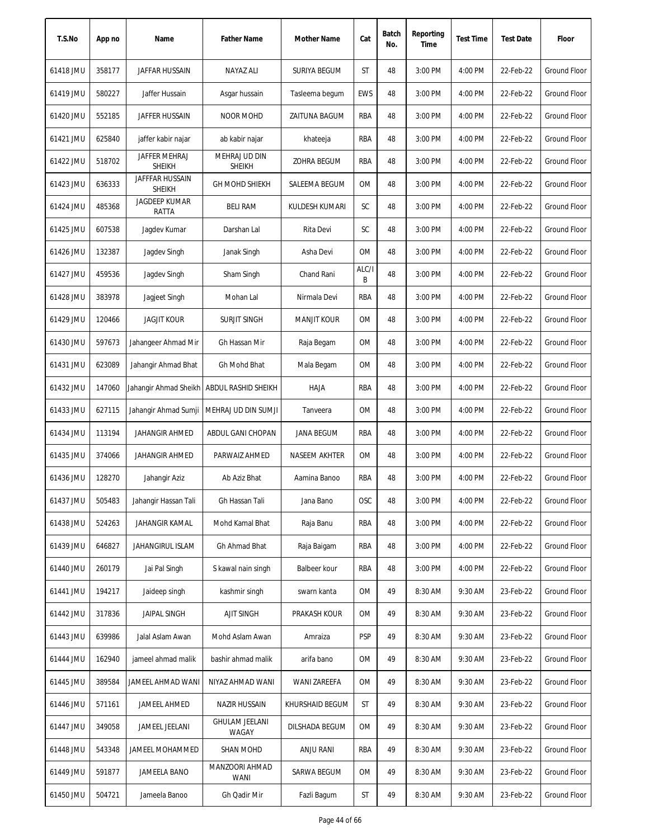| T.S.No    | App no | Name                             | <b>Father Name</b>                          | Mother Name        | Cat        | Batch<br>No. | Reporting<br>Time | <b>Test Time</b> | <b>Test Date</b> | Floor               |
|-----------|--------|----------------------------------|---------------------------------------------|--------------------|------------|--------------|-------------------|------------------|------------------|---------------------|
| 61418 JMU | 358177 | JAFFAR HUSSAIN                   | NAYAZ ALI                                   | SURIYA BEGUM       | ST         | 48           | 3:00 PM           | 4:00 PM          | 22-Feb-22        | <b>Ground Floor</b> |
| 61419 JMU | 580227 | Jaffer Hussain                   | Asgar hussain                               | Tasleema begum     | <b>EWS</b> | 48           | 3:00 PM           | 4:00 PM          | 22-Feb-22        | <b>Ground Floor</b> |
| 61420 JMU | 552185 | JAFFER HUSSAIN                   | <b>NOOR MOHD</b>                            | ZAITUNA BAGUM      | RBA        | 48           | 3:00 PM           | 4:00 PM          | 22-Feb-22        | <b>Ground Floor</b> |
| 61421 JMU | 625840 | jaffer kabir najar               | ab kabir najar                              | khateeja           | RBA        | 48           | 3:00 PM           | 4:00 PM          | 22-Feb-22        | <b>Ground Floor</b> |
| 61422 JMU | 518702 | JAFFER MEHRAJ<br><b>SHEIKH</b>   | <b>MEHRAJ UD DIN</b><br><b>SHEIKH</b>       | ZOHRA BEGUM        | RBA        | 48           | 3:00 PM           | 4:00 PM          | 22-Feb-22        | <b>Ground Floor</b> |
| 61423 JMU | 636333 | JAFFFAR HUSSAIN<br><b>SHEIKH</b> | <b>GH MOHD SHIEKH</b>                       | SALEEMA BEGUM      | OM         | 48           | 3:00 PM           | 4:00 PM          | 22-Feb-22        | Ground Floor        |
| 61424 JMU | 485368 | <b>JAGDEEP KUMAR</b><br>RATTA    | <b>BELI RAM</b>                             | KULDESH KUMARI     | SC         | 48           | 3:00 PM           | 4:00 PM          | 22-Feb-22        | <b>Ground Floor</b> |
| 61425 JMU | 607538 | Jagdev Kumar                     | Darshan Lal                                 | Rita Devi          | SC         | 48           | 3:00 PM           | 4:00 PM          | 22-Feb-22        | <b>Ground Floor</b> |
| 61426 JMU | 132387 | Jagdev Singh                     | Janak Singh                                 | Asha Devi          | <b>OM</b>  | 48           | 3:00 PM           | 4:00 PM          | 22-Feb-22        | <b>Ground Floor</b> |
| 61427 JMU | 459536 | Jagdev Singh                     | Sham Singh                                  | Chand Rani         | ALC/I<br>B | 48           | 3:00 PM           | 4:00 PM          | 22-Feb-22        | Ground Floor        |
| 61428 JMU | 383978 | Jagjeet Singh                    | Mohan Lal                                   | Nirmala Devi       | RBA        | 48           | 3:00 PM           | 4:00 PM          | 22-Feb-22        | Ground Floor        |
| 61429 JMU | 120466 | <b>JAGJIT KOUR</b>               | <b>SURJIT SINGH</b>                         | <b>MANJIT KOUR</b> | <b>OM</b>  | 48           | 3:00 PM           | 4:00 PM          | 22-Feb-22        | <b>Ground Floor</b> |
| 61430 JMU | 597673 | Jahangeer Ahmad Mir              | Gh Hassan Mir                               | Raja Begam         | <b>OM</b>  | 48           | 3:00 PM           | 4:00 PM          | 22-Feb-22        | <b>Ground Floor</b> |
| 61431 JMU | 623089 | Jahangir Ahmad Bhat              | Gh Mohd Bhat                                | Mala Begam         | <b>OM</b>  | 48           | 3:00 PM           | 4:00 PM          | 22-Feb-22        | Ground Floor        |
| 61432 JMU | 147060 |                                  | Jahangir Ahmad Sheikh   ABDUL RASHID SHEIKH | HAJA               | RBA        | 48           | 3:00 PM           | 4:00 PM          | 22-Feb-22        | <b>Ground Floor</b> |
| 61433 JMU | 627115 | Jahangir Ahmad Sumji             | MEHRAJ UD DIN SUMJI                         | Tanveera           | <b>OM</b>  | 48           | 3:00 PM           | 4:00 PM          | 22-Feb-22        | <b>Ground Floor</b> |
| 61434 JMU | 113194 | <b>JAHANGIR AHMED</b>            | ABDUL GANI CHOPAN                           | JANA BEGUM         | RBA        | 48           | 3:00 PM           | 4:00 PM          | 22-Feb-22        | <b>Ground Floor</b> |
| 61435 JMU | 374066 | JAHANGIR AHMED                   | PARWAIZ AHMED                               | NASEEM AKHTER      | <b>OM</b>  | 48           | 3:00 PM           | 4:00 PM          | 22-Feb-22        | <b>Ground Floor</b> |
| 61436 JMU | 128270 | Jahangir Aziz                    | Ab Aziz Bhat                                | Aamina Banoo       | RBA        | 48           | 3:00 PM           | 4:00 PM          | 22-Feb-22        | <b>Ground Floor</b> |
| 61437 JMU | 505483 | Jahangir Hassan Tali             | Gh Hassan Tali                              | Jana Bano          | OSC        | 48           | 3:00 PM           | 4:00 PM          | 22-Feb-22        | Ground Floor        |
| 61438 JMU | 524263 | JAHANGIR KAMAL                   | Mohd Kamal Bhat                             | Raja Banu          | RBA        | 48           | 3:00 PM           | 4:00 PM          | 22-Feb-22        | Ground Floor        |
| 61439 JMU | 646827 | JAHANGIRUL ISLAM                 | Gh Ahmad Bhat                               | Raja Baigam        | RBA        | 48           | 3:00 PM           | 4:00 PM          | 22-Feb-22        | <b>Ground Floor</b> |
| 61440 JMU | 260179 | Jai Pal Singh                    | S kawal nain singh                          | Balbeer kour       | RBA        | 48           | 3:00 PM           | 4:00 PM          | 22-Feb-22        | Ground Floor        |
| 61441 JMU | 194217 | Jaideep singh                    | kashmir singh                               | swarn kanta        | ОM         | 49           | 8:30 AM           | 9:30 AM          | 23-Feb-22        | <b>Ground Floor</b> |
| 61442 JMU | 317836 | <b>JAIPAL SINGH</b>              | <b>AJIT SINGH</b>                           | PRAKASH KOUR       | ОM         | 49           | 8:30 AM           | 9:30 AM          | 23-Feb-22        | Ground Floor        |
| 61443 JMU | 639986 | Jalal Aslam Awan                 | Mohd Aslam Awan                             | Amraiza            | PSP        | 49           | 8:30 AM           | 9:30 AM          | 23-Feb-22        | Ground Floor        |
| 61444 JMU | 162940 | jameel ahmad malik               | bashir ahmad malik                          | arifa bano         | ОM         | 49           | 8:30 AM           | 9:30 AM          | 23-Feb-22        | Ground Floor        |
| 61445 JMU | 389584 | JAMEEL AHMAD WANI                | NIYAZ AHMAD WANI                            | WANI ZAREEFA       | ОM         | 49           | 8:30 AM           | 9:30 AM          | 23-Feb-22        | Ground Floor        |
| 61446 JMU | 571161 | JAMEEL AHMED                     | NAZIR HUSSAIN                               | KHURSHAID BEGUM    | ST         | 49           | 8:30 AM           | 9:30 AM          | 23-Feb-22        | <b>Ground Floor</b> |
| 61447 JMU | 349058 | JAMEEL JEELANI                   | <b>GHULAM JEELANI</b><br>WAGAY              | DILSHADA BEGUM     | ОM         | 49           | 8:30 AM           | 9:30 AM          | 23-Feb-22        | Ground Floor        |
| 61448 JMU | 543348 | JAMEEL MOHAMMED                  | SHAN MOHD                                   | ANJU RANI          | RBA        | 49           | 8:30 AM           | 9:30 AM          | 23-Feb-22        | Ground Floor        |
| 61449 JMU | 591877 | JAMEELA BANO                     | MANZOORI AHMAD<br>WANI                      | SARWA BEGUM        | ОM         | 49           | 8:30 AM           | 9:30 AM          | 23-Feb-22        | Ground Floor        |
| 61450 JMU | 504721 | Jameela Banoo                    | Gh Qadir Mir                                | Fazli Bagum        | ST         | 49           | 8:30 AM           | 9:30 AM          | 23-Feb-22        | Ground Floor        |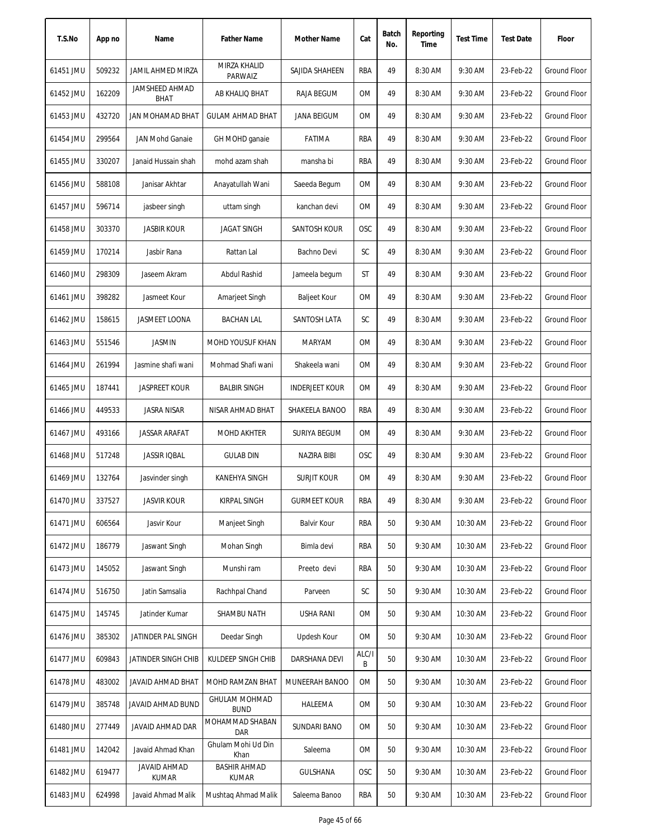| T.S.No    | App no | Name                                 | <b>Father Name</b>                  | Mother Name           | Cat        | Batch<br>No. | Reporting<br>Time | <b>Test Time</b> | <b>Test Date</b> | Floor               |
|-----------|--------|--------------------------------------|-------------------------------------|-----------------------|------------|--------------|-------------------|------------------|------------------|---------------------|
| 61451 JMU | 509232 | JAMIL AHMED MIRZA                    | MIRZA KHALID<br>PARWAIZ             | SAJIDA SHAHEEN        | RBA        | 49           | 8:30 AM           | 9:30 AM          | 23-Feb-22        | <b>Ground Floor</b> |
| 61452 JMU | 162209 | <b>JAMSHEED AHMAD</b><br><b>BHAT</b> | AB KHALIQ BHAT                      | RAJA BEGUM            | ОM         | 49           | 8:30 AM           | 9:30 AM          | 23-Feb-22        | Ground Floor        |
| 61453 JMU | 432720 | JAN MOHAMAD BHAT                     | <b>GULAM AHMAD BHAT</b>             | <b>JANA BEIGUM</b>    | ОM         | 49           | 8:30 AM           | 9:30 AM          | 23-Feb-22        | Ground Floor        |
| 61454 JMU | 299564 | <b>JAN Mohd Ganaie</b>               | GH MOHD ganaie                      | <b>FATIMA</b>         | RBA        | 49           | 8:30 AM           | 9:30 AM          | 23-Feb-22        | <b>Ground Floor</b> |
| 61455 JMU | 330207 | Janaid Hussain shah                  | mohd azam shah                      | mansha bi             | RBA        | 49           | 8:30 AM           | 9:30 AM          | 23-Feb-22        | <b>Ground Floor</b> |
| 61456 JMU | 588108 | Janisar Akhtar                       | Anayatullah Wani                    | Saeeda Begum          | OM         | 49           | 8:30 AM           | 9:30 AM          | 23-Feb-22        | Ground Floor        |
| 61457 JMU | 596714 | jasbeer singh                        | uttam singh                         | kanchan devi          | ΟM         | 49           | 8:30 AM           | 9:30 AM          | 23-Feb-22        | Ground Floor        |
| 61458 JMU | 303370 | <b>JASBIR KOUR</b>                   | <b>JAGAT SINGH</b>                  | SANTOSH KOUR          | OSC        | 49           | 8:30 AM           | 9:30 AM          | 23-Feb-22        | <b>Ground Floor</b> |
| 61459 JMU | 170214 | Jasbir Rana                          | Rattan Lal                          | Bachno Devi           | SC         | 49           | 8:30 AM           | 9:30 AM          | 23-Feb-22        | <b>Ground Floor</b> |
| 61460 JMU | 298309 | Jaseem Akram                         | Abdul Rashid                        | Jameela begum         | ST         | 49           | 8:30 AM           | 9:30 AM          | 23-Feb-22        | <b>Ground Floor</b> |
| 61461 JMU | 398282 | Jasmeet Kour                         | Amarjeet Singh                      | <b>Baljeet Kour</b>   | 0M         | 49           | 8:30 AM           | 9:30 AM          | 23-Feb-22        | <b>Ground Floor</b> |
| 61462 JMU | 158615 | JASMEET LOONA                        | <b>BACHAN LAL</b>                   | SANTOSH LATA          | SC         | 49           | 8:30 AM           | 9:30 AM          | 23-Feb-22        | <b>Ground Floor</b> |
| 61463 JMU | 551546 | <b>JASMIN</b>                        | MOHD YOUSUF KHAN                    | <b>MARYAM</b>         | <b>OM</b>  | 49           | 8:30 AM           | 9:30 AM          | 23-Feb-22        | <b>Ground Floor</b> |
| 61464 JMU | 261994 | Jasmine shafi wani                   | Mohmad Shafi wani                   | Shakeela wani         | <b>OM</b>  | 49           | 8:30 AM           | 9:30 AM          | 23-Feb-22        | <b>Ground Floor</b> |
| 61465 JMU | 187441 | <b>JASPREET KOUR</b>                 | <b>BALBIR SINGH</b>                 | <b>INDERJEET KOUR</b> | 0M         | 49           | 8:30 AM           | 9:30 AM          | 23-Feb-22        | Ground Floor        |
| 61466 JMU | 449533 | <b>JASRA NISAR</b>                   | NISAR AHMAD BHAT                    | SHAKEELA BANOO        | RBA        | 49           | 8:30 AM           | 9:30 AM          | 23-Feb-22        | <b>Ground Floor</b> |
| 61467 JMU | 493166 | <b>JASSAR ARAFAT</b>                 | <b>MOHD AKHTER</b>                  | SURIYA BEGUM          | <b>OM</b>  | 49           | 8:30 AM           | 9:30 AM          | 23-Feb-22        | <b>Ground Floor</b> |
| 61468 JMU | 517248 | <b>JASSIR IQBAL</b>                  | <b>GULAB DIN</b>                    | <b>NAZIRA BIBI</b>    | OSC        | 49           | 8:30 AM           | 9:30 AM          | 23-Feb-22        | Ground Floor        |
| 61469 JMU | 132764 | Jasvinder singh                      | KANEHYA SINGH                       | <b>SURJIT KOUR</b>    | <b>OM</b>  | 49           | 8:30 AM           | 9:30 AM          | 23-Feb-22        | <b>Ground Floor</b> |
| 61470 JMU | 337527 | <b>JASVIR KOUR</b>                   | <b>KIRPAL SINGH</b>                 | <b>GURMEET KOUR</b>   | RBA        | 49           | 8:30 AM           | 9:30 AM          | 23-Feb-22        | Ground Floor        |
| 61471 JMU | 606564 | Jasvir Kour                          | Manjeet Singh                       | Balvir Kour           | RBA        | 50           | 9:30 AM           | 10:30 AM         | 23-Feb-22        | Ground Floor        |
| 61472 JMU | 186779 | Jaswant Singh                        | Mohan Singh                         | Bimla devi            | RBA        | 50           | 9:30 AM           | 10:30 AM         | 23-Feb-22        | <b>Ground Floor</b> |
| 61473 JMU | 145052 | Jaswant Singh                        | Munshi ram                          | Preeto devi           | RBA        | 50           | 9:30 AM           | 10:30 AM         | 23-Feb-22        | Ground Floor        |
| 61474 JMU | 516750 | Jatin Samsalia                       | Rachhpal Chand                      | Parveen               | SC         | 50           | 9:30 AM           | 10:30 AM         | 23-Feb-22        | <b>Ground Floor</b> |
| 61475 JMU | 145745 | Jatinder Kumar                       | SHAMBU NATH                         | USHA RANI             | <b>OM</b>  | 50           | 9:30 AM           | 10:30 AM         | 23-Feb-22        | Ground Floor        |
| 61476 JMU | 385302 | JATINDER PAL SINGH                   | Deedar Singh                        | Updesh Kour           | 0M         | 50           | 9:30 AM           | 10:30 AM         | 23-Feb-22        | Ground Floor        |
| 61477 JMU | 609843 | JATINDER SINGH CHIB                  | KULDEEP SINGH CHIB                  | DARSHANA DEVI         | ALC/I<br>В | 50           | 9:30 AM           | 10:30 AM         | 23-Feb-22        | Ground Floor        |
| 61478 JMU | 483002 | JAVAID AHMAD BHAT                    | MOHD RAMZAN BHAT                    | MUNEERAH BANOO        | 0M         | 50           | 9:30 AM           | 10:30 AM         | 23-Feb-22        | Ground Floor        |
| 61479 JMU | 385748 | JAVAID AHMAD BUND                    | <b>GHULAM MOHMAD</b><br><b>BUND</b> | HALEEMA               | OM         | 50           | 9:30 AM           | 10:30 AM         | 23-Feb-22        | Ground Floor        |
| 61480 JMU | 277449 | JAVAID AHMAD DAR                     | MOHAMMAD SHABAN<br>DAR              | SUNDARI BANO          | 0M         | 50           | 9:30 AM           | 10:30 AM         | 23-Feb-22        | Ground Floor        |
| 61481 JMU | 142042 | Javaid Ahmad Khan                    | Ghulam Mohi Ud Din<br>Khan          | Saleema               | 0M         | 50           | 9:30 AM           | 10:30 AM         | 23-Feb-22        | <b>Ground Floor</b> |
| 61482 JMU | 619477 | JAVAID AHMAD<br><b>KUMAR</b>         | <b>BASHIR AHMAD</b><br>KUMAR        | GULSHANA              | OSC        | 50           | 9:30 AM           | 10:30 AM         | 23-Feb-22        | <b>Ground Floor</b> |
| 61483 JMU | 624998 | Javaid Ahmad Malik                   | Mushtaq Ahmad Malik                 | Saleema Banoo         | RBA        | 50           | 9:30 AM           | 10:30 AM         | 23-Feb-22        | Ground Floor        |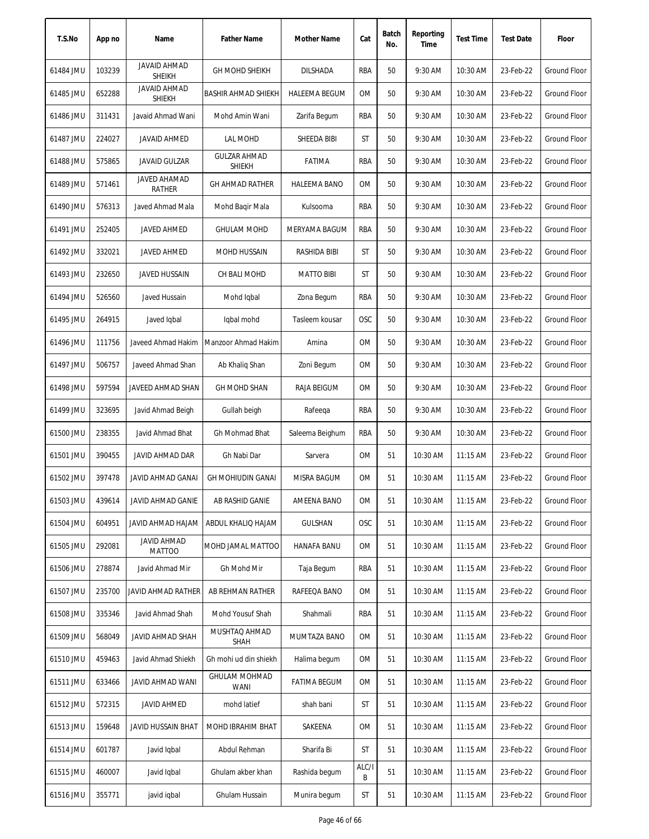| T.S.No    | App no | Name                                 | <b>Father Name</b>                   | Mother Name          | Cat        | Batch<br>No. | Reporting<br>Time | <b>Test Time</b> | <b>Test Date</b> | Floor               |
|-----------|--------|--------------------------------------|--------------------------------------|----------------------|------------|--------------|-------------------|------------------|------------------|---------------------|
| 61484 JMU | 103239 | <b>JAVAID AHMAD</b><br><b>SHEIKH</b> | <b>GH MOHD SHEIKH</b>                | <b>DILSHADA</b>      | RBA        | 50           | 9:30 AM           | 10:30 AM         | 23-Feb-22        | Ground Floor        |
| 61485 JMU | 652288 | <b>JAVAID AHMAD</b><br><b>SHIEKH</b> | <b>BASHIR AHMAD SHIEKH</b>           | <b>HALEEMA BEGUM</b> | 0M         | 50           | 9:30 AM           | 10:30 AM         | 23-Feb-22        | Ground Floor        |
| 61486 JMU | 311431 | Javaid Ahmad Wani                    | Mohd Amin Wani                       | Zarifa Begum         | RBA        | 50           | 9:30 AM           | 10:30 AM         | 23-Feb-22        | Ground Floor        |
| 61487 JMU | 224027 | <b>JAVAID AHMED</b>                  | LAL MOHD                             | SHEEDA BIBI          | ST         | 50           | 9:30 AM           | 10:30 AM         | 23-Feb-22        | <b>Ground Floor</b> |
| 61488 JMU | 575865 | <b>JAVAID GULZAR</b>                 | <b>GULZAR AHMAD</b><br><b>SHIEKH</b> | FATIMA               | RBA        | 50           | 9:30 AM           | 10:30 AM         | 23-Feb-22        | Ground Floor        |
| 61489 JMU | 571461 | <b>JAVED AHAMAD</b><br><b>RATHER</b> | <b>GH AHMAD RATHER</b>               | <b>HALEEMA BANO</b>  | <b>OM</b>  | 50           | 9:30 AM           | 10:30 AM         | 23-Feb-22        | Ground Floor        |
| 61490 JMU | 576313 | Javed Ahmad Mala                     | Mohd Baqir Mala                      | Kulsooma             | RBA        | 50           | 9:30 AM           | 10:30 AM         | 23-Feb-22        | Ground Floor        |
| 61491 JMU | 252405 | <b>JAVED AHMED</b>                   | <b>GHULAM MOHD</b>                   | MERYAMA BAGUM        | RBA        | 50           | 9:30 AM           | 10:30 AM         | 23-Feb-22        | Ground Floor        |
| 61492 JMU | 332021 | <b>JAVED AHMED</b>                   | MOHD HUSSAIN                         | RASHIDA BIBI         | ST         | 50           | 9:30 AM           | 10:30 AM         | 23-Feb-22        | Ground Floor        |
| 61493 JMU | 232650 | <b>JAVED HUSSAIN</b>                 | CH BALI MOHD                         | <b>MATTO BIBI</b>    | ST         | 50           | 9:30 AM           | 10:30 AM         | 23-Feb-22        | Ground Floor        |
| 61494 JMU | 526560 | Javed Hussain                        | Mohd Iqbal                           | Zona Begum           | RBA        | 50           | 9:30 AM           | 10:30 AM         | 23-Feb-22        | <b>Ground Floor</b> |
| 61495 JMU | 264915 | Javed Iqbal                          | Iqbal mohd                           | Tasleem kousar       | <b>OSC</b> | 50           | 9:30 AM           | 10:30 AM         | 23-Feb-22        | <b>Ground Floor</b> |
| 61496 JMU | 111756 | Javeed Ahmad Hakim                   | Manzoor Ahmad Hakim                  | Amina                | <b>OM</b>  | 50           | 9:30 AM           | 10:30 AM         | 23-Feb-22        | Ground Floor        |
| 61497 JMU | 506757 | Javeed Ahmad Shan                    | Ab Khaliq Shan                       | Zoni Begum           | <b>OM</b>  | 50           | 9:30 AM           | 10:30 AM         | 23-Feb-22        | <b>Ground Floor</b> |
| 61498 JMU | 597594 | JAVEED AHMAD SHAN                    | <b>GH MOHD SHAN</b>                  | RAJA BEIGUM          | <b>OM</b>  | 50           | 9:30 AM           | 10:30 AM         | 23-Feb-22        | Ground Floor        |
| 61499 JMU | 323695 | Javid Ahmad Beigh                    | Gullah beigh                         | Rafeega              | RBA        | 50           | 9:30 AM           | 10:30 AM         | 23-Feb-22        | <b>Ground Floor</b> |
| 61500 JMU | 238355 | Javid Ahmad Bhat                     | Gh Mohmad Bhat                       | Saleema Beighum      | <b>RBA</b> | 50           | 9:30 AM           | 10:30 AM         | 23-Feb-22        | <b>Ground Floor</b> |
| 61501 JMU | 390455 | <b>JAVID AHMAD DAR</b>               | Gh Nabi Dar                          | Sarvera              | <b>OM</b>  | 51           | 10:30 AM          | 11:15 AM         | 23-Feb-22        | <b>Ground Floor</b> |
| 61502 JMU | 397478 | JAVID AHMAD GANAI                    | <b>GH MOHIUDIN GANAI</b>             | MISRA BAGUM          | <b>OM</b>  | 51           | 10:30 AM          | $11:15$ AM       | 23-Feb-22        | <b>Ground Floor</b> |
| 61503 JMU | 439614 | JAVID AHMAD GANIE                    | AB RASHID GANIE                      | AMEENA BANO          | 0M         | 51           | 10:30 AM          | 11:15 AM         | 23-Feb-22        | <b>Ground Floor</b> |
| 61504 JMU | 604951 | MALAD HAIAN OIVAL                    | ABDUL KHALIQ HAJAM                   | <b>GULSHAN</b>       | <b>OSC</b> | 51           | 10:30 AM          | 11:15 AM         | 23-Feb-22        | Ground Floor        |
| 61505 JMU | 292081 | <b>JAVID AHMAD</b><br><b>MATTOO</b>  | MOHD JAMAL MATTOO                    | HANAFA BANU          | 0M         | 51           | 10:30 AM          | 11:15 AM         | 23-Feb-22        | Ground Floor        |
| 61506 JMU | 278874 | Javid Ahmad Mir                      | Gh Mohd Mir                          | Taja Begum           | RBA        | 51           | 10:30 AM          | 11:15 AM         | 23-Feb-22        | Ground Floor        |
| 61507 JMU | 235700 | JAVID AHMAD RATHER                   | AB REHMAN RATHER                     | RAFEEQA BANO         | 0M         | 51           | 10:30 AM          | 11:15 AM         | 23-Feb-22        | <b>Ground Floor</b> |
| 61508 JMU | 335346 | Javid Ahmad Shah                     | Mohd Yousuf Shah                     | Shahmali             | RBA        | 51           | 10:30 AM          | 11:15 AM         | 23-Feb-22        | <b>Ground Floor</b> |
| 61509 JMU | 568049 | JAVID AHMAD SHAH                     | MUSHTAQ AHMAD<br><b>SHAH</b>         | MUMTAZA BANO         | 0M         | 51           | 10:30 AM          | $11:15$ AM       | 23-Feb-22        | Ground Floor        |
| 61510 JMU | 459463 | Javid Ahmad Shiekh                   | Gh mohi ud din shiekh                | Halima begum         | 0M         | 51           | 10:30 AM          | 11:15 AM         | 23-Feb-22        | Ground Floor        |
| 61511 JMU | 633466 | JAVID AHMAD WANI                     | <b>GHULAM MOHMAD</b><br>WANI         | FATIMA BEGUM         | 0M         | 51           | 10:30 AM          | 11:15 AM         | 23-Feb-22        | Ground Floor        |
| 61512 JMU | 572315 | <b>JAVID AHMED</b>                   | mohd latief                          | shah bani            | ST         | 51           | 10:30 AM          | 11:15 AM         | 23-Feb-22        | Ground Floor        |
| 61513 JMU | 159648 | <b>JAVID HUSSAIN BHAT</b>            | MOHD IBRAHIM BHAT                    | SAKEENA              | 0M         | 51           | 10:30 AM          | 11:15 AM         | 23-Feb-22        | Ground Floor        |
| 61514 JMU | 601787 | Javid Iqbal                          | Abdul Rehman                         | Sharifa Bi           | ST         | 51           | 10:30 AM          | 11:15 AM         | 23-Feb-22        | Ground Floor        |
| 61515 JMU | 460007 | Javid Iqbal                          | Ghulam akber khan                    | Rashida begum        | ALC/I<br>В | 51           | 10:30 AM          | 11:15 AM         | 23-Feb-22        | Ground Floor        |
| 61516 JMU | 355771 | javid iqbal                          | Ghulam Hussain                       | Munira begum         | ST         | 51           | 10:30 AM          | 11:15 AM         | 23-Feb-22        | Ground Floor        |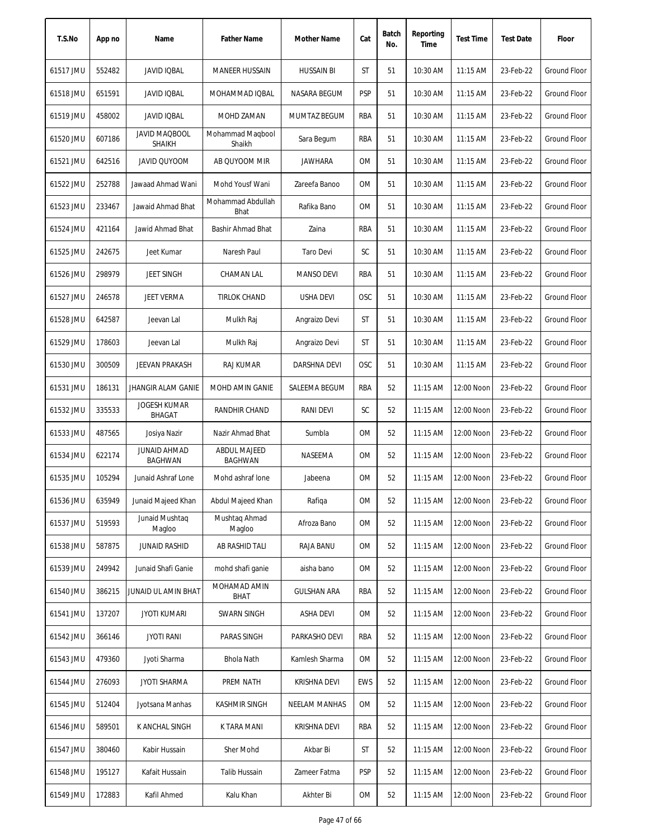| T.S.No    | App no | Name                                  | <b>Father Name</b>                    | Mother Name          | Cat        | Batch<br>No. | Reporting<br>Time | <b>Test Time</b> | <b>Test Date</b> | Floor               |
|-----------|--------|---------------------------------------|---------------------------------------|----------------------|------------|--------------|-------------------|------------------|------------------|---------------------|
| 61517 JMU | 552482 | <b>JAVID IQBAL</b>                    | <b>MANEER HUSSAIN</b>                 | <b>HUSSAIN BI</b>    | <b>ST</b>  | 51           | 10:30 AM          | 11:15 AM         | 23-Feb-22        | Ground Floor        |
| 61518 JMU | 651591 | <b>JAVID IQBAL</b>                    | MOHAMMAD IQBAL                        | NASARA BEGUM         | <b>PSP</b> | 51           | 10:30 AM          | $11:15$ AM       | 23-Feb-22        | Ground Floor        |
| 61519 JMU | 458002 | <b>JAVID IQBAL</b>                    | MOHD ZAMAN                            | MUMTAZ BEGUM         | RBA        | 51           | 10:30 AM          | 11:15 AM         | 23-Feb-22        | Ground Floor        |
| 61520 JMU | 607186 | <b>JAVID MAQBOOL</b><br><b>SHAIKH</b> | Mohammad Magbool<br>Shaikh            | Sara Begum           | RBA        | 51           | 10:30 AM          | 11:15 AM         | 23-Feb-22        | Ground Floor        |
| 61521 JMU | 642516 | JAVID QUYOOM                          | AB QUYOOM MIR                         | <b>JAWHARA</b>       | 0M         | 51           | 10:30 AM          | 11:15 AM         | 23-Feb-22        | Ground Floor        |
| 61522 JMU | 252788 | Jawaad Ahmad Wani                     | Mohd Yousf Wani                       | Zareefa Banoo        | <b>OM</b>  | 51           | 10:30 AM          | 11:15 AM         | 23-Feb-22        | Ground Floor        |
| 61523 JMU | 233467 | Jawaid Ahmad Bhat                     | Mohammad Abdullah<br>Bhat             | Rafika Bano          | 0M         | 51           | 10:30 AM          | $11:15$ AM       | 23-Feb-22        | Ground Floor        |
| 61524 JMU | 421164 | Jawid Ahmad Bhat                      | Bashir Ahmad Bhat                     | Zaina                | RBA        | 51           | 10:30 AM          | 11:15 AM         | 23-Feb-22        | Ground Floor        |
| 61525 JMU | 242675 | Jeet Kumar                            | Naresh Paul                           | <b>Taro Devi</b>     | SC         | 51           | 10:30 AM          | 11:15 AM         | 23-Feb-22        | <b>Ground Floor</b> |
| 61526 JMU | 298979 | <b>JEET SINGH</b>                     | CHAMAN LAL                            | <b>MANSO DEVI</b>    | <b>RBA</b> | 51           | 10:30 AM          | 11:15 AM         | 23-Feb-22        | <b>Ground Floor</b> |
| 61527 JMU | 246578 | <b>JEET VERMA</b>                     | <b>TIRLOK CHAND</b>                   | <b>USHA DEVI</b>     | <b>OSC</b> | 51           | 10:30 AM          | 11:15 AM         | 23-Feb-22        | <b>Ground Floor</b> |
| 61528 JMU | 642587 | Jeevan Lal                            | Mulkh Raj                             | Angraizo Devi        | ST         | 51           | 10:30 AM          | 11:15 AM         | 23-Feb-22        | Ground Floor        |
| 61529 JMU | 178603 | Jeevan Lal                            | Mulkh Raj                             | Angraizo Devi        | ST         | 51           | 10:30 AM          | 11:15 AM         | 23-Feb-22        | <b>Ground Floor</b> |
| 61530 JMU | 300509 | JEEVAN PRAKASH                        | RAJ KUMAR                             | DARSHNA DEVI         | <b>OSC</b> | 51           | 10:30 AM          | 11:15 AM         | 23-Feb-22        | Ground Floor        |
| 61531 JMU | 186131 | <b>JHANGIR ALAM GANIE</b>             | MOHD AMIN GANIE                       | SALEEMA BEGUM        | <b>RBA</b> | 52           | 11:15 AM          | 12:00 Noon       | 23-Feb-22        | Ground Floor        |
| 61532 JMU | 335533 | <b>JOGESH KUMAR</b><br>BHAGAT         | RANDHIR CHAND                         | <b>RANI DEVI</b>     | SC         | 52           | 11:15 AM          | 12:00 Noon       | 23-Feb-22        | Ground Floor        |
| 61533 JMU | 487565 | Josiya Nazir                          | Nazir Ahmad Bhat                      | Sumbla               | <b>OM</b>  | 52           | 11:15 AM          | 12:00 Noon       | 23-Feb-22        | <b>Ground Floor</b> |
| 61534 JMU | 622174 | <b>JUNAID AHMAD</b><br><b>BAGHWAN</b> | <b>ABDUL MAJEED</b><br><b>BAGHWAN</b> | NASEEMA              | 0M         | 52           | 11:15 AM          | 12:00 Noon       | 23-Feb-22        | <b>Ground Floor</b> |
| 61535 JMU | 105294 | Junaid Ashraf Lone                    | Mohd ashraf lone                      | Jabeena              | 0M         | 52           | $11:15$ AM        | 12:00 Noon       | 23-Feb-22        | Ground Floor        |
| 61536 JMU | 635949 | Junaid Majeed Khan                    | Abdul Majeed Khan                     | Rafiqa               | 0M         | 52           | $11:15$ AM        | 12:00 Noon       | 23-Feb-22        | Ground Floor        |
| 61537 JMU | 519593 | Junaid Mushtaq<br>Magloo              | Mushtag Ahmad<br>Magloo               | Afroza Bano          | 0M         | 52           | 11:15 AM          | 12:00 Noon       | 23-Feb-22        | Ground Floor        |
| 61538 JMU | 587875 | JUNAID RASHID                         | AB RASHID TALI                        | RAJA BANU            | 0M         | 52           | 11:15 AM          | 12:00 Noon       | 23-Feb-22        | Ground Floor        |
| 61539 JMU | 249942 | Junaid Shafi Ganie                    | mohd shafi ganie                      | aisha bano           | 0M         | 52           | $11:15$ AM        | 12:00 Noon       | 23-Feb-22        | Ground Floor        |
| 61540 JMU | 386215 | JUNAID UL AMIN BHAT                   | MOHAMAD AMIN<br><b>BHAT</b>           | <b>GULSHAN ARA</b>   | RBA        | 52           | 11:15 AM          | 12:00 Noon       | 23-Feb-22        | Ground Floor        |
| 61541 JMU | 137207 | <b>JYOTI KUMARI</b>                   | <b>SWARN SINGH</b>                    | <b>ASHA DEVI</b>     | 0M         | 52           | 11:15 AM          | 12:00 Noon       | 23-Feb-22        | Ground Floor        |
| 61542 JMU | 366146 | <b>JYOTI RANI</b>                     | PARAS SINGH                           | PARKASHO DEVI        | RBA        | 52           | $11:15$ AM        | 12:00 Noon       | 23-Feb-22        | Ground Floor        |
| 61543 JMU | 479360 | Jyoti Sharma                          | <b>Bhola Nath</b>                     | Kamlesh Sharma       | OM         | 52           | $11:15$ AM        | 12:00 Noon       | 23-Feb-22        | Ground Floor        |
| 61544 JMU | 276093 | JYOTI SHARMA                          | PREM NATH                             | KRISHNA DEVI         | EWS        | 52           | 11:15 AM          | 12:00 Noon       | 23-Feb-22        | Ground Floor        |
| 61545 JMU | 512404 | Jyotsana Manhas                       | <b>KASHMIR SINGH</b>                  | <b>NEELAM MANHAS</b> | 0M         | 52           | 11:15 AM          | 12:00 Noon       | 23-Feb-22        | Ground Floor        |
| 61546 JMU | 589501 | K ANCHAL SINGH                        | K TARA MANI                           | KRISHNA DEVI         | RBA        | 52           | 11:15 AM          | 12:00 Noon       | 23-Feb-22        | Ground Floor        |
| 61547 JMU | 380460 | Kabir Hussain                         | Sher Mohd                             | Akbar Bi             | ST         | 52           | 11:15 AM          | 12:00 Noon       | 23-Feb-22        | Ground Floor        |
| 61548 JMU | 195127 | Kafait Hussain                        | <b>Talib Hussain</b>                  | Zameer Fatma         | <b>PSP</b> | 52           | 11:15 AM          | 12:00 Noon       | 23-Feb-22        | Ground Floor        |
| 61549 JMU | 172883 | Kafil Ahmed                           | Kalu Khan                             | Akhter Bi            | 0M         | 52           | 11:15 AM          | 12:00 Noon       | 23-Feb-22        | Ground Floor        |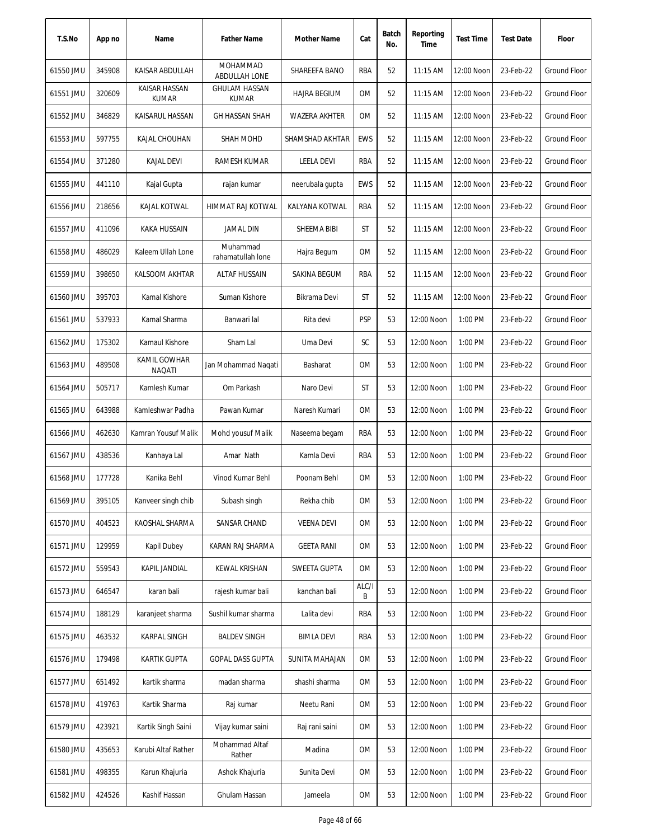| T.S.No    | App no | Name                          | <b>Father Name</b>                   | Mother Name          | Cat        | Batch<br>No. | Reporting<br>Time | <b>Test Time</b> | <b>Test Date</b> | Floor               |
|-----------|--------|-------------------------------|--------------------------------------|----------------------|------------|--------------|-------------------|------------------|------------------|---------------------|
| 61550 JMU | 345908 | KAISAR ABDULLAH               | MOHAMMAD<br>ABDULLAH LONE            | SHAREEFA BANO        | RBA        | 52           | 11:15 AM          | 12:00 Noon       | 23-Feb-22        | <b>Ground Floor</b> |
| 61551 JMU | 320609 | KAISAR HASSAN<br><b>KUMAR</b> | <b>GHULAM HASSAN</b><br><b>KUMAR</b> | <b>HAJRA BEGIUM</b>  | ОM         | 52           | 11:15 AM          | 12:00 Noon       | 23-Feb-22        | Ground Floor        |
| 61552 JMU | 346829 | KAISARUL HASSAN               | <b>GH HASSAN SHAH</b>                | <b>WAZERA AKHTER</b> | ОM         | 52           | $11:15$ AM        | 12:00 Noon       | 23-Feb-22        | Ground Floor        |
| 61553 JMU | 597755 | KAJAL CHOUHAN                 | SHAH MOHD                            | SHAMSHAD AKHTAR      | <b>EWS</b> | 52           | 11:15 AM          | 12:00 Noon       | 23-Feb-22        | <b>Ground Floor</b> |
| 61554 JMU | 371280 | <b>KAJAL DEVI</b>             | RAMESH KUMAR                         | <b>LEELA DEVI</b>    | RBA        | 52           | 11:15 AM          | 12:00 Noon       | 23-Feb-22        | <b>Ground Floor</b> |
| 61555 JMU | 441110 | Kajal Gupta                   | rajan kumar                          | neerubala gupta      | <b>EWS</b> | 52           | 11:15 AM          | 12:00 Noon       | 23-Feb-22        | <b>Ground Floor</b> |
| 61556 JMU | 218656 | KAJAL KOTWAL                  | HIMMAT RAJ KOTWAL                    | KALYANA KOTWAL       | rba        | 52           | 11:15 AM          | 12:00 Noon       | 23-Feb-22        | Ground Floor        |
| 61557 JMU | 411096 | <b>KAKA HUSSAIN</b>           | <b>JAMAL DIN</b>                     | SHEEMA BIBI          | ST         | 52           | 11:15 AM          | 12:00 Noon       | 23-Feb-22        | <b>Ground Floor</b> |
| 61558 JMU | 486029 | Kaleem Ullah Lone             | Muhammad<br>rahamatullah lone        | Hajra Begum          | 0M         | 52           | 11:15 AM          | 12:00 Noon       | 23-Feb-22        | <b>Ground Floor</b> |
| 61559 JMU | 398650 | KALSOOM AKHTAR                | <b>ALTAF HUSSAIN</b>                 | SAKINA BEGUM         | RBA        | 52           | 11:15 AM          | 12:00 Noon       | 23-Feb-22        | <b>Ground Floor</b> |
| 61560 JMU | 395703 | Kamal Kishore                 | Suman Kishore                        | Bikrama Devi         | ST         | 52           | $11:15$ AM        | 12:00 Noon       | 23-Feb-22        | <b>Ground Floor</b> |
| 61561 JMU | 537933 | Kamal Sharma                  | Banwari lal                          | Rita devi            | <b>PSP</b> | 53           | 12:00 Noon        | 1:00 PM          | 23-Feb-22        | <b>Ground Floor</b> |
| 61562 JMU | 175302 | Kamaul Kishore                | Sham Lal                             | Uma Devi             | SC         | 53           | 12:00 Noon        | 1:00 PM          | 23-Feb-22        | <b>Ground Floor</b> |
| 61563 JMU | 489508 | KAMIL GOWHAR<br><b>NAQATI</b> | Jan Mohammad Naqati                  | Basharat             | <b>OM</b>  | 53           | 12:00 Noon        | 1:00 PM          | 23-Feb-22        | <b>Ground Floor</b> |
| 61564 JMU | 505717 | Kamlesh Kumar                 | Om Parkash                           | Naro Devi            | ST         | 53           | 12:00 Noon        | 1:00 PM          | 23-Feb-22        | Ground Floor        |
| 61565 JMU | 643988 | Kamleshwar Padha              | Pawan Kumar                          | Naresh Kumari        | 0M         | 53           | 12:00 Noon        | 1:00 PM          | 23-Feb-22        | <b>Ground Floor</b> |
| 61566 JMU | 462630 | Kamran Yousuf Malik           | Mohd yousuf Malik                    | Naseema begam        | RBA        | 53           | 12:00 Noon        | 1:00 PM          | 23-Feb-22        | Ground Floor        |
| 61567 JMU | 438536 | Kanhaya Lal                   | Amar Nath                            | Kamla Devi           | RBA        | 53           | 12:00 Noon        | 1:00 PM          | 23-Feb-22        | <b>Ground Floor</b> |
| 61568 JMU | 177728 | Kanika Behl                   | Vinod Kumar Behl                     | Poonam Behl          | <b>OM</b>  | 53           | 12:00 Noon        | 1:00 PM          | 23-Feb-22        | Ground Floor        |
| 61569 JMU | 395105 | Kanveer singh chib            | Subash singh                         | Rekha chib           | 0M         | 53           | 12:00 Noon        | 1:00 PM          | 23-Feb-22        | <b>Ground Floor</b> |
| 61570 JMU | 404523 | KAOSHAL SHARMA                | SANSAR CHAND                         | <b>VEENA DEVI</b>    | 0M         | 53           | 12:00 Noon        | 1:00 PM          | 23-Feb-22        | Ground Floor        |
| 61571 JMU | 129959 | Kapil Dubey                   | KARAN RAJ SHARMA                     | <b>GEETA RANI</b>    | ОM         | 53           | 12:00 Noon        | 1:00 PM          | 23-Feb-22        | Ground Floor        |
| 61572 JMU | 559543 | KAPIL JANDIAL                 | KEWAL KRISHAN                        | SWEETA GUPTA         | OM         | 53           | 12:00 Noon        | 1:00 PM          | 23-Feb-22        | Ground Floor        |
| 61573 JMU | 646547 | karan bali                    | rajesh kumar bali                    | kanchan bali         | ALC/I<br>B | 53           | 12:00 Noon        | 1:00 PM          | 23-Feb-22        | <b>Ground Floor</b> |
| 61574 JMU | 188129 | karanjeet sharma              | Sushil kumar sharma                  | Lalita devi          | RBA        | 53           | 12:00 Noon        | 1:00 PM          | 23-Feb-22        | <b>Ground Floor</b> |
| 61575 JMU | 463532 | <b>KARPAL SINGH</b>           | <b>BALDEV SINGH</b>                  | <b>BIMLA DEVI</b>    | RBA        | 53           | 12:00 Noon        | 1:00 PM          | 23-Feb-22        | Ground Floor        |
| 61576 JMU | 179498 | <b>KARTIK GUPTA</b>           | <b>GOPAL DASS GUPTA</b>              | SUNITA MAHAJAN       | ОM         | 53           | 12:00 Noon        | 1:00 PM          | 23-Feb-22        | Ground Floor        |
| 61577 JMU | 651492 | kartik sharma                 | madan sharma                         | shashi sharma        | 0M         | 53           | 12:00 Noon        | 1:00 PM          | 23-Feb-22        | Ground Floor        |
| 61578 JMU | 419763 | Kartik Sharma                 | Raj kumar                            | Neetu Rani           | ОM         | 53           | 12:00 Noon        | 1:00 PM          | 23-Feb-22        | Ground Floor        |
| 61579 JMU | 423921 | Kartik Singh Saini            | Vijay kumar saini                    | Raj rani saini       | ОM         | 53           | 12:00 Noon        | 1:00 PM          | 23-Feb-22        | Ground Floor        |
| 61580 JMU | 435653 | Karubi Altaf Rather           | Mohammad Altaf<br>Rather             | Madina               | ОM         | 53           | 12:00 Noon        | 1:00 PM          | 23-Feb-22        | <b>Ground Floor</b> |
| 61581 JMU | 498355 | Karun Khajuria                | Ashok Khajuria                       | Sunita Devi          | ОM         | 53           | 12:00 Noon        | 1:00 PM          | 23-Feb-22        | Ground Floor        |
| 61582 JMU | 424526 | Kashif Hassan                 | Ghulam Hassan                        | Jameela              | 0M         | 53           | 12:00 Noon        | 1:00 PM          | 23-Feb-22        | Ground Floor        |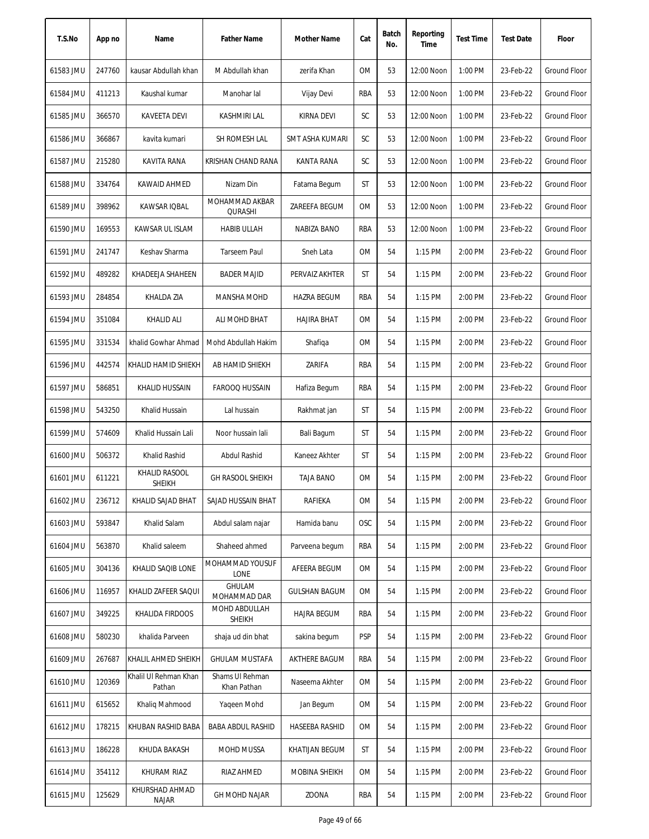| T.S.No    | App no | Name                            | <b>Father Name</b>             | Mother Name          | Cat        | Batch<br>No. | Reporting<br>Time | <b>Test Time</b> | <b>Test Date</b> | Floor               |
|-----------|--------|---------------------------------|--------------------------------|----------------------|------------|--------------|-------------------|------------------|------------------|---------------------|
| 61583 JMU | 247760 | kausar Abdullah khan            | M Abdullah khan                | zerifa Khan          | 0M         | 53           | 12:00 Noon        | 1:00 PM          | 23-Feb-22        | Ground Floor        |
| 61584 JMU | 411213 | Kaushal kumar                   | Manohar lal                    | Vijay Devi           | <b>RBA</b> | 53           | 12:00 Noon        | 1:00 PM          | 23-Feb-22        | Ground Floor        |
| 61585 JMU | 366570 | KAVEETA DEVI                    | <b>KASHMIRI LAL</b>            | <b>KIRNA DEVI</b>    | SC         | 53           | 12:00 Noon        | 1:00 PM          | 23-Feb-22        | Ground Floor        |
| 61586 JMU | 366867 | kavita kumari                   | SH ROMESH LAL                  | SMT ASHA KUMARI      | SC         | 53           | 12:00 Noon        | 1:00 PM          | 23-Feb-22        | Ground Floor        |
| 61587 JMU | 215280 | KAVITA RANA                     | KRISHAN CHAND RANA             | <b>KANTA RANA</b>    | SC         | 53           | 12:00 Noon        | 1:00 PM          | 23-Feb-22        | Ground Floor        |
| 61588 JMU | 334764 | KAWAID AHMED                    | Nizam Din                      | Fatama Begum         | ST         | 53           | 12:00 Noon        | 1:00 PM          | 23-Feb-22        | Ground Floor        |
| 61589 JMU | 398962 | KAWSAR IQBAL                    | MOHAMMAD AKBAR<br>QURASHI      | ZAREEFA BEGUM        | 0M         | 53           | 12:00 Noon        | 1:00 PM          | 23-Feb-22        | Ground Floor        |
| 61590 JMU | 169553 | KAWSAR UL ISLAM                 | <b>HABIB ULLAH</b>             | NABIZA BANO          | RBA        | 53           | 12:00 Noon        | 1:00 PM          | 23-Feb-22        | Ground Floor        |
| 61591 JMU | 241747 | Keshav Sharma                   | <b>Tarseem Paul</b>            | Sneh Lata            | 0M         | 54           | $1:15$ PM         | 2:00 PM          | 23-Feb-22        | <b>Ground Floor</b> |
| 61592 JMU | 489282 | KHADEEJA SHAHEEN                | <b>BADER MAJID</b>             | PERVAIZ AKHTER       | ST         | 54           | $1:15$ PM         | 2:00 PM          | 23-Feb-22        | <b>Ground Floor</b> |
| 61593 JMU | 284854 | KHALDA ZIA                      | MANSHA MOHD                    | <b>HAZRA BEGUM</b>   | RBA        | 54           | $1:15$ PM         | 2:00 PM          | 23-Feb-22        | <b>Ground Floor</b> |
| 61594 JMU | 351084 | <b>KHALID ALI</b>               | ALI MOHD BHAT                  | <b>HAJIRA BHAT</b>   | 0M         | 54           | $1:15$ PM         | 2:00 PM          | 23-Feb-22        | <b>Ground Floor</b> |
| 61595 JMU | 331534 | khalid Gowhar Ahmad             | Mohd Abdullah Hakim            | Shafiqa              | <b>OM</b>  | 54           | 1:15 PM           | 2:00 PM          | 23-Feb-22        | Ground Floor        |
| 61596 JMU | 442574 | KHALID HAMID SHIEKH             | AB HAMID SHIEKH                | ZARIFA               | RBA        | 54           | 1:15 PM           | 2:00 PM          | 23-Feb-22        | Ground Floor        |
| 61597 JMU | 586851 | KHALID HUSSAIN                  | <b>FAROOQ HUSSAIN</b>          | Hafiza Begum         | RBA        | 54           | $1:15$ PM         | 2:00 PM          | 23-Feb-22        | <b>Ground Floor</b> |
| 61598 JMU | 543250 | Khalid Hussain                  | Lal hussain                    | Rakhmat jan          | ST         | 54           | 1:15 PM           | 2:00 PM          | 23-Feb-22        | <b>Ground Floor</b> |
| 61599 JMU | 574609 | Khalid Hussain Lali             | Noor hussain lali              | Bali Bagum           | ST         | 54           | 1:15 PM           | 2:00 PM          | 23-Feb-22        | <b>Ground Floor</b> |
| 61600 JMU | 506372 | Khalid Rashid                   | Abdul Rashid                   | Kaneez Akhter        | ST         | 54           | 1:15 PM           | 2:00 PM          | 23-Feb-22        | <b>Ground Floor</b> |
| 61601 JMU | 611221 | KHALID RASOOL<br><b>SHEIKH</b>  | <b>GH RASOOL SHEIKH</b>        | <b>TAJA BANO</b>     | 0M         | 54           | 1:15 PM           | 2:00 PM          | 23-Feb-22        | Ground Floor        |
| 61602 JMU | 236712 | KHALID SAJAD BHAT               | SAJAD HUSSAIN BHAT             | RAFIEKA              | OM         | 54           | 1:15 PM           | 2:00 PM          | 23-Feb-22        | Ground Floor        |
| 61603 JMU | 593847 | Khalid Salam                    | Abdul salam najar              | Hamida banu          | <b>OSC</b> | 54           | 1:15 PM           | 2:00 PM          | 23-Feb-22        | Ground Floor        |
| 61604 JMU | 563870 | Khalid saleem                   | Shaheed ahmed                  | Parveena begum       | RBA        | 54           | 1:15 PM           | 2:00 PM          | 23-Feb-22        | Ground Floor        |
| 61605 JMU | 304136 | KHALID SAQIB LONE               | MOHAMMAD YOUSUF<br>LONE        | AFEERA BEGUM         | 0M         | 54           | 1:15 PM           | 2:00 PM          | 23-Feb-22        | Ground Floor        |
| 61606 JMU | 116957 | KHALID ZAFEER SAQUI             | GHULAM<br>MOHAMMAD DAR         | <b>GULSHAN BAGUM</b> | <b>OM</b>  | 54           | 1:15 PM           | 2:00 PM          | 23-Feb-22        | <b>Ground Floor</b> |
| 61607 JMU | 349225 | KHALIDA FIRDOOS                 | MOHD ABDULLAH<br><b>SHEIKH</b> | <b>HAJRA BEGUM</b>   | RBA        | 54           | 1:15 PM           | 2:00 PM          | 23-Feb-22        | Ground Floor        |
| 61608 JMU | 580230 | khalida Parveen                 | shaja ud din bhat              | sakina begum         | <b>PSP</b> | 54           | $1:15$ PM         | 2:00 PM          | 23-Feb-22        | Ground Floor        |
| 61609 JMU | 267687 | KHALIL AHMED SHEIKH             | <b>GHULAM MUSTAFA</b>          | AKTHERE BAGUM        | RBA        | 54           | 1:15 PM           | 2:00 PM          | 23-Feb-22        | Ground Floor        |
| 61610 JMU | 120369 | Khalil Ul Rehman Khan<br>Pathan | Shams UI Rehman<br>Khan Pathan | Naseema Akhter       | 0M         | 54           | $1:15$ PM         | 2:00 PM          | 23-Feb-22        | Ground Floor        |
| 61611 JMU | 615652 | Khaliq Mahmood                  | Yaqeen Mohd                    | Jan Begum            | 0M         | 54           | $1:15$ PM         | 2:00 PM          | 23-Feb-22        | Ground Floor        |
| 61612 JMU | 178215 | KHUBAN RASHID BABA              | <b>BABA ABDUL RASHID</b>       | HASEEBA RASHID       | 0M         | 54           | $1:15$ PM         | 2:00 PM          | 23-Feb-22        | Ground Floor        |
| 61613 JMU | 186228 | KHUDA BAKASH                    | MOHD MUSSA                     | KHATIJAN BEGUM       | ST         | 54           | $1:15$ PM         | 2:00 PM          | 23-Feb-22        | Ground Floor        |
| 61614 JMU | 354112 | KHURAM RIAZ                     | RIAZ AHMED                     | MOBINA SHEIKH        | 0M         | 54           | $1:15$ PM         | 2:00 PM          | 23-Feb-22        | Ground Floor        |
| 61615 JMU | 125629 | KHURSHAD AHMAD<br><b>NAJAR</b>  | <b>GH MOHD NAJAR</b>           | ZOONA                | RBA        | 54           | $1:15$ PM         | 2:00 PM          | 23-Feb-22        | Ground Floor        |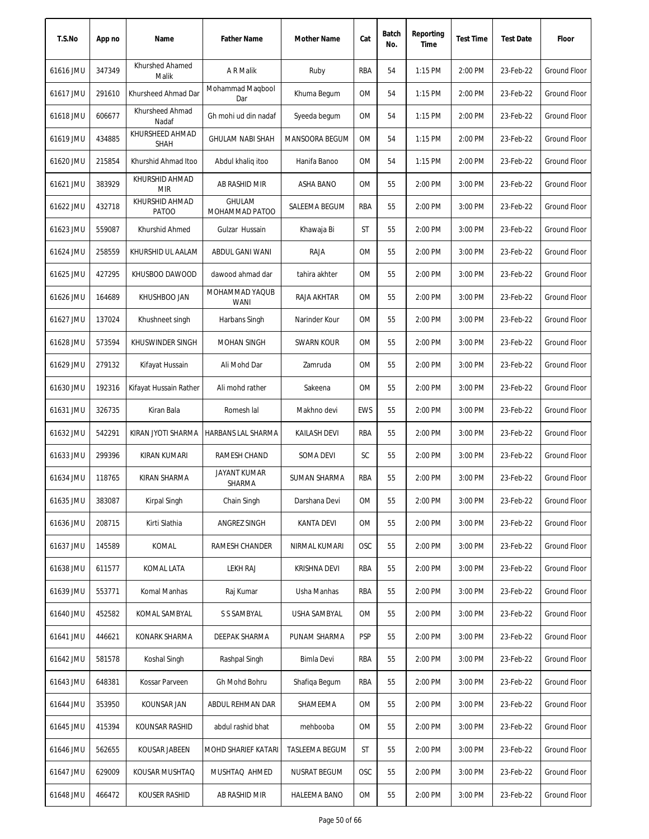| T.S.No    | App no | Name                           | <b>Father Name</b>            | Mother Name           | Cat        | Batch<br>No. | Reporting<br>Time | <b>Test Time</b> | <b>Test Date</b> | Floor               |
|-----------|--------|--------------------------------|-------------------------------|-----------------------|------------|--------------|-------------------|------------------|------------------|---------------------|
| 61616 JMU | 347349 | Khurshed Ahamed<br>Malik       | A R Malik                     | Ruby                  | <b>RBA</b> | 54           | $1:15$ PM         | 2:00 PM          | 23-Feb-22        | Ground Floor        |
| 61617 JMU | 291610 | Khursheed Ahmad Dar            | Mohammad Maqbool<br>Dar       | Khuma Begum           | 0M         | 54           | 1:15 PM           | 2:00 PM          | 23-Feb-22        | <b>Ground Floor</b> |
| 61618 JMU | 606677 | Khursheed Ahmad<br>Nadaf       | Gh mohi ud din nadaf          | Syeeda begum          | 0M         | 54           | 1:15 PM           | 2:00 PM          | 23-Feb-22        | Ground Floor        |
| 61619 JMU | 434885 | KHURSHEED AHMAD<br><b>SHAH</b> | <b>GHULAM NABI SHAH</b>       | MANSOORA BEGUM        | 0M         | 54           | 1:15 PM           | 2:00 PM          | 23-Feb-22        | <b>Ground Floor</b> |
| 61620 JMU | 215854 | Khurshid Ahmad Itoo            | Abdul khalig itoo             | Hanifa Banoo          | 0M         | 54           | 1:15 PM           | 2:00 PM          | 23-Feb-22        | <b>Ground Floor</b> |
| 61621 JMU | 383929 | KHURSHID AHMAD<br><b>MIR</b>   | AB RASHID MIR                 | ASHA BANO             | 0M         | 55           | 2:00 PM           | 3:00 PM          | 23-Feb-22        | Ground Floor        |
| 61622 JMU | 432718 | KHURSHID AHMAD<br>PATOO        | GHULAM<br>MOHAMMAD PATOO      | SALEEMA BEGUM         | RBA        | 55           | 2:00 PM           | 3:00 PM          | 23-Feb-22        | <b>Ground Floor</b> |
| 61623 JMU | 559087 | Khurshid Ahmed                 | Gulzar Hussain                | Khawaja Bi            | ST         | 55           | 2:00 PM           | 3:00 PM          | 23-Feb-22        | <b>Ground Floor</b> |
| 61624 JMU | 258559 | KHURSHID UL AALAM              | <b>ABDUL GANI WANI</b>        | RAJA                  | <b>OM</b>  | 55           | 2:00 PM           | 3:00 PM          | 23-Feb-22        | Ground Floor        |
| 61625 JMU | 427295 | KHUSBOO DAWOOD                 | dawood ahmad dar              | tahira akhter         | 0M         | 55           | 2:00 PM           | 3:00 PM          | 23-Feb-22        | Ground Floor        |
| 61626 JMU | 164689 | KHUSHBOO JAN                   | MOHAMMAD YAQUB<br><b>WANI</b> | <b>RAJA AKHTAR</b>    | 0M         | 55           | 2:00 PM           | 3:00 PM          | 23-Feb-22        | <b>Ground Floor</b> |
| 61627 JMU | 137024 | Khushneet singh                | Harbans Singh                 | Narinder Kour         | 0M         | 55           | 2:00 PM           | 3:00 PM          | 23-Feb-22        | <b>Ground Floor</b> |
| 61628 JMU | 573594 | KHUSWINDER SINGH               | <b>MOHAN SINGH</b>            | <b>SWARN KOUR</b>     | 0M         | 55           | 2:00 PM           | 3:00 PM          | 23-Feb-22        | Ground Floor        |
| 61629 JMU | 279132 | Kifayat Hussain                | Ali Mohd Dar                  | Zamruda               | 0M         | 55           | 2:00 PM           | 3:00 PM          | 23-Feb-22        | <b>Ground Floor</b> |
| 61630 JMU | 192316 | Kifayat Hussain Rather         | Ali mohd rather               | Sakeena               | 0M         | 55           | 2:00 PM           | 3:00 PM          | 23-Feb-22        | Ground Floor        |
| 61631 JMU | 326735 | Kiran Bala                     | Romesh lal                    | Makhno devi           | <b>EWS</b> | 55           | 2:00 PM           | 3:00 PM          | 23-Feb-22        | <b>Ground Floor</b> |
| 61632 JMU | 542291 | KIRAN JYOTI SHARMA             | HARBANS LAL SHARMA            | KAILASH DEVI          | RBA        | 55           | 2:00 PM           | 3:00 PM          | 23-Feb-22        | Ground Floor        |
| 61633 JMU | 299396 | KIRAN KUMARI                   | RAMESH CHAND                  | SOMA DEVI             | SC         | 55           | 2:00 PM           | 3:00 PM          | 23-Feb-22        | Ground Floor        |
| 61634 JMU | 118765 | KIRAN SHARMA                   | <b>JAYANT KUMAR</b><br>SHARMA | <b>SUMAN SHARMA</b>   | RBA        | 55           | 2:00 PM           | 3:00 PM          | 23-Feb-22        | <b>Ground Floor</b> |
| 61635 JMU | 383087 | Kirpal Singh                   | Chain Singh                   | Darshana Devi         | OM         | 55           | 2:00 PM           | 3:00 PM          | 23-Feb-22        | Ground Floor        |
| 61636 JMU | 208715 | Kirti Slathia                  | ANGREZ SINGH                  | KANTA DEVI            | 0M         | 55           | 2:00 PM           | 3:00 PM          | 23-Feb-22        | Ground Floor        |
| 61637 JMU | 145589 | KOMAL                          | RAMESH CHANDER                | NIRMAL KUMARI         | <b>OSC</b> | 55           | 2:00 PM           | 3:00 PM          | 23-Feb-22        | Ground Floor        |
| 61638 JMU | 611577 | KOMAL LATA                     | <b>LEKH RAJ</b>               | KRISHNA DEVI          | RBA        | 55           | 2:00 PM           | 3:00 PM          | 23-Feb-22        | Ground Floor        |
| 61639 JMU | 553771 | Komal Manhas                   | Raj Kumar                     | Usha Manhas           | RBA        | 55           | 2:00 PM           | 3:00 PM          | 23-Feb-22        | Ground Floor        |
| 61640 JMU | 452582 | KOMAL SAMBYAL                  | S S SAMBYAL                   | USHA SAMBYAL          | 0M         | 55           | 2:00 PM           | 3:00 PM          | 23-Feb-22        | Ground Floor        |
| 61641 JMU | 446621 | KONARK SHARMA                  | DEEPAK SHARMA                 | PUNAM SHARMA          | <b>PSP</b> | 55           | 2:00 PM           | 3:00 PM          | 23-Feb-22        | Ground Floor        |
| 61642 JMU | 581578 | Koshal Singh                   | Rashpal Singh                 | Bimla Devi            | RBA        | 55           | 2:00 PM           | 3:00 PM          | 23-Feb-22        | Ground Floor        |
| 61643 JMU | 648381 | Kossar Parveen                 | Gh Mohd Bohru                 | Shafiqa Begum         | RBA        | 55           | 2:00 PM           | 3:00 PM          | 23-Feb-22        | Ground Floor        |
| 61644 JMU | 353950 | KOUNSAR JAN                    | ABDUL REHMAN DAR              | SHAMEEMA              | OM         | 55           | 2:00 PM           | 3:00 PM          | 23-Feb-22        | Ground Floor        |
| 61645 JMU | 415394 | KOUNSAR RASHID                 | abdul rashid bhat             | mehbooba              | OM         | 55           | 2:00 PM           | 3:00 PM          | 23-Feb-22        | Ground Floor        |
| 61646 JMU | 562655 | KOUSAR JABEEN                  | MOHD SHARIEF KATARI           | <b>TASLEEMA BEGUM</b> | ST         | 55           | 2:00 PM           | 3:00 PM          | 23-Feb-22        | Ground Floor        |
| 61647 JMU | 629009 | KOUSAR MUSHTAQ                 | MUSHTAQ AHMED                 | NUSRAT BEGUM          | <b>OSC</b> | 55           | 2:00 PM           | 3:00 PM          | 23-Feb-22        | Ground Floor        |
| 61648 JMU | 466472 | KOUSER RASHID                  | AB RASHID MIR                 | <b>HALEEMA BANO</b>   | OM         | 55           | 2:00 PM           | 3:00 PM          | 23-Feb-22        | Ground Floor        |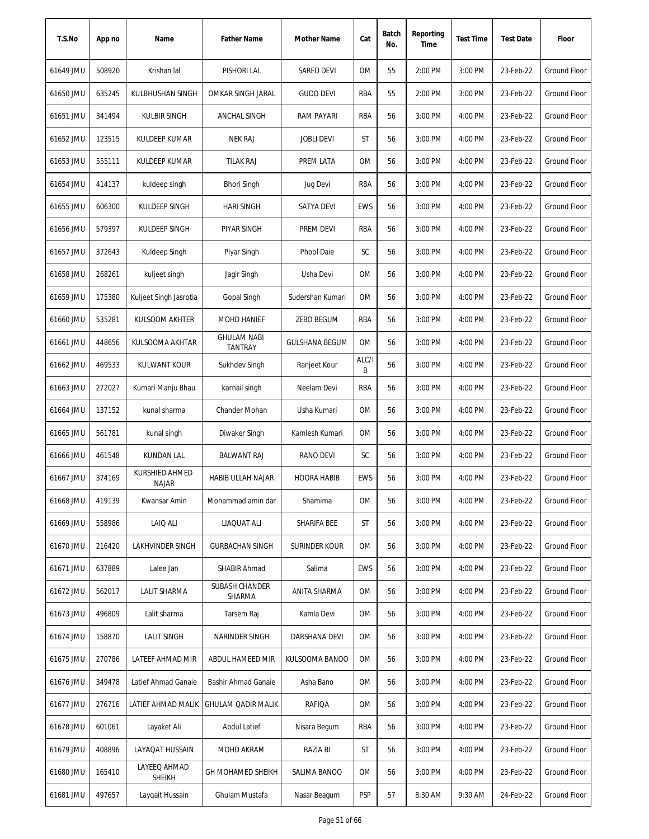| T.S.No    | App no | Name                           | <b>Father Name</b>                   | <b>Mother Name</b>    | Cat        | Batch<br>No. | Reporting<br>Time | <b>Test Time</b> | <b>Test Date</b> | Floor               |
|-----------|--------|--------------------------------|--------------------------------------|-----------------------|------------|--------------|-------------------|------------------|------------------|---------------------|
| 61649 JMU | 508920 | Krishan lal                    | PISHORI LAL                          | SARFO DEVI            | 0M         | 55           | 2:00 PM           | 3:00 PM          | 23-Feb-22        | Ground Floor        |
| 61650 JMU | 635245 | KULBHUSHAN SINGH               | <b>OMKAR SINGH JARAL</b>             | <b>GUDO DEVI</b>      | RBA        | 55           | 2:00 PM           | 3:00 PM          | 23-Feb-22        | Ground Floor        |
| 61651 JMU | 341494 | <b>KULBIR SINGH</b>            | ANCHAL SINGH                         | <b>RAM PAYARI</b>     | RBA        | 56           | 3:00 PM           | 4:00 PM          | 23-Feb-22        | Ground Floor        |
| 61652 JMU | 123515 | KULDEEP KUMAR                  | <b>NEK RAJ</b>                       | <b>JOBLI DEVI</b>     | ST         | 56           | 3:00 PM           | 4:00 PM          | 23-Feb-22        | <b>Ground Floor</b> |
| 61653 JMU | 555111 | <b>KULDEEP KUMAR</b>           | <b>TILAK RAJ</b>                     | PREM LATA             | 0M         | 56           | 3:00 PM           | 4:00 PM          | 23-Feb-22        | <b>Ground Floor</b> |
| 61654 JMU | 414137 | kuldeep singh                  | <b>Bhori Singh</b>                   | Jug Devi              | RBA        | 56           | 3:00 PM           | 4:00 PM          | 23-Feb-22        | Ground Floor        |
| 61655 JMU | 606300 | KULDEEP SINGH                  | <b>HARI SINGH</b>                    | <b>SATYA DEVI</b>     | <b>EWS</b> | 56           | 3:00 PM           | 4:00 PM          | 23-Feb-22        | <b>Ground Floor</b> |
| 61656 JMU | 579397 | KULDEEP SINGH                  | PIYAR SINGH                          | PREM DEVI             | <b>RBA</b> | 56           | 3:00 PM           | 4:00 PM          | 23-Feb-22        | <b>Ground Floor</b> |
| 61657 JMU | 372643 | Kuldeep Singh                  | Piyar Singh                          | Phool Daie            | SC         | 56           | 3:00 PM           | 4:00 PM          | 23-Feb-22        | <b>Ground Floor</b> |
| 61658 JMU | 268261 | kuljeet singh                  | Jagir Singh                          | Usha Devi             | 0M         | 56           | 3:00 PM           | 4:00 PM          | 23-Feb-22        | <b>Ground Floor</b> |
| 61659 JMU | 175380 | Kuljeet Singh Jasrotia         | Gopal Singh                          | Sudershan Kumari      | 0M         | 56           | 3:00 PM           | 4:00 PM          | 23-Feb-22        | <b>Ground Floor</b> |
| 61660 JMU | 535281 | KULSOOM AKHTER                 | <b>MOHD HANIEF</b>                   | ZEBO BEGUM            | RBA        | 56           | 3:00 PM           | 4:00 PM          | 23-Feb-22        | <b>Ground Floor</b> |
| 61661 JMU | 448656 | KULSOOMA AKHTAR                | <b>GHULAM NABI</b><br><b>TANTRAY</b> | <b>GULSHANA BEGUM</b> | <b>OM</b>  | 56           | 3:00 PM           | 4:00 PM          | 23-Feb-22        | <b>Ground Floor</b> |
| 61662 JMU | 469533 | <b>KULWANT KOUR</b>            | Sukhdev Singh                        | Ranjeet Kour          | ALC/I<br>B | 56           | 3:00 PM           | 4:00 PM          | 23-Feb-22        | Ground Floor        |
| 61663 JMU | 272027 | Kumari Manju Bhau              | karnail singh                        | Neelam Devi           | <b>RBA</b> | 56           | 3:00 PM           | 4:00 PM          | 23-Feb-22        | <b>Ground Floor</b> |
| 61664 JMU | 137152 | kunal sharma                   | Chander Mohan                        | Usha Kumari           | <b>OM</b>  | 56           | 3:00 PM           | 4:00 PM          | 23-Feb-22        | <b>Ground Floor</b> |
| 61665 JMU | 561781 | kunal singh                    | Diwaker Singh                        | Kamlesh Kumari        | 0M         | 56           | 3:00 PM           | 4:00 PM          | 23-Feb-22        | <b>Ground Floor</b> |
| 61666 JMU | 461548 | KUNDAN LAL                     | <b>BALWANT RAJ</b>                   | <b>RANO DEVI</b>      | SC         | 56           | 3:00 PM           | 4:00 PM          | 23-Feb-22        | Ground Floor        |
| 61667 JMU | 374169 | KURSHIED AHMED<br><b>NAJAR</b> | HABIB ULLAH NAJAR                    | <b>HOORA HABIB</b>    | <b>EWS</b> | 56           | 3:00 PM           | 4:00 PM          | 23-Feb-22        | Ground Floor        |
| 61668 JMU | 419139 | Kwansar Amin                   | Mohammad amin dar                    | Shamima               | 0M         | 56           | 3:00 PM           | 4:00 PM          | 23-Feb-22        | Ground Floor        |
| 61669 JMU | 558986 | LAIQ ALI                       | LIAQUAT ALI                          | SHARIFA BEE           | ST         | 56           | 3:00 PM           | 4:00 PM          | 23-Feb-22        | Ground Floor        |
| 61670 JMU | 216420 | LAKHVINDER SINGH               | <b>GURBACHAN SINGH</b>               | <b>SURINDER KOUR</b>  | 0M         | 56           | 3:00 PM           | 4:00 PM          | 23-Feb-22        | Ground Floor        |
| 61671 JMU | 637889 | Lalee Jan                      | SHABIR Ahmad                         | Salima                | <b>EWS</b> | 56           | 3:00 PM           | 4:00 PM          | 23-Feb-22        | <b>Ground Floor</b> |
| 61672 JMU | 562017 | LALIT SHARMA                   | SUBASH CHANDER<br>SHARMA             | ANITA SHARMA          | <b>OM</b>  | 56           | 3:00 PM           | 4:00 PM          | 23-Feb-22        | Ground Floor        |
| 61673 JMU | 496809 | Lalit sharma                   | Tarsem Raj                           | Kamla Devi            | 0M         | 56           | 3:00 PM           | 4:00 PM          | 23-Feb-22        | <b>Ground Floor</b> |
| 61674 JMU | 158870 | <b>LALIT SINGH</b>             | NARINDER SINGH                       | DARSHANA DEVI         | 0M         | 56           | 3:00 PM           | 4:00 PM          | 23-Feb-22        | Ground Floor        |
| 61675 JMU | 270786 | LATEEF AHMAD MIR               | ABDUL HAMEED MIR                     | KULSOOMA BANOO        | 0M         | 56           | 3:00 PM           | 4:00 PM          | 23-Feb-22        | Ground Floor        |
| 61676 JMU | 349478 | Latief Ahmad Ganaie            | Bashir Ahmad Ganaie                  | Asha Bano             | 0M         | 56           | 3:00 PM           | 4:00 PM          | 23-Feb-22        | Ground Floor        |
| 61677 JMU | 276716 | LATIEF AHMAD MALIK             | <b>GHULAM QADIR MALIK</b>            | RAFIQA                | OM         | 56           | 3:00 PM           | 4:00 PM          | 23-Feb-22        | <b>Ground Floor</b> |
| 61678 JMU | 601061 | Layaket Ali                    | Abdul Latief                         | Nisara Begum          | RBA        | 56           | 3:00 PM           | 4:00 PM          | 23-Feb-22        | Ground Floor        |
| 61679 JMU | 408896 | LAYAQAT HUSSAIN                | MOHD AKRAM                           | RAZIA BI              | ST         | 56           | 3:00 PM           | 4:00 PM          | 23-Feb-22        | Ground Floor        |
| 61680 JMU | 165410 | LAYEEQ AHMAD<br>SHEIKH         | GH MOHAMED SHEIKH                    | SALIMA BANOO          | OM         | 56           | 3:00 PM           | 4:00 PM          | 23-Feb-22        | Ground Floor        |
| 61681 JMU | 497657 | Laygait Hussain                | Ghulam Mustafa                       | Nasar Beagum          | <b>PSP</b> | 57           | 8:30 AM           | 9:30 AM          | 24-Feb-22        | Ground Floor        |
|           |        |                                |                                      |                       |            |              |                   |                  |                  |                     |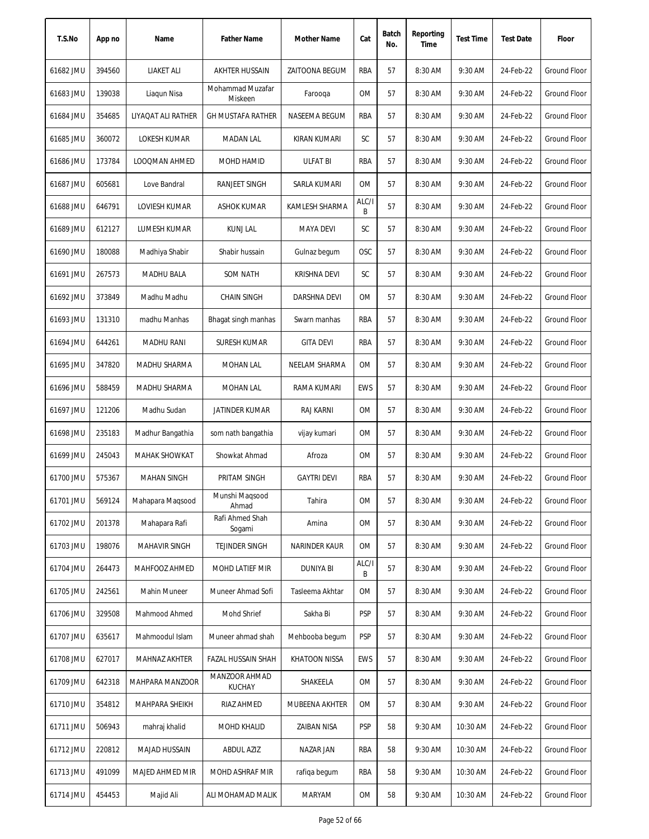| T.S.No    | App no | Name                 | <b>Father Name</b>             | Mother Name           | Cat        | Batch<br>No. | Reporting<br>Time | <b>Test Time</b> | <b>Test Date</b> | Floor               |
|-----------|--------|----------------------|--------------------------------|-----------------------|------------|--------------|-------------------|------------------|------------------|---------------------|
| 61682 JMU | 394560 | LIAKET ALI           | AKHTER HUSSAIN                 | <b>ZAITOONA BEGUM</b> | RBA        | 57           | 8:30 AM           | 9:30 AM          | 24-Feb-22        | <b>Ground Floor</b> |
| 61683 JMU | 139038 | Liagun Nisa          | Mohammad Muzafar<br>Miskeen    | Farooga               | 0M         | 57           | 8:30 AM           | 9:30 AM          | 24-Feb-22        | Ground Floor        |
| 61684 JMU | 354685 | LIYAQAT ALI RATHER   | <b>GH MUSTAFA RATHER</b>       | NASEEMA BEGUM         | RBA        | 57           | 8:30 AM           | 9:30 AM          | 24-Feb-22        | Ground Floor        |
| 61685 JMU | 360072 | <b>LOKESH KUMAR</b>  | <b>MADAN LAL</b>               | KIRAN KUMARI          | SC         | 57           | 8:30 AM           | 9:30 AM          | 24-Feb-22        | <b>Ground Floor</b> |
| 61686 JMU | 173784 | <b>LOOQMAN AHMED</b> | MOHD HAMID                     | <b>ULFAT BI</b>       | RBA        | 57           | 8:30 AM           | 9:30 AM          | 24-Feb-22        | Ground Floor        |
| 61687 JMU | 605681 | Love Bandral         | RANJEET SINGH                  | SARLA KUMARI          | 0M         | 57           | 8:30 AM           | 9:30 AM          | 24-Feb-22        | <b>Ground Floor</b> |
| 61688 JMU | 646791 | LOVIESH KUMAR        | ASHOK KUMAR                    | KAMLESH SHARMA        | ALC/I<br>В | 57           | 8:30 AM           | 9:30 AM          | 24-Feb-22        | Ground Floor        |
| 61689 JMU | 612127 | LUMESH KUMAR         | <b>KUNJ LAL</b>                | <b>MAYA DEVI</b>      | SC         | 57           | 8:30 AM           | 9:30 AM          | 24-Feb-22        | Ground Floor        |
| 61690 JMU | 180088 | Madhiya Shabir       | Shabir hussain                 | Gulnaz begum          | OSC        | 57           | 8:30 AM           | 9:30 AM          | 24-Feb-22        | <b>Ground Floor</b> |
| 61691 JMU | 267573 | <b>MADHU BALA</b>    | <b>SOM NATH</b>                | KRISHNA DEVI          | SC         | 57           | 8:30 AM           | 9:30 AM          | 24-Feb-22        | <b>Ground Floor</b> |
| 61692 JMU | 373849 | Madhu Madhu          | <b>CHAIN SINGH</b>             | DARSHNA DEVI          | 0M         | 57           | 8:30 AM           | 9:30 AM          | 24-Feb-22        | Ground Floor        |
| 61693 JMU | 131310 | madhu Manhas         | Bhagat singh manhas            | Swarn manhas          | RBA        | 57           | 8:30 AM           | 9:30 AM          | 24-Feb-22        | Ground Floor        |
| 61694 JMU | 644261 | <b>MADHU RANI</b>    | <b>SURESH KUMAR</b>            | <b>GITA DEVI</b>      | RBA        | 57           | 8:30 AM           | 9:30 AM          | 24-Feb-22        | <b>Ground Floor</b> |
| 61695 JMU | 347820 | MADHU SHARMA         | <b>MOHAN LAL</b>               | NEELAM SHARMA         | 0M         | 57           | 8:30 AM           | 9:30 AM          | 24-Feb-22        | Ground Floor        |
| 61696 JMU | 588459 | MADHU SHARMA         | <b>MOHAN LAL</b>               | RAMA KUMARI           | EWS        | 57           | 8:30 AM           | 9:30 AM          | 24-Feb-22        | Ground Floor        |
| 61697 JMU | 121206 | Madhu Sudan          | <b>JATINDER KUMAR</b>          | RAJ KARNI             | 0M         | 57           | 8:30 AM           | 9:30 AM          | 24-Feb-22        | Ground Floor        |
| 61698 JMU | 235183 | Madhur Bangathia     | som nath bangathia             | vijay kumari          | 0M         | 57           | 8:30 AM           | 9:30 AM          | 24-Feb-22        | Ground Floor        |
| 61699 JMU | 245043 | <b>MAHAK SHOWKAT</b> | Showkat Ahmad                  | Afroza                | <b>OM</b>  | 57           | 8:30 AM           | 9:30 AM          | 24-Feb-22        | Ground Floor        |
| 61700 JMU | 575367 | <b>MAHAN SINGH</b>   | PRITAM SINGH                   | <b>GAYTRI DEVI</b>    | RBA        | 57           | 8:30 AM           | 9:30 AM          | 24-Feb-22        | Ground Floor        |
| 61701 JMU | 569124 | Mahapara Magsood     | Munshi Maqsood<br>Ahmad        | Tahira                | 0M         | 57           | 8:30 AM           | 9:30 AM          | 24-Feb-22        | Ground Floor        |
| 61702 JMU | 201378 | Mahapara Rafi        | Rafi Ahmed Shah<br>Sogami      | Amina                 | 0M         | 57           | 8:30 AM           | 9:30 AM          | 24-Feb-22        | <b>Ground Floor</b> |
| 61703 JMU | 198076 | MAHAVIR SINGH        | <b>TEJINDER SINGH</b>          | <b>NARINDER KAUR</b>  | 0M         | 57           | 8:30 AM           | 9:30 AM          | 24-Feb-22        | <b>Ground Floor</b> |
| 61704 JMU | 264473 | MAHFOOZ AHMED        | MOHD LATIEF MIR                | <b>DUNIYA BI</b>      | ALC/I<br>B | 57           | 8:30 AM           | 9:30 AM          | 24-Feb-22        | <b>Ground Floor</b> |
| 61705 JMU | 242561 | <b>Mahin Muneer</b>  | Muneer Ahmad Sofi              | Tasleema Akhtar       | 0M         | 57           | 8:30 AM           | 9:30 AM          | 24-Feb-22        | <b>Ground Floor</b> |
| 61706 JMU | 329508 | Mahmood Ahmed        | Mohd Shrief                    | Sakha Bi              | <b>PSP</b> | 57           | 8:30 AM           | 9:30 AM          | 24-Feb-22        | <b>Ground Floor</b> |
| 61707 JMU | 635617 | Mahmoodul Islam      | Muneer ahmad shah              | Mehbooba begum        | <b>PSP</b> | 57           | 8:30 AM           | 9:30 AM          | 24-Feb-22        | <b>Ground Floor</b> |
| 61708 JMU | 627017 | MAHNAZ AKHTER        | FAZAL HUSSAIN SHAH             | <b>KHATOON NISSA</b>  | <b>EWS</b> | 57           | 8:30 AM           | 9:30 AM          | 24-Feb-22        | <b>Ground Floor</b> |
| 61709 JMU | 642318 | MAHPARA MANZOOR      | MANZOOR AHMAD<br><b>KUCHAY</b> | SHAKEELA              | 0M         | 57           | 8:30 AM           | 9:30 AM          | 24-Feb-22        | Ground Floor        |
| 61710 JMU | 354812 | MAHPARA SHEIKH       | RIAZ AHMED                     | MUBEENA AKHTER        | 0M         | 57           | 8:30 AM           | 9:30 AM          | 24-Feb-22        | <b>Ground Floor</b> |
| 61711 JMU | 506943 | mahraj khalid        | MOHD KHALID                    | ZAIBAN NISA           | <b>PSP</b> | 58           | 9:30 AM           | 10:30 AM         | 24-Feb-22        | Ground Floor        |
| 61712 JMU | 220812 | <b>MAJAD HUSSAIN</b> | <b>ABDUL AZIZ</b>              | NAZAR JAN             | RBA        | 58           | 9:30 AM           | 10:30 AM         | 24-Feb-22        | <b>Ground Floor</b> |
| 61713 JMU | 491099 | MAJED AHMED MIR      | MOHD ASHRAF MIR                | rafiga begum          | RBA        | 58           | 9:30 AM           | 10:30 AM         | 24-Feb-22        | Ground Floor        |
| 61714 JMU | 454453 | Majid Ali            | ALI MOHAMAD MALIK              | MARYAM                | 0M         | 58           | 9:30 AM           | 10:30 AM         | 24-Feb-22        | Ground Floor        |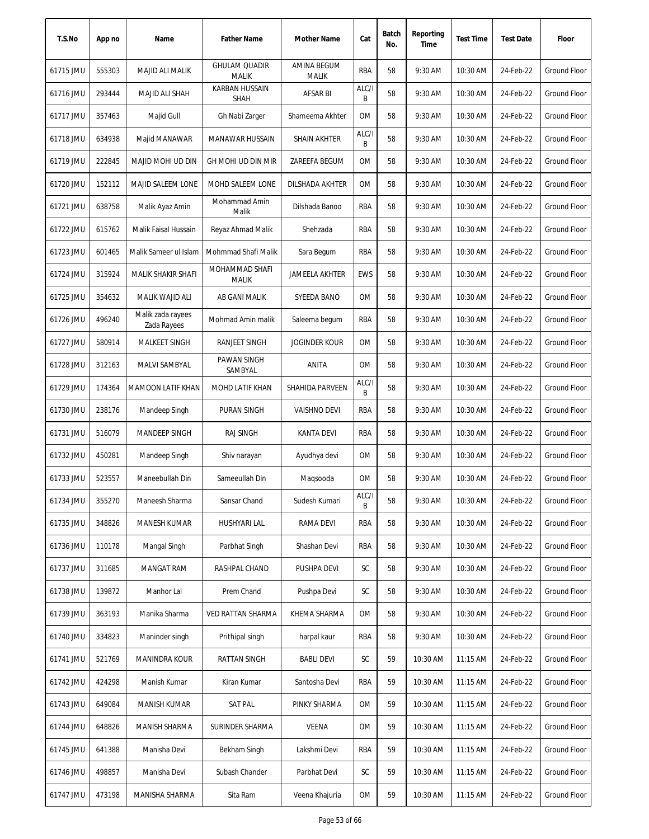| T.S.No    | App no | Name                             | <b>Father Name</b>                   | Mother Name                 | Cat        | Batch<br>No. | Reporting<br>Time | <b>Test Time</b> | <b>Test Date</b> | Floor               |
|-----------|--------|----------------------------------|--------------------------------------|-----------------------------|------------|--------------|-------------------|------------------|------------------|---------------------|
| 61715 JMU | 555303 | MAJID ALI MALIK                  | <b>GHULAM QUADIR</b><br><b>MALIK</b> | AMINA BEGUM<br><b>MALIK</b> | RBA        | 58           | 9:30 AM           | 10:30 AM         | 24-Feb-22        | Ground Floor        |
| 61716 JMU | 293444 | MAJID ALI SHAH                   | <b>KARBAN HUSSAIN</b><br><b>SHAH</b> | AFSAR BI                    | ALC/I<br>В | 58           | 9:30 AM           | 10:30 AM         | 24-Feb-22        | Ground Floor        |
| 61717 JMU | 357463 | Majid Gull                       | Gh Nabi Zarger                       | Shameema Akhter             | 0M         | 58           | 9:30 AM           | 10:30 AM         | 24-Feb-22        | Ground Floor        |
| 61718 JMU | 634938 | Majid MANAWAR                    | MANAWAR HUSSAIN                      | <b>SHAIN AKHTER</b>         | ALC/I<br>B | 58           | 9:30 AM           | 10:30 AM         | 24-Feb-22        | <b>Ground Floor</b> |
| 61719 JMU | 222845 | MAJID MOHI UD DIN                | GH MOHI UD DIN MIR                   | ZAREEFA BEGUM               | 0M         | 58           | 9:30 AM           | 10:30 AM         | 24-Feb-22        | Ground Floor        |
| 61720 JMU | 152112 | MAJID SALEEM LONE                | MOHD SALEEM LONE                     | DILSHADA AKHTER             | 0M         | 58           | 9:30 AM           | 10:30 AM         | 24-Feb-22        | Ground Floor        |
| 61721 JMU | 638758 | Malik Ayaz Amin                  | Mohammad Amin<br>Malik               | Dilshada Banoo              | RBA        | 58           | 9:30 AM           | 10:30 AM         | 24-Feb-22        | Ground Floor        |
| 61722 JMU | 615762 | Malik Faisal Hussain             | Reyaz Ahmad Malik                    | Shehzada                    | RBA        | 58           | 9:30 AM           | 10:30 AM         | 24-Feb-22        | Ground Floor        |
| 61723 JMU | 601465 | Malik Sameer ul Islam            | Mohmmad Shafi Malik                  | Sara Begum                  | RBA        | 58           | 9:30 AM           | 10:30 AM         | 24-Feb-22        | <b>Ground Floor</b> |
| 61724 JMU | 315924 | MALIK SHAKIR SHAFI               | MOHAMMAD SHAFI<br><b>MALIK</b>       | JAMEELA AKHTER              | <b>EWS</b> | 58           | 9:30 AM           | 10:30 AM         | 24-Feb-22        | <b>Ground Floor</b> |
| 61725 JMU | 354632 | MALIK WAJID ALI                  | AB GANI MALIK                        | SYEEDA BANO                 | 0M         | 58           | 9:30 AM           | 10:30 AM         | 24-Feb-22        | Ground Floor        |
| 61726 JMU | 496240 | Malik zada rayees<br>Zada Rayees | Mohmad Amin malik                    | Saleema begum               | RBA        | 58           | 9:30 AM           | 10:30 AM         | 24-Feb-22        | Ground Floor        |
| 61727 JMU | 580914 | MALKEET SINGH                    | RANJEET SINGH                        | <b>JOGINDER KOUR</b>        | <b>OM</b>  | 58           | 9:30 AM           | 10:30 AM         | 24-Feb-22        | <b>Ground Floor</b> |
| 61728 JMU | 312163 | MALVI SAMBYAL                    | PAWAN SINGH<br>SAMBYAL               | ANITA                       | 0M         | 58           | 9:30 AM           | 10:30 AM         | 24-Feb-22        | <b>Ground Floor</b> |
| 61729 JMU | 174364 | <b>MAMOON LATIF KHAN</b>         | MOHD LATIF KHAN                      | SHAHIDA PARVEEN             | ALC/I<br>B | 58           | 9:30 AM           | 10:30 AM         | 24-Feb-22        | Ground Floor        |
| 61730 JMU | 238176 | Mandeep Singh                    | PURAN SINGH                          | <b>VAISHNO DEVI</b>         | RBA        | 58           | 9:30 AM           | 10:30 AM         | 24-Feb-22        | <b>Ground Floor</b> |
| 61731 JMU | 516079 | <b>MANDEEP SINGH</b>             | <b>RAJ SINGH</b>                     | <b>KANTA DEVI</b>           | <b>RBA</b> | 58           | 9:30 AM           | 10:30 AM         | 24-Feb-22        | <b>Ground Floor</b> |
| 61732 JMU | 450281 | Mandeep Singh                    | Shiv narayan                         | Ayudhya devi                | <b>OM</b>  | 58           | 9:30 AM           | 10:30 AM         | 24-Feb-22        | <b>Ground Floor</b> |
| 61733 JMU | 523557 | Maneebullah Din                  | Sameeullah Din                       | Maqsooda                    | 0M         | 58           | 9:30 AM           | 10:30 AM         | 24-Feb-22        | <b>Ground Floor</b> |
| 61734 JMU | 355270 | Maneesh Sharma                   | Sansar Chand                         | Sudesh Kumari               | ALC/I<br>B | 58           | 9:30 AM           | 10:30 AM         | 24-Feb-22        | Ground Floor        |
| 61735 JMU | 348826 | MANESH KUMAR                     | HUSHYARI LAL                         | RAMA DEVI                   | RBA        | 58           | 9:30 AM           | 10:30 AM         | 24-Feb-22        | Ground Floor        |
| 61736 JMU | 110178 | Mangal Singh                     | Parbhat Singh                        | Shashan Devi                | RBA        | 58           | 9:30 AM           | 10:30 AM         | 24-Feb-22        | Ground Floor        |
| 61737 JMU | 311685 | MANGAT RAM                       | RASHPAL CHAND                        | PUSHPA DEVI                 | SC         | 58           | 9:30 AM           | 10:30 AM         | 24-Feb-22        | Ground Floor        |
| 61738 JMU | 139872 | Manhor Lal                       | Prem Chand                           | Pushpa Devi                 | SC         | 58           | 9:30 AM           | 10:30 AM         | 24-Feb-22        | Ground Floor        |
| 61739 JMU | 363193 | Manika Sharma                    | VED RATTAN SHARMA                    | KHEMA SHARMA                | 0M         | 58           | 9:30 AM           | 10:30 AM         | 24-Feb-22        | Ground Floor        |
| 61740 JMU | 334823 | Maninder singh                   | Prithipal singh                      | harpal kaur                 | RBA        | 58           | 9:30 AM           | 10:30 AM         | 24-Feb-22        | Ground Floor        |
| 61741 JMU | 521769 | <b>MANINDRA KOUR</b>             | RATTAN SINGH                         | <b>BABLI DEVI</b>           | SC         | 59           | 10:30 AM          | $11:15$ AM       | 24-Feb-22        | Ground Floor        |
| 61742 JMU | 424298 | Manish Kumar                     | Kiran Kumar                          | Santosha Devi               | RBA        | 59           | 10:30 AM          | 11:15 AM         | 24-Feb-22        | Ground Floor        |
| 61743 JMU | 649084 | <b>MANISH KUMAR</b>              | SAT PAL                              | PINKY SHARMA                | 0M         | 59           | 10:30 AM          | 11:15 AM         | 24-Feb-22        | Ground Floor        |
| 61744 JMU | 648826 | MANISH SHARMA                    | SURINDER SHARMA                      | VEENA                       | 0M         | 59           | 10:30 AM          | 11:15 AM         | 24-Feb-22        | Ground Floor        |
| 61745 JMU | 641388 | Manisha Devi                     | Bekham Singh                         | Lakshmi Devi                | RBA        | 59           | 10:30 AM          | 11:15 AM         | 24-Feb-22        | Ground Floor        |
| 61746 JMU | 498857 | Manisha Devi                     | Subash Chander                       | Parbhat Devi                | SC         | 59           | 10:30 AM          | 11:15 AM         | 24-Feb-22        | Ground Floor        |
| 61747 JMU | 473198 | MANISHA SHARMA                   | Sita Ram                             | Veena Khajuria              | 0M         | 59           | 10:30 AM          | 11:15 AM         | 24-Feb-22        | Ground Floor        |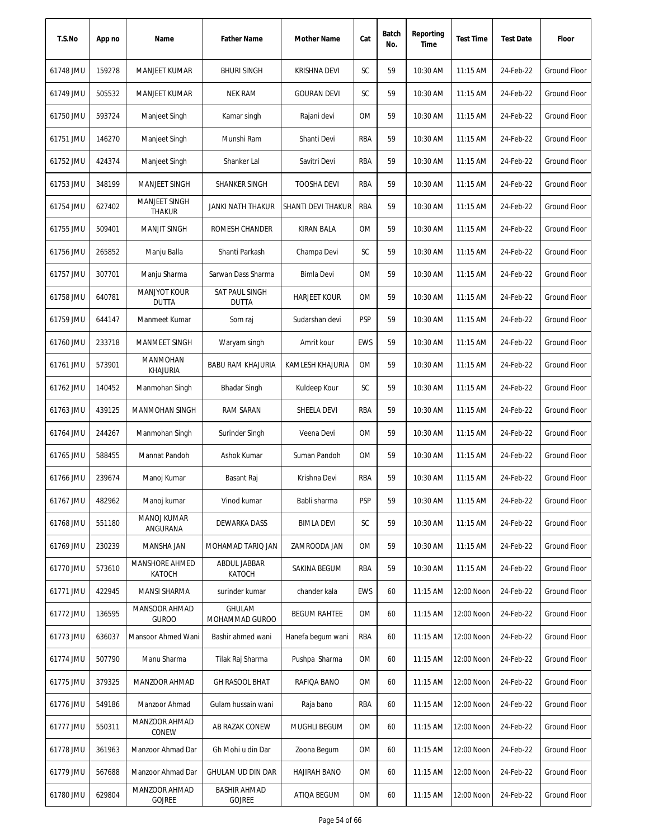| T.S.No    | App no | Name                                  | <b>Father Name</b>                   | Mother Name         | Cat        | Batch<br>No. | Reporting<br>Time | <b>Test Time</b> | <b>Test Date</b> | Floor               |
|-----------|--------|---------------------------------------|--------------------------------------|---------------------|------------|--------------|-------------------|------------------|------------------|---------------------|
| 61748 JMU | 159278 | MANJEET KUMAR                         | <b>BHURI SINGH</b>                   | <b>KRISHNA DEVI</b> | SC         | 59           | 10:30 AM          | $11:15$ AM       | 24-Feb-22        | <b>Ground Floor</b> |
| 61749 JMU | 505532 | MANJEET KUMAR                         | <b>NEK RAM</b>                       | <b>GOURAN DEVI</b>  | SC         | 59           | 10:30 AM          | 11:15 AM         | 24-Feb-22        | <b>Ground Floor</b> |
| 61750 JMU | 593724 | Manjeet Singh                         | Kamar singh                          | Rajani devi         | ОM         | 59           | 10:30 AM          | $11:15$ AM       | 24-Feb-22        | Ground Floor        |
| 61751 JMU | 146270 | Manjeet Singh                         | Munshi Ram                           | Shanti Devi         | RBA        | 59           | 10:30 AM          | 11:15 AM         | 24-Feb-22        | <b>Ground Floor</b> |
| 61752 JMU | 424374 | Manjeet Singh                         | Shanker Lal                          | Savitri Devi        | RBA        | 59           | 10:30 AM          | 11:15 AM         | 24-Feb-22        | <b>Ground Floor</b> |
| 61753 JMU | 348199 | <b>MANJEET SINGH</b>                  | SHANKER SINGH                        | <b>TOOSHA DEVI</b>  | RBA        | 59           | 10:30 AM          | 11:15 AM         | 24-Feb-22        | Ground Floor        |
| 61754 JMU | 627402 | <b>MANJEET SINGH</b><br><b>THAKUR</b> | JANKI NATH THAKUR                    | SHANTI DEVI THAKUR  | RBA        | 59           | 10:30 AM          | $11:15$ AM       | 24-Feb-22        | <b>Ground Floor</b> |
| 61755 JMU | 509401 | <b>MANJIT SINGH</b>                   | ROMESH CHANDER                       | <b>KIRAN BALA</b>   | 0M         | 59           | 10:30 AM          | 11:15 AM         | 24-Feb-22        | <b>Ground Floor</b> |
| 61756 JMU | 265852 | Manju Balla                           | Shanti Parkash                       | Champa Devi         | SC         | 59           | 10:30 AM          | 11:15 AM         | 24-Feb-22        | <b>Ground Floor</b> |
| 61757 JMU | 307701 | Manju Sharma                          | Sarwan Dass Sharma                   | Bimla Devi          | <b>OM</b>  | 59           | 10:30 AM          | $11:15$ AM       | 24-Feb-22        | Ground Floor        |
| 61758 JMU | 640781 | <b>MANJYOT KOUR</b><br><b>DUTTA</b>   | SAT PAUL SINGH<br><b>DUTTA</b>       | <b>HARJEET KOUR</b> | ОM         | 59           | 10:30 AM          | 11:15 AM         | 24-Feb-22        | <b>Ground Floor</b> |
| 61759 JMU | 644147 | Manmeet Kumar                         | Som raj                              | Sudarshan devi      | <b>PSP</b> | 59           | 10:30 AM          | 11:15 AM         | 24-Feb-22        | Ground Floor        |
| 61760 JMU | 233718 | <b>MANMEET SINGH</b>                  | Waryam singh                         | Amrit kour          | <b>EWS</b> | 59           | 10:30 AM          | 11:15 AM         | 24-Feb-22        | Ground Floor        |
| 61761 JMU | 573901 | <b>MANMOHAN</b><br><b>KHAJURIA</b>    | <b>BABU RAM KHAJURIA</b>             | KAMLESH KHAJURIA    | <b>OM</b>  | 59           | 10:30 AM          | $11:15$ AM       | 24-Feb-22        | Ground Floor        |
| 61762 JMU | 140452 | Manmohan Singh                        | <b>Bhadar Singh</b>                  | Kuldeep Kour        | SC         | 59           | 10:30 AM          | 11:15 AM         | 24-Feb-22        | <b>Ground Floor</b> |
| 61763 JMU | 439125 | <b>MANMOHAN SINGH</b>                 | RAM SARAN                            | SHEELA DEVI         | RBA        | 59           | 10:30 AM          | 11:15 AM         | 24-Feb-22        | Ground Floor        |
| 61764 JMU | 244267 | Manmohan Singh                        | Surinder Singh                       | Veena Devi          | <b>OM</b>  | 59           | 10:30 AM          | 11:15 AM         | 24-Feb-22        | <b>Ground Floor</b> |
| 61765 JMU | 588455 | Mannat Pandoh                         | Ashok Kumar                          | Suman Pandoh        | <b>OM</b>  | 59           | 10:30 AM          | 11:15 AM         | 24-Feb-22        | <b>Ground Floor</b> |
| 61766 JMU | 239674 | Manoj Kumar                           | Basant Raj                           | Krishna Devi        | RBA        | 59           | 10:30 AM          | 11:15 AM         | 24-Feb-22        | <b>Ground Floor</b> |
| 61767 JMU | 482962 | Manoj kumar                           | Vinod kumar                          | Babli sharma        | <b>PSP</b> | 59           | 10:30 AM          | 11:15 AM         | 24-Feb-22        | Ground Floor        |
| 61768 JMU | 551180 | <b>MANOJ KUMAR</b><br>ANGURANA        | DEWARKA DASS                         | <b>BIMLA DEVI</b>   | SC         | 59           | 10:30 AM          | 11:15 AM         | 24-Feb-22        | <b>Ground Floor</b> |
| 61769 JMU | 230239 | MANSHA JAN                            | MOHAMAD TARIQ JAN                    | ZAMROODA JAN        | ОM         | 59           | 10:30 AM          | 11:15 AM         | 24-Feb-22        | <b>Ground Floor</b> |
| 61770 JMU | 573610 | MANSHORE AHMED<br>KATOCH              | ABDUL JABBAR<br>KATOCH               | SAKINA BEGUM        | RBA        | 59           | 10:30 AM          | 11:15 AM         | 24-Feb-22        | Ground Floor        |
| 61771 JMU | 422945 | <b>MANSI SHARMA</b>                   | surinder kumar                       | chander kala        | EWS        | 60           | 11:15 AM          | 12:00 Noon       | 24-Feb-22        | <b>Ground Floor</b> |
| 61772 JMU | 136595 | MANSOOR AHMAD<br><b>GUROO</b>         | GHULAM<br>MOHAMMAD GUROO             | <b>BEGUM RAHTEE</b> | ОM         | 60           | 11:15 AM          | 12:00 Noon       | 24-Feb-22        | Ground Floor        |
| 61773 JMU | 636037 | Mansoor Ahmed Wani                    | Bashir ahmed wani                    | Hanefa begum wani   | RBA        | 60           | $11:15$ AM        | 12:00 Noon       | 24-Feb-22        | Ground Floor        |
| 61774 JMU | 507790 | Manu Sharma                           | Tilak Raj Sharma                     | Pushpa Sharma       | ОM         | 60           | 11:15 AM          | 12:00 Noon       | 24-Feb-22        | Ground Floor        |
| 61775 JMU | 379325 | MANZOOR AHMAD                         | <b>GH RASOOL BHAT</b>                | RAFIQA BANO         | ОM         | 60           | $11:15$ AM        | 12:00 Noon       | 24-Feb-22        | Ground Floor        |
| 61776 JMU | 549186 | Manzoor Ahmad                         | Gulam hussain wani                   | Raja bano           | RBA        | 60           | 11:15 AM          | 12:00 Noon       | 24-Feb-22        | Ground Floor        |
| 61777 JMU | 550311 | MANZOOR AHMAD<br>CONEW                | AB RAZAK CONEW                       | MUGHLI BEGUM        | ОM         | 60           | 11:15 AM          | 12:00 Noon       | 24-Feb-22        | Ground Floor        |
| 61778 JMU | 361963 | Manzoor Ahmad Dar                     | Gh Mohi u din Dar                    | Zoona Begum         | ОM         | 60           | 11:15 AM          | 12:00 Noon       | 24-Feb-22        | Ground Floor        |
| 61779 JMU | 567688 | Manzoor Ahmad Dar                     | GHULAM UD DIN DAR                    | HAJIRAH BANO        | ОM         | 60           | 11:15 AM          | 12:00 Noon       | 24-Feb-22        | Ground Floor        |
| 61780 JMU | 629804 | MANZOOR AHMAD<br>GOJREE               | <b>BASHIR AHMAD</b><br><b>GOJREE</b> | ATIQA BEGUM         | ОM         | 60           | 11:15 AM          | 12:00 Noon       | 24-Feb-22        | Ground Floor        |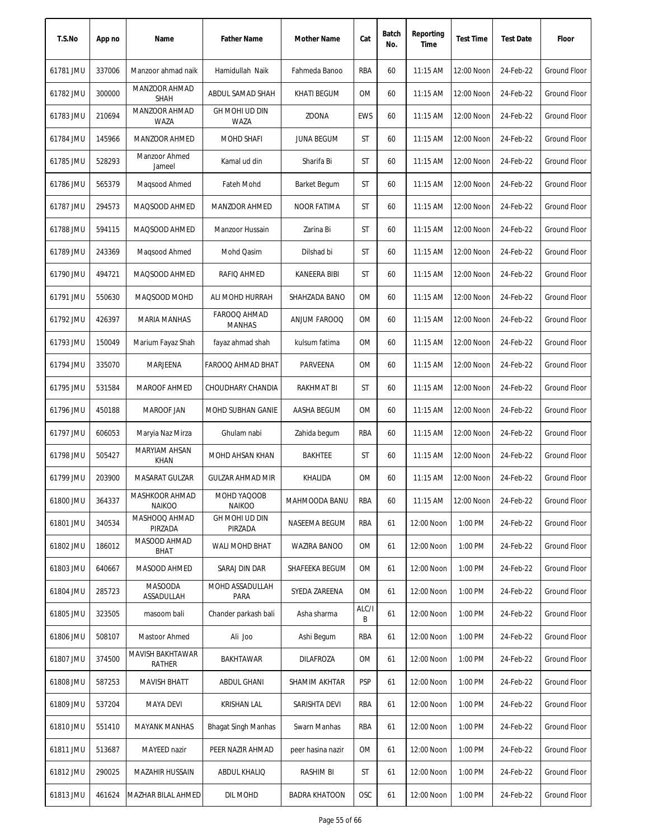| T.S.No    | App no | Name                            | <b>Father Name</b>            | Mother Name          | Cat        | Batch<br>No. | Reporting<br>Time | <b>Test Time</b> | <b>Test Date</b> | Floor               |
|-----------|--------|---------------------------------|-------------------------------|----------------------|------------|--------------|-------------------|------------------|------------------|---------------------|
| 61781 JMU | 337006 | Manzoor ahmad naik              | Hamidullah Naik               | Fahmeda Banoo        | RBA        | 60           | 11:15 AM          | 12:00 Noon       | 24-Feb-22        | Ground Floor        |
| 61782 JMU | 300000 | MANZOOR AHMAD<br><b>SHAH</b>    | ABDUL SAMAD SHAH              | KHATI BEGUM          | ОM         | 60           | 11:15 AM          | 12:00 Noon       | 24-Feb-22        | Ground Floor        |
| 61783 JMU | 210694 | MANZOOR AHMAD<br>WAZA           | GH MOHI UD DIN<br>WAZA        | <b>ZOONA</b>         | <b>EWS</b> | 60           | $11:15$ AM        | 12:00 Noon       | 24-Feb-22        | Ground Floor        |
| 61784 JMU | 145966 | MANZOOR AHMED                   | <b>MOHD SHAFI</b>             | <b>JUNA BEGUM</b>    | ST         | 60           | 11:15 AM          | 12:00 Noon       | 24-Feb-22        | <b>Ground Floor</b> |
| 61785 JMU | 528293 | Manzoor Ahmed<br>Jameel         | Kamal ud din                  | Sharifa Bi           | ST         | 60           | $11:15$ AM        | 12:00 Noon       | 24-Feb-22        | Ground Floor        |
| 61786 JMU | 565379 | Maqsood Ahmed                   | <b>Fateh Mohd</b>             | <b>Barket Begum</b>  | ST         | 60           | 11:15 AM          | 12:00 Noon       | 24-Feb-22        | Ground Floor        |
| 61787 JMU | 294573 | MAQSOOD AHMED                   | MANZOOR AHMED                 | NOOR FATIMA          | ST         | 60           | 11:15 AM          | 12:00 Noon       | 24-Feb-22        | <b>Ground Floor</b> |
| 61788 JMU | 594115 | MAQSOOD AHMED                   | Manzoor Hussain               | Zarina Bi            | ST         | 60           | 11:15 AM          | 12:00 Noon       | 24-Feb-22        | <b>Ground Floor</b> |
| 61789 JMU | 243369 | Magsood Ahmed                   | Mohd Qasim                    | Dilshad bi           | ST         | 60           | 11:15 AM          | 12:00 Noon       | 24-Feb-22        | <b>Ground Floor</b> |
| 61790 JMU | 494721 | MAQSOOD AHMED                   | RAFIQ AHMED                   | KANEERA BIBI         | ST         | 60           | 11:15 AM          | 12:00 Noon       | 24-Feb-22        | Ground Floor        |
| 61791 JMU | 550630 | MAQSOOD MOHD                    | ALI MOHD HURRAH               | SHAHZADA BANO        | ОM         | 60           | 11:15 AM          | 12:00 Noon       | 24-Feb-22        | <b>Ground Floor</b> |
| 61792 JMU | 426397 | <b>MARIA MANHAS</b>             | FAROOQ AHMAD<br><b>MANHAS</b> | ANJUM FAROOQ         | 0M         | 60           | 11:15 AM          | 12:00 Noon       | 24-Feb-22        | <b>Ground Floor</b> |
| 61793 JMU | 150049 | Marium Fayaz Shah               | fayaz ahmad shah              | kulsum fatima        | 0M         | 60           | 11:15 AM          | 12:00 Noon       | 24-Feb-22        | <b>Ground Floor</b> |
| 61794 JMU | 335070 | MARJEENA                        | FAROOQ AHMAD BHAT             | PARVEENA             | <b>OM</b>  | 60           | 11:15 AM          | 12:00 Noon       | 24-Feb-22        | Ground Floor        |
| 61795 JMU | 531584 | <b>MAROOF AHMED</b>             | CHOUDHARY CHANDIA             | RAKHMAT BI           | ST         | 60           | 11:15 AM          | 12:00 Noon       | 24-Feb-22        | Ground Floor        |
| 61796 JMU | 450188 | MAROOF JAN                      | MOHD SUBHAN GANIE             | AASHA BEGUM          | <b>OM</b>  | 60           | 11:15 AM          | 12:00 Noon       | 24-Feb-22        | <b>Ground Floor</b> |
| 61797 JMU | 606053 | Maryia Naz Mirza                | Ghulam nabi                   | Zahida begum         | RBA        | 60           | 11:15 AM          | 12:00 Noon       | 24-Feb-22        | Ground Floor        |
| 61798 JMU | 505427 | MARYIAM AHSAN<br>KHAN           | MOHD AHSAN KHAN               | <b>BAKHTEE</b>       | ST         | 60           | $11:15$ AM        | 12:00 Noon       | 24-Feb-22        | Ground Floor        |
| 61799 JMU | 203900 | MASARAT GULZAR                  | <b>GULZAR AHMAD MIR</b>       | KHALIDA              | 0M         | 60           | $11:15$ AM        | 12:00 Noon       | 24-Feb-22        | <b>Ground Floor</b> |
| 61800 JMU | 364337 | MASHKOOR AHMAD<br><b>NAIKOO</b> | MOHD YAQOOB<br><b>NAIKOO</b>  | MAHMOODA BANU        | RBA        | 60           | 11:15 AM          | 12:00 Noon       | 24-Feb-22        | Ground Floor        |
| 61801 JMU | 340534 | MASHOOQ AHMAD<br>PIRZADA        | GH MOHI UD DIN<br>PIRZADA     | NASEEMA BEGUM        | RBA        | 61           | 12:00 Noon        | 1:00 PM          | 24-Feb-22        | Ground Floor        |
| 61802 JMU | 186012 | MASOOD AHMAD<br><b>BHAT</b>     | WALI MOHD BHAT                | WAZIRA BANOO         | ОM         | 61           | 12:00 Noon        | 1:00 PM          | 24-Feb-22        | Ground Floor        |
| 61803 JMU | 640667 | MASOOD AHMED                    | SARAJ DIN DAR                 | SHAFEEKA BEGUM       | ОM         | 61           | 12:00 Noon        | 1:00 PM          | 24-Feb-22        | <b>Ground Floor</b> |
| 61804 JMU | 285723 | MASOODA<br>ASSADULLAH           | MOHD ASSADULLAH<br>PARA       | SYEDA ZAREENA        | 0M         | 61           | 12:00 Noon        | 1:00 PM          | 24-Feb-22        | <b>Ground Floor</b> |
| 61805 JMU | 323505 | masoom bali                     | Chander parkash bali          | Asha sharma          | ALC/I<br>B | 61           | 12:00 Noon        | 1:00 PM          | 24-Feb-22        | <b>Ground Floor</b> |
| 61806 JMU | 508107 | Mastoor Ahmed                   | Ali Joo                       | Ashi Begum           | RBA        | 61           | 12:00 Noon        | 1:00 PM          | 24-Feb-22        | Ground Floor        |
| 61807 JMU | 374500 | MAVISH BAKHTAWAR<br>RATHER      | BAKHTAWAR                     | <b>DILAFROZA</b>     | OM         | 61           | 12:00 Noon        | 1:00 PM          | 24-Feb-22        | Ground Floor        |
| 61808 JMU | 587253 | <b>MAVISH BHATT</b>             | ABDUL GHANI                   | SHAMIM AKHTAR        | <b>PSP</b> | 61           | 12:00 Noon        | 1:00 PM          | 24-Feb-22        | <b>Ground Floor</b> |
| 61809 JMU | 537204 | <b>MAYA DEVI</b>                | <b>KRISHAN LAL</b>            | SARISHTA DEVI        | RBA        | 61           | 12:00 Noon        | 1:00 PM          | 24-Feb-22        | <b>Ground Floor</b> |
| 61810 JMU | 551410 | <b>MAYANK MANHAS</b>            | <b>Bhagat Singh Manhas</b>    | Swarn Manhas         | rba        | 61           | 12:00 Noon        | 1:00 PM          | 24-Feb-22        | Ground Floor        |
| 61811 JMU | 513687 | MAYEED nazir                    | PEER NAZIR AHMAD              | peer hasina nazir    | ОM         | 61           | 12:00 Noon        | 1:00 PM          | 24-Feb-22        | Ground Floor        |
| 61812 JMU | 290025 | <b>MAZAHIR HUSSAIN</b>          | <b>ABDUL KHALIQ</b>           | <b>RASHIM BI</b>     | ST         | 61           | 12:00 Noon        | 1:00 PM          | 24-Feb-22        | Ground Floor        |
| 61813 JMU | 461624 | <b>MAZHAR BILAL AHMED</b>       | DIL MOHD                      | <b>BADRA KHATOON</b> | OSC        | 61           | 12:00 Noon        | 1:00 PM          | 24-Feb-22        | Ground Floor        |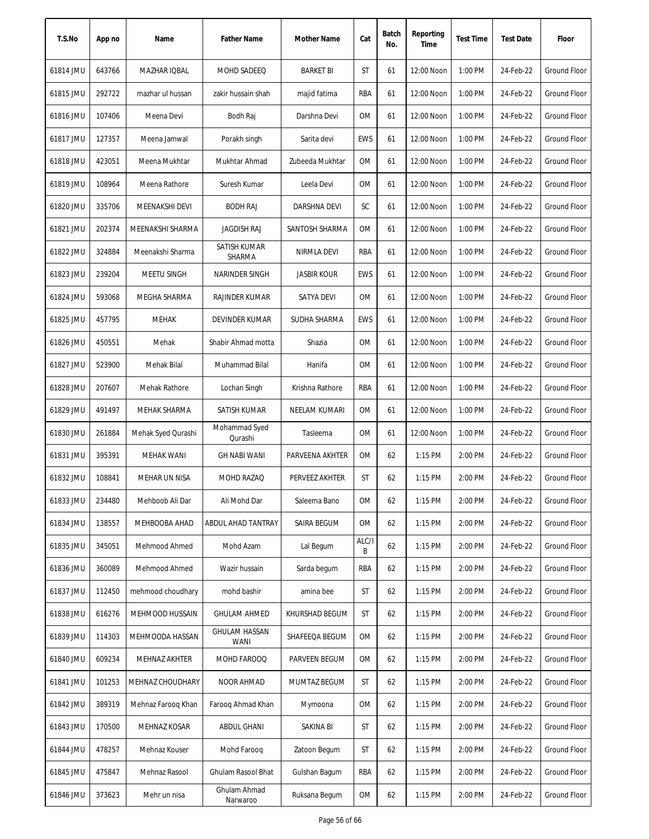| T.S.No    | App no | Name                   | <b>Father Name</b>            | Mother Name        | Cat        | Batch<br>No. | Reporting<br>Time | <b>Test Time</b> | <b>Test Date</b> | Floor               |
|-----------|--------|------------------------|-------------------------------|--------------------|------------|--------------|-------------------|------------------|------------------|---------------------|
| 61814 JMU | 643766 | MAZHAR IQBAL           | MOHD SADEEQ                   | <b>BARKET BI</b>   | ST         | 61           | 12:00 Noon        | 1:00 PM          | 24-Feb-22        | Ground Floor        |
| 61815 JMU | 292722 | mazhar ul hussan       | zakir hussain shah            | majid fatima       | RBA        | 61           | 12:00 Noon        | 1:00 PM          | 24-Feb-22        | Ground Floor        |
| 61816 JMU | 107406 | Meena Devi             | Bodh Raj                      | Darshna Devi       | 0M         | 61           | 12:00 Noon        | 1:00 PM          | 24-Feb-22        | Ground Floor        |
| 61817 JMU | 127357 | Meena Jamwal           | Porakh singh                  | Sarita devi        | <b>EWS</b> | 61           | 12:00 Noon        | 1:00 PM          | 24-Feb-22        | <b>Ground Floor</b> |
| 61818 JMU | 423051 | Meena Mukhtar          | Mukhtar Ahmad                 | Zubeeda Mukhtar    | 0M         | 61           | 12:00 Noon        | 1:00 PM          | 24-Feb-22        | <b>Ground Floor</b> |
| 61819 JMU | 108964 | Meena Rathore          | Suresh Kumar                  | Leela Devi         | 0M         | 61           | 12:00 Noon        | 1:00 PM          | 24-Feb-22        | Ground Floor        |
| 61820 JMU | 335706 | MEENAKSHI DEVI         | <b>BODH RAJ</b>               | DARSHNA DEVI       | SC         | 61           | 12:00 Noon        | 1:00 PM          | 24-Feb-22        | <b>Ground Floor</b> |
| 61821 JMU | 202374 | MEENAKSHI SHARMA       | <b>JAGDISH RAJ</b>            | SANTOSH SHARMA     | <b>OM</b>  | 61           | 12:00 Noon        | 1:00 PM          | 24-Feb-22        | Ground Floor        |
| 61822 JMU | 324884 | Meenakshi Sharma       | <b>SATISH KUMAR</b><br>SHARMA | <b>NIRMLA DEVI</b> | RBA        | 61           | 12:00 Noon        | 1:00 PM          | 24-Feb-22        | Ground Floor        |
| 61823 JMU | 239204 | MEETU SINGH            | NARINDER SINGH                | <b>JASBIR KOUR</b> | <b>EWS</b> | 61           | 12:00 Noon        | 1:00 PM          | 24-Feb-22        | Ground Floor        |
| 61824 JMU | 593068 | MEGHA SHARMA           | RAJINDER KUMAR                | SATYA DEVI         | 0M         | 61           | 12:00 Noon        | 1:00 PM          | 24-Feb-22        | <b>Ground Floor</b> |
| 61825 JMU | 457795 | <b>MEHAK</b>           | <b>DEVINDER KUMAR</b>         | SUDHA SHARMA       | <b>EWS</b> | 61           | 12:00 Noon        | 1:00 PM          | 24-Feb-22        | <b>Ground Floor</b> |
| 61826 JMU | 450551 | Mehak                  | Shabir Ahmad motta            | Shazia             | <b>OM</b>  | 61           | 12:00 Noon        | 1:00 PM          | 24-Feb-22        | <b>Ground Floor</b> |
| 61827 JMU | 523900 | Mehak Bilal            | Muhammad Bilal                | Hanifa             | 0M         | 61           | 12:00 Noon        | 1:00 PM          | 24-Feb-22        | <b>Ground Floor</b> |
| 61828 JMU | 207607 | Mehak Rathore          | Lochan Singh                  | Krishna Rathore    | RBA        | 61           | 12:00 Noon        | 1:00 PM          | 24-Feb-22        | <b>Ground Floor</b> |
| 61829 JMU | 491497 | <b>MEHAK SHARMA</b>    | SATISH KUMAR                  | NEELAM KUMARI      | 0M         | 61           | 12:00 Noon        | 1:00 PM          | 24-Feb-22        | <b>Ground Floor</b> |
| 61830 JMU | 261884 | Mehak Syed Qurashi     | Mohammad Syed<br>Qurashi      | Tasleema           | 0M         | 61           | 12:00 Noon        | 1:00 PM          | 24-Feb-22        | <b>Ground Floor</b> |
| 61831 JMU | 395391 | <b>MEHAK WANI</b>      | <b>GH NABI WANI</b>           | PARVEENA AKHTER    | 0M         | 62           | 1:15 PM           | 2:00 PM          | 24-Feb-22        | <b>Ground Floor</b> |
| 61832 JMU | 108841 | MEHAR UN NISA          | MOHD RAZAQ                    | PERVEEZ AKHTER     | ST         | 62           | $1:15$ PM         | 2:00 PM          | 24-Feb-22        | <b>Ground Floor</b> |
| 61833 JMU | 234480 | Mehboob Ali Dar        | Ali Mohd Dar                  | Saleema Bano       | 0M         | 62           | 1:15 PM           | 2:00 PM          | 24-Feb-22        | <b>Ground Floor</b> |
| 61834 JMU | 138557 | MEHBOOBA AHAD          | ABDUL AHAD TANTRAY            | SAIRA BEGUM        | 0M         | 62           | 1:15 PM           | 2:00 PM          | 24-Feb-22        | Ground Floor        |
| 61835 JMU | 345051 | Mehmood Ahmed          | Mohd Azam                     | Lal Begum          | ALC/I<br>B | 62           | 1:15 PM           | 2:00 PM          | 24-Feb-22        | Ground Floor        |
| 61836 JMU | 360089 | Mehmood Ahmed          | Wazir hussain                 | Sarda begum        | RBA        | 62           | 1:15 PM           | 2:00 PM          | 24-Feb-22        | Ground Floor        |
| 61837 JMU | 112450 | mehmood choudhary      | mohd bashir                   | amina bee          | ST         | 62           | 1:15 PM           | 2:00 PM          | 24-Feb-22        | <b>Ground Floor</b> |
| 61838 JMU | 616276 | <b>MEHMOOD HUSSAIN</b> | <b>GHULAM AHMED</b>           | KHURSHAD BEGUM     | ST         | 62           | 1:15 PM           | 2:00 PM          | 24-Feb-22        | <b>Ground Floor</b> |
| 61839 JMU | 114303 | MEHMOODA HASSAN        | <b>GHULAM HASSAN</b><br>WANI  | SHAFEEQA BEGUM     | 0M         | 62           | 1:15 PM           | 2:00 PM          | 24-Feb-22        | Ground Floor        |
| 61840 JMU | 609234 | MEHNAZ AKHTER          | MOHD FAROOQ                   | PARVEEN BEGUM      | OM         | 62           | $1:15$ PM         | 2:00 PM          | 24-Feb-22        | Ground Floor        |
| 61841 JMU | 101253 | MEHNAZ CHOUDHARY       | NOOR AHMAD                    | MUMTAZ BEGUM       | ST         | 62           | $1:15$ PM         | 2:00 PM          | 24-Feb-22        | Ground Floor        |
| 61842 JMU | 389319 | Mehnaz Faroog Khan     | Faroog Ahmad Khan             | Mymoona            | 0M         | 62           | 1:15 PM           | 2:00 PM          | 24-Feb-22        | Ground Floor        |
| 61843 JMU | 170500 | MEHNAZ KOSAR           | ABDUL GHANI                   | SAKINA BI          | ST         | 62           | 1:15 PM           | 2:00 PM          | 24-Feb-22        | Ground Floor        |
| 61844 JMU | 478257 | Mehnaz Kouser          | Mohd Farooq                   | Zatoon Begum       | ST         | 62           | 1:15 PM           | 2:00 PM          | 24-Feb-22        | Ground Floor        |
| 61845 JMU | 475847 | Mehnaz Rasool          | Ghulam Rasool Bhat            | Gulshan Bagum      | RBA        | 62           | 1:15 PM           | 2:00 PM          | 24-Feb-22        | Ground Floor        |
| 61846 JMU | 373623 | Mehr un nisa           | Ghulam Ahmad<br>Narwaroo      | Ruksana Begum      | <b>OM</b>  | 62           | 1:15 PM           | 2:00 PM          | 24-Feb-22        | Ground Floor        |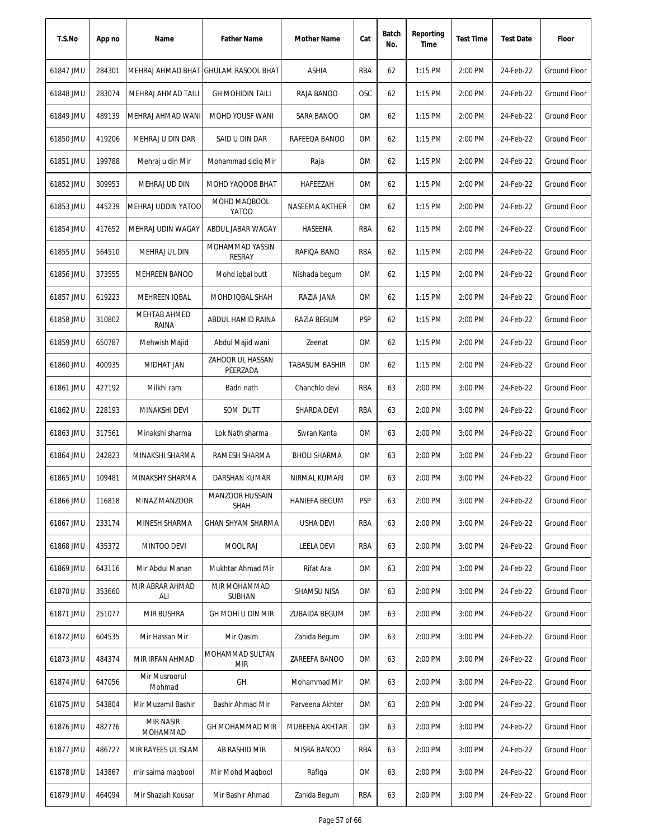| T.S.No    | App no | Name                         | <b>Father Name</b>                   | Mother Name           | Cat        | Batch<br>No. | Reporting<br>Time | <b>Test Time</b> | <b>Test Date</b> | Floor               |
|-----------|--------|------------------------------|--------------------------------------|-----------------------|------------|--------------|-------------------|------------------|------------------|---------------------|
| 61847 JMU | 284301 |                              | MEHRAJ AHMAD BHAT GHULAM RASOOL BHAT | ASHIA                 | RBA        | 62           | 1:15 PM           | 2:00 PM          | 24-Feb-22        | Ground Floor        |
| 61848 JMU | 283074 | MEHRAJ AHMAD TAILI           | <b>GH MOHIDIN TAILI</b>              | RAJA BANOO            | <b>OSC</b> | 62           | 1:15 PM           | 2:00 PM          | 24-Feb-22        | Ground Floor        |
| 61849 JMU | 489139 | MEHRAJ AHMAD WANI            | MOHD YOUSF WANI                      | SARA BANOO            | 0M         | 62           | 1:15 PM           | 2:00 PM          | 24-Feb-22        | Ground Floor        |
| 61850 JMU | 419206 | MEHRAJ U DIN DAR             | SAID U DIN DAR                       | RAFEEQA BANOO         | <b>OM</b>  | 62           | 1:15 PM           | 2:00 PM          | 24-Feb-22        | <b>Ground Floor</b> |
| 61851 JMU | 199788 | Mehraj u din Mir             | Mohammad sidiq Mir                   | Raja                  | 0M         | 62           | 1:15 PM           | 2:00 PM          | 24-Feb-22        | <b>Ground Floor</b> |
| 61852 JMU | 309953 | MEHRAJ UD DIN                | MOHD YAQOOB BHAT                     | HAFEEZAH              | 0M         | 62           | 1:15 PM           | 2:00 PM          | 24-Feb-22        | Ground Floor        |
| 61853 JMU | 445239 | MEHRAJ UDDIN YATOO           | MOHD MAQBOOL<br>YATOO                | NASEEMA AKTHER        | 0M         | 62           | 1:15 PM           | 2:00 PM          | 24-Feb-22        | Ground Floor        |
| 61854 JMU | 417652 | MEHRAJ UDIN WAGAY            | ABDUL JABAR WAGAY                    | HASEENA               | <b>RBA</b> | 62           | $1:15$ PM         | 2:00 PM          | 24-Feb-22        | Ground Floor        |
| 61855 JMU | 564510 | MEHRAJ UL DIN                | MOHAMMAD YASSIN<br><b>RESRAY</b>     | RAFIQA BANO           | <b>RBA</b> | 62           | $1:15$ PM         | 2:00 PM          | 24-Feb-22        | <b>Ground Floor</b> |
| 61856 JMU | 373555 | MEHREEN BANOO                | Mohd iqbal butt                      | Nishada begum         | 0M         | 62           | 1:15 PM           | 2:00 PM          | 24-Feb-22        | Ground Floor        |
| 61857 JMU | 619223 | MEHREEN IQBAL                | MOHD IQBAL SHAH                      | RAZIA JANA            | 0M         | 62           | 1:15 PM           | 2:00 PM          | 24-Feb-22        | Ground Floor        |
| 61858 JMU | 310802 | <b>MEHTAB AHMED</b><br>RAINA | ABDUL HAMID RAINA                    | RAZIA BEGUM           | <b>PSP</b> | 62           | 1:15 PM           | 2:00 PM          | 24-Feb-22        | Ground Floor        |
| 61859 JMU | 650787 | Mehwish Majid                | Abdul Majid wani                     | Zeenat                | OM         | 62           | 1:15 PM           | 2:00 PM          | 24-Feb-22        | <b>Ground Floor</b> |
| 61860 JMU | 400935 | MIDHAT JAN                   | ZAHOOR UL HASSAN<br>PEERZADA         | <b>TABASUM BASHIR</b> | 0M         | 62           | 1:15 PM           | 2:00 PM          | 24-Feb-22        | Ground Floor        |
| 61861 JMU | 427192 | Milkhi ram                   | Badri nath                           | Chanchlo devi         | <b>RBA</b> | 63           | 2:00 PM           | 3:00 PM          | 24-Feb-22        | Ground Floor        |
| 61862 JMU | 228193 | MINAKSHI DEVI                | SOM DUTT                             | SHARDA DEVI           | RBA        | 63           | 2:00 PM           | 3:00 PM          | 24-Feb-22        | Ground Floor        |
| 61863 JMU | 317561 | Minakshi sharma              | Lok Nath sharma                      | Swran Kanta           | <b>OM</b>  | 63           | 2:00 PM           | 3:00 PM          | 24-Feb-22        | Ground Floor        |
| 61864 JMU | 242823 | MINAKSHI SHARMA              | RAMESH SHARMA                        | <b>BHOLI SHARMA</b>   | 0M         | 63           | 2:00 PM           | 3:00 PM          | 24-Feb-22        | Ground Floor        |
| 61865 JMU | 109481 | MINAKSHY SHARMA              | DARSHAN KUMAR                        | NIRMAL KUMARI         | 0M         | 63           | 2:00 PM           | 3:00 PM          | 24-Feb-22        | Ground Floor        |
| 61866 JMU | 116818 | MINAZ MANZOOR                | MANZOOR HUSSAIN<br><b>SHAH</b>       | <b>HANIEFA BEGUM</b>  | <b>PSP</b> | 63           | 2:00 PM           | 3:00 PM          | 24-Feb-22        | Ground Floor        |
| 61867 JMU | 233174 | MINESH SHARMA                | GHAN SHYAM SHARMA                    | <b>USHA DEVI</b>      | RBA        | 63           | 2:00 PM           | 3:00 PM          | 24-Feb-22        | Ground Floor        |
| 61868 JMU | 435372 | MINTOO DEVI                  | MOOL RAJ                             | <b>LEELA DEVI</b>     | RBA        | 63           | 2:00 PM           | 3:00 PM          | 24-Feb-22        | Ground Floor        |
| 61869 JMU | 643116 | Mir Abdul Manan              | Mukhtar Ahmad Mir                    | Rifat Ara             | 0M         | 63           | 2:00 PM           | 3:00 PM          | 24-Feb-22        | Ground Floor        |
| 61870 JMU | 353660 | MIR ABRAR AHMAD<br>ALI       | MIR MOHAMMAD<br>SUBHAN               | SHAMSU NISA           | <b>OM</b>  | 63           | 2:00 PM           | 3:00 PM          | 24-Feb-22        | Ground Floor        |
| 61871 JMU | 251077 | MIR BUSHRA                   | GH MOHI U DIN MIR                    | <b>ZUBAIDA BEGUM</b>  | 0M         | 63           | 2:00 PM           | 3:00 PM          | 24-Feb-22        | <b>Ground Floor</b> |
| 61872 JMU | 604535 | Mir Hassan Mir               | Mir Qasim                            | Zahida Begum          | 0M         | 63           | 2:00 PM           | 3:00 PM          | 24-Feb-22        | Ground Floor        |
| 61873 JMU | 484374 | MIR IRFAN AHMAD              | MOHAMMAD SULTAN<br><b>MIR</b>        | ZAREEFA BANOO         | 0M         | 63           | 2:00 PM           | 3:00 PM          | 24-Feb-22        | Ground Floor        |
| 61874 JMU | 647056 | Mir Musroorul<br>Mohmad      | GH                                   | Mohammad Mir          | OM         | 63           | 2:00 PM           | 3:00 PM          | 24-Feb-22        | Ground Floor        |
| 61875 JMU | 543804 | Mir Muzamil Bashir           | Bashir Ahmad Mir                     | Parveena Akhter       | OM         | 63           | 2:00 PM           | 3:00 PM          | 24-Feb-22        | Ground Floor        |
| 61876 JMU | 482776 | MIR NASIR<br>MOHAMMAD        | GH MOHAMMAD MIR                      | MUBEENA AKHTAR        | OM         | 63           | 2:00 PM           | 3:00 PM          | 24-Feb-22        | Ground Floor        |
| 61877 JMU | 486727 | MIR RAYEES UL ISLAM          | AB RASHID MIR                        | MISRA BANOO           | RBA        | 63           | 2:00 PM           | 3:00 PM          | 24-Feb-22        | <b>Ground Floor</b> |
| 61878 JMU | 143867 | mir saima maqbool            | Mir Mohd Maqbool                     | Rafiqa                | OM         | 63           | 2:00 PM           | 3:00 PM          | 24-Feb-22        | Ground Floor        |
| 61879 JMU | 464094 | Mir Shaziah Kousar           | Mir Bashir Ahmad                     | Zahida Begum          | RBA        | 63           | 2:00 PM           | 3:00 PM          | 24-Feb-22        | Ground Floor        |
|           |        |                              |                                      |                       |            |              |                   |                  |                  |                     |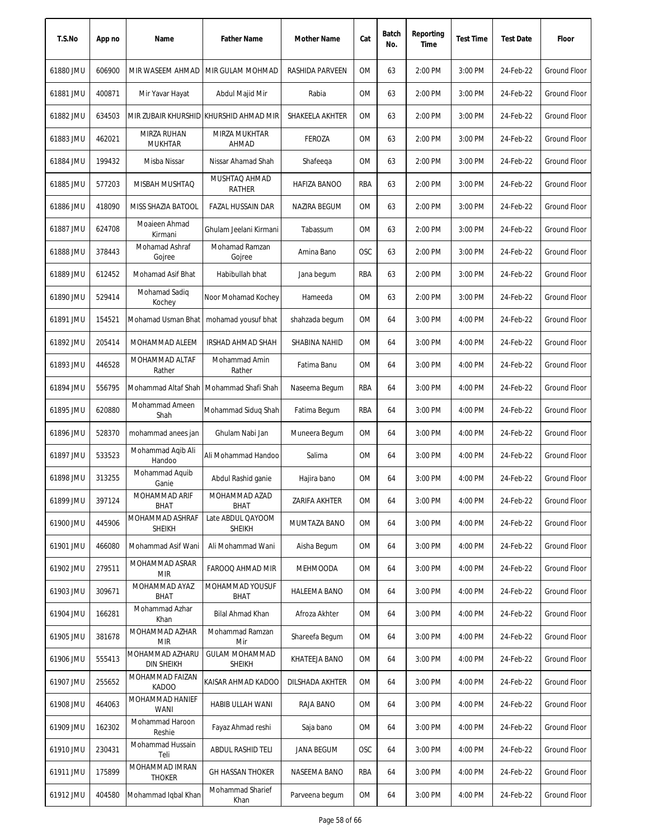| T.S.No    | App no | Name                                 | <b>Father Name</b>                        | Mother Name         | Cat        | Batch<br>No. | Reporting<br>Time | <b>Test Time</b> | <b>Test Date</b> | Floor               |
|-----------|--------|--------------------------------------|-------------------------------------------|---------------------|------------|--------------|-------------------|------------------|------------------|---------------------|
| 61880 JMU | 606900 | MIR WASEEM AHMAD                     | MIR GULAM MOHMAD                          | RASHIDA PARVEEN     | 0M         | 63           | 2:00 PM           | 3:00 PM          | 24-Feb-22        | Ground Floor        |
| 61881 JMU | 400871 | Mir Yavar Hayat                      | Abdul Majid Mir                           | Rabia               | ОM         | 63           | 2:00 PM           | 3:00 PM          | 24-Feb-22        | <b>Ground Floor</b> |
| 61882 JMU | 634503 |                                      | MIR ZUBAIR KHURSHID KHURSHID AHMAD MIR    | SHAKEELA AKHTER     | ОM         | 63           | 2:00 PM           | 3:00 PM          | 24-Feb-22        | Ground Floor        |
| 61883 JMU | 462021 | MIRZA RUHAN<br><b>MUKHTAR</b>        | MIRZA MUKHTAR<br>AHMAD                    | <b>FEROZA</b>       | 0M         | 63           | 2:00 PM           | 3:00 PM          | 24-Feb-22        | <b>Ground Floor</b> |
| 61884 JMU | 199432 | Misba Nissar                         | Nissar Ahamad Shah                        | Shafeeqa            | 0M         | 63           | 2:00 PM           | 3:00 PM          | 24-Feb-22        | <b>Ground Floor</b> |
| 61885 JMU | 577203 | MISBAH MUSHTAQ                       | MUSHTAQ AHMAD<br><b>RATHER</b>            | HAFIZA BANOO        | RBA        | 63           | 2:00 PM           | 3:00 PM          | 24-Feb-22        | Ground Floor        |
| 61886 JMU | 418090 | MISS SHAZIA BATOOL                   | FAZAL HUSSAIN DAR                         | NAZIRA BEGUM        | ОM         | 63           | 2:00 PM           | 3:00 PM          | 24-Feb-22        | <b>Ground Floor</b> |
| 61887 JMU | 624708 | Moaieen Ahmad<br>Kirmani             | Ghulam Jeelani Kirmani                    | Tabassum            | <b>OM</b>  | 63           | 2:00 PM           | 3:00 PM          | 24-Feb-22        | <b>Ground Floor</b> |
| 61888 JMU | 378443 | Mohamad Ashraf<br>Gojree             | Mohamad Ramzan<br>Gojree                  | Amina Bano          | OSC        | 63           | 2:00 PM           | 3:00 PM          | 24-Feb-22        | <b>Ground Floor</b> |
| 61889 JMU | 612452 | Mohamad Asif Bhat                    | Habibullah bhat                           | Jana begum          | RBA        | 63           | 2:00 PM           | 3:00 PM          | 24-Feb-22        | Ground Floor        |
| 61890 JMU | 529414 | Mohamad Sadiq<br>Kochey              | Noor Mohamad Kochey                       | Hameeda             | ОM         | 63           | 2:00 PM           | 3:00 PM          | 24-Feb-22        | Ground Floor        |
| 61891 JMU | 154521 | Mohamad Usman Bhat                   | mohamad yousuf bhat                       | shahzada begum      | <b>OM</b>  | 64           | 3:00 PM           | 4:00 PM          | 24-Feb-22        | Ground Floor        |
| 61892 JMU | 205414 | MOHAMMAD ALEEM                       | IRSHAD AHMAD SHAH                         | SHABINA NAHID       | <b>OM</b>  | 64           | 3:00 PM           | 4:00 PM          | 24-Feb-22        | Ground Floor        |
| 61893 JMU | 446528 | MOHAMMAD ALTAF<br>Rather             | Mohammad Amin<br>Rather                   | Fatima Banu         | <b>OM</b>  | 64           | 3:00 PM           | 4:00 PM          | 24-Feb-22        | Ground Floor        |
| 61894 JMU | 556795 |                                      | Mohammad Altaf Shah   Mohammad Shafi Shah | Naseema Begum       | RBA        | 64           | 3:00 PM           | 4:00 PM          | 24-Feb-22        | <b>Ground Floor</b> |
| 61895 JMU | 620880 | Mohammad Ameen<br>Shah               | Mohammad Siduq Shah                       | Fatima Begum        | RBA        | 64           | 3:00 PM           | 4:00 PM          | 24-Feb-22        | <b>Ground Floor</b> |
| 61896 JMU | 528370 | mohammad anees jan                   | Ghulam Nabi Jan                           | Muneera Begum       | <b>OM</b>  | 64           | 3:00 PM           | 4:00 PM          | 24-Feb-22        | <b>Ground Floor</b> |
| 61897 JMU | 533523 | Mohammad Aqib Ali<br>Handoo          | Ali Mohammad Handoo                       | Salima              | <b>OM</b>  | 64           | 3:00 PM           | 4:00 PM          | 24-Feb-22        | Ground Floor        |
| 61898 JMU | 313255 | Mohammad Aquib<br>Ganie              | Abdul Rashid ganie                        | Hajira bano         | <b>OM</b>  | 64           | 3:00 PM           | 4:00 PM          | 24-Feb-22        | Ground Floor        |
| 61899 JMU | 397124 | MOHAMMAD ARIF<br>BHAT                | MOHAMMAD AZAD<br><b>BHAT</b>              | ZARIFA AKHTER       | 0M         | 64           | 3:00 PM           | 4:00 PM          | 24-Feb-22        | Ground Floor        |
| 61900 JMU | 445906 | MOHAMMAD ASHRAF<br><b>SHEIKH</b>     | Late ABDUL QAYOOM<br><b>SHEIKH</b>        | MUMTAZA BANO        | ОM         | 64           | 3:00 PM           | 4:00 PM          | 24-Feb-22        | Ground Floor        |
| 61901 JMU | 466080 | Mohammad Asif Wani                   | Ali Mohammad Wani                         | Aisha Begum         | ОM         | 64           | 3:00 PM           | 4:00 PM          | 24-Feb-22        | Ground Floor        |
| 61902 JMU | 279511 | MOHAMMAD ASRAR<br><b>MIR</b>         | FAROOQ AHMAD MIR                          | <b>MEHMOODA</b>     | ОM         | 64           | 3:00 PM           | 4:00 PM          | 24-Feb-22        | Ground Floor        |
| 61903 JMU | 309671 | MOHAMMAD AYAZ<br><b>BHAT</b>         | MOHAMMAD YOUSUF<br>BHAT                   | <b>HALEEMA BANO</b> | ОM         | 64           | 3:00 PM           | 4:00 PM          | 24-Feb-22        | Ground Floor        |
| 61904 JMU | 166281 | Mohammad Azhar<br>Khan               | Bilal Ahmad Khan                          | Afroza Akhter       | ОM         | 64           | 3:00 PM           | 4:00 PM          | 24-Feb-22        | Ground Floor        |
| 61905 JMU | 381678 | MOHAMMAD AZHAR<br><b>MIR</b>         | Mohammad Ramzan<br>Mir                    | Shareefa Begum      | ОM         | 64           | 3:00 PM           | 4:00 PM          | 24-Feb-22        | Ground Floor        |
| 61906 JMU | 555413 | MOHAMMAD AZHARU<br><b>DIN SHEIKH</b> | <b>GULAM MOHAMMAD</b><br><b>SHEIKH</b>    | KHATEEJA BANO       | ОM         | 64           | 3:00 PM           | 4:00 PM          | 24-Feb-22        | Ground Floor        |
| 61907 JMU | 255652 | MOHAMMAD FAIZAN<br><b>KADOO</b>      | KAISAR AHMAD KADOO                        | DILSHADA AKHTER     | ОM         | 64           | 3:00 PM           | 4:00 PM          | 24-Feb-22        | Ground Floor        |
| 61908 JMU | 464063 | MOHAMMAD HANIEF<br><b>WANI</b>       | HABIB ULLAH WANI                          | RAJA BANO           | OM         | 64           | 3:00 PM           | 4:00 PM          | 24-Feb-22        | Ground Floor        |
| 61909 JMU | 162302 | Mohammad Haroon<br>Reshie            | Fayaz Ahmad reshi                         | Saja bano           | ОM         | 64           | 3:00 PM           | 4:00 PM          | 24-Feb-22        | Ground Floor        |
| 61910 JMU | 230431 | Mohammad Hussain<br>Teli             | ABDUL RASHID TELI                         | JANA BEGUM          | <b>OSC</b> | 64           | 3:00 PM           | 4:00 PM          | 24-Feb-22        | Ground Floor        |
| 61911 JMU | 175899 | MOHAMMAD IMRAN<br><b>THOKER</b>      | <b>GH HASSAN THOKER</b>                   | NASEEMA BANO        | RBA        | 64           | 3:00 PM           | 4:00 PM          | 24-Feb-22        | Ground Floor        |
| 61912 JMU | 404580 | Mohammad Iqbal Khan                  | Mohammad Sharief<br>Khan                  | Parveena begum      | OM         | 64           | 3:00 PM           | 4:00 PM          | 24-Feb-22        | Ground Floor        |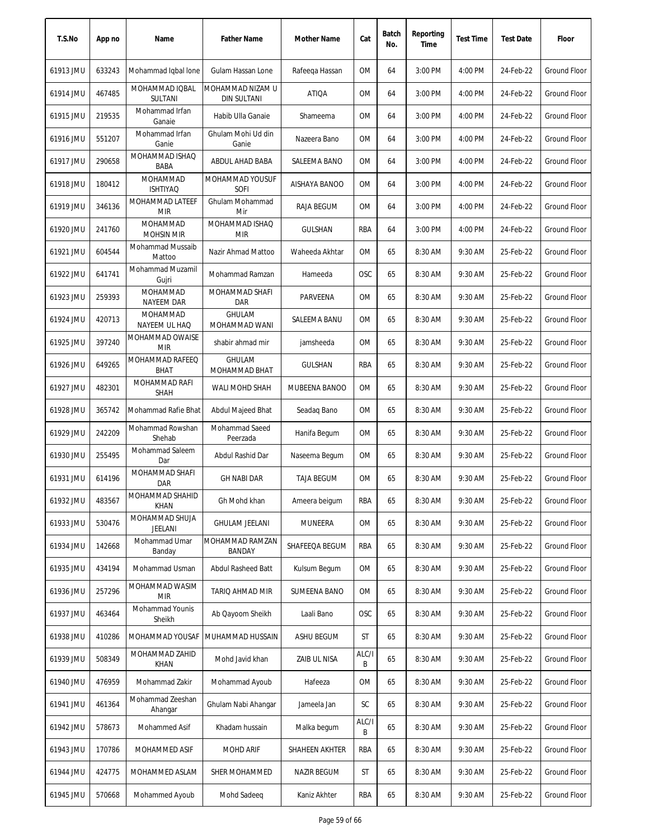| T.S.No    | App no | Name                             | <b>Father Name</b>               | Mother Name        | Cat        | Batch<br>No. | Reporting<br>Time | <b>Test Time</b> | <b>Test Date</b> | Floor               |
|-----------|--------|----------------------------------|----------------------------------|--------------------|------------|--------------|-------------------|------------------|------------------|---------------------|
| 61913 JMU | 633243 | Mohammad Iqbal Ione              | Gulam Hassan Lone                | Rafeega Hassan     | 0M         | 64           | 3:00 PM           | 4:00 PM          | 24-Feb-22        | Ground Floor        |
| 61914 JMU | 467485 | MOHAMMAD IQBAL<br><b>SULTANI</b> | MOHAMMAD NIZAM U<br>DIN SULTANI  | <b>ATIQA</b>       | 0M         | 64           | 3:00 PM           | 4:00 PM          | 24-Feb-22        | <b>Ground Floor</b> |
| 61915 JMU | 219535 | Mohammad Irfan<br>Ganaie         | Habib Ulla Ganaie                | Shameema           | 0M         | 64           | 3:00 PM           | 4:00 PM          | 24-Feb-22        | Ground Floor        |
| 61916 JMU | 551207 | Mohammad Irfan<br>Ganie          | Ghulam Mohi Ud din<br>Ganie      | Nazeera Bano       | 0M         | 64           | 3:00 PM           | 4:00 PM          | 24-Feb-22        | <b>Ground Floor</b> |
| 61917 JMU | 290658 | MOHAMMAD ISHAQ<br><b>BABA</b>    | ABDUL AHAD BABA                  | SALEEMA BANO       | 0M         | 64           | 3:00 PM           | 4:00 PM          | 24-Feb-22        | Ground Floor        |
| 61918 JMU | 180412 | MOHAMMAD<br><b>ISHTIYAQ</b>      | MOHAMMAD YOUSUF<br>SOFI          | AISHAYA BANOO      | 0M         | 64           | 3:00 PM           | 4:00 PM          | 24-Feb-22        | Ground Floor        |
| 61919 JMU | 346136 | MOHAMMAD LATEEF<br><b>MIR</b>    | Ghulam Mohammad<br>Mir           | RAJA BEGUM         | 0M         | 64           | 3:00 PM           | 4:00 PM          | 24-Feb-22        | <b>Ground Floor</b> |
| 61920 JMU | 241760 | MOHAMMAD<br><b>MOHSIN MIR</b>    | MOHAMMAD ISHAQ<br><b>MIR</b>     | <b>GULSHAN</b>     | RBA        | 64           | 3:00 PM           | 4:00 PM          | 24-Feb-22        | <b>Ground Floor</b> |
| 61921 JMU | 604544 | Mohammad Mussaib<br>Mattoo       | Nazir Ahmad Mattoo               | Waheeda Akhtar     | 0M         | 65           | 8:30 AM           | 9:30 AM          | 25-Feb-22        | <b>Ground Floor</b> |
| 61922 JMU | 641741 | Mohammad Muzamil<br>Gujri        | Mohammad Ramzan                  | Hameeda            | <b>OSC</b> | 65           | 8:30 AM           | 9:30 AM          | 25-Feb-22        | Ground Floor        |
| 61923 JMU | 259393 | MOHAMMAD<br><b>NAYEEM DAR</b>    | MOHAMMAD SHAFI<br>DAR            | PARVEENA           | 0M         | 65           | 8:30 AM           | 9:30 AM          | 25-Feb-22        | <b>Ground Floor</b> |
| 61924 JMU | 420713 | MOHAMMAD<br>NAYEEM UL HAQ        | <b>GHULAM</b><br>MOHAMMAD WANI   | SALEEMA BANU       | 0M         | 65           | 8:30 AM           | 9:30 AM          | 25-Feb-22        | Ground Floor        |
| 61925 JMU | 397240 | MOHAMMAD OWAISE<br><b>MIR</b>    | shabir ahmad mir                 | jamsheeda          | 0M         | 65           | 8:30 AM           | 9:30 AM          | 25-Feb-22        | Ground Floor        |
| 61926 JMU | 649265 | MOHAMMAD RAFEEQ<br><b>BHAT</b>   | <b>GHULAM</b><br>MOHAMMAD BHAT   | GULSHAN            | <b>RBA</b> | 65           | 8:30 AM           | 9:30 AM          | 25-Feb-22        | Ground Floor        |
| 61927 JMU | 482301 | MOHAMMAD RAFI<br><b>SHAH</b>     | WALI MOHD SHAH                   | MUBEENA BANOO      | 0M         | 65           | 8:30 AM           | 9:30 AM          | 25-Feb-22        | Ground Floor        |
| 61928 JMU | 365742 | Mohammad Rafie Bhat              | Abdul Majeed Bhat                | Seadag Bano        | 0M         | 65           | 8:30 AM           | 9:30 AM          | 25-Feb-22        | <b>Ground Floor</b> |
| 61929 JMU | 242209 | Mohammad Rowshan<br>Shehab       | Mohammad Saeed<br>Peerzada       | Hanifa Begum       | 0M         | 65           | 8:30 AM           | 9:30 AM          | 25-Feb-22        | Ground Floor        |
| 61930 JMU | 255495 | Mohammad Saleem<br>Dar           | Abdul Rashid Dar                 | Naseema Begum      | 0M         | 65           | 8:30 AM           | 9:30 AM          | 25-Feb-22        | Ground Floor        |
| 61931 JMU | 614196 | MOHAMMAD SHAFI<br><b>DAR</b>     | <b>GH NABI DAR</b>               | <b>TAJA BEGUM</b>  | 0M         | 65           | 8:30 AM           | 9:30 AM          | 25-Feb-22        | Ground Floor        |
| 61932 JMU | 483567 | MOHAMMAD SHAHID<br><b>KHAN</b>   | Gh Mohd khan                     | Ameera beigum      | RBA        | 65           | 8:30 AM           | 9:30 AM          | 25-Feb-22        | Ground Floor        |
| 61933 JMU | 530476 | MOHAMMAD SHUJA<br>JEELANI        | <b>GHULAM JEELANI</b>            | MUNEERA            | 0M         | 65           | 8:30 AM           | 9:30 AM          | 25-Feb-22        | Ground Floor        |
| 61934 JMU | 142668 | Mohammad Umar<br>Banday          | MOHAMMAD RAMZAN<br><b>BANDAY</b> | SHAFEEQA BEGUM     | RBA        | 65           | 8:30 AM           | 9:30 AM          | 25-Feb-22        | Ground Floor        |
| 61935 JMU | 434194 | Mohammad Usman                   | Abdul Rasheed Batt               | Kulsum Begum       | 0M         | 65           | 8:30 AM           | 9:30 AM          | 25-Feb-22        | Ground Floor        |
| 61936 JMU | 257296 | MOHAMMAD WASIM<br><b>MIR</b>     | TARIO AHMAD MIR                  | SUMEENA BANO       | 0M         | 65           | 8:30 AM           | 9:30 AM          | 25-Feb-22        | Ground Floor        |
| 61937 JMU | 463464 | Mohammad Younis<br>Sheikh        | Ab Qayoom Sheikh                 | Laali Bano         | <b>OSC</b> | 65           | 8:30 AM           | 9:30 AM          | 25-Feb-22        | Ground Floor        |
| 61938 JMU | 410286 | MOHAMMAD YOUSAF                  | MUHAMMAD HUSSAIN                 | ASHU BEGUM         | ST         | 65           | 8:30 AM           | 9:30 AM          | 25-Feb-22        | Ground Floor        |
| 61939 JMU | 508349 | MOHAMMAD ZAHID<br><b>KHAN</b>    | Mohd Javid khan                  | ZAIB UL NISA       | ALC/I<br>B | 65           | 8:30 AM           | 9:30 AM          | 25-Feb-22        | Ground Floor        |
| 61940 JMU | 476959 | Mohammad Zakir                   | Mohammad Ayoub                   | Hafeeza            | OM         | 65           | 8:30 AM           | 9:30 AM          | 25-Feb-22        | Ground Floor        |
| 61941 JMU | 461364 | Mohammad Zeeshan<br>Ahangar      | Ghulam Nabi Ahangar              | Jameela Jan        | SC         | 65           | 8:30 AM           | 9:30 AM          | 25-Feb-22        | Ground Floor        |
| 61942 JMU | 578673 | Mohammed Asif                    | Khadam hussain                   | Malka begum        | ALC/I<br>B | 65           | 8:30 AM           | 9:30 AM          | 25-Feb-22        | Ground Floor        |
| 61943 JMU | 170786 | MOHAMMED ASIF                    | <b>MOHD ARIF</b>                 | SHAHEEN AKHTER     | RBA        | 65           | 8:30 AM           | 9:30 AM          | 25-Feb-22        | Ground Floor        |
| 61944 JMU | 424775 | MOHAMMED ASLAM                   | SHER MOHAMMED                    | <b>NAZIR BEGUM</b> | ST         | 65           | 8:30 AM           | 9:30 AM          | 25-Feb-22        | Ground Floor        |
| 61945 JMU | 570668 | Mohammed Ayoub                   | Mohd Sadeeq                      | Kaniz Akhter       | RBA        | 65           | 8:30 AM           | 9:30 AM          | 25-Feb-22        | Ground Floor        |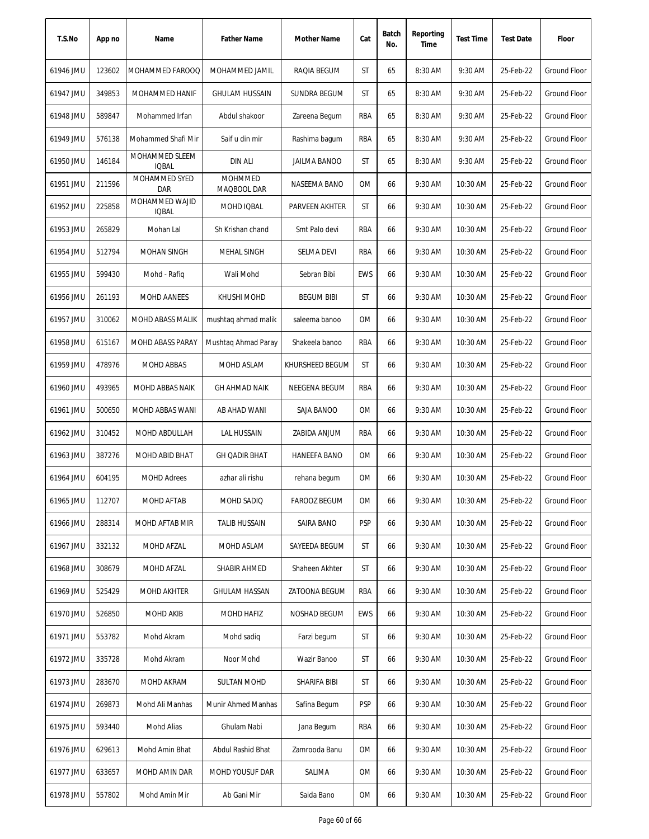| T.S.No    | App no | Name                           | <b>Father Name</b>            | Mother Name         | Cat        | Batch<br>No. | Reporting<br>Time | <b>Test Time</b> | <b>Test Date</b> | Floor               |
|-----------|--------|--------------------------------|-------------------------------|---------------------|------------|--------------|-------------------|------------------|------------------|---------------------|
| 61946 JMU | 123602 | MOHAMMED FAROOQ                | MOHAMMED JAMIL                | RAQIA BEGUM         | <b>ST</b>  | 65           | 8:30 AM           | 9:30 AM          | 25-Feb-22        | <b>Ground Floor</b> |
| 61947 JMU | 349853 | MOHAMMED HANIF                 | <b>GHULAM HUSSAIN</b>         | SUNDRA BEGUM        | ST         | 65           | 8:30 AM           | 9:30 AM          | 25-Feb-22        | Ground Floor        |
| 61948 JMU | 589847 | Mohammed Irfan                 | Abdul shakoor                 | Zareena Begum       | RBA        | 65           | 8:30 AM           | 9:30 AM          | 25-Feb-22        | Ground Floor        |
| 61949 JMU | 576138 | Mohammed Shafi Mir             | Saif u din mir                | Rashima bagum       | RBA        | 65           | 8:30 AM           | 9:30 AM          | 25-Feb-22        | <b>Ground Floor</b> |
| 61950 JMU | 146184 | MOHAMMED SLEEM<br><b>IQBAL</b> | <b>DIN ALI</b>                | <b>JAILMA BANOO</b> | ST         | 65           | 8:30 AM           | 9:30 AM          | 25-Feb-22        | Ground Floor        |
| 61951 JMU | 211596 | MOHAMMED SYED<br><b>DAR</b>    | <b>MOHMMED</b><br>MAQBOOL DAR | NASEEMA BANO        | 0M         | 66           | 9:30 AM           | 10:30 AM         | 25-Feb-22        | Ground Floor        |
| 61952 JMU | 225858 | MOHAMMED WAJID<br><b>IQBAL</b> | MOHD IQBAL                    | PARVEEN AKHTER      | ST         | 66           | 9:30 AM           | 10:30 AM         | 25-Feb-22        | Ground Floor        |
| 61953 JMU | 265829 | Mohan Lal                      | Sh Krishan chand              | Smt Palo devi       | RBA        | 66           | 9:30 AM           | 10:30 AM         | 25-Feb-22        | Ground Floor        |
| 61954 JMU | 512794 | <b>MOHAN SINGH</b>             | <b>MEHAL SINGH</b>            | SELMA DEVI          | RBA        | 66           | 9:30 AM           | 10:30 AM         | 25-Feb-22        | <b>Ground Floor</b> |
| 61955 JMU | 599430 | Mohd - Rafiq                   | Wali Mohd                     | Sebran Bibi         | <b>EWS</b> | 66           | 9:30 AM           | 10:30 AM         | 25-Feb-22        | Ground Floor        |
| 61956 JMU | 261193 | MOHD AANEES                    | KHUSHI MOHD                   | <b>BEGUM BIBI</b>   | ST         | 66           | 9:30 AM           | 10:30 AM         | 25-Feb-22        | Ground Floor        |
| 61957 JMU | 310062 | MOHD ABASS MALIK               | mushtaq ahmad malik           | saleema banoo       | 0M         | 66           | 9:30 AM           | 10:30 AM         | 25-Feb-22        | Ground Floor        |
| 61958 JMU | 615167 | MOHD ABASS PARAY               | Mushtag Ahmad Paray           | Shakeela banoo      | RBA        | 66           | 9:30 AM           | 10:30 AM         | 25-Feb-22        | <b>Ground Floor</b> |
| 61959 JMU | 478976 | MOHD ABBAS                     | MOHD ASLAM                    | KHURSHEED BEGUM     | ST         | 66           | 9:30 AM           | 10:30 AM         | 25-Feb-22        | <b>Ground Floor</b> |
| 61960 JMU | 493965 | MOHD ABBAS NAIK                | <b>GH AHMAD NAIK</b>          | NEEGENA BEGUM       | <b>RBA</b> | 66           | 9:30 AM           | 10:30 AM         | 25-Feb-22        | <b>Ground Floor</b> |
| 61961 JMU | 500650 | MOHD ABBAS WANI                | AB AHAD WANI                  | SAJA BANOO          | 0M         | 66           | 9:30 AM           | 10:30 AM         | 25-Feb-22        | Ground Floor        |
| 61962 JMU | 310452 | MOHD ABDULLAH                  | <b>LAL HUSSAIN</b>            | ZABIDA ANJUM        | RBA        | 66           | 9:30 AM           | 10:30 AM         | 25-Feb-22        | <b>Ground Floor</b> |
| 61963 JMU | 387276 | MOHD ABID BHAT                 | <b>GH QADIR BHAT</b>          | <b>HANEEFA BANO</b> | 0M         | 66           | 9:30 AM           | 10:30 AM         | 25-Feb-22        | Ground Floor        |
| 61964 JMU | 604195 | <b>MOHD Adrees</b>             | azhar ali rishu               | rehana begum        | 0M         | 66           | 9:30 AM           | 10:30 AM         | 25-Feb-22        | <b>Ground Floor</b> |
| 61965 JMU | 112707 | MOHD AFTAB                     | MOHD SADIQ                    | <b>FAROOZ BEGUM</b> | 0M         | 66           | 9:30 AM           | 10:30 AM         | 25-Feb-22        | Ground Floor        |
| 61966 JMU | 288314 | MOHD AFTAB MIR                 | <b>TALIB HUSSAIN</b>          | SAIRA BANO          | <b>PSP</b> | 66           | 9:30 AM           | 10:30 AM         | 25-Feb-22        | <b>Ground Floor</b> |
| 61967 JMU | 332132 | MOHD AFZAL                     | MOHD ASLAM                    | SAYEEDA BEGUM       | ST         | 66           | 9:30 AM           | 10:30 AM         | 25-Feb-22        | Ground Floor        |
| 61968 JMU | 308679 | MOHD AFZAL                     | SHABIR AHMED                  | Shaheen Akhter      | ST         | 66           | 9:30 AM           | 10:30 AM         | 25-Feb-22        | Ground Floor        |
| 61969 JMU | 525429 | <b>MOHD AKHTER</b>             | <b>GHULAM HASSAN</b>          | ZATOONA BEGUM       | RBA        | 66           | 9:30 AM           | 10:30 AM         | 25-Feb-22        | Ground Floor        |
| 61970 JMU | 526850 | <b>MOHD AKIB</b>               | MOHD HAFIZ                    | NOSHAD BEGUM        | <b>EWS</b> | 66           | 9:30 AM           | 10:30 AM         | 25-Feb-22        | Ground Floor        |
| 61971 JMU | 553782 | Mohd Akram                     | Mohd sadig                    | Farzi begum         | ST         | 66           | 9:30 AM           | 10:30 AM         | 25-Feb-22        | Ground Floor        |
| 61972 JMU | 335728 | Mohd Akram                     | Noor Mohd                     | Wazir Banoo         | ST         | 66           | 9:30 AM           | 10:30 AM         | 25-Feb-22        | Ground Floor        |
| 61973 JMU | 283670 | MOHD AKRAM                     | <b>SULTAN MOHD</b>            | SHARIFA BIBI        | ST         | 66           | 9:30 AM           | 10:30 AM         | 25-Feb-22        | Ground Floor        |
| 61974 JMU | 269873 | Mohd Ali Manhas                | Munir Ahmed Manhas            | Safina Begum        | <b>PSP</b> | 66           | 9:30 AM           | 10:30 AM         | 25-Feb-22        | Ground Floor        |
| 61975 JMU | 593440 | Mohd Alias                     | Ghulam Nabi                   | Jana Begum          | RBA        | 66           | 9:30 AM           | 10:30 AM         | 25-Feb-22        | Ground Floor        |
| 61976 JMU | 629613 | Mohd Amin Bhat                 | Abdul Rashid Bhat             | Zamrooda Banu       | 0M         | 66           | 9:30 AM           | 10:30 AM         | 25-Feb-22        | Ground Floor        |
| 61977 JMU | 633657 | MOHD AMIN DAR                  | MOHD YOUSUF DAR               | SALIMA              | 0M         | 66           | 9:30 AM           | 10:30 AM         | 25-Feb-22        | Ground Floor        |
| 61978 JMU | 557802 | Mohd Amin Mir                  | Ab Gani Mir                   | Saida Bano          | OM         | 66           | 9:30 AM           | 10:30 AM         | 25-Feb-22        | Ground Floor        |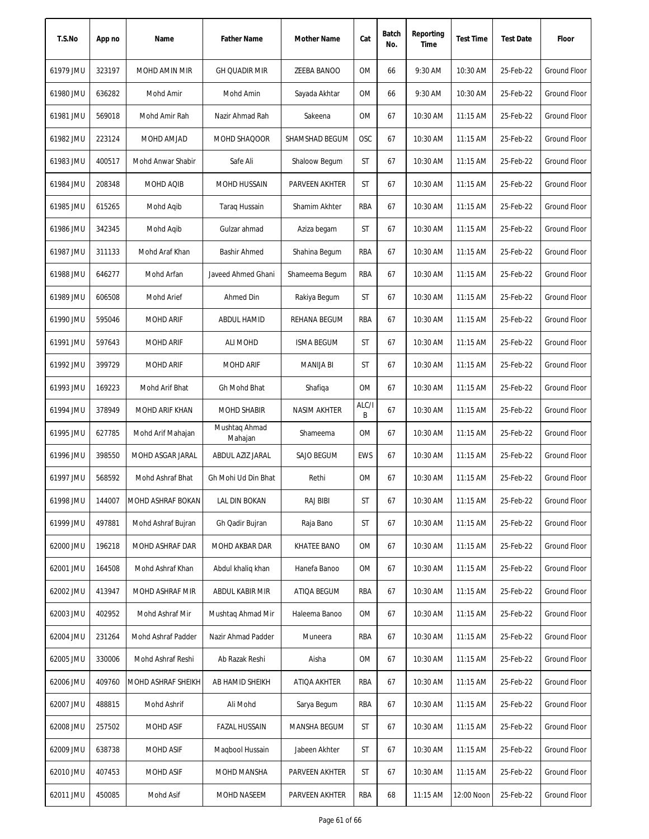| T.S.No    | App no | Name               | <b>Father Name</b>       | Mother Name        | Cat        | Batch<br>No. | Reporting<br>Time | <b>Test Time</b> | <b>Test Date</b> | Floor               |
|-----------|--------|--------------------|--------------------------|--------------------|------------|--------------|-------------------|------------------|------------------|---------------------|
| 61979 JMU | 323197 | MOHD AMIN MIR      | <b>GH QUADIR MIR</b>     | ZEEBA BANOO        | 0M         | 66           | 9:30 AM           | 10:30 AM         | 25-Feb-22        | <b>Ground Floor</b> |
| 61980 JMU | 636282 | Mohd Amir          | Mohd Amin                | Sayada Akhtar      | ОM         | 66           | 9:30 AM           | 10:30 AM         | 25-Feb-22        | Ground Floor        |
| 61981 JMU | 569018 | Mohd Amir Rah      | Nazir Ahmad Rah          | Sakeena            | ОM         | 67           | 10:30 AM          | $11:15$ AM       | 25-Feb-22        | <b>Ground Floor</b> |
| 61982 JMU | 223124 | MOHD AMJAD         | MOHD SHAQOOR             | SHAMSHAD BEGUM     | OSC        | 67           | 10:30 AM          | 11:15 AM         | 25-Feb-22        | <b>Ground Floor</b> |
| 61983 JMU | 400517 | Mohd Anwar Shabir  | Safe Ali                 | Shaloow Begum      | ST         | 67           | 10:30 AM          | 11:15 AM         | 25-Feb-22        | Ground Floor        |
| 61984 JMU | 208348 | MOHD AQIB          | MOHD HUSSAIN             | PARVEEN AKHTER     | ST         | 67           | 10:30 AM          | 11:15 AM         | 25-Feb-22        | <b>Ground Floor</b> |
| 61985 JMU | 615265 | Mohd Aqib          | <b>Taraq Hussain</b>     | Shamim Akhter      | RBA        | 67           | 10:30 AM          | $11:15$ AM       | 25-Feb-22        | Ground Floor        |
| 61986 JMU | 342345 | Mohd Agib          | Gulzar ahmad             | Aziza begam        | ST         | 67           | 10:30 AM          | 11:15 AM         | 25-Feb-22        | <b>Ground Floor</b> |
| 61987 JMU | 311133 | Mohd Araf Khan     | <b>Bashir Ahmed</b>      | Shahina Begum      | RBA        | 67           | 10:30 AM          | 11:15 AM         | 25-Feb-22        | <b>Ground Floor</b> |
| 61988 JMU | 646277 | Mohd Arfan         | Javeed Ahmed Ghani       | Shameema Begum     | <b>RBA</b> | 67           | 10:30 AM          | 11:15 AM         | 25-Feb-22        | <b>Ground Floor</b> |
| 61989 JMU | 606508 | <b>Mohd Arief</b>  | Ahmed Din                | Rakiya Begum       | ST         | 67           | 10:30 AM          | $11:15$ AM       | 25-Feb-22        | <b>Ground Floor</b> |
| 61990 JMU | 595046 | <b>MOHD ARIF</b>   | ABDUL HAMID              | REHANA BEGUM       | RBA        | 67           | 10:30 AM          | 11:15 AM         | 25-Feb-22        | <b>Ground Floor</b> |
| 61991 JMU | 597643 | <b>MOHD ARIF</b>   | ALI MOHD                 | <b>ISMA BEGUM</b>  | ST         | 67           | 10:30 AM          | 11:15 AM         | 25-Feb-22        | <b>Ground Floor</b> |
| 61992 JMU | 399729 | <b>MOHD ARIF</b>   | MOHD ARIF                | <b>MANIJA BI</b>   | ST         | 67           | 10:30 AM          | 11:15 AM         | 25-Feb-22        | Ground Floor        |
| 61993 JMU | 169223 | Mohd Arif Bhat     | Gh Mohd Bhat             | Shafiqa            | 0M         | 67           | 10:30 AM          | 11:15 AM         | 25-Feb-22        | <b>Ground Floor</b> |
| 61994 JMU | 378949 | MOHD ARIF KHAN     | <b>MOHD SHABIR</b>       | NASIM AKHTER       | ALC/I<br>B | 67           | 10:30 AM          | 11:15 AM         | 25-Feb-22        | Ground Floor        |
| 61995 JMU | 627785 | Mohd Arif Mahajan  | Mushtag Ahmad<br>Mahajan | Shameema           | <b>OM</b>  | 67           | 10:30 AM          | 11:15 AM         | 25-Feb-22        | <b>Ground Floor</b> |
| 61996 JMU | 398550 | MOHD ASGAR JARAL   | ABDUL AZIZ JARAL         | SAJO BEGUM         | EWS        | 67           | 10:30 AM          | 11:15 AM         | 25-Feb-22        | Ground Floor        |
| 61997 JMU | 568592 | Mohd Ashraf Bhat   | Gh Mohi Ud Din Bhat      | Rethi              | <b>OM</b>  | 67           | 10:30 AM          | $11:15$ AM       | 25-Feb-22        | Ground Floor        |
| 61998 JMU | 144007 | MOHD ASHRAF BOKAN  | LAL DIN BOKAN            | RAJ BIBI           | ST         | 67           | 10:30 AM          | 11:15 AM         | 25-Feb-22        | Ground Floor        |
| 61999 JMU | 497881 | Mohd Ashraf Bujran | Gh Qadir Bujran          | Raja Bano          | ST         | 67           | 10:30 AM          | 11:15 AM         | 25-Feb-22        | Ground Floor        |
| 62000 JMU | 196218 | MOHD ASHRAF DAR    | MOHD AKBAR DAR           | <b>KHATEE BANO</b> | 0M         | 67           | 10:30 AM          | 11:15 AM         | 25-Feb-22        | Ground Floor        |
| 62001 JMU | 164508 | Mohd Ashraf Khan   | Abdul khaliq khan        | Hanefa Banoo       | OM         | 67           | 10:30 AM          | 11:15 AM         | 25-Feb-22        | <b>Ground Floor</b> |
| 62002 JMU | 413947 | MOHD ASHRAF MIR    | ABDUL KABIR MIR          | ATIQA BEGUM        | RBA        | 67           | 10:30 AM          | 11:15 AM         | 25-Feb-22        | <b>Ground Floor</b> |
| 62003 JMU | 402952 | Mohd Ashraf Mir    | Mushtag Ahmad Mir        | Haleema Banoo      | 0M         | 67           | 10:30 AM          | 11:15 AM         | 25-Feb-22        | <b>Ground Floor</b> |
| 62004 JMU | 231264 | Mohd Ashraf Padder | Nazir Ahmad Padder       | Muneera            | RBA        | 67           | 10:30 AM          | 11:15 AM         | 25-Feb-22        | Ground Floor        |
| 62005 JMU | 330006 | Mohd Ashraf Reshi  | Ab Razak Reshi           | Aisha              | ОM         | 67           | 10:30 AM          | 11:15 AM         | 25-Feb-22        | Ground Floor        |
| 62006 JMU | 409760 | MOHD ASHRAF SHEIKH | AB HAMID SHEIKH          | ATIQA AKHTER       | RBA        | 67           | 10:30 AM          | 11:15 AM         | 25-Feb-22        | Ground Floor        |
| 62007 JMU | 488815 | Mohd Ashrif        | Ali Mohd                 | Sarya Begum        | RBA        | 67           | 10:30 AM          | 11:15 AM         | 25-Feb-22        | Ground Floor        |
| 62008 JMU | 257502 | MOHD ASIF          | <b>FAZAL HUSSAIN</b>     | MANSHA BEGUM       | ST         | 67           | 10:30 AM          | 11:15 AM         | 25-Feb-22        | Ground Floor        |
| 62009 JMU | 638738 | MOHD ASIF          | Maqbool Hussain          | Jabeen Akhter      | ST         | 67           | 10:30 AM          | 11:15 AM         | 25-Feb-22        | <b>Ground Floor</b> |
| 62010 JMU | 407453 | MOHD ASIF          | MOHD MANSHA              | PARVEEN AKHTER     | ST         | 67           | 10:30 AM          | 11:15 AM         | 25-Feb-22        | Ground Floor        |
| 62011 JMU | 450085 | Mohd Asif          | MOHD NASEEM              | PARVEEN AKHTER     | RBA        | 68           | 11:15 AM          | 12:00 Noon       | 25-Feb-22        | Ground Floor        |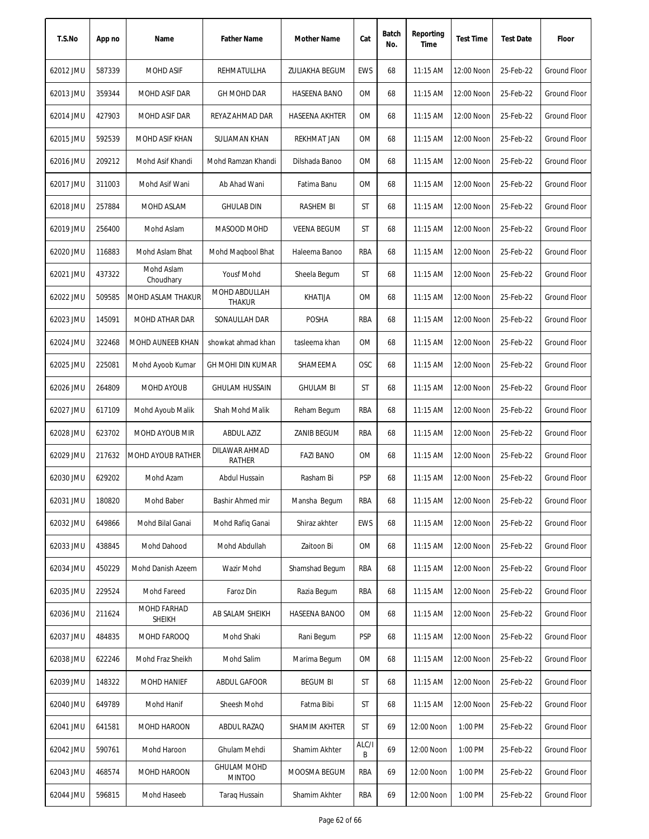| T.S.No    | App no | Name                         | <b>Father Name</b>                  | Mother Name           | Cat        | Batch<br>No. | Reporting<br>Time | <b>Test Time</b> | <b>Test Date</b> | Floor               |
|-----------|--------|------------------------------|-------------------------------------|-----------------------|------------|--------------|-------------------|------------------|------------------|---------------------|
| 62012 JMU | 587339 | <b>MOHD ASIF</b>             | REHMATULLHA                         | ZULIAKHA BEGUM        | <b>EWS</b> | 68           | 11:15 AM          | 12:00 Noon       | 25-Feb-22        | <b>Ground Floor</b> |
| 62013 JMU | 359344 | MOHD ASIF DAR                | <b>GH MOHD DAR</b>                  | HASEENA BANO          | ОM         | 68           | 11:15 AM          | 12:00 Noon       | 25-Feb-22        | Ground Floor        |
| 62014 JMU | 427903 | MOHD ASIF DAR                | REYAZ AHMAD DAR                     | <b>HASEENA AKHTER</b> | ОM         | 68           | $11:15$ AM        | 12:00 Noon       | 25-Feb-22        | Ground Floor        |
| 62015 JMU | 592539 | MOHD ASIF KHAN               | <b>SULIAMAN KHAN</b>                | <b>REKHMAT JAN</b>    | OM         | 68           | 11:15 AM          | 12:00 Noon       | 25-Feb-22        | <b>Ground Floor</b> |
| 62016 JMU | 209212 | Mohd Asif Khandi             | Mohd Ramzan Khandi                  | Dilshada Banoo        | OM         | 68           | 11:15 AM          | 12:00 Noon       | 25-Feb-22        | <b>Ground Floor</b> |
| 62017 JMU | 311003 | Mohd Asif Wani               | Ab Ahad Wani                        | Fatima Banu           | OM         | 68           | 11:15 AM          | 12:00 Noon       | 25-Feb-22        | <b>Ground Floor</b> |
| 62018 JMU | 257884 | MOHD ASLAM                   | <b>GHULAB DIN</b>                   | RASHEM BI             | ST         | 68           | 11:15 AM          | 12:00 Noon       | 25-Feb-22        | Ground Floor        |
| 62019 JMU | 256400 | Mohd Aslam                   | MASOOD MOHD                         | <b>VEENA BEGUM</b>    | ST         | 68           | 11:15 AM          | 12:00 Noon       | 25-Feb-22        | <b>Ground Floor</b> |
| 62020 JMU | 116883 | Mohd Aslam Bhat              | Mohd Magbool Bhat                   | Haleema Banoo         | RBA        | 68           | 11:15 AM          | 12:00 Noon       | 25-Feb-22        | <b>Ground Floor</b> |
| 62021 JMU | 437322 | Mohd Aslam<br>Choudhary      | Yousf Mohd                          | Sheela Begum          | ST         | 68           | 11:15 AM          | 12:00 Noon       | 25-Feb-22        | <b>Ground Floor</b> |
| 62022 JMU | 509585 | MOHD ASLAM THAKUR            | MOHD ABDULLAH<br><b>THAKUR</b>      | <b>KHATIJA</b>        | <b>OM</b>  | 68           | 11:15 AM          | 12:00 Noon       | 25-Feb-22        | <b>Ground Floor</b> |
| 62023 JMU | 145091 | MOHD ATHAR DAR               | SONAULLAH DAR                       | <b>POSHA</b>          | RBA        | 68           | 11:15 AM          | 12:00 Noon       | 25-Feb-22        | Ground Floor        |
| 62024 JMU | 322468 | MOHD AUNEEB KHAN             | showkat ahmad khan                  | tasleema khan         | <b>OM</b>  | 68           | 11:15 AM          | 12:00 Noon       | 25-Feb-22        | <b>Ground Floor</b> |
| 62025 JMU | 225081 | Mohd Ayoob Kumar             | <b>GH MOHI DIN KUMAR</b>            | SHAMEEMA              | <b>OSC</b> | 68           | 11:15 AM          | 12:00 Noon       | 25-Feb-22        | Ground Floor        |
| 62026 JMU | 264809 | MOHD AYOUB                   | <b>GHULAM HUSSAIN</b>               | <b>GHULAM BI</b>      | ST         | 68           | 11:15 AM          | 12:00 Noon       | 25-Feb-22        | <b>Ground Floor</b> |
| 62027 JMU | 617109 | Mohd Ayoub Malik             | Shah Mohd Malik                     | Reham Begum           | RBA        | 68           | $11:15$ AM        | 12:00 Noon       | 25-Feb-22        | Ground Floor        |
| 62028 JMU | 623702 | <b>MOHD AYOUB MIR</b>        | <b>ABDUL AZIZ</b>                   | <b>ZANIB BEGUM</b>    | RBA        | 68           | 11:15 AM          | 12:00 Noon       | 25-Feb-22        | Ground Floor        |
| 62029 JMU | 217632 | <b>MOHD AYOUB RATHER</b>     | DILAWAR AHMAD<br><b>RATHER</b>      | <b>FAZI BANO</b>      | <b>OM</b>  | 68           | 11:15 AM          | 12:00 Noon       | 25-Feb-22        | <b>Ground Floor</b> |
| 62030 JMU | 629202 | Mohd Azam                    | Abdul Hussain                       | Rasham Bi             | <b>PSP</b> | 68           | 11:15 AM          | 12:00 Noon       | 25-Feb-22        | <b>Ground Floor</b> |
| 62031 JMU | 180820 | Mohd Baber                   | Bashir Ahmed mir                    | Mansha Begum          | RBA        | 68           | 11:15 AM          | 12:00 Noon       | 25-Feb-22        | <b>Ground Floor</b> |
| 62032 JMU | 649866 | Mohd Bilal Ganai             | Mohd Rafiq Ganai                    | Shiraz akhter         | <b>EWS</b> | 68           | 11:15 AM          | 12:00 Noon       | 25-Feb-22        | Ground Floor        |
| 62033 JMU | 438845 | Mohd Dahood                  | Mohd Abdullah                       | Zaitoon Bi            | 0M         | 68           | 11:15 AM          | 12:00 Noon       | 25-Feb-22        | <b>Ground Floor</b> |
| 62034 JMU | 450229 | Mohd Danish Azeem            | Wazir Mohd                          | Shamshad Begum        | RBA        | 68           | $11:15$ AM        | 12:00 Noon       | 25-Feb-22        | Ground Floor        |
| 62035 JMU | 229524 | Mohd Fareed                  | Faroz Din                           | Razia Begum           | RBA        | 68           | 11:15 AM          | 12:00 Noon       | 25-Feb-22        | <b>Ground Floor</b> |
| 62036 JMU | 211624 | MOHD FARHAD<br><b>SHEIKH</b> | AB SALAM SHEIKH                     | <b>HASEENA BANOO</b>  | 0M         | 68           | 11:15 AM          | 12:00 Noon       | 25-Feb-22        | <b>Ground Floor</b> |
| 62037 JMU | 484835 | MOHD FAROOQ                  | Mohd Shaki                          | Rani Begum            | <b>PSP</b> | 68           | 11:15 AM          | 12:00 Noon       | 25-Feb-22        | Ground Floor        |
| 62038 JMU | 622246 | Mohd Fraz Sheikh             | Mohd Salim                          | Marima Begum          | ОM         | 68           | $11:15$ AM        | 12:00 Noon       | 25-Feb-22        | Ground Floor        |
| 62039 JMU | 148322 | MOHD HANIEF                  | ABDUL GAFOOR                        | <b>BEGUM BI</b>       | ST         | 68           | 11:15 AM          | 12:00 Noon       | 25-Feb-22        | Ground Floor        |
| 62040 JMU | 649789 | Mohd Hanif                   | Sheesh Mohd                         | Fatma Bibi            | ST         | 68           | 11:15 AM          | 12:00 Noon       | 25-Feb-22        | <b>Ground Floor</b> |
| 62041 JMU | 641581 | MOHD HAROON                  | ABDUL RAZAQ                         | SHAMIM AKHTER         | ST         | 69           | 12:00 Noon        | 1:00 PM          | 25-Feb-22        | Ground Floor        |
| 62042 JMU | 590761 | Mohd Haroon                  | Ghulam Mehdi                        | Shamim Akhter         | ALC/I<br>B | 69           | 12:00 Noon        | 1:00 PM          | 25-Feb-22        | Ground Floor        |
| 62043 JMU | 468574 | MOHD HAROON                  | <b>GHULAM MOHD</b><br><b>MINTOO</b> | MOOSMA BEGUM          | RBA        | 69           | 12:00 Noon        | 1:00 PM          | 25-Feb-22        | Ground Floor        |
| 62044 JMU | 596815 | Mohd Haseeb                  | <b>Taraq Hussain</b>                | Shamim Akhter         | RBA        | 69           | 12:00 Noon        | 1:00 PM          | 25-Feb-22        | Ground Floor        |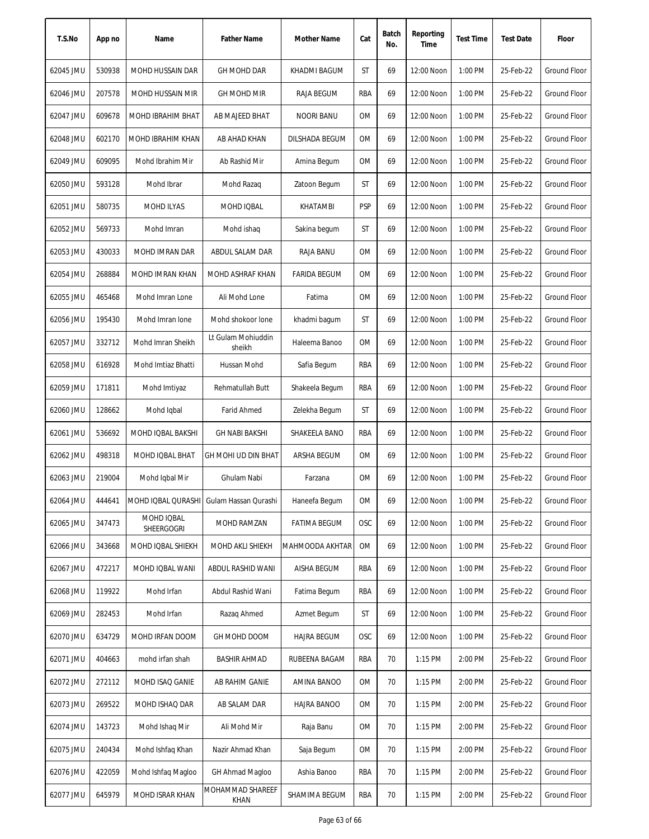| T.S.No    | App no | Name                                    | <b>Father Name</b>           | Mother Name         | Cat       | Batch<br>No. | Reporting<br>Time | <b>Test Time</b> | <b>Test Date</b> | Floor               |
|-----------|--------|-----------------------------------------|------------------------------|---------------------|-----------|--------------|-------------------|------------------|------------------|---------------------|
| 62045 JMU | 530938 | <b>MOHD HUSSAIN DAR</b>                 | <b>GH MOHD DAR</b>           | KHADMI BAGUM        | <b>ST</b> | 69           | 12:00 Noon        | 1:00 PM          | 25-Feb-22        | <b>Ground Floor</b> |
| 62046 JMU | 207578 | MOHD HUSSAIN MIR                        | <b>GH MOHD MIR</b>           | <b>RAJA BEGUM</b>   | RBA       | 69           | 12:00 Noon        | 1:00 PM          | 25-Feb-22        | <b>Ground Floor</b> |
| 62047 JMU | 609678 | MOHD IBRAHIM BHAT                       | AB MAJEED BHAT               | NOORI BANU          | ОM        | 69           | 12:00 Noon        | 1:00 PM          | 25-Feb-22        | Ground Floor        |
| 62048 JMU | 602170 | MOHD IBRAHIM KHAN                       | AB AHAD KHAN                 | DILSHADA BEGUM      | 0M        | 69           | 12:00 Noon        | 1:00 PM          | 25-Feb-22        | <b>Ground Floor</b> |
| 62049 JMU | 609095 | Mohd Ibrahim Mir                        | Ab Rashid Mir                | Amina Begum         | OM        | 69           | 12:00 Noon        | 1:00 PM          | 25-Feb-22        | <b>Ground Floor</b> |
| 62050 JMU | 593128 | Mohd Ibrar                              | Mohd Razaq                   | Zatoon Begum        | ST        | 69           | 12:00 Noon        | 1:00 PM          | 25-Feb-22        | <b>Ground Floor</b> |
| 62051 JMU | 580735 | <b>MOHD ILYAS</b>                       | MOHD IQBAL                   | KHATAMBI            | PSP       | 69           | 12:00 Noon        | 1:00 PM          | 25-Feb-22        | <b>Ground Floor</b> |
| 62052 JMU | 569733 | Mohd Imran                              | Mohd ishaq                   | Sakina begum        | ST        | 69           | 12:00 Noon        | 1:00 PM          | 25-Feb-22        | <b>Ground Floor</b> |
| 62053 JMU | 430033 | MOHD IMRAN DAR                          | ABDUL SALAM DAR              | RAJA BANU           | 0M        | 69           | 12:00 Noon        | 1:00 PM          | 25-Feb-22        | <b>Ground Floor</b> |
| 62054 JMU | 268884 | <b>MOHD IMRAN KHAN</b>                  | MOHD ASHRAF KHAN             | <b>FARIDA BEGUM</b> | <b>OM</b> | 69           | 12:00 Noon        | 1:00 PM          | 25-Feb-22        | <b>Ground Floor</b> |
| 62055 JMU | 465468 | Mohd Imran Lone                         | Ali Mohd Lone                | Fatima              | 0M        | 69           | 12:00 Noon        | 1:00 PM          | 25-Feb-22        | <b>Ground Floor</b> |
| 62056 JMU | 195430 | Mohd Imran Ione                         | Mohd shokoor lone            | khadmi bagum        | ST        | 69           | 12:00 Noon        | 1:00 PM          | 25-Feb-22        | Ground Floor        |
| 62057 JMU | 332712 | Mohd Imran Sheikh                       | Lt Gulam Mohiuddin<br>sheikh | Haleema Banoo       | <b>OM</b> | 69           | 12:00 Noon        | 1:00 PM          | 25-Feb-22        | <b>Ground Floor</b> |
| 62058 JMU | 616928 | Mohd Imtiaz Bhatti                      | Hussan Mohd                  | Safia Begum         | RBA       | 69           | 12:00 Noon        | 1:00 PM          | 25-Feb-22        | <b>Ground Floor</b> |
| 62059 JMU | 171811 | Mohd Imtiyaz                            | Rehmatullah Butt             | Shakeela Begum      | RBA       | 69           | 12:00 Noon        | 1:00 PM          | 25-Feb-22        | <b>Ground Floor</b> |
| 62060 JMU | 128662 | Mohd Iqbal                              | <b>Farid Ahmed</b>           | Zelekha Begum       | ST        | 69           | 12:00 Noon        | 1:00 PM          | 25-Feb-22        | <b>Ground Floor</b> |
| 62061 JMU | 536692 | MOHD IQBAL BAKSHI                       | <b>GH NABI BAKSHI</b>        | SHAKEELA BANO       | RBA       | 69           | 12:00 Noon        | 1:00 PM          | 25-Feb-22        | <b>Ground Floor</b> |
| 62062 JMU | 498318 | <b>MOHD IQBAL BHAT</b>                  | GH MOHI UD DIN BHAT          | <b>ARSHA BEGUM</b>  | <b>OM</b> | 69           | 12:00 Noon        | 1:00 PM          | 25-Feb-22        | <b>Ground Floor</b> |
| 62063 JMU | 219004 | Mohd Iqbal Mir                          | Ghulam Nabi                  | Farzana             | <b>OM</b> | 69           | 12:00 Noon        | 1:00 PM          | 25-Feb-22        | Ground Floor        |
| 62064 JMU | 444641 | MOHD IQBAL QURASHI Gulam Hassan Qurashi |                              | Haneefa Begum       | OM        | 69           | 12:00 Noon        | 1:00 PM          | 25-Feb-22        | Ground Floor        |
| 62065 JMU | 347473 | MOHD IQBAL<br>SHEERGOGRI                | MOHD RAMZAN                  | <b>FATIMA BEGUM</b> | OSC       | 69           | 12:00 Noon        | 1:00 PM          | 25-Feb-22        | <b>Ground Floor</b> |
| 62066 JMU | 343668 | MOHD IQBAL SHIEKH                       | MOHD AKLI SHIEKH             | MAHMOODA AKHTAR     | <b>OM</b> | 69           | 12:00 Noon        | 1:00 PM          | 25-Feb-22        | Ground Floor        |
| 62067 JMU | 472217 | MOHD IQBAL WANI                         | ABDUL RASHID WANI            | <b>AISHA BEGUM</b>  | rba       | 69           | 12:00 Noon        | 1:00 PM          | 25-Feb-22        | Ground Floor        |
| 62068 JMU | 119922 | Mohd Irfan                              | Abdul Rashid Wani            | Fatima Begum        | RBA       | 69           | 12:00 Noon        | 1:00 PM          | 25-Feb-22        | <b>Ground Floor</b> |
| 62069 JMU | 282453 | Mohd Irfan                              | Razag Ahmed                  | Azmet Begum         | ST        | 69           | 12:00 Noon        | 1:00 PM          | 25-Feb-22        | Ground Floor        |
| 62070 JMU | 634729 | MOHD IRFAN DOOM                         | GH MOHD DOOM                 | <b>HAJRA BEGUM</b>  | OSC       | 69           | 12:00 Noon        | 1:00 PM          | 25-Feb-22        | Ground Floor        |
| 62071 JMU | 404663 | mohd irfan shah                         | BASHIR AHMAD                 | RUBEENA BAGAM       | RBA       | 70           | $1:15$ PM         | 2:00 PM          | 25-Feb-22        | Ground Floor        |
| 62072 JMU | 272112 | MOHD ISAQ GANIE                         | AB RAHIM GANIE               | AMINA BANOO         | 0M        | 70           | 1:15 PM           | 2:00 PM          | 25-Feb-22        | Ground Floor        |
| 62073 JMU | 269522 | MOHD ISHAQ DAR                          | AB SALAM DAR                 | HAJRA BANOO         | 0M        | 70           | 1:15 PM           | 2:00 PM          | 25-Feb-22        | Ground Floor        |
| 62074 JMU | 143723 | Mohd Ishaq Mir                          | Ali Mohd Mir                 | Raja Banu           | 0M        | 70           | 1:15 PM           | 2:00 PM          | 25-Feb-22        | Ground Floor        |
| 62075 JMU | 240434 | Mohd Ishfaq Khan                        | Nazir Ahmad Khan             | Saja Begum          | ОM        | 70           | 1:15 PM           | 2:00 PM          | 25-Feb-22        | Ground Floor        |
| 62076 JMU | 422059 | Mohd Ishfaq Magloo                      | GH Ahmad Magloo              | Ashia Banoo         | RBA       | 70           | 1:15 PM           | 2:00 PM          | 25-Feb-22        | Ground Floor        |
| 62077 JMU | 645979 | MOHD ISRAR KHAN                         | MOHAMMAD SHAREEF<br>KHAN     | SHAMIMA BEGUM       | RBA       | 70           | 1:15 PM           | 2:00 PM          | 25-Feb-22        | Ground Floor        |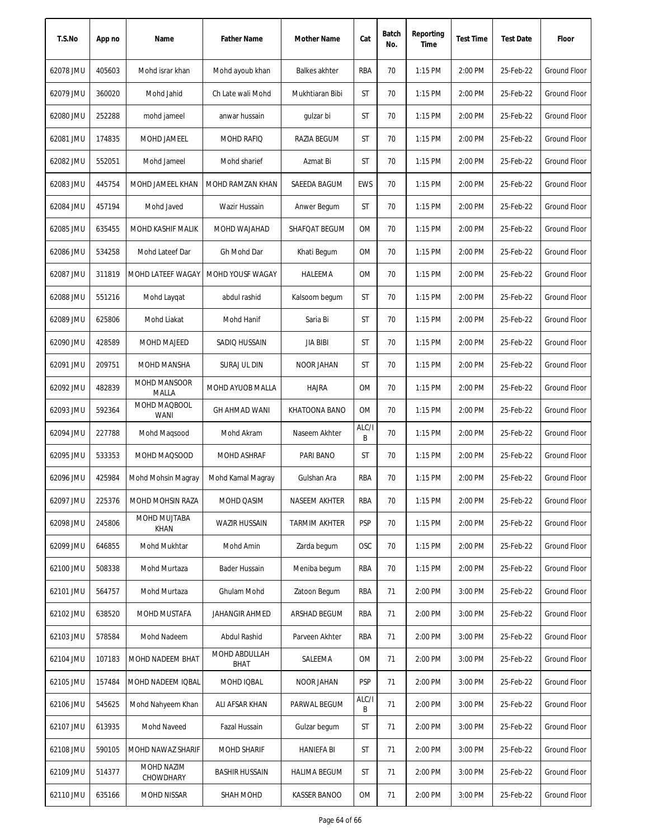| T.S.No    | App no | Name                         | <b>Father Name</b>    | Mother Name          | Cat        | Batch<br>No. | Reporting<br>Time | <b>Test Time</b> | <b>Test Date</b> | Floor               |
|-----------|--------|------------------------------|-----------------------|----------------------|------------|--------------|-------------------|------------------|------------------|---------------------|
| 62078 JMU | 405603 | Mohd israr khan              | Mohd ayoub khan       | <b>Balkes akhter</b> | RBA        | 70           | 1:15 PM           | 2:00 PM          | 25-Feb-22        | <b>Ground Floor</b> |
| 62079 JMU | 360020 | Mohd Jahid                   | Ch Late wali Mohd     | Mukhtiaran Bibi      | ST         | 70           | $1:15$ PM         | 2:00 PM          | 25-Feb-22        | Ground Floor        |
| 62080 JMU | 252288 | mohd jameel                  | anwar hussain         | gulzar bi            | ST         | 70           | $1:15$ PM         | 2:00 PM          | 25-Feb-22        | Ground Floor        |
| 62081 JMU | 174835 | MOHD JAMEEL                  | MOHD RAFIQ            | RAZIA BEGUM          | ST         | 70           | 1:15 PM           | 2:00 PM          | 25-Feb-22        | <b>Ground Floor</b> |
| 62082 JMU | 552051 | Mohd Jameel                  | Mohd sharief          | Azmat Bi             | ST         | 70           | 1:15 PM           | 2:00 PM          | 25-Feb-22        | <b>Ground Floor</b> |
| 62083 JMU | 445754 | MOHD JAMEEL KHAN             | MOHD RAMZAN KHAN      | SAEEDA BAGUM         | <b>EWS</b> | 70           | 1:15 PM           | 2:00 PM          | 25-Feb-22        | <b>Ground Floor</b> |
| 62084 JMU | 457194 | Mohd Javed                   | Wazir Hussain         | Anwer Begum          | ST         | 70           | $1:15$ PM         | 2:00 PM          | 25-Feb-22        | Ground Floor        |
| 62085 JMU | 635455 | MOHD KASHIF MALIK            | MOHD WAJAHAD          | SHAFQAT BEGUM        | <b>OM</b>  | 70           | $1:15$ PM         | 2:00 PM          | 25-Feb-22        | <b>Ground Floor</b> |
| 62086 JMU | 534258 | Mohd Lateef Dar              | Gh Mohd Dar           | Khati Begum          | <b>OM</b>  | 70           | $1:15$ PM         | 2:00 PM          | 25-Feb-22        | <b>Ground Floor</b> |
| 62087 JMU | 311819 | MOHD LATEEF WAGAY            | MOHD YOUSF WAGAY      | HALEEMA              | <b>OM</b>  | 70           | $1:15$ PM         | 2:00 PM          | 25-Feb-22        | <b>Ground Floor</b> |
| 62088 JMU | 551216 | Mohd Laygat                  | abdul rashid          | Kalsoom begum        | ST         | 70           | $1:15$ PM         | 2:00 PM          | 25-Feb-22        | Ground Floor        |
| 62089 JMU | 625806 | Mohd Liakat                  | Mohd Hanif            | Saria Bi             | ST         | 70           | $1:15$ PM         | 2:00 PM          | 25-Feb-22        | Ground Floor        |
| 62090 JMU | 428589 | <b>MOHD MAJEED</b>           | SADIQ HUSSAIN         | <b>JIA BIBI</b>      | ST         | 70           | $1:15$ PM         | 2:00 PM          | 25-Feb-22        | Ground Floor        |
| 62091 JMU | 209751 | <b>MOHD MANSHA</b>           | SURAJ UL DIN          | <b>NOOR JAHAN</b>    | ST         | 70           | 1:15 PM           | 2:00 PM          | 25-Feb-22        | Ground Floor        |
| 62092 JMU | 482839 | <b>MOHD MANSOOR</b><br>MALLA | MOHD AYUOB MALLA      | <b>HAJRA</b>         | 0M         | 70           | 1:15 PM           | 2:00 PM          | 25-Feb-22        | Ground Floor        |
| 62093 JMU | 592364 | MOHD MAQBOOL<br><b>WANI</b>  | <b>GH AHMAD WANI</b>  | KHATOONA BANO        | 0M         | 70           | $1:15$ PM         | 2:00 PM          | 25-Feb-22        | <b>Ground Floor</b> |
| 62094 JMU | 227788 | Mohd Magsood                 | Mohd Akram            | Naseem Akhter        | ALC/I<br>B | 70           | $1:15$ PM         | 2:00 PM          | 25-Feb-22        | <b>Ground Floor</b> |
| 62095 JMU | 533353 | MOHD MAQSOOD                 | MOHD ASHRAF           | PARI BANO            | ST         | 70           | 1:15 PM           | 2:00 PM          | 25-Feb-22        | <b>Ground Floor</b> |
| 62096 JMU | 425984 | Mohd Mohsin Magray           | Mohd Kamal Magray     | Gulshan Ara          | RBA        | 70           | $1:15$ PM         | 2:00 PM          | 25-Feb-22        | <b>Ground Floor</b> |
| 62097 JMU | 225376 | MOHD MOHSIN RAZA             | MOHD QASIM            | NASEEM AKHTER        | RBA        | 70           | 1:15 PM           | 2:00 PM          | 25-Feb-22        | Ground Floor        |
| 62098 JMU | 245806 | MOHD MUJTABA<br><b>KHAN</b>  | <b>WAZIR HUSSAIN</b>  | <b>TARMIM AKHTER</b> | <b>PSP</b> | 70           | 1:15 PM           | 2:00 PM          | 25-Feb-22        | Ground Floor        |
| 62099 JMU | 646855 | Mohd Mukhtar                 | Mohd Amin             | Zarda begum          | OSC        | 70           | 1:15 PM           | 2:00 PM          | 25-Feb-22        | Ground Floor        |
| 62100 JMU | 508338 | Mohd Murtaza                 | Bader Hussain         | Meniba begum         | RBA        | 70           | $1:15$ PM         | 2:00 PM          | 25-Feb-22        | Ground Floor        |
| 62101 JMU | 564757 | Mohd Murtaza                 | Ghulam Mohd           | Zatoon Begum         | <b>RBA</b> | 71           | 2:00 PM           | 3:00 PM          | 25-Feb-22        | Ground Floor        |
| 62102 JMU | 638520 | MOHD MUSTAFA                 | JAHANGIR AHMED        | ARSHAD BEGUM         | RBA        | 71           | 2:00 PM           | 3:00 PM          | 25-Feb-22        | <b>Ground Floor</b> |
| 62103 JMU | 578584 | Mohd Nadeem                  | Abdul Rashid          | Parveen Akhter       | RBA        | 71           | 2:00 PM           | 3:00 PM          | 25-Feb-22        | Ground Floor        |
| 62104 JMU | 107183 | MOHD NADEEM BHAT             | MOHD ABDULLAH<br>BHAT | SALEEMA              | ОM         | 71           | 2:00 PM           | 3:00 PM          | 25-Feb-22        | Ground Floor        |
| 62105 JMU | 157484 | MOHD NADEEM IQBAL            | MOHD IQBAL            | NOOR JAHAN           | <b>PSP</b> | 71           | 2:00 PM           | 3:00 PM          | 25-Feb-22        | Ground Floor        |
| 62106 JMU | 545625 | Mohd Nahyeem Khan            | ALI AFSAR KHAN        | PARWAL BEGUM         | ALC/I<br>В | 71           | 2:00 PM           | 3:00 PM          | 25-Feb-22        | Ground Floor        |
| 62107 JMU | 613935 | Mohd Naveed                  | Fazal Hussain         | Gulzar begum         | ST         | 71           | 2:00 PM           | 3:00 PM          | 25-Feb-22        | Ground Floor        |
| 62108 JMU | 590105 | MOHD NAWAZ SHARIF            | <b>MOHD SHARIF</b>    | <b>HANIEFA BI</b>    | ST         | 71           | 2:00 PM           | 3:00 PM          | 25-Feb-22        | Ground Floor        |
| 62109 JMU | 514377 | MOHD NAZIM<br>CHOWDHARY      | BASHIR HUSSAIN        | <b>HALIMA BEGUM</b>  | ST         | 71           | 2:00 PM           | 3:00 PM          | 25-Feb-22        | Ground Floor        |
| 62110 JMU | 635166 | MOHD NISSAR                  | SHAH MOHD             | <b>KASSER BANOO</b>  | 0M         | 71           | 2:00 PM           | 3:00 PM          | 25-Feb-22        | Ground Floor        |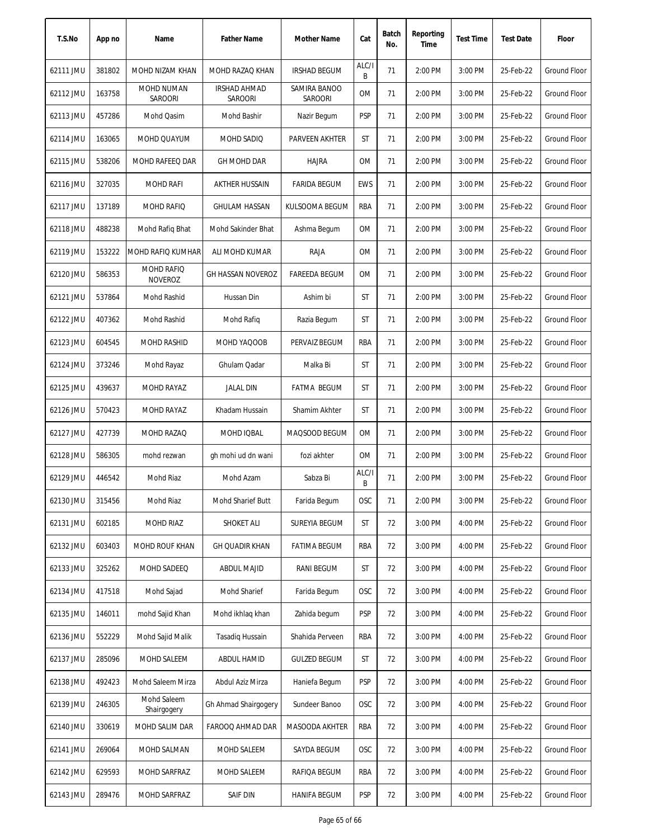| T.S.No    | App no | Name                         | <b>Father Name</b>                    | Mother Name             | Cat        | Batch<br>No. | Reporting<br>Time | <b>Test Time</b> | <b>Test Date</b> | Floor               |
|-----------|--------|------------------------------|---------------------------------------|-------------------------|------------|--------------|-------------------|------------------|------------------|---------------------|
| 62111 JMU | 381802 | MOHD NIZAM KHAN              | MOHD RAZAQ KHAN                       | <b>IRSHAD BEGUM</b>     | ALC/I<br>B | 71           | 2:00 PM           | 3:00 PM          | 25-Feb-22        | Ground Floor        |
| 62112 JMU | 163758 | MOHD NUMAN<br>SAROORI        | <b>IRSHAD AHMAD</b><br><b>SAROORI</b> | SAMIRA BANOO<br>SAROORI | 0M         | 71           | 2:00 PM           | 3:00 PM          | 25-Feb-22        | Ground Floor        |
| 62113 JMU | 457286 | Mohd Qasim                   | Mohd Bashir                           | Nazir Begum             | <b>PSP</b> | 71           | 2:00 PM           | 3:00 PM          | 25-Feb-22        | Ground Floor        |
| 62114 JMU | 163065 | MOHD QUAYUM                  | MOHD SADIQ                            | PARVEEN AKHTER          | ST         | 71           | 2:00 PM           | 3:00 PM          | 25-Feb-22        | Ground Floor        |
| 62115 JMU | 538206 | MOHD RAFEEQ DAR              | <b>GH MOHD DAR</b>                    | <b>HAJRA</b>            | 0M         | 71           | 2:00 PM           | 3:00 PM          | 25-Feb-22        | Ground Floor        |
| 62116 JMU | 327035 | <b>MOHD RAFI</b>             | <b>AKTHER HUSSAIN</b>                 | <b>FARIDA BEGUM</b>     | <b>EWS</b> | 71           | 2:00 PM           | 3:00 PM          | 25-Feb-22        | <b>Ground Floor</b> |
| 62117 JMU | 137189 | MOHD RAFIQ                   | <b>GHULAM HASSAN</b>                  | KULSOOMA BEGUM          | RBA        | 71           | 2:00 PM           | 3:00 PM          | 25-Feb-22        | Ground Floor        |
| 62118 JMU | 488238 | Mohd Rafiq Bhat              | Mohd Sakinder Bhat                    | Ashma Begum             | <b>OM</b>  | 71           | 2:00 PM           | 3:00 PM          | 25-Feb-22        | <b>Ground Floor</b> |
| 62119 JMU | 153222 | <b>MOHD RAFIO KUMHAR</b>     | ALI MOHD KUMAR                        | RAJA                    | <b>OM</b>  | 71           | 2:00 PM           | 3:00 PM          | 25-Feb-22        | <b>Ground Floor</b> |
| 62120 JMU | 586353 | MOHD RAFIQ<br><b>NOVEROZ</b> | GH HASSAN NOVEROZ                     | <b>FAREEDA BEGUM</b>    | <b>OM</b>  | 71           | 2:00 PM           | 3:00 PM          | 25-Feb-22        | Ground Floor        |
| 62121 JMU | 537864 | Mohd Rashid                  | Hussan Din                            | Ashim bi                | ST         | 71           | 2:00 PM           | 3:00 PM          | 25-Feb-22        | Ground Floor        |
| 62122 JMU | 407362 | Mohd Rashid                  | Mohd Rafiq                            | Razia Begum             | ST         | 71           | 2:00 PM           | 3:00 PM          | 25-Feb-22        | Ground Floor        |
| 62123 JMU | 604545 | <b>MOHD RASHID</b>           | MOHD YAQOOB                           | PERVAIZ BEGUM           | <b>RBA</b> | 71           | 2:00 PM           | 3:00 PM          | 25-Feb-22        | <b>Ground Floor</b> |
| 62124 JMU | 373246 | Mohd Rayaz                   | Ghulam Qadar                          | Malka Bi                | ST         | 71           | 2:00 PM           | 3:00 PM          | 25-Feb-22        | <b>Ground Floor</b> |
| 62125 JMU | 439637 | MOHD RAYAZ                   | <b>JALAL DIN</b>                      | <b>FATMA BEGUM</b>      | ST         | 71           | 2:00 PM           | 3:00 PM          | 25-Feb-22        | <b>Ground Floor</b> |
| 62126 JMU | 570423 | MOHD RAYAZ                   | Khadam Hussain                        | Shamim Akhter           | ST         | 71           | 2:00 PM           | 3:00 PM          | 25-Feb-22        | <b>Ground Floor</b> |
| 62127 JMU | 427739 | MOHD RAZAQ                   | MOHD IQBAL                            | MAQSOOD BEGUM           | <b>OM</b>  | 71           | 2:00 PM           | 3:00 PM          | 25-Feb-22        | <b>Ground Floor</b> |
| 62128 JMU | 586305 | mohd rezwan                  | gh mohi ud dn wani                    | fozi akhter             | <b>OM</b>  | 71           | 2:00 PM           | 3:00 PM          | 25-Feb-22        | <b>Ground Floor</b> |
| 62129 JMU | 446542 | Mohd Riaz                    | Mohd Azam                             | Sabza Bi                | ALC/I<br>В | 71           | 2:00 PM           | 3:00 PM          | 25-Feb-22        | <b>Ground Floor</b> |
| 62130 JMU | 315456 | Mohd Riaz                    | Mohd Sharief Butt                     | Farida Begum            | <b>OSC</b> | 71           | 2:00 PM           | 3:00 PM          | 25-Feb-22        | Ground Floor        |
| 62131 JMU | 602185 | MOHD RIAZ                    | SHOKET ALI                            | SUREYIA BEGUM           | ST         | 72           | 3:00 PM           | 4:00 PM          | 25-Feb-22        | Ground Floor        |
| 62132 JMU | 603403 | MOHD ROUF KHAN               | <b>GH QUADIR KHAN</b>                 | <b>FATIMA BEGUM</b>     | RBA        | 72           | 3:00 PM           | 4:00 PM          | 25-Feb-22        | Ground Floor        |
| 62133 JMU | 325262 | MOHD SADEEQ                  | <b>ABDUL MAJID</b>                    | <b>RANI BEGUM</b>       | ST         | 72           | 3:00 PM           | 4:00 PM          | 25-Feb-22        | Ground Floor        |
| 62134 JMU | 417518 | Mohd Sajad                   | Mohd Sharief                          | Farida Begum            | OSC        | 72           | 3:00 PM           | 4:00 PM          | 25-Feb-22        | Ground Floor        |
| 62135 JMU | 146011 | mohd Sajid Khan              | Mohd ikhlag khan                      | Zahida begum            | <b>PSP</b> | 72           | 3:00 PM           | 4:00 PM          | 25-Feb-22        | <b>Ground Floor</b> |
| 62136 JMU | 552229 | Mohd Sajid Malik             | Tasadig Hussain                       | Shahida Perveen         | RBA        | 72           | 3:00 PM           | 4:00 PM          | 25-Feb-22        | Ground Floor        |
| 62137 JMU | 285096 | MOHD SALEEM                  | ABDUL HAMID                           | <b>GULZED BEGUM</b>     | ST         | 72           | 3:00 PM           | 4:00 PM          | 25-Feb-22        | Ground Floor        |
| 62138 JMU | 492423 | Mohd Saleem Mirza            | Abdul Aziz Mirza                      | Haniefa Begum           | <b>PSP</b> | 72           | 3:00 PM           | 4:00 PM          | 25-Feb-22        | Ground Floor        |
| 62139 JMU | 246305 | Mohd Saleem<br>Shairgogery   | Gh Ahmad Shairgogery                  | Sundeer Banoo           | OSC        | 72           | 3:00 PM           | 4:00 PM          | 25-Feb-22        | Ground Floor        |
| 62140 JMU | 330619 | MOHD SALIM DAR               | FAROOQ AHMAD DAR                      | MASOODA AKHTER          | RBA        | 72           | 3:00 PM           | 4:00 PM          | 25-Feb-22        | Ground Floor        |
| 62141 JMU | 269064 | MOHD SALMAN                  | MOHD SALEEM                           | SAYDA BEGUM             | OSC        | 72           | 3:00 PM           | 4:00 PM          | 25-Feb-22        | Ground Floor        |
| 62142 JMU | 629593 | MOHD SARFRAZ                 | MOHD SALEEM                           | RAFIQA BEGUM            | RBA        | 72           | 3:00 PM           | 4:00 PM          | 25-Feb-22        | Ground Floor        |
| 62143 JMU | 289476 | MOHD SARFRAZ                 | <b>SAIF DIN</b>                       | <b>HANIFA BEGUM</b>     | <b>PSP</b> | 72           | 3:00 PM           | 4:00 PM          | 25-Feb-22        | Ground Floor        |